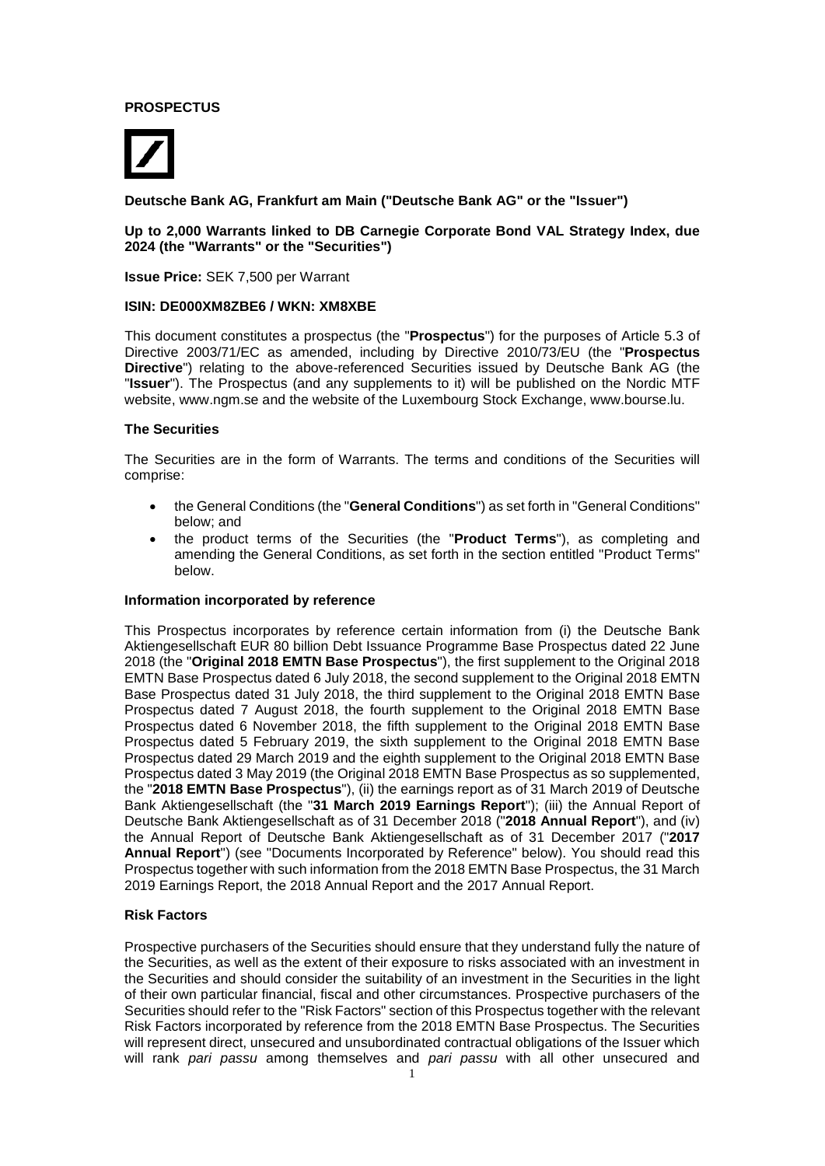## **PROSPECTUS**



**Deutsche Bank AG, Frankfurt am Main ("Deutsche Bank AG" or the "Issuer")**

## **Up to 2,000 Warrants linked to DB Carnegie Corporate Bond VAL Strategy Index, due 2024 (the "Warrants" or the "Securities")**

**Issue Price:** SEK 7,500 per Warrant

#### **ISIN: DE000XM8ZBE6 / WKN: XM8XBE**

This document constitutes a prospectus (the "**Prospectus**") for the purposes of Article 5.3 of Directive 2003/71/EC as amended, including by Directive 2010/73/EU (the "**Prospectus Directive**") relating to the above-referenced Securities issued by Deutsche Bank AG (the "**Issuer**"). The Prospectus (and any supplements to it) will be published on the Nordic MTF website, www.ngm.se and the website of the Luxembourg Stock Exchange, www.bourse.lu.

#### **The Securities**

The Securities are in the form of Warrants. The terms and conditions of the Securities will comprise:

- the General Conditions (the "**General Conditions**") as set forth in "General Conditions" below; and
- the product terms of the Securities (the "**Product Terms**"), as completing and amending the General Conditions, as set forth in the section entitled "Product Terms" below.

## **Information incorporated by reference**

This Prospectus incorporates by reference certain information from (i) the Deutsche Bank Aktiengesellschaft EUR 80 billion Debt Issuance Programme Base Prospectus dated 22 June 2018 (the "**Original 2018 EMTN Base Prospectus**"), the first supplement to the Original 2018 EMTN Base Prospectus dated 6 July 2018, the second supplement to the Original 2018 EMTN Base Prospectus dated 31 July 2018, the third supplement to the Original 2018 EMTN Base Prospectus dated 7 August 2018, the fourth supplement to the Original 2018 EMTN Base Prospectus dated 6 November 2018, the fifth supplement to the Original 2018 EMTN Base Prospectus dated 5 February 2019, the sixth supplement to the Original 2018 EMTN Base Prospectus dated 29 March 2019 and the eighth supplement to the Original 2018 EMTN Base Prospectus dated 3 May 2019 (the Original 2018 EMTN Base Prospectus as so supplemented, the "**2018 EMTN Base Prospectus**"), (ii) the earnings report as of 31 March 2019 of Deutsche Bank Aktiengesellschaft (the "**31 March 2019 Earnings Report**"); (iii) the Annual Report of Deutsche Bank Aktiengesellschaft as of 31 December 2018 ("**2018 Annual Report**"), and (iv) the Annual Report of Deutsche Bank Aktiengesellschaft as of 31 December 2017 ("**2017 Annual Report**") (see "Documents Incorporated by Reference" below). You should read this Prospectus together with such information from the 2018 EMTN Base Prospectus, the 31 March 2019 Earnings Report, the 2018 Annual Report and the 2017 Annual Report.

#### **Risk Factors**

Prospective purchasers of the Securities should ensure that they understand fully the nature of the Securities, as well as the extent of their exposure to risks associated with an investment in the Securities and should consider the suitability of an investment in the Securities in the light of their own particular financial, fiscal and other circumstances. Prospective purchasers of the Securities should refer to the "Risk Factors" section of this Prospectus together with the relevant Risk Factors incorporated by reference from the 2018 EMTN Base Prospectus. The Securities will represent direct, unsecured and unsubordinated contractual obligations of the Issuer which will rank *pari passu* among themselves and *pari passu* with all other unsecured and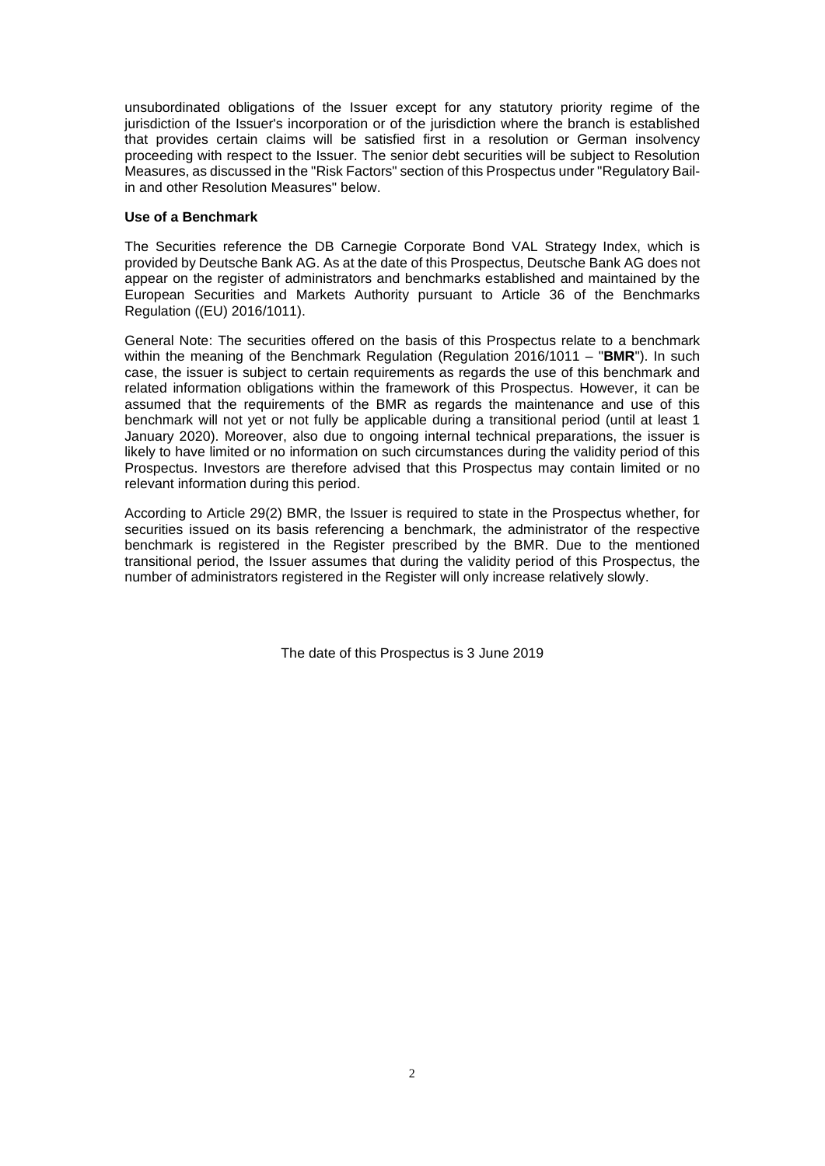unsubordinated obligations of the Issuer except for any statutory priority regime of the jurisdiction of the Issuer's incorporation or of the jurisdiction where the branch is established that provides certain claims will be satisfied first in a resolution or German insolvency proceeding with respect to the Issuer. The senior debt securities will be subject to Resolution Measures, as discussed in the "Risk Factors" section of this Prospectus under "Regulatory Bailin and other Resolution Measures" below.

## **Use of a Benchmark**

The Securities reference the DB Carnegie Corporate Bond VAL Strategy Index, which is provided by Deutsche Bank AG. As at the date of this Prospectus, Deutsche Bank AG does not appear on the register of administrators and benchmarks established and maintained by the European Securities and Markets Authority pursuant to Article 36 of the Benchmarks Regulation ((EU) 2016/1011).

General Note: The securities offered on the basis of this Prospectus relate to a benchmark within the meaning of the Benchmark Regulation (Regulation 2016/1011 – "**BMR**"). In such case, the issuer is subject to certain requirements as regards the use of this benchmark and related information obligations within the framework of this Prospectus. However, it can be assumed that the requirements of the BMR as regards the maintenance and use of this benchmark will not yet or not fully be applicable during a transitional period (until at least 1 January 2020). Moreover, also due to ongoing internal technical preparations, the issuer is likely to have limited or no information on such circumstances during the validity period of this Prospectus. Investors are therefore advised that this Prospectus may contain limited or no relevant information during this period.

According to Article 29(2) BMR, the Issuer is required to state in the Prospectus whether, for securities issued on its basis referencing a benchmark, the administrator of the respective benchmark is registered in the Register prescribed by the BMR. Due to the mentioned transitional period, the Issuer assumes that during the validity period of this Prospectus, the number of administrators registered in the Register will only increase relatively slowly.

The date of this Prospectus is 3 June 2019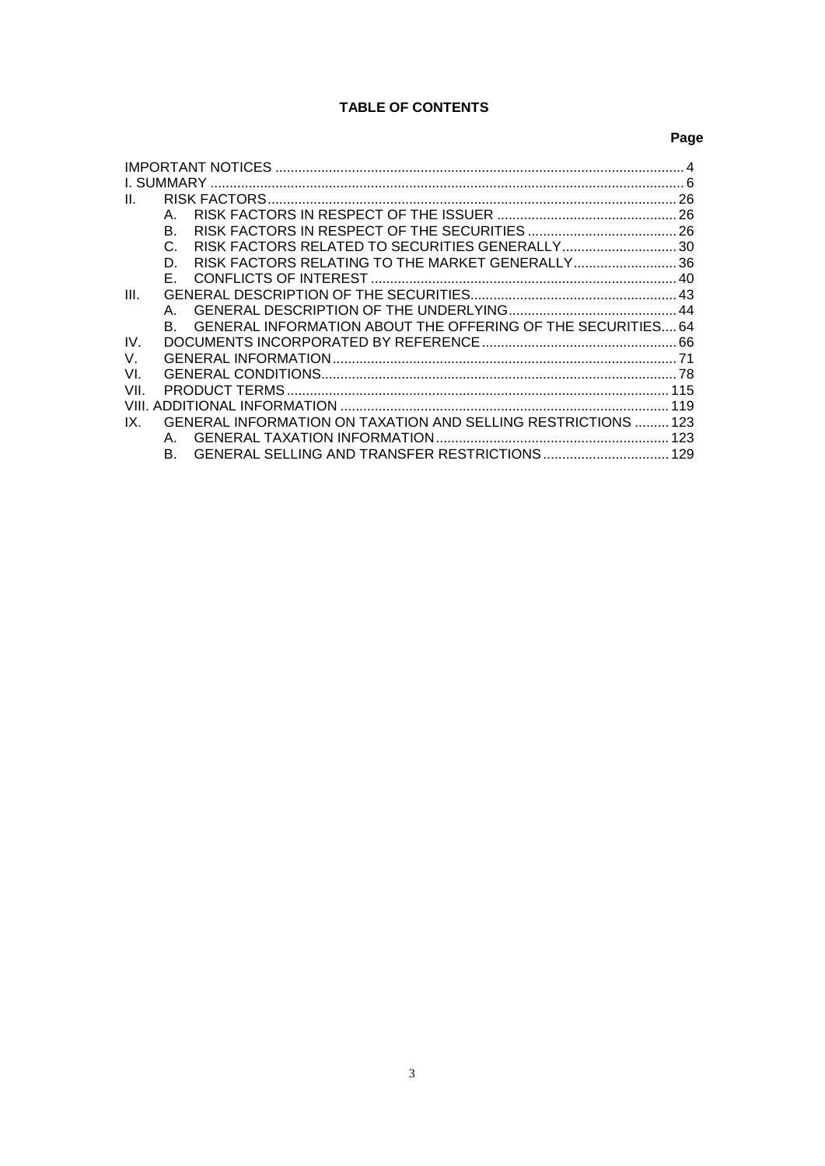## **TABLE OF CONTENTS**

# **Page**

| Ш.   |                                                                          |  |
|------|--------------------------------------------------------------------------|--|
|      | Α.                                                                       |  |
|      | B.                                                                       |  |
|      | RISK FACTORS RELATED TO SECURITIES GENERALLY30<br>C.                     |  |
|      | RISK FACTORS RELATING TO THE MARKET GENERALLY 36<br>D.                   |  |
|      | E.                                                                       |  |
| III. |                                                                          |  |
|      | A                                                                        |  |
|      | <b>GENERAL INFORMATION ABOUT THE OFFERING OF THE SECURITIES 64</b><br>R. |  |
| IV.  |                                                                          |  |
| V    | -71                                                                      |  |
| VI.  |                                                                          |  |
| VII. |                                                                          |  |
|      |                                                                          |  |
| IX.  | GENERAL INFORMATION ON TAXATION AND SELLING RESTRICTIONS  123            |  |
|      | A                                                                        |  |
|      | B.                                                                       |  |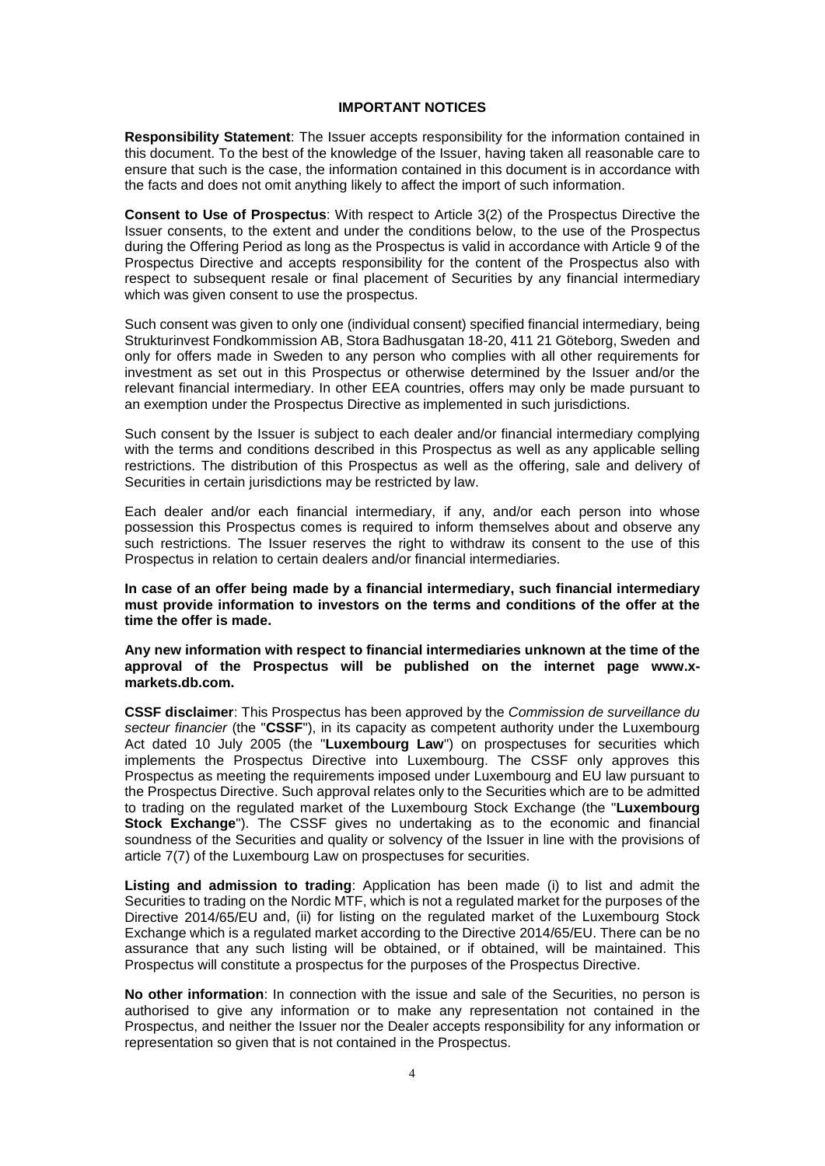## **IMPORTANT NOTICES**

**Responsibility Statement**: The Issuer accepts responsibility for the information contained in this document. To the best of the knowledge of the Issuer, having taken all reasonable care to ensure that such is the case, the information contained in this document is in accordance with the facts and does not omit anything likely to affect the import of such information.

**Consent to Use of Prospectus**: With respect to Article 3(2) of the Prospectus Directive the Issuer consents, to the extent and under the conditions below, to the use of the Prospectus during the Offering Period as long as the Prospectus is valid in accordance with Article 9 of the Prospectus Directive and accepts responsibility for the content of the Prospectus also with respect to subsequent resale or final placement of Securities by any financial intermediary which was given consent to use the prospectus.

Such consent was given to only one (individual consent) specified financial intermediary, being Strukturinvest Fondkommission AB, Stora Badhusgatan 18-20, 411 21 Göteborg, Sweden and only for offers made in Sweden to any person who complies with all other requirements for investment as set out in this Prospectus or otherwise determined by the Issuer and/or the relevant financial intermediary. In other EEA countries, offers may only be made pursuant to an exemption under the Prospectus Directive as implemented in such jurisdictions.

Such consent by the Issuer is subject to each dealer and/or financial intermediary complying with the terms and conditions described in this Prospectus as well as any applicable selling restrictions. The distribution of this Prospectus as well as the offering, sale and delivery of Securities in certain jurisdictions may be restricted by law.

Each dealer and/or each financial intermediary, if any, and/or each person into whose possession this Prospectus comes is required to inform themselves about and observe any such restrictions. The Issuer reserves the right to withdraw its consent to the use of this Prospectus in relation to certain dealers and/or financial intermediaries.

**In case of an offer being made by a financial intermediary, such financial intermediary must provide information to investors on the terms and conditions of the offer at the time the offer is made.**

**Any new information with respect to financial intermediaries unknown at the time of the approval of the Prospectus will be published on the internet page www.xmarkets.db.com.**

**CSSF disclaimer**: This Prospectus has been approved by the *Commission de surveillance du secteur financier* (the "**CSSF**"), in its capacity as competent authority under the Luxembourg Act dated 10 July 2005 (the "**Luxembourg Law**") on prospectuses for securities which implements the Prospectus Directive into Luxembourg. The CSSF only approves this Prospectus as meeting the requirements imposed under Luxembourg and EU law pursuant to the Prospectus Directive. Such approval relates only to the Securities which are to be admitted to trading on the regulated market of the Luxembourg Stock Exchange (the "**Luxembourg Stock Exchange**"). The CSSF gives no undertaking as to the economic and financial soundness of the Securities and quality or solvency of the Issuer in line with the provisions of article 7(7) of the Luxembourg Law on prospectuses for securities.

**Listing and admission to trading**: Application has been made (i) to list and admit the Securities to trading on the Nordic MTF, which is not a regulated market for the purposes of the Directive 2014/65/EU and, (ii) for listing on the regulated market of the Luxembourg Stock Exchange which is a regulated market according to the Directive 2014/65/EU. There can be no assurance that any such listing will be obtained, or if obtained, will be maintained. This Prospectus will constitute a prospectus for the purposes of the Prospectus Directive.

**No other information**: In connection with the issue and sale of the Securities, no person is authorised to give any information or to make any representation not contained in the Prospectus, and neither the Issuer nor the Dealer accepts responsibility for any information or representation so given that is not contained in the Prospectus.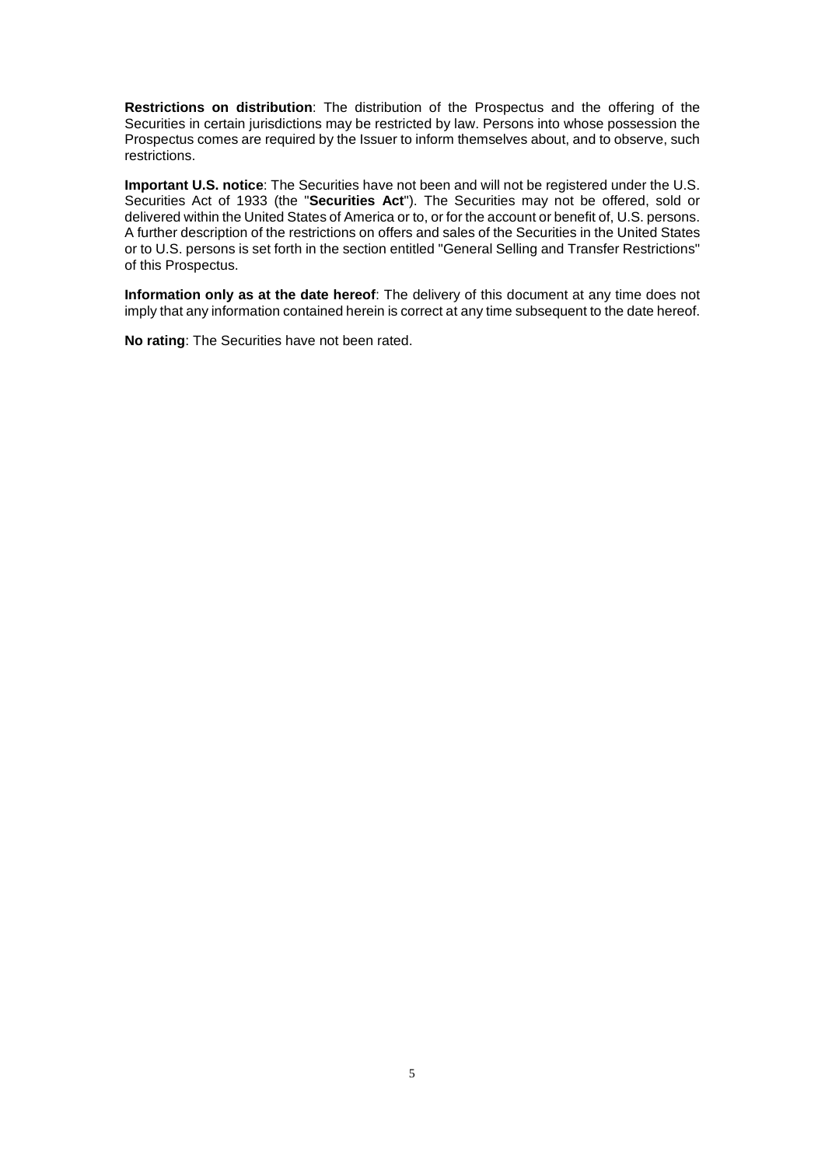**Restrictions on distribution**: The distribution of the Prospectus and the offering of the Securities in certain jurisdictions may be restricted by law. Persons into whose possession the Prospectus comes are required by the Issuer to inform themselves about, and to observe, such restrictions.

**Important U.S. notice**: The Securities have not been and will not be registered under the U.S. Securities Act of 1933 (the "**Securities Act**"). The Securities may not be offered, sold or delivered within the United States of America or to, or for the account or benefit of, U.S. persons. A further description of the restrictions on offers and sales of the Securities in the United States or to U.S. persons is set forth in the section entitled "General Selling and Transfer Restrictions" of this Prospectus.

**Information only as at the date hereof**: The delivery of this document at any time does not imply that any information contained herein is correct at any time subsequent to the date hereof.

**No rating**: The Securities have not been rated.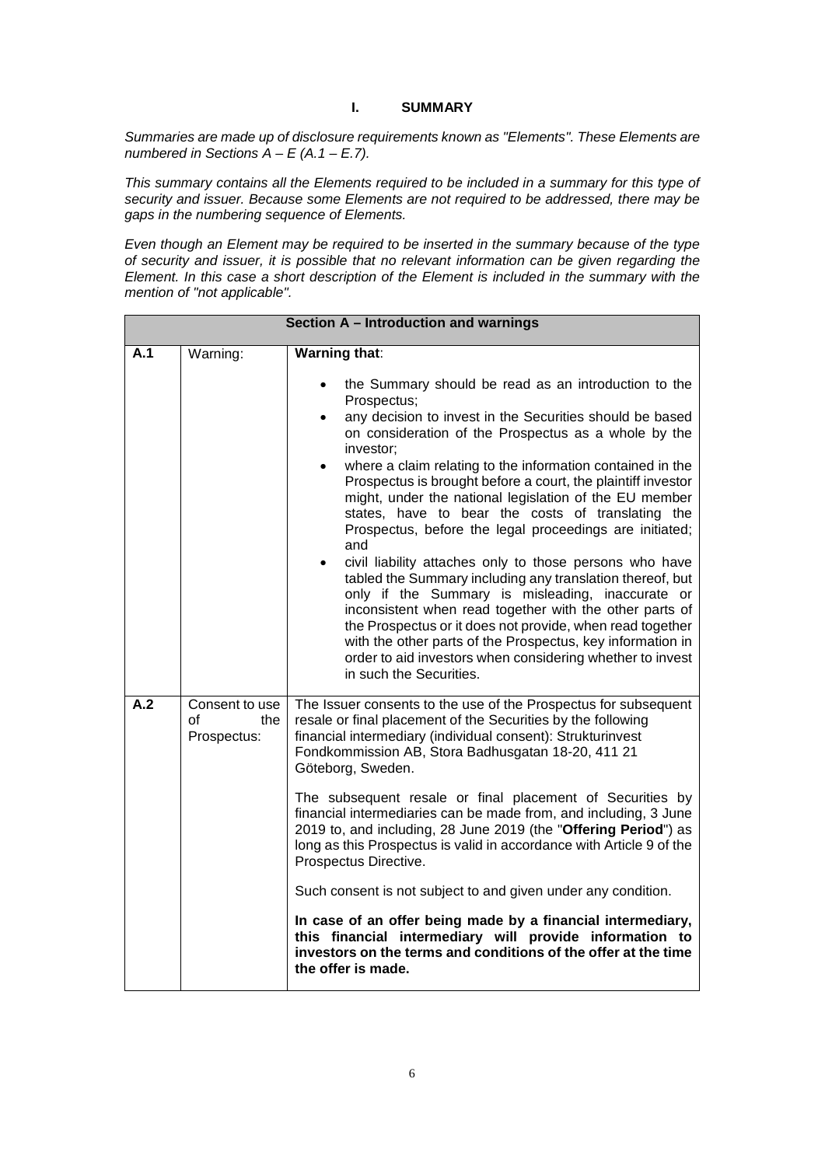## **I. SUMMARY**

*Summaries are made up of disclosure requirements known as "Elements". These Elements are numbered in Sections*  $\vec{A}$  *–*  $\vec{E}$  *(A.1 – E.7).* 

*This summary contains all the Elements required to be included in a summary for this type of security and issuer. Because some Elements are not required to be addressed, there may be gaps in the numbering sequence of Elements.* 

*Even though an Element may be required to be inserted in the summary because of the type of security and issuer, it is possible that no relevant information can be given regarding the Element. In this case a short description of the Element is included in the summary with the mention of "not applicable".*

|     | Section A - Introduction and warnings      |                                                                                                                                                                                                                                                                                                                                                                                                                                                                                                                                                                                                                                                                                                                                                                                                                                                                |  |  |
|-----|--------------------------------------------|----------------------------------------------------------------------------------------------------------------------------------------------------------------------------------------------------------------------------------------------------------------------------------------------------------------------------------------------------------------------------------------------------------------------------------------------------------------------------------------------------------------------------------------------------------------------------------------------------------------------------------------------------------------------------------------------------------------------------------------------------------------------------------------------------------------------------------------------------------------|--|--|
| A.1 | Warning:                                   | Warning that:                                                                                                                                                                                                                                                                                                                                                                                                                                                                                                                                                                                                                                                                                                                                                                                                                                                  |  |  |
|     |                                            | the Summary should be read as an introduction to the<br>Prospectus;<br>any decision to invest in the Securities should be based<br>$\bullet$<br>on consideration of the Prospectus as a whole by the<br>investor;<br>where a claim relating to the information contained in the<br>$\bullet$<br>Prospectus is brought before a court, the plaintiff investor<br>might, under the national legislation of the EU member<br>states, have to bear the costs of translating the<br>Prospectus, before the legal proceedings are initiated;<br>and<br>civil liability attaches only to those persons who have<br>$\bullet$<br>tabled the Summary including any translation thereof, but<br>only if the Summary is misleading, inaccurate or<br>inconsistent when read together with the other parts of<br>the Prospectus or it does not provide, when read together |  |  |
|     |                                            | with the other parts of the Prospectus, key information in<br>order to aid investors when considering whether to invest<br>in such the Securities.                                                                                                                                                                                                                                                                                                                                                                                                                                                                                                                                                                                                                                                                                                             |  |  |
| A.2 | Consent to use<br>οf<br>the<br>Prospectus: | The Issuer consents to the use of the Prospectus for subsequent<br>resale or final placement of the Securities by the following<br>financial intermediary (individual consent): Strukturinvest<br>Fondkommission AB, Stora Badhusgatan 18-20, 411 21<br>Göteborg, Sweden.                                                                                                                                                                                                                                                                                                                                                                                                                                                                                                                                                                                      |  |  |
|     |                                            | The subsequent resale or final placement of Securities by<br>financial intermediaries can be made from, and including, 3 June<br>2019 to, and including, 28 June 2019 (the "Offering Period") as<br>long as this Prospectus is valid in accordance with Article 9 of the<br>Prospectus Directive.                                                                                                                                                                                                                                                                                                                                                                                                                                                                                                                                                              |  |  |
|     |                                            | Such consent is not subject to and given under any condition.                                                                                                                                                                                                                                                                                                                                                                                                                                                                                                                                                                                                                                                                                                                                                                                                  |  |  |
|     |                                            | In case of an offer being made by a financial intermediary,<br>this financial intermediary will provide information to<br>investors on the terms and conditions of the offer at the time<br>the offer is made.                                                                                                                                                                                                                                                                                                                                                                                                                                                                                                                                                                                                                                                 |  |  |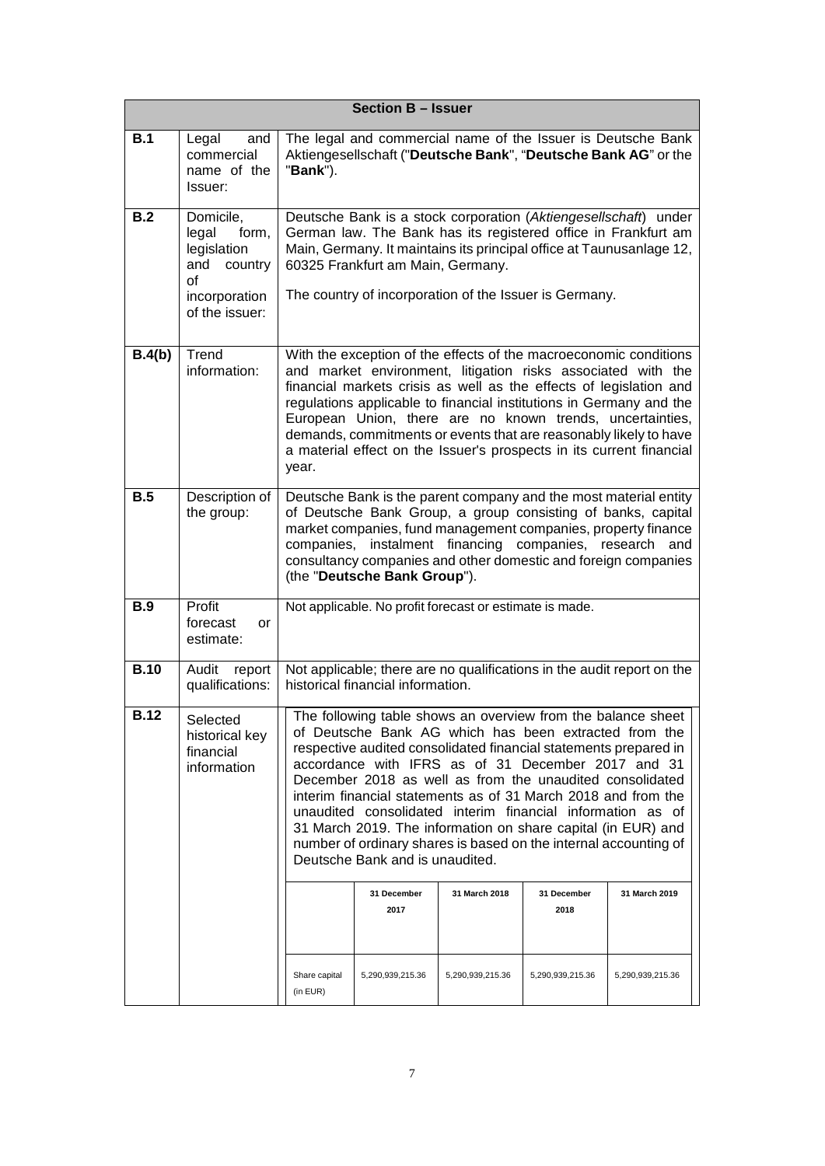|             |                                                                                                       |                                                                                                                                                                                                                                                                                                                                                                                                                                                                                                                                                                                                                                                                                                   | <b>Section B - Issuer</b>         |                                                         |                  |                                                                                                                                                                                                                                                                                                                                                                                                                                                                                          |
|-------------|-------------------------------------------------------------------------------------------------------|---------------------------------------------------------------------------------------------------------------------------------------------------------------------------------------------------------------------------------------------------------------------------------------------------------------------------------------------------------------------------------------------------------------------------------------------------------------------------------------------------------------------------------------------------------------------------------------------------------------------------------------------------------------------------------------------------|-----------------------------------|---------------------------------------------------------|------------------|------------------------------------------------------------------------------------------------------------------------------------------------------------------------------------------------------------------------------------------------------------------------------------------------------------------------------------------------------------------------------------------------------------------------------------------------------------------------------------------|
| B.1         | Legal<br>and<br>commercial<br>name of the<br>Issuer:                                                  | "Bank").                                                                                                                                                                                                                                                                                                                                                                                                                                                                                                                                                                                                                                                                                          |                                   |                                                         |                  | The legal and commercial name of the Issuer is Deutsche Bank<br>Aktiengesellschaft ("Deutsche Bank", "Deutsche Bank AG" or the                                                                                                                                                                                                                                                                                                                                                           |
| B.2         | Domicile,<br>legal<br>form,<br>legislation<br>and<br>country<br>of<br>incorporation<br>of the issuer: |                                                                                                                                                                                                                                                                                                                                                                                                                                                                                                                                                                                                                                                                                                   | 60325 Frankfurt am Main, Germany. | The country of incorporation of the Issuer is Germany.  |                  | Deutsche Bank is a stock corporation (Aktiengesellschaft) under<br>German law. The Bank has its registered office in Frankfurt am<br>Main, Germany. It maintains its principal office at Taunusanlage 12,                                                                                                                                                                                                                                                                                |
| B.4(b)      | Trend<br>information:                                                                                 | year.                                                                                                                                                                                                                                                                                                                                                                                                                                                                                                                                                                                                                                                                                             |                                   |                                                         |                  | With the exception of the effects of the macroeconomic conditions<br>and market environment, litigation risks associated with the<br>financial markets crisis as well as the effects of legislation and<br>regulations applicable to financial institutions in Germany and the<br>European Union, there are no known trends, uncertainties,<br>demands, commitments or events that are reasonably likely to have<br>a material effect on the Issuer's prospects in its current financial |
| B.5         | Description of<br>the group:                                                                          | Deutsche Bank is the parent company and the most material entity<br>of Deutsche Bank Group, a group consisting of banks, capital<br>market companies, fund management companies, property finance<br>companies, instalment financing companies, research<br>and<br>consultancy companies and other domestic and foreign companies<br>(the "Deutsche Bank Group").                                                                                                                                                                                                                                                                                                                                 |                                   |                                                         |                  |                                                                                                                                                                                                                                                                                                                                                                                                                                                                                          |
| <b>B.9</b>  | Profit<br>forecast<br>or<br>estimate:                                                                 |                                                                                                                                                                                                                                                                                                                                                                                                                                                                                                                                                                                                                                                                                                   |                                   | Not applicable. No profit forecast or estimate is made. |                  |                                                                                                                                                                                                                                                                                                                                                                                                                                                                                          |
| <b>B.10</b> | Audit<br>report<br>qualifications:                                                                    | Not applicable; there are no qualifications in the audit report on the<br>historical financial information.                                                                                                                                                                                                                                                                                                                                                                                                                                                                                                                                                                                       |                                   |                                                         |                  |                                                                                                                                                                                                                                                                                                                                                                                                                                                                                          |
| R 12        | Selected<br>historical key<br>financial<br>information                                                | The following table shows an overview from the balance sheet<br>of Deutsche Bank AG which has been extracted from the<br>respective audited consolidated financial statements prepared in<br>accordance with IFRS as of 31 December 2017 and 31<br>December 2018 as well as from the unaudited consolidated<br>interim financial statements as of 31 March 2018 and from the<br>unaudited consolidated interim financial information as of<br>31 March 2019. The information on share capital (in EUR) and<br>number of ordinary shares is based on the internal accounting of<br>Deutsche Bank and is unaudited.<br>31 March 2019<br>31 December<br>31 March 2018<br>31 December<br>2017<br>2018 |                                   |                                                         |                  |                                                                                                                                                                                                                                                                                                                                                                                                                                                                                          |
|             |                                                                                                       | Share capital<br>(in EUR)                                                                                                                                                                                                                                                                                                                                                                                                                                                                                                                                                                                                                                                                         | 5,290,939,215.36                  | 5,290,939,215.36                                        | 5,290,939,215.36 | 5,290,939,215.36                                                                                                                                                                                                                                                                                                                                                                                                                                                                         |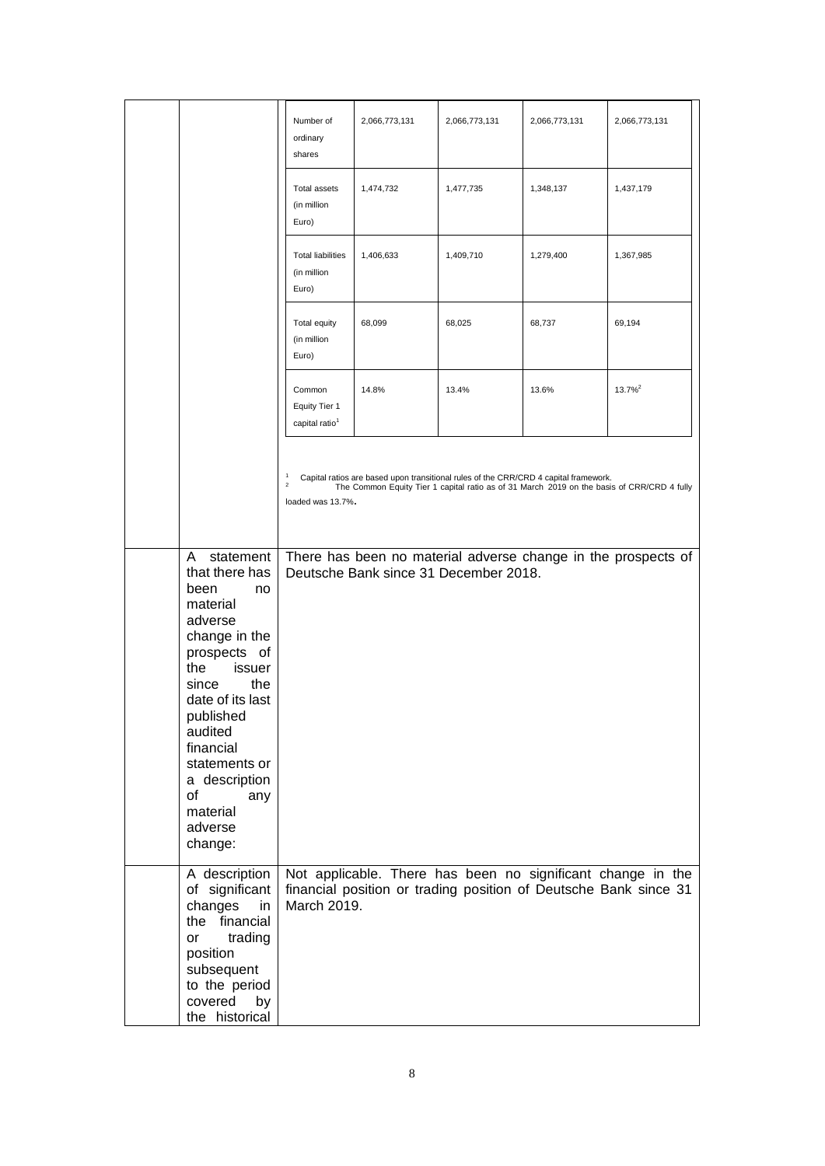|                                                                                                                                                                                                                                                                                | Number of<br>ordinary<br>shares                              | 2,066,773,131                         | 2,066,773,131 | 2,066,773,131                                                                        | 2,066,773,131                                                                                                                   |
|--------------------------------------------------------------------------------------------------------------------------------------------------------------------------------------------------------------------------------------------------------------------------------|--------------------------------------------------------------|---------------------------------------|---------------|--------------------------------------------------------------------------------------|---------------------------------------------------------------------------------------------------------------------------------|
|                                                                                                                                                                                                                                                                                | <b>Total assets</b><br>(in million<br>Euro)                  | 1,474,732                             | 1,477,735     | 1,348,137                                                                            | 1,437,179                                                                                                                       |
|                                                                                                                                                                                                                                                                                | <b>Total liabilities</b><br>(in million<br>Euro)             | 1,406,633                             | 1,409,710     | 1,279,400                                                                            | 1,367,985                                                                                                                       |
|                                                                                                                                                                                                                                                                                | Total equity<br>(in million<br>Euro)                         | 68,099                                | 68,025        | 68,737                                                                               | 69,194                                                                                                                          |
|                                                                                                                                                                                                                                                                                | Common<br><b>Equity Tier 1</b><br>capital ratio <sup>1</sup> | 14.8%                                 | 13.4%         | 13.6%                                                                                | $13.7\%$ <sup>2</sup>                                                                                                           |
|                                                                                                                                                                                                                                                                                | $\mathbf 2$<br>loaded was 13.7%.                             |                                       |               | Capital ratios are based upon transitional rules of the CRR/CRD 4 capital framework. | The Common Equity Tier 1 capital ratio as of 31 March 2019 on the basis of CRR/CRD 4 fully                                      |
| A statement<br>that there has<br>been<br>no<br>material<br>adverse<br>change in the<br>prospects of<br>the<br>issuer<br>the<br>since<br>date of its last<br>published<br>audited<br>financial<br>statements or<br>a description<br>of<br>any<br>material<br>adverse<br>change: |                                                              | Deutsche Bank since 31 December 2018. |               |                                                                                      | There has been no material adverse change in the prospects of                                                                   |
| A description<br>of significant<br>changes<br>in<br>the financial<br>trading<br>or<br>position<br>subsequent<br>to the period<br>covered<br>by<br>the historical                                                                                                               | March 2019.                                                  |                                       |               |                                                                                      | Not applicable. There has been no significant change in the<br>financial position or trading position of Deutsche Bank since 31 |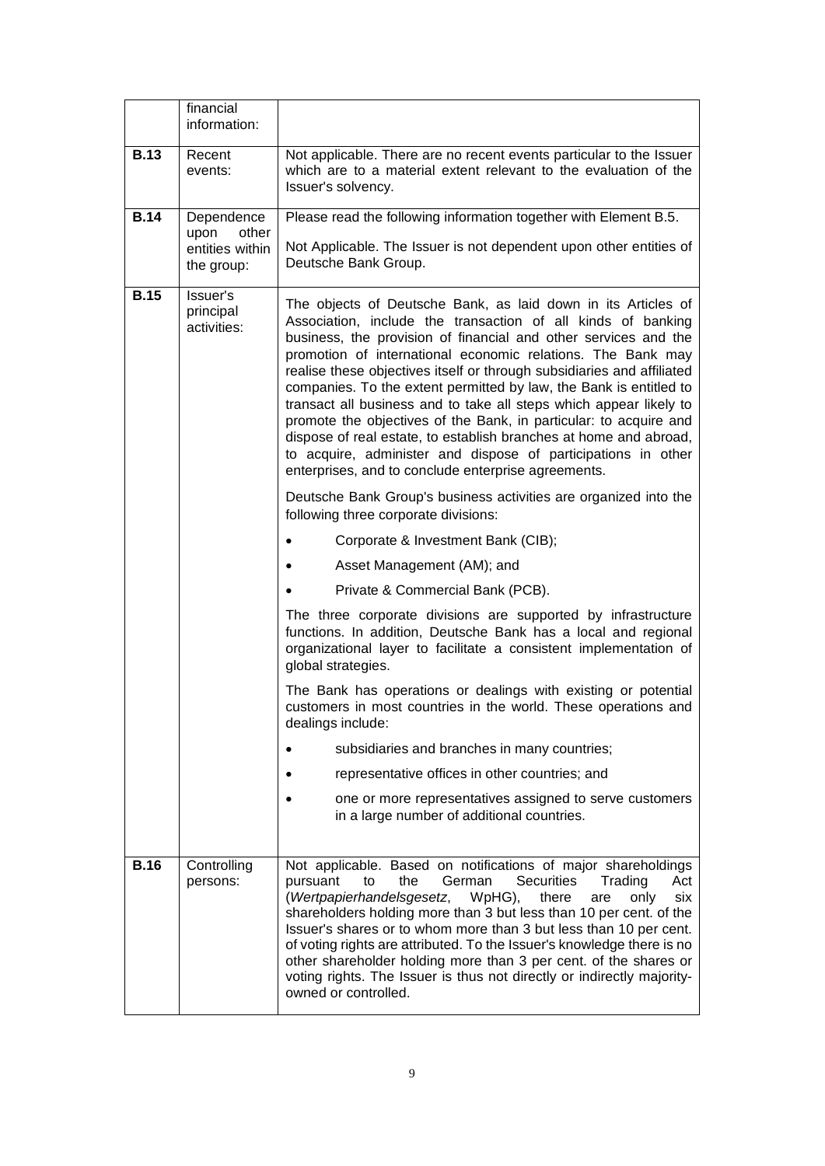|                                                     | financial<br>information:                      |                                                                                                                                                                                                                                                                                                                                                                                                                                                                                                                                                                                                                                                                                                                                                         |
|-----------------------------------------------------|------------------------------------------------|---------------------------------------------------------------------------------------------------------------------------------------------------------------------------------------------------------------------------------------------------------------------------------------------------------------------------------------------------------------------------------------------------------------------------------------------------------------------------------------------------------------------------------------------------------------------------------------------------------------------------------------------------------------------------------------------------------------------------------------------------------|
| <b>B.13</b>                                         | Recent<br>events:                              | Not applicable. There are no recent events particular to the Issuer<br>which are to a material extent relevant to the evaluation of the<br>Issuer's solvency.                                                                                                                                                                                                                                                                                                                                                                                                                                                                                                                                                                                           |
| <b>B.14</b>                                         | Dependence                                     | Please read the following information together with Element B.5.                                                                                                                                                                                                                                                                                                                                                                                                                                                                                                                                                                                                                                                                                        |
|                                                     | upon<br>other<br>entities within<br>the group: | Not Applicable. The Issuer is not dependent upon other entities of<br>Deutsche Bank Group.                                                                                                                                                                                                                                                                                                                                                                                                                                                                                                                                                                                                                                                              |
| <b>B.15</b><br>Issuer's<br>principal<br>activities: |                                                | The objects of Deutsche Bank, as laid down in its Articles of<br>Association, include the transaction of all kinds of banking<br>business, the provision of financial and other services and the<br>promotion of international economic relations. The Bank may<br>realise these objectives itself or through subsidiaries and affiliated<br>companies. To the extent permitted by law, the Bank is entitled to<br>transact all business and to take all steps which appear likely to<br>promote the objectives of the Bank, in particular: to acquire and<br>dispose of real estate, to establish branches at home and abroad,<br>to acquire, administer and dispose of participations in other<br>enterprises, and to conclude enterprise agreements. |
|                                                     |                                                | Deutsche Bank Group's business activities are organized into the<br>following three corporate divisions:                                                                                                                                                                                                                                                                                                                                                                                                                                                                                                                                                                                                                                                |
|                                                     |                                                | Corporate & Investment Bank (CIB);                                                                                                                                                                                                                                                                                                                                                                                                                                                                                                                                                                                                                                                                                                                      |
|                                                     |                                                | Asset Management (AM); and                                                                                                                                                                                                                                                                                                                                                                                                                                                                                                                                                                                                                                                                                                                              |
|                                                     |                                                | Private & Commercial Bank (PCB).                                                                                                                                                                                                                                                                                                                                                                                                                                                                                                                                                                                                                                                                                                                        |
|                                                     |                                                | The three corporate divisions are supported by infrastructure<br>functions. In addition, Deutsche Bank has a local and regional<br>organizational layer to facilitate a consistent implementation of<br>global strategies.                                                                                                                                                                                                                                                                                                                                                                                                                                                                                                                              |
|                                                     |                                                | The Bank has operations or dealings with existing or potential<br>customers in most countries in the world. These operations and<br>dealings include:                                                                                                                                                                                                                                                                                                                                                                                                                                                                                                                                                                                                   |
|                                                     |                                                | subsidiaries and branches in many countries;                                                                                                                                                                                                                                                                                                                                                                                                                                                                                                                                                                                                                                                                                                            |
|                                                     |                                                | representative offices in other countries; and                                                                                                                                                                                                                                                                                                                                                                                                                                                                                                                                                                                                                                                                                                          |
|                                                     |                                                | one or more representatives assigned to serve customers<br>in a large number of additional countries.                                                                                                                                                                                                                                                                                                                                                                                                                                                                                                                                                                                                                                                   |
| <b>B.16</b>                                         | Controlling<br>persons:                        | Not applicable. Based on notifications of major shareholdings<br>German<br>Securities<br>pursuant<br>the<br>Trading<br>Act<br>to<br>(Wertpapierhandelsgesetz,<br>WpHG),<br>there<br>only<br>six<br>are<br>shareholders holding more than 3 but less than 10 per cent. of the<br>Issuer's shares or to whom more than 3 but less than 10 per cent.<br>of voting rights are attributed. To the Issuer's knowledge there is no<br>other shareholder holding more than 3 per cent. of the shares or<br>voting rights. The Issuer is thus not directly or indirectly majority-<br>owned or controlled.                                                                                                                                                       |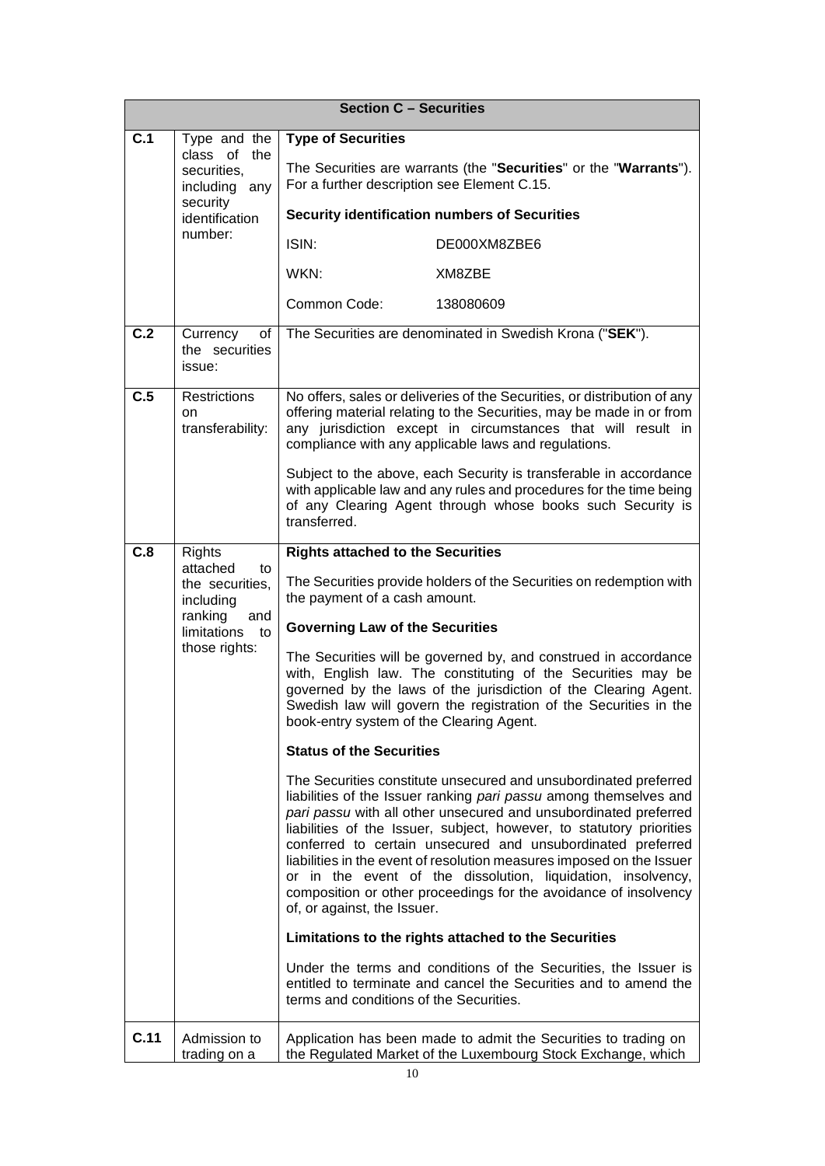|      |                                                                                      | <b>Section C - Securities</b>                                            |                                                                                                                                                                                                                                                                                                                                                                                                                                                                                                                                                               |
|------|--------------------------------------------------------------------------------------|--------------------------------------------------------------------------|---------------------------------------------------------------------------------------------------------------------------------------------------------------------------------------------------------------------------------------------------------------------------------------------------------------------------------------------------------------------------------------------------------------------------------------------------------------------------------------------------------------------------------------------------------------|
| C.1  | Type and the<br>class of<br>the<br>securities,<br>including any<br>security          | <b>Type of Securities</b><br>For a further description see Element C.15. | The Securities are warrants (the "Securities" or the "Warrants").<br><b>Security identification numbers of Securities</b>                                                                                                                                                                                                                                                                                                                                                                                                                                     |
|      | identification<br>number:                                                            | ISIN:                                                                    | DE000XM8ZBE6                                                                                                                                                                                                                                                                                                                                                                                                                                                                                                                                                  |
|      |                                                                                      | WKN:                                                                     | XM8ZBE                                                                                                                                                                                                                                                                                                                                                                                                                                                                                                                                                        |
|      |                                                                                      |                                                                          |                                                                                                                                                                                                                                                                                                                                                                                                                                                                                                                                                               |
|      |                                                                                      | Common Code:                                                             | 138080609                                                                                                                                                                                                                                                                                                                                                                                                                                                                                                                                                     |
| C.2  | Currency<br>of<br>the securities<br>issue:                                           |                                                                          | The Securities are denominated in Swedish Krona ("SEK").                                                                                                                                                                                                                                                                                                                                                                                                                                                                                                      |
| C.5  | <b>Restrictions</b><br>on<br>transferability:                                        |                                                                          | No offers, sales or deliveries of the Securities, or distribution of any<br>offering material relating to the Securities, may be made in or from<br>any jurisdiction except in circumstances that will result in<br>compliance with any applicable laws and regulations.                                                                                                                                                                                                                                                                                      |
|      |                                                                                      | transferred.                                                             | Subject to the above, each Security is transferable in accordance<br>with applicable law and any rules and procedures for the time being<br>of any Clearing Agent through whose books such Security is                                                                                                                                                                                                                                                                                                                                                        |
| C.8  | Rights<br>attached<br>to                                                             | <b>Rights attached to the Securities</b>                                 |                                                                                                                                                                                                                                                                                                                                                                                                                                                                                                                                                               |
|      | the securities,<br>including<br>ranking<br>and<br>limitations<br>to<br>those rights: | the payment of a cash amount.                                            | The Securities provide holders of the Securities on redemption with                                                                                                                                                                                                                                                                                                                                                                                                                                                                                           |
|      |                                                                                      | <b>Governing Law of the Securities</b>                                   |                                                                                                                                                                                                                                                                                                                                                                                                                                                                                                                                                               |
|      |                                                                                      | book-entry system of the Clearing Agent.                                 | The Securities will be governed by, and construed in accordance<br>with, English law. The constituting of the Securities may be<br>governed by the laws of the jurisdiction of the Clearing Agent.<br>Swedish law will govern the registration of the Securities in the                                                                                                                                                                                                                                                                                       |
|      |                                                                                      | <b>Status of the Securities</b>                                          |                                                                                                                                                                                                                                                                                                                                                                                                                                                                                                                                                               |
|      |                                                                                      | of, or against, the Issuer.                                              | The Securities constitute unsecured and unsubordinated preferred<br>liabilities of the Issuer ranking pari passu among themselves and<br>pari passu with all other unsecured and unsubordinated preferred<br>liabilities of the Issuer, subject, however, to statutory priorities<br>conferred to certain unsecured and unsubordinated preferred<br>liabilities in the event of resolution measures imposed on the Issuer<br>or in the event of the dissolution, liquidation, insolvency,<br>composition or other proceedings for the avoidance of insolvency |
|      |                                                                                      |                                                                          | Limitations to the rights attached to the Securities                                                                                                                                                                                                                                                                                                                                                                                                                                                                                                          |
|      |                                                                                      | terms and conditions of the Securities.                                  | Under the terms and conditions of the Securities, the Issuer is<br>entitled to terminate and cancel the Securities and to amend the                                                                                                                                                                                                                                                                                                                                                                                                                           |
| C.11 | Admission to<br>trading on a                                                         |                                                                          | Application has been made to admit the Securities to trading on<br>the Regulated Market of the Luxembourg Stock Exchange, which                                                                                                                                                                                                                                                                                                                                                                                                                               |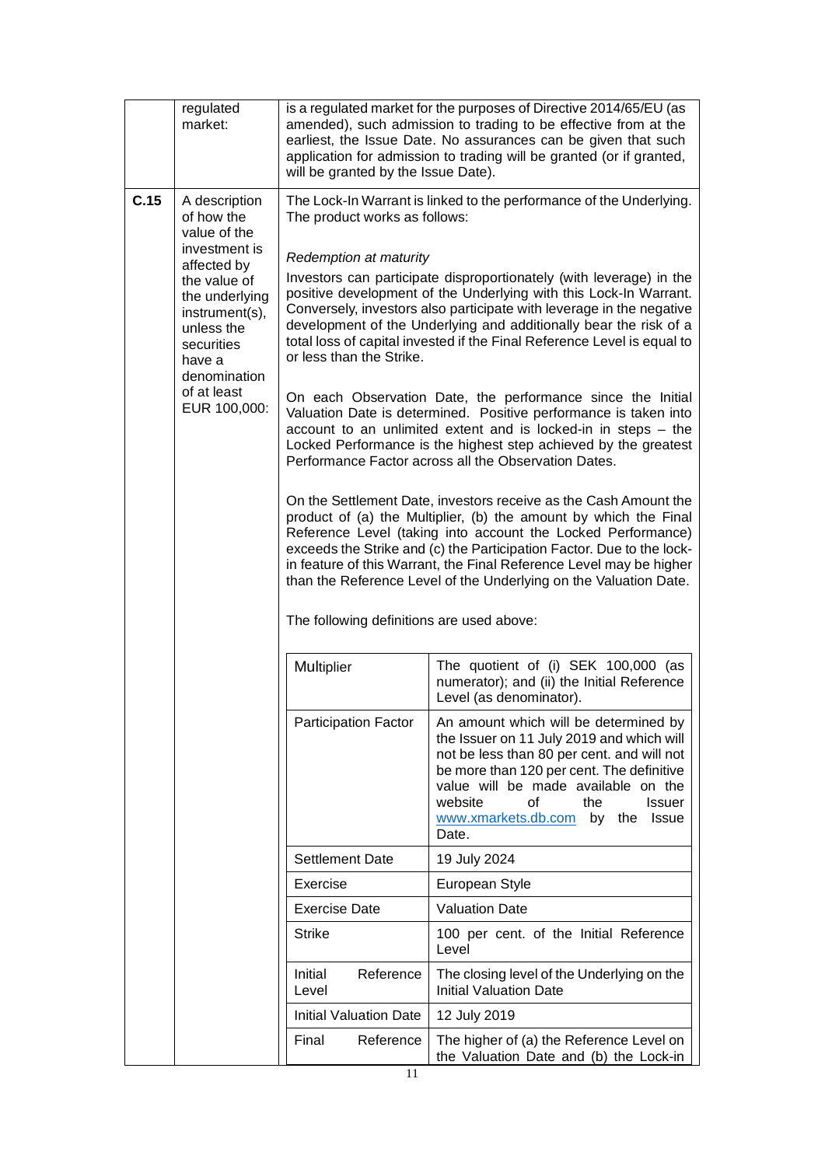|      | regulated<br>market:                                                                                                                                 | will be granted by the Issue Date).                                                                                                                                                                                                                                                                                          | is a regulated market for the purposes of Directive 2014/65/EU (as<br>amended), such admission to trading to be effective from at the<br>earliest, the Issue Date. No assurances can be given that such<br>application for admission to trading will be granted (or if granted,                                                                                                                                           |  |  |  |                               |                                                                             |
|------|------------------------------------------------------------------------------------------------------------------------------------------------------|------------------------------------------------------------------------------------------------------------------------------------------------------------------------------------------------------------------------------------------------------------------------------------------------------------------------------|---------------------------------------------------------------------------------------------------------------------------------------------------------------------------------------------------------------------------------------------------------------------------------------------------------------------------------------------------------------------------------------------------------------------------|--|--|--|-------------------------------|-----------------------------------------------------------------------------|
| C.15 | A description<br>of how the<br>value of the<br>investment is                                                                                         | The product works as follows:                                                                                                                                                                                                                                                                                                | The Lock-In Warrant is linked to the performance of the Underlying.                                                                                                                                                                                                                                                                                                                                                       |  |  |  |                               |                                                                             |
|      | affected by<br>the value of<br>the underlying<br>instrument(s),<br>unless the<br>securities<br>have a<br>denomination<br>of at least<br>EUR 100,000: | <b>Redemption at maturity</b><br>or less than the Strike.                                                                                                                                                                                                                                                                    | Investors can participate disproportionately (with leverage) in the<br>positive development of the Underlying with this Lock-In Warrant.<br>Conversely, investors also participate with leverage in the negative<br>development of the Underlying and additionally bear the risk of a<br>total loss of capital invested if the Final Reference Level is equal to                                                          |  |  |  |                               |                                                                             |
|      |                                                                                                                                                      | On each Observation Date, the performance since the Initial<br>Valuation Date is determined. Positive performance is taken into<br>account to an unlimited extent and is locked-in in steps - the<br>Locked Performance is the highest step achieved by the greatest<br>Performance Factor across all the Observation Dates. |                                                                                                                                                                                                                                                                                                                                                                                                                           |  |  |  |                               |                                                                             |
|      |                                                                                                                                                      | The following definitions are used above:                                                                                                                                                                                                                                                                                    | On the Settlement Date, investors receive as the Cash Amount the<br>product of (a) the Multiplier, (b) the amount by which the Final<br>Reference Level (taking into account the Locked Performance)<br>exceeds the Strike and (c) the Participation Factor. Due to the lock-<br>in feature of this Warrant, the Final Reference Level may be higher<br>than the Reference Level of the Underlying on the Valuation Date. |  |  |  |                               |                                                                             |
|      |                                                                                                                                                      |                                                                                                                                                                                                                                                                                                                              |                                                                                                                                                                                                                                                                                                                                                                                                                           |  |  |  |                               |                                                                             |
|      |                                                                                                                                                      | <b>Multiplier</b>                                                                                                                                                                                                                                                                                                            | The quotient of (i) SEK 100,000 (as<br>numerator); and (ii) the Initial Reference<br>Level (as denominator).                                                                                                                                                                                                                                                                                                              |  |  |  |                               |                                                                             |
|      |                                                                                                                                                      | <b>Participation Factor</b>                                                                                                                                                                                                                                                                                                  | An amount which will be determined by<br>the Issuer on 11 July 2019 and which will<br>not be less than 80 per cent. and will not<br>be more than 120 per cent. The definitive<br>value will be made available on the<br>of<br>website<br>the<br><b>Issuer</b><br>www.xmarkets.db.com<br>by<br>the<br><b>Issue</b><br>Date.                                                                                                |  |  |  |                               |                                                                             |
|      |                                                                                                                                                      | <b>Settlement Date</b>                                                                                                                                                                                                                                                                                                       | 19 July 2024                                                                                                                                                                                                                                                                                                                                                                                                              |  |  |  |                               |                                                                             |
|      |                                                                                                                                                      | Exercise                                                                                                                                                                                                                                                                                                                     | European Style                                                                                                                                                                                                                                                                                                                                                                                                            |  |  |  |                               |                                                                             |
|      |                                                                                                                                                      | <b>Exercise Date</b>                                                                                                                                                                                                                                                                                                         | <b>Valuation Date</b>                                                                                                                                                                                                                                                                                                                                                                                                     |  |  |  |                               |                                                                             |
|      |                                                                                                                                                      | <b>Strike</b>                                                                                                                                                                                                                                                                                                                | 100 per cent. of the Initial Reference<br>Level                                                                                                                                                                                                                                                                                                                                                                           |  |  |  |                               |                                                                             |
|      |                                                                                                                                                      |                                                                                                                                                                                                                                                                                                                              |                                                                                                                                                                                                                                                                                                                                                                                                                           |  |  |  | Initial<br>Reference<br>Level | The closing level of the Underlying on the<br><b>Initial Valuation Date</b> |
|      |                                                                                                                                                      | <b>Initial Valuation Date</b>                                                                                                                                                                                                                                                                                                | 12 July 2019                                                                                                                                                                                                                                                                                                                                                                                                              |  |  |  |                               |                                                                             |
|      |                                                                                                                                                      | Final<br>Reference                                                                                                                                                                                                                                                                                                           | The higher of (a) the Reference Level on<br>the Valuation Date and (b) the Lock-in                                                                                                                                                                                                                                                                                                                                        |  |  |  |                               |                                                                             |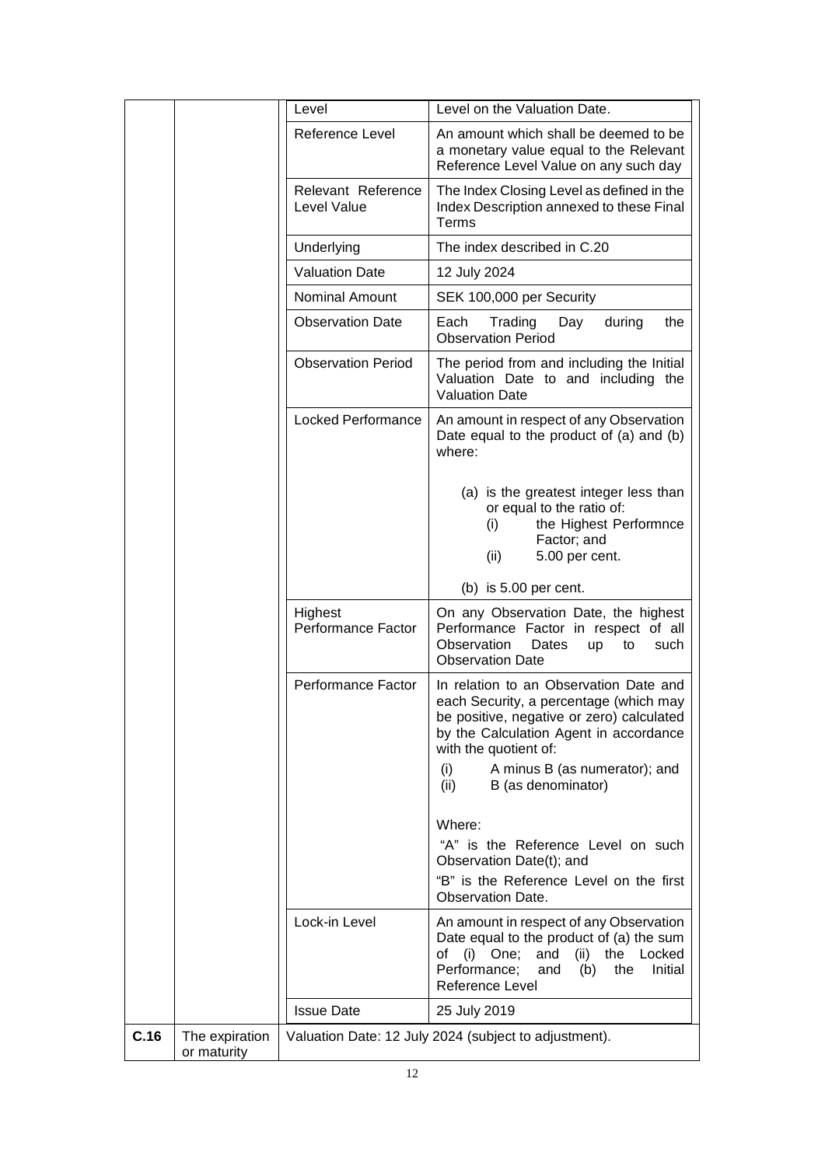|      |                               | Level                             | Level on the Valuation Date.                                                                                                                                                                                                                                           |
|------|-------------------------------|-----------------------------------|------------------------------------------------------------------------------------------------------------------------------------------------------------------------------------------------------------------------------------------------------------------------|
|      |                               | Reference Level                   | An amount which shall be deemed to be<br>a monetary value equal to the Relevant<br>Reference Level Value on any such day                                                                                                                                               |
|      |                               | Relevant Reference<br>Level Value | The Index Closing Level as defined in the<br>Index Description annexed to these Final<br>Terms                                                                                                                                                                         |
|      |                               | Underlying                        | The index described in C.20                                                                                                                                                                                                                                            |
|      |                               | <b>Valuation Date</b>             | 12 July 2024                                                                                                                                                                                                                                                           |
|      |                               | <b>Nominal Amount</b>             | SEK 100,000 per Security                                                                                                                                                                                                                                               |
|      |                               | <b>Observation Date</b>           | Each<br>the<br>Trading<br>Day<br>during<br><b>Observation Period</b>                                                                                                                                                                                                   |
|      |                               | <b>Observation Period</b>         | The period from and including the Initial<br>Valuation Date to and including the<br><b>Valuation Date</b>                                                                                                                                                              |
|      |                               | <b>Locked Performance</b>         | An amount in respect of any Observation<br>Date equal to the product of (a) and (b)<br>where:                                                                                                                                                                          |
|      |                               |                                   | (a) is the greatest integer less than<br>or equal to the ratio of:<br>the Highest Performnce<br>(i)<br>Factor; and<br>5.00 per cent.<br>(ii)                                                                                                                           |
|      |                               |                                   | (b) is $5.00$ per cent.                                                                                                                                                                                                                                                |
|      |                               | Highest<br>Performance Factor     | On any Observation Date, the highest<br>Performance Factor in respect of all<br>Observation<br>Dates<br>up<br>to<br>such<br><b>Observation Date</b>                                                                                                                    |
|      |                               | Performance Factor                | In relation to an Observation Date and<br>each Security, a percentage (which may<br>be positive, negative or zero) calculated<br>by the Calculation Agent in accordance<br>with the quotient of:<br>(i)<br>A minus B (as numerator); and<br>B (as denominator)<br>(ii) |
|      |                               |                                   | Where:<br>"A" is the Reference Level on such<br>Observation Date(t); and<br>"B" is the Reference Level on the first<br><b>Observation Date.</b>                                                                                                                        |
|      |                               | Lock-in Level                     | An amount in respect of any Observation<br>Date equal to the product of (a) the sum<br>and<br>the<br>Locked<br>One;<br>(ii)<br>οf<br>(i)<br>Performance;<br>(b)<br>the<br>Initial<br>and<br>Reference Level                                                            |
|      |                               | <b>Issue Date</b>                 | 25 July 2019                                                                                                                                                                                                                                                           |
| C.16 | The expiration<br>or maturity |                                   | Valuation Date: 12 July 2024 (subject to adjustment).                                                                                                                                                                                                                  |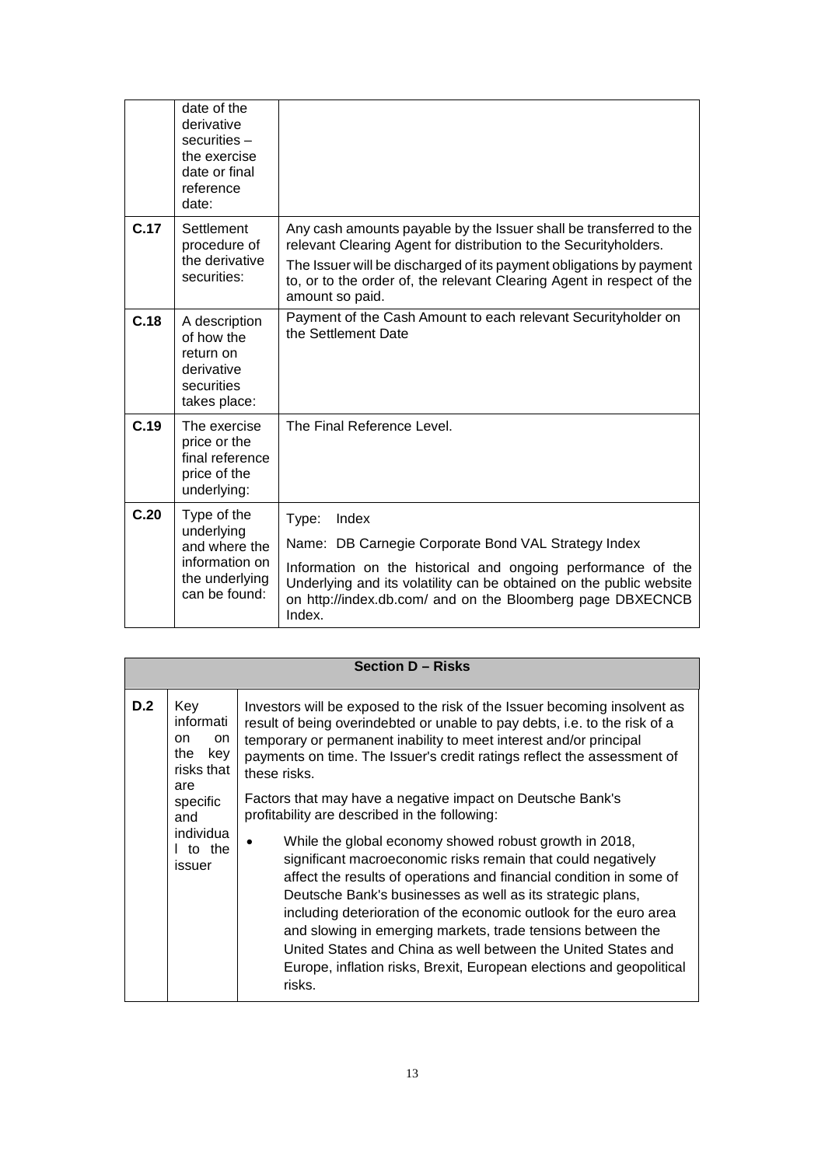|      | date of the<br>derivative<br>$securities -$<br>the exercise<br>date or final<br>reference<br>date: |                                                                                                                                                                                                                                                                                                           |
|------|----------------------------------------------------------------------------------------------------|-----------------------------------------------------------------------------------------------------------------------------------------------------------------------------------------------------------------------------------------------------------------------------------------------------------|
| C.17 | Settlement<br>procedure of<br>the derivative<br>securities:                                        | Any cash amounts payable by the Issuer shall be transferred to the<br>relevant Clearing Agent for distribution to the Securityholders.<br>The Issuer will be discharged of its payment obligations by payment<br>to, or to the order of, the relevant Clearing Agent in respect of the<br>amount so paid. |
| C.18 | A description<br>of how the<br>return on<br>derivative<br>securities<br>takes place:               | Payment of the Cash Amount to each relevant Securityholder on<br>the Settlement Date                                                                                                                                                                                                                      |
| C.19 | The exercise<br>price or the<br>final reference<br>price of the<br>underlying:                     | The Final Reference Level.                                                                                                                                                                                                                                                                                |
| C.20 | Type of the<br>underlying<br>and where the<br>information on<br>the underlying<br>can be found:    | Type:<br>Index<br>Name: DB Carnegie Corporate Bond VAL Strategy Index<br>Information on the historical and ongoing performance of the<br>Underlying and its volatility can be obtained on the public website<br>on http://index.db.com/ and on the Bloomberg page DBXECNCB<br>Index.                      |

|     |                                                                                                                       | <b>Section D - Risks</b>                                                                                                                                                                                                                                                                                                                                                                                                                                                                                                                                                                                                                                                                                                                                                                                                                                                                                                                                                                      |
|-----|-----------------------------------------------------------------------------------------------------------------------|-----------------------------------------------------------------------------------------------------------------------------------------------------------------------------------------------------------------------------------------------------------------------------------------------------------------------------------------------------------------------------------------------------------------------------------------------------------------------------------------------------------------------------------------------------------------------------------------------------------------------------------------------------------------------------------------------------------------------------------------------------------------------------------------------------------------------------------------------------------------------------------------------------------------------------------------------------------------------------------------------|
| D.2 | Key<br>informati<br>on.<br>on.<br>key<br>the<br>risks that<br>are<br>specific<br>and<br>individua<br>to the<br>issuer | Investors will be exposed to the risk of the Issuer becoming insolvent as<br>result of being overindebted or unable to pay debts, i.e. to the risk of a<br>temporary or permanent inability to meet interest and/or principal<br>payments on time. The Issuer's credit ratings reflect the assessment of<br>these risks.<br>Factors that may have a negative impact on Deutsche Bank's<br>profitability are described in the following:<br>While the global economy showed robust growth in 2018,<br>significant macroeconomic risks remain that could negatively<br>affect the results of operations and financial condition in some of<br>Deutsche Bank's businesses as well as its strategic plans,<br>including deterioration of the economic outlook for the euro area<br>and slowing in emerging markets, trade tensions between the<br>United States and China as well between the United States and<br>Europe, inflation risks, Brexit, European elections and geopolitical<br>risks. |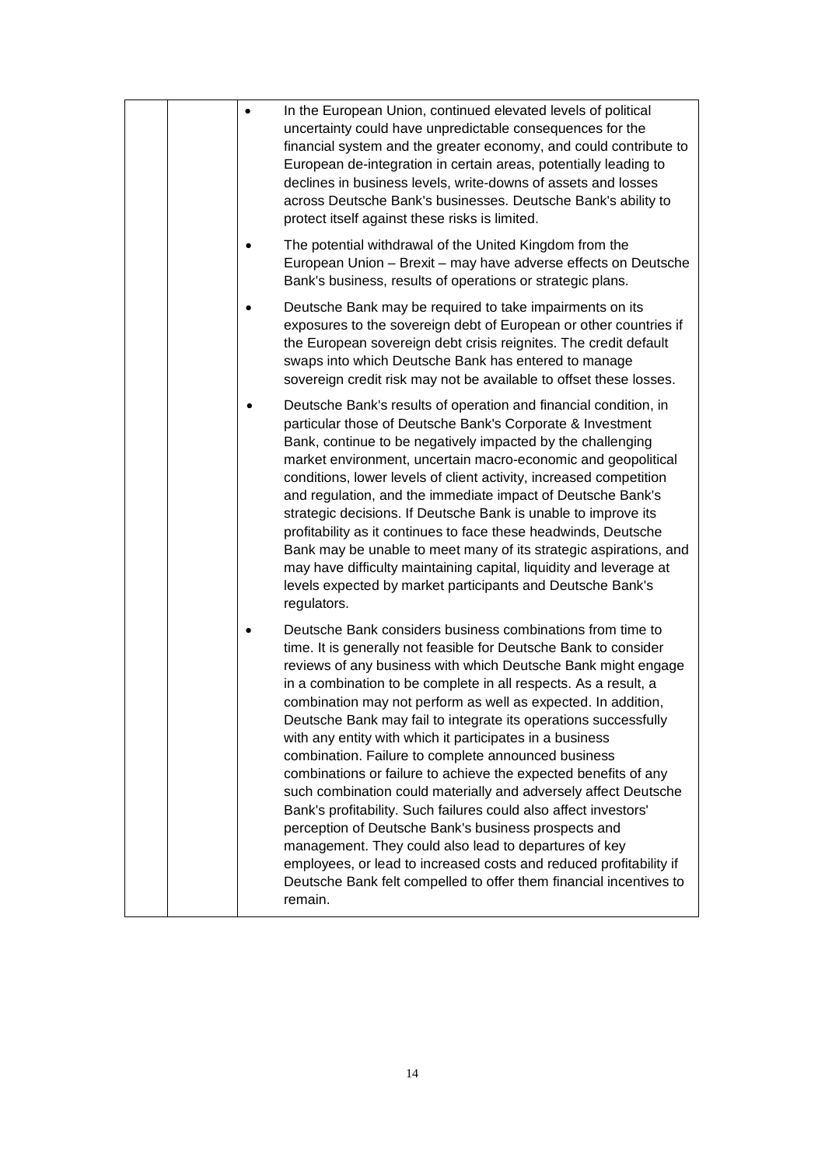|  | In the European Union, continued elevated levels of political<br>uncertainty could have unpredictable consequences for the<br>financial system and the greater economy, and could contribute to<br>European de-integration in certain areas, potentially leading to<br>declines in business levels, write-downs of assets and losses<br>across Deutsche Bank's businesses. Deutsche Bank's ability to<br>protect itself against these risks is limited.                                                                                                                                                                                                                                                                                                                                                                                                                                                                                                                                                     |
|--|-------------------------------------------------------------------------------------------------------------------------------------------------------------------------------------------------------------------------------------------------------------------------------------------------------------------------------------------------------------------------------------------------------------------------------------------------------------------------------------------------------------------------------------------------------------------------------------------------------------------------------------------------------------------------------------------------------------------------------------------------------------------------------------------------------------------------------------------------------------------------------------------------------------------------------------------------------------------------------------------------------------|
|  | The potential withdrawal of the United Kingdom from the<br>European Union - Brexit - may have adverse effects on Deutsche<br>Bank's business, results of operations or strategic plans.                                                                                                                                                                                                                                                                                                                                                                                                                                                                                                                                                                                                                                                                                                                                                                                                                     |
|  | Deutsche Bank may be required to take impairments on its<br>exposures to the sovereign debt of European or other countries if<br>the European sovereign debt crisis reignites. The credit default<br>swaps into which Deutsche Bank has entered to manage<br>sovereign credit risk may not be available to offset these losses.                                                                                                                                                                                                                                                                                                                                                                                                                                                                                                                                                                                                                                                                             |
|  | Deutsche Bank's results of operation and financial condition, in<br>particular those of Deutsche Bank's Corporate & Investment<br>Bank, continue to be negatively impacted by the challenging<br>market environment, uncertain macro-economic and geopolitical<br>conditions, lower levels of client activity, increased competition<br>and regulation, and the immediate impact of Deutsche Bank's<br>strategic decisions. If Deutsche Bank is unable to improve its<br>profitability as it continues to face these headwinds, Deutsche<br>Bank may be unable to meet many of its strategic aspirations, and<br>may have difficulty maintaining capital, liquidity and leverage at<br>levels expected by market participants and Deutsche Bank's<br>regulators.                                                                                                                                                                                                                                            |
|  | Deutsche Bank considers business combinations from time to<br>time. It is generally not feasible for Deutsche Bank to consider<br>reviews of any business with which Deutsche Bank might engage<br>in a combination to be complete in all respects. As a result, a<br>combination may not perform as well as expected. In addition,<br>Deutsche Bank may fail to integrate its operations successfully<br>with any entity with which it participates in a business<br>combination. Failure to complete announced business<br>combinations or failure to achieve the expected benefits of any<br>such combination could materially and adversely affect Deutsche<br>Bank's profitability. Such failures could also affect investors'<br>perception of Deutsche Bank's business prospects and<br>management. They could also lead to departures of key<br>employees, or lead to increased costs and reduced profitability if<br>Deutsche Bank felt compelled to offer them financial incentives to<br>remain. |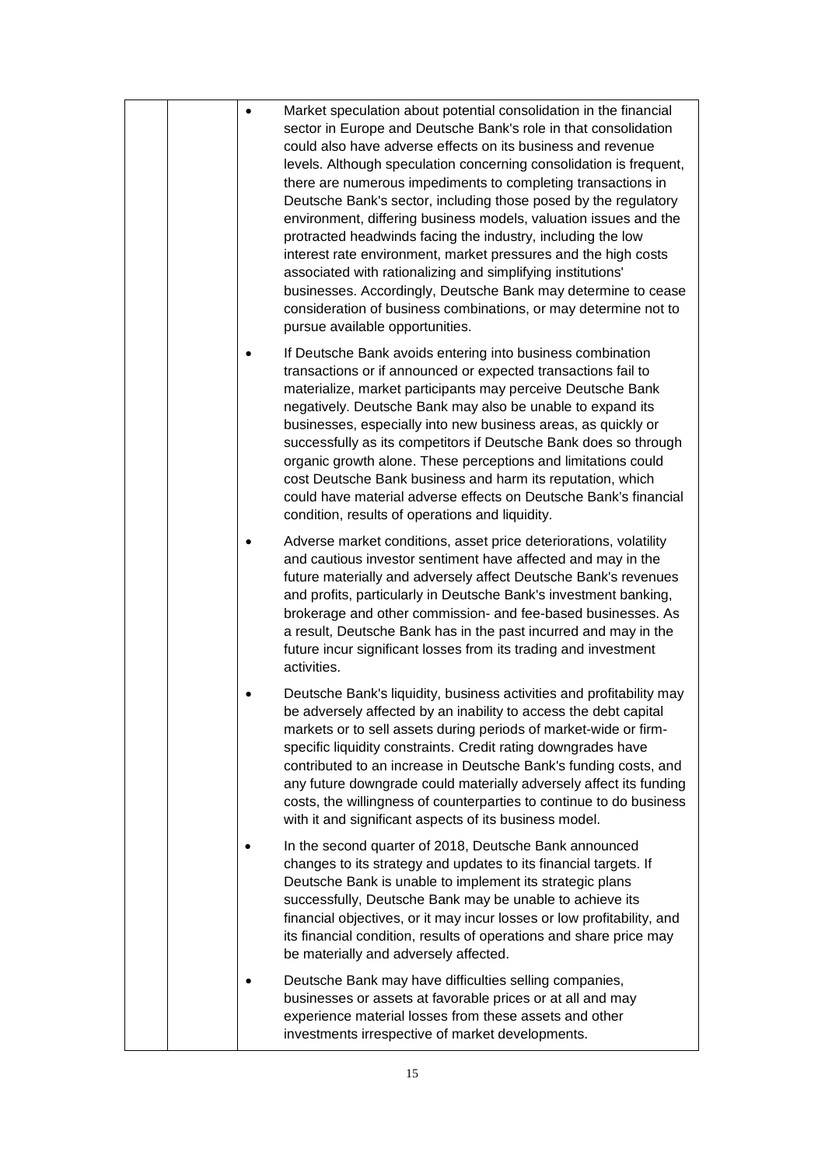|  | Market speculation about potential consolidation in the financial<br>sector in Europe and Deutsche Bank's role in that consolidation<br>could also have adverse effects on its business and revenue<br>levels. Although speculation concerning consolidation is frequent,<br>there are numerous impediments to completing transactions in<br>Deutsche Bank's sector, including those posed by the regulatory<br>environment, differing business models, valuation issues and the<br>protracted headwinds facing the industry, including the low<br>interest rate environment, market pressures and the high costs<br>associated with rationalizing and simplifying institutions'<br>businesses. Accordingly, Deutsche Bank may determine to cease<br>consideration of business combinations, or may determine not to<br>pursue available opportunities. |
|--|---------------------------------------------------------------------------------------------------------------------------------------------------------------------------------------------------------------------------------------------------------------------------------------------------------------------------------------------------------------------------------------------------------------------------------------------------------------------------------------------------------------------------------------------------------------------------------------------------------------------------------------------------------------------------------------------------------------------------------------------------------------------------------------------------------------------------------------------------------|
|  | If Deutsche Bank avoids entering into business combination<br>transactions or if announced or expected transactions fail to<br>materialize, market participants may perceive Deutsche Bank<br>negatively. Deutsche Bank may also be unable to expand its<br>businesses, especially into new business areas, as quickly or<br>successfully as its competitors if Deutsche Bank does so through<br>organic growth alone. These perceptions and limitations could<br>cost Deutsche Bank business and harm its reputation, which<br>could have material adverse effects on Deutsche Bank's financial<br>condition, results of operations and liquidity.                                                                                                                                                                                                     |
|  | Adverse market conditions, asset price deteriorations, volatility<br>and cautious investor sentiment have affected and may in the<br>future materially and adversely affect Deutsche Bank's revenues<br>and profits, particularly in Deutsche Bank's investment banking,<br>brokerage and other commission- and fee-based businesses. As<br>a result, Deutsche Bank has in the past incurred and may in the<br>future incur significant losses from its trading and investment<br>activities.                                                                                                                                                                                                                                                                                                                                                           |
|  | Deutsche Bank's liquidity, business activities and profitability may<br>be adversely affected by an inability to access the debt capital<br>markets or to sell assets during periods of market-wide or firm-<br>specific liquidity constraints. Credit rating downgrades have<br>contributed to an increase in Deutsche Bank's funding costs, and<br>any future downgrade could materially adversely affect its funding<br>costs, the willingness of counterparties to continue to do business<br>with it and significant aspects of its business model.                                                                                                                                                                                                                                                                                                |
|  | In the second quarter of 2018, Deutsche Bank announced<br>changes to its strategy and updates to its financial targets. If<br>Deutsche Bank is unable to implement its strategic plans<br>successfully, Deutsche Bank may be unable to achieve its<br>financial objectives, or it may incur losses or low profitability, and<br>its financial condition, results of operations and share price may<br>be materially and adversely affected.                                                                                                                                                                                                                                                                                                                                                                                                             |
|  | Deutsche Bank may have difficulties selling companies,<br>businesses or assets at favorable prices or at all and may<br>experience material losses from these assets and other<br>investments irrespective of market developments.                                                                                                                                                                                                                                                                                                                                                                                                                                                                                                                                                                                                                      |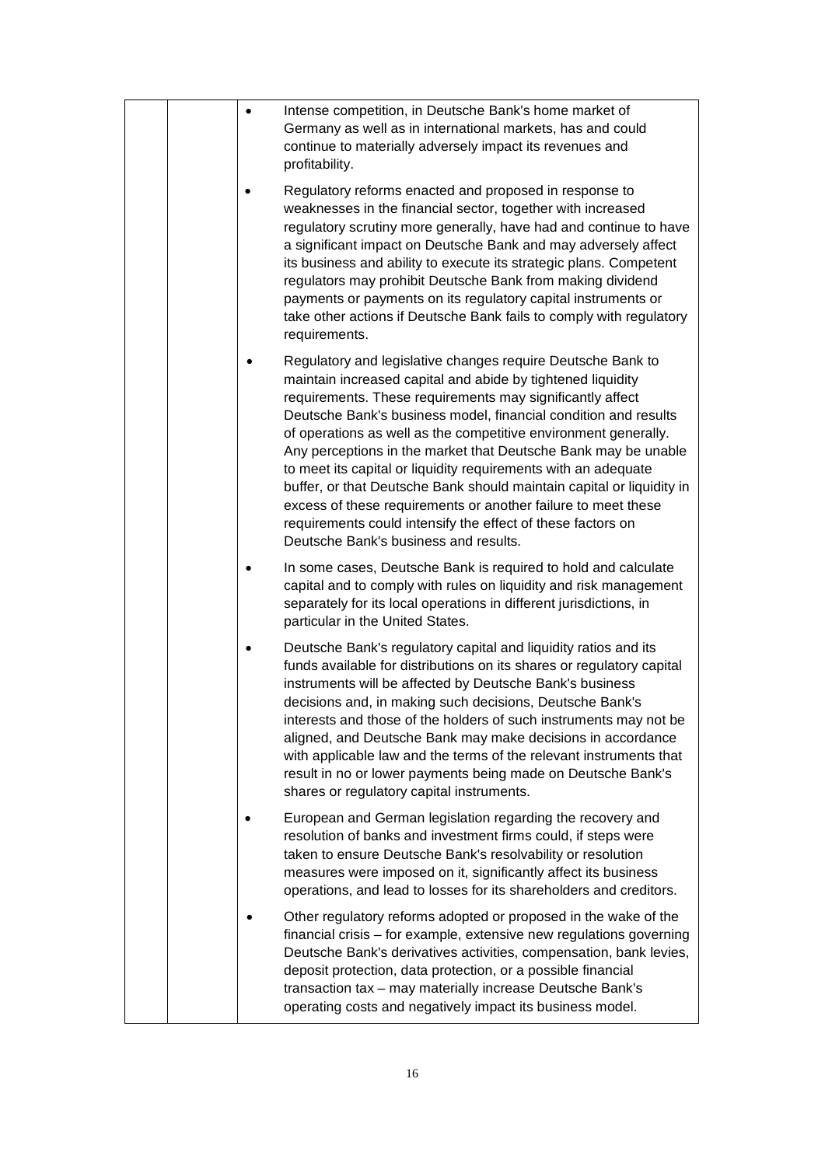|  | Intense competition, in Deutsche Bank's home market of<br>Germany as well as in international markets, has and could<br>continue to materially adversely impact its revenues and<br>profitability.                                                                                                                                                                                                                                                                                                                                                                                                                                                                                                                  |
|--|---------------------------------------------------------------------------------------------------------------------------------------------------------------------------------------------------------------------------------------------------------------------------------------------------------------------------------------------------------------------------------------------------------------------------------------------------------------------------------------------------------------------------------------------------------------------------------------------------------------------------------------------------------------------------------------------------------------------|
|  | Regulatory reforms enacted and proposed in response to<br>weaknesses in the financial sector, together with increased<br>regulatory scrutiny more generally, have had and continue to have<br>a significant impact on Deutsche Bank and may adversely affect<br>its business and ability to execute its strategic plans. Competent<br>regulators may prohibit Deutsche Bank from making dividend<br>payments or payments on its regulatory capital instruments or<br>take other actions if Deutsche Bank fails to comply with regulatory<br>requirements.                                                                                                                                                           |
|  | Regulatory and legislative changes require Deutsche Bank to<br>maintain increased capital and abide by tightened liquidity<br>requirements. These requirements may significantly affect<br>Deutsche Bank's business model, financial condition and results<br>of operations as well as the competitive environment generally.<br>Any perceptions in the market that Deutsche Bank may be unable<br>to meet its capital or liquidity requirements with an adequate<br>buffer, or that Deutsche Bank should maintain capital or liquidity in<br>excess of these requirements or another failure to meet these<br>requirements could intensify the effect of these factors on<br>Deutsche Bank's business and results. |
|  | In some cases, Deutsche Bank is required to hold and calculate<br>capital and to comply with rules on liquidity and risk management<br>separately for its local operations in different jurisdictions, in<br>particular in the United States.                                                                                                                                                                                                                                                                                                                                                                                                                                                                       |
|  | Deutsche Bank's regulatory capital and liquidity ratios and its<br>funds available for distributions on its shares or regulatory capital<br>instruments will be affected by Deutsche Bank's business<br>decisions and, in making such decisions, Deutsche Bank's<br>interests and those of the holders of such instruments may not be<br>aligned, and Deutsche Bank may make decisions in accordance<br>with applicable law and the terms of the relevant instruments that<br>result in no or lower payments being made on Deutsche Bank's<br>shares or regulatory capital instruments.                                                                                                                             |
|  | European and German legislation regarding the recovery and<br>resolution of banks and investment firms could, if steps were<br>taken to ensure Deutsche Bank's resolvability or resolution<br>measures were imposed on it, significantly affect its business<br>operations, and lead to losses for its shareholders and creditors.                                                                                                                                                                                                                                                                                                                                                                                  |
|  | Other regulatory reforms adopted or proposed in the wake of the<br>financial crisis - for example, extensive new regulations governing<br>Deutsche Bank's derivatives activities, compensation, bank levies,<br>deposit protection, data protection, or a possible financial<br>transaction tax - may materially increase Deutsche Bank's<br>operating costs and negatively impact its business model.                                                                                                                                                                                                                                                                                                              |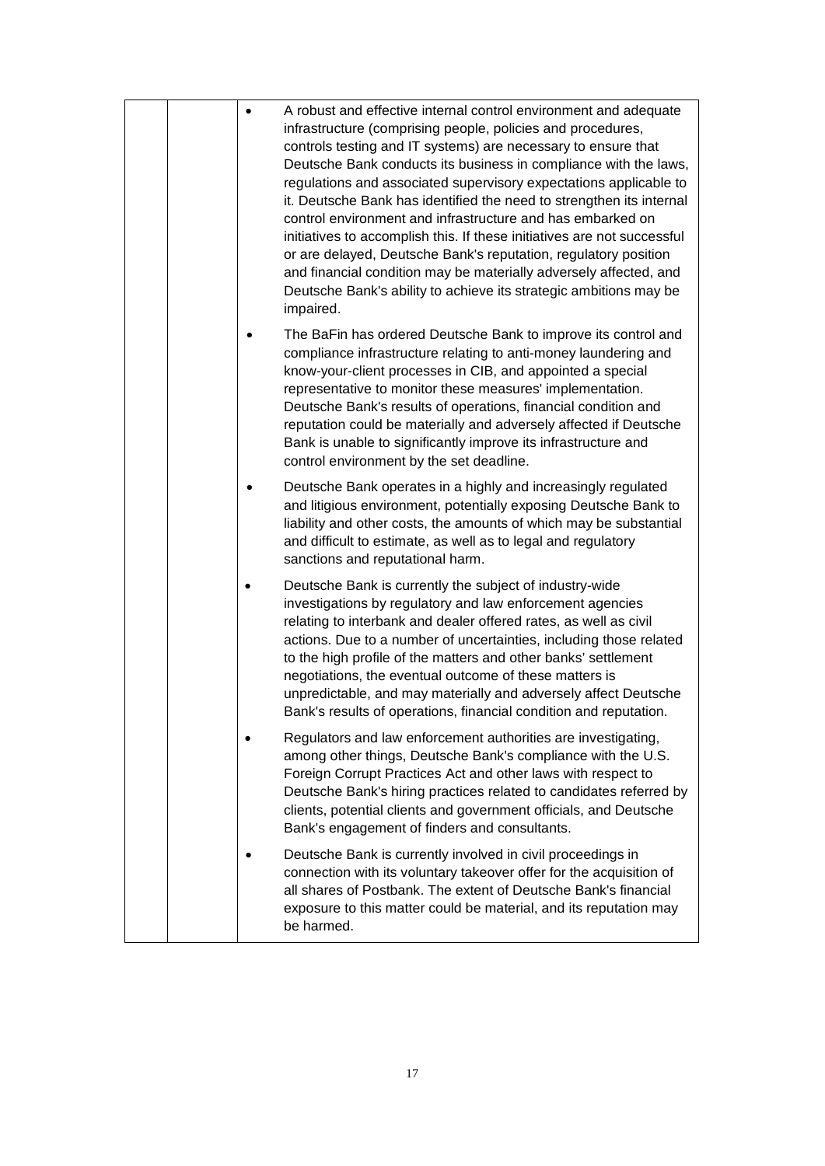|  | A robust and effective internal control environment and adequate<br>infrastructure (comprising people, policies and procedures,<br>controls testing and IT systems) are necessary to ensure that<br>Deutsche Bank conducts its business in compliance with the laws,<br>regulations and associated supervisory expectations applicable to<br>it. Deutsche Bank has identified the need to strengthen its internal<br>control environment and infrastructure and has embarked on<br>initiatives to accomplish this. If these initiatives are not successful<br>or are delayed, Deutsche Bank's reputation, regulatory position<br>and financial condition may be materially adversely affected, and<br>Deutsche Bank's ability to achieve its strategic ambitions may be<br>impaired. |
|--|--------------------------------------------------------------------------------------------------------------------------------------------------------------------------------------------------------------------------------------------------------------------------------------------------------------------------------------------------------------------------------------------------------------------------------------------------------------------------------------------------------------------------------------------------------------------------------------------------------------------------------------------------------------------------------------------------------------------------------------------------------------------------------------|
|  | The BaFin has ordered Deutsche Bank to improve its control and<br>compliance infrastructure relating to anti-money laundering and<br>know-your-client processes in CIB, and appointed a special<br>representative to monitor these measures' implementation.<br>Deutsche Bank's results of operations, financial condition and<br>reputation could be materially and adversely affected if Deutsche<br>Bank is unable to significantly improve its infrastructure and<br>control environment by the set deadline.                                                                                                                                                                                                                                                                    |
|  | Deutsche Bank operates in a highly and increasingly regulated<br>and litigious environment, potentially exposing Deutsche Bank to<br>liability and other costs, the amounts of which may be substantial<br>and difficult to estimate, as well as to legal and regulatory<br>sanctions and reputational harm.                                                                                                                                                                                                                                                                                                                                                                                                                                                                         |
|  | Deutsche Bank is currently the subject of industry-wide<br>investigations by regulatory and law enforcement agencies<br>relating to interbank and dealer offered rates, as well as civil<br>actions. Due to a number of uncertainties, including those related<br>to the high profile of the matters and other banks' settlement<br>negotiations, the eventual outcome of these matters is<br>unpredictable, and may materially and adversely affect Deutsche<br>Bank's results of operations, financial condition and reputation.                                                                                                                                                                                                                                                   |
|  | Regulators and law enforcement authorities are investigating,<br>among other things, Deutsche Bank's compliance with the U.S.<br>Foreign Corrupt Practices Act and other laws with respect to<br>Deutsche Bank's hiring practices related to candidates referred by<br>clients, potential clients and government officials, and Deutsche<br>Bank's engagement of finders and consultants.                                                                                                                                                                                                                                                                                                                                                                                            |
|  | Deutsche Bank is currently involved in civil proceedings in<br>connection with its voluntary takeover offer for the acquisition of<br>all shares of Postbank. The extent of Deutsche Bank's financial<br>exposure to this matter could be material, and its reputation may<br>be harmed.                                                                                                                                                                                                                                                                                                                                                                                                                                                                                             |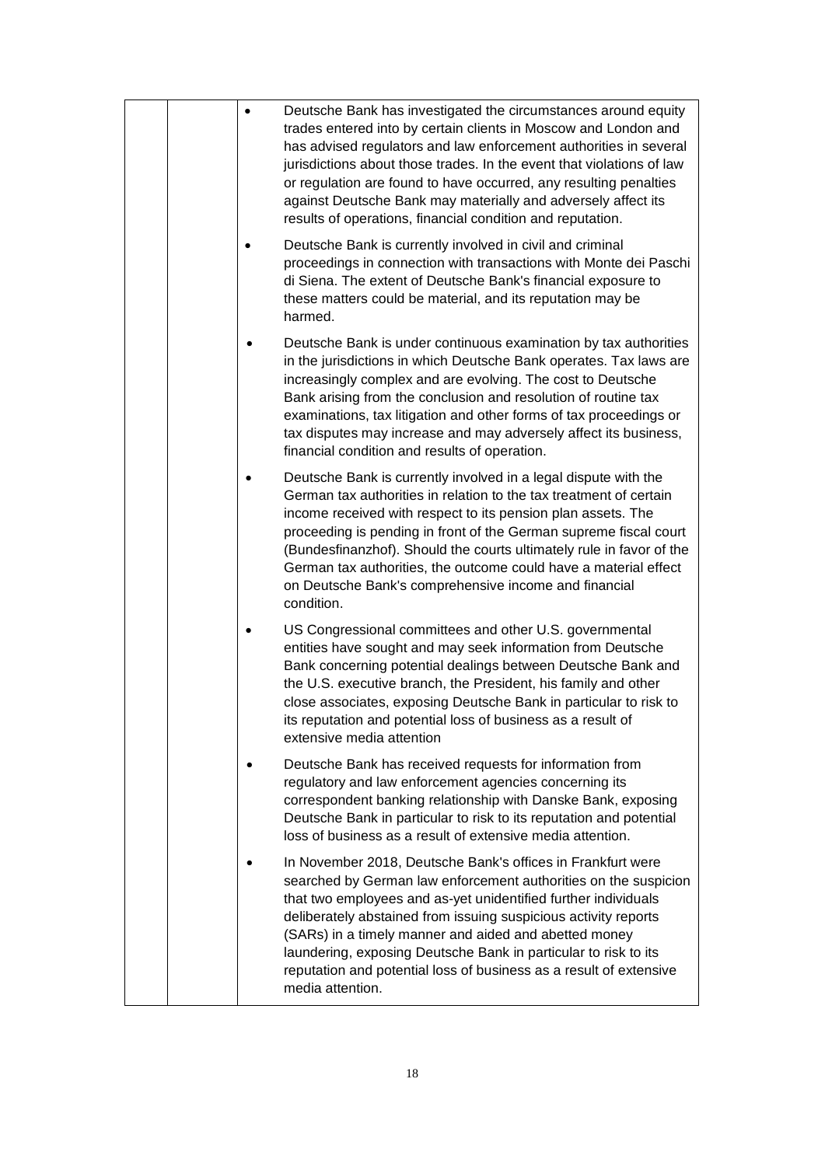|  | $\bullet$ | Deutsche Bank has investigated the circumstances around equity<br>trades entered into by certain clients in Moscow and London and<br>has advised regulators and law enforcement authorities in several<br>jurisdictions about those trades. In the event that violations of law<br>or regulation are found to have occurred, any resulting penalties<br>against Deutsche Bank may materially and adversely affect its<br>results of operations, financial condition and reputation.           |
|--|-----------|-----------------------------------------------------------------------------------------------------------------------------------------------------------------------------------------------------------------------------------------------------------------------------------------------------------------------------------------------------------------------------------------------------------------------------------------------------------------------------------------------|
|  |           | Deutsche Bank is currently involved in civil and criminal<br>proceedings in connection with transactions with Monte dei Paschi<br>di Siena. The extent of Deutsche Bank's financial exposure to<br>these matters could be material, and its reputation may be<br>harmed.                                                                                                                                                                                                                      |
|  |           | Deutsche Bank is under continuous examination by tax authorities<br>in the jurisdictions in which Deutsche Bank operates. Tax laws are<br>increasingly complex and are evolving. The cost to Deutsche<br>Bank arising from the conclusion and resolution of routine tax<br>examinations, tax litigation and other forms of tax proceedings or<br>tax disputes may increase and may adversely affect its business,<br>financial condition and results of operation.                            |
|  |           | Deutsche Bank is currently involved in a legal dispute with the<br>German tax authorities in relation to the tax treatment of certain<br>income received with respect to its pension plan assets. The<br>proceeding is pending in front of the German supreme fiscal court<br>(Bundesfinanzhof). Should the courts ultimately rule in favor of the<br>German tax authorities, the outcome could have a material effect<br>on Deutsche Bank's comprehensive income and financial<br>condition. |
|  |           | US Congressional committees and other U.S. governmental<br>entities have sought and may seek information from Deutsche<br>Bank concerning potential dealings between Deutsche Bank and<br>the U.S. executive branch, the President, his family and other<br>close associates, exposing Deutsche Bank in particular to risk to<br>its reputation and potential loss of business as a result of<br>extensive media attention                                                                    |
|  |           | Deutsche Bank has received requests for information from<br>regulatory and law enforcement agencies concerning its<br>correspondent banking relationship with Danske Bank, exposing<br>Deutsche Bank in particular to risk to its reputation and potential<br>loss of business as a result of extensive media attention.                                                                                                                                                                      |
|  |           | In November 2018, Deutsche Bank's offices in Frankfurt were<br>searched by German law enforcement authorities on the suspicion<br>that two employees and as-yet unidentified further individuals<br>deliberately abstained from issuing suspicious activity reports<br>(SARs) in a timely manner and aided and abetted money<br>laundering, exposing Deutsche Bank in particular to risk to its<br>reputation and potential loss of business as a result of extensive<br>media attention.     |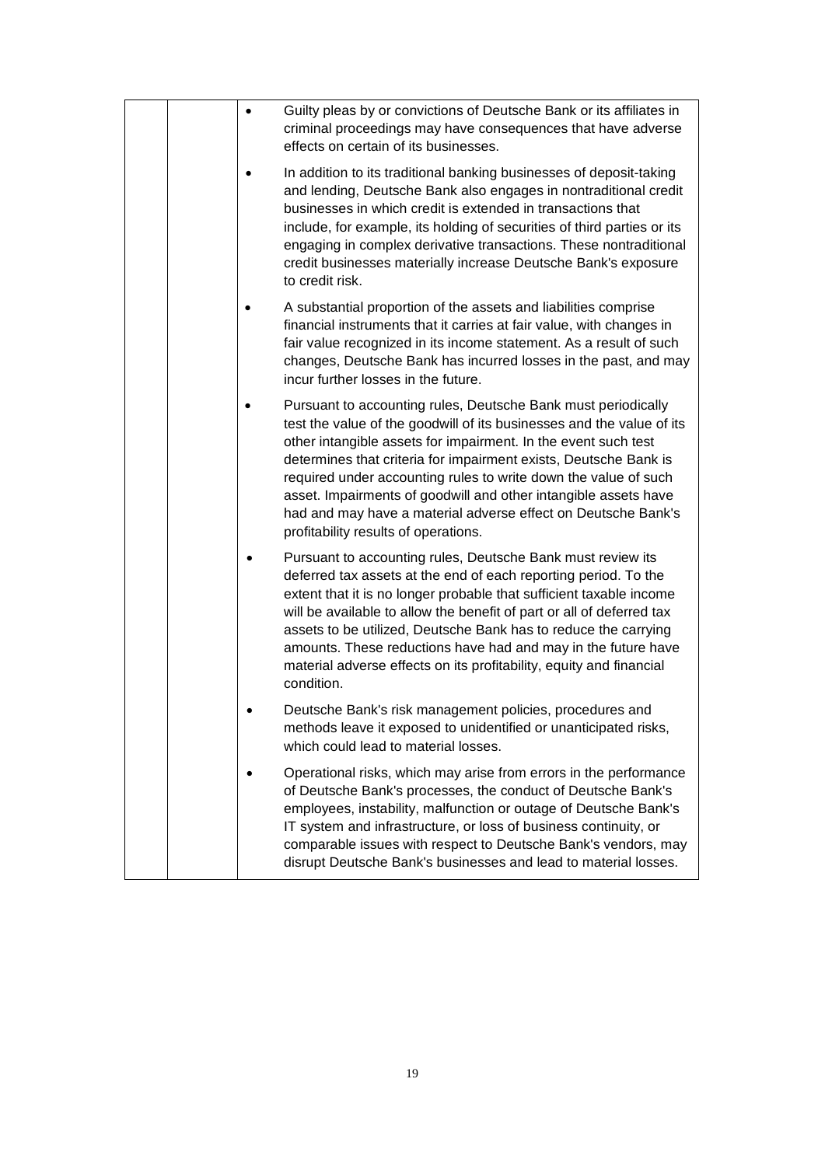|  | $\bullet$ | Guilty pleas by or convictions of Deutsche Bank or its affiliates in<br>criminal proceedings may have consequences that have adverse<br>effects on certain of its businesses.                                                                                                                                                                                                                                                                                                                                               |
|--|-----------|-----------------------------------------------------------------------------------------------------------------------------------------------------------------------------------------------------------------------------------------------------------------------------------------------------------------------------------------------------------------------------------------------------------------------------------------------------------------------------------------------------------------------------|
|  |           | In addition to its traditional banking businesses of deposit-taking<br>and lending, Deutsche Bank also engages in nontraditional credit<br>businesses in which credit is extended in transactions that<br>include, for example, its holding of securities of third parties or its<br>engaging in complex derivative transactions. These nontraditional<br>credit businesses materially increase Deutsche Bank's exposure<br>to credit risk.                                                                                 |
|  |           | A substantial proportion of the assets and liabilities comprise<br>financial instruments that it carries at fair value, with changes in<br>fair value recognized in its income statement. As a result of such<br>changes, Deutsche Bank has incurred losses in the past, and may<br>incur further losses in the future.                                                                                                                                                                                                     |
|  |           | Pursuant to accounting rules, Deutsche Bank must periodically<br>test the value of the goodwill of its businesses and the value of its<br>other intangible assets for impairment. In the event such test<br>determines that criteria for impairment exists, Deutsche Bank is<br>required under accounting rules to write down the value of such<br>asset. Impairments of goodwill and other intangible assets have<br>had and may have a material adverse effect on Deutsche Bank's<br>profitability results of operations. |
|  |           | Pursuant to accounting rules, Deutsche Bank must review its<br>deferred tax assets at the end of each reporting period. To the<br>extent that it is no longer probable that sufficient taxable income<br>will be available to allow the benefit of part or all of deferred tax<br>assets to be utilized, Deutsche Bank has to reduce the carrying<br>amounts. These reductions have had and may in the future have<br>material adverse effects on its profitability, equity and financial<br>condition.                     |
|  |           | Deutsche Bank's risk management policies, procedures and<br>methods leave it exposed to unidentified or unanticipated risks,<br>which could lead to material losses.                                                                                                                                                                                                                                                                                                                                                        |
|  |           | Operational risks, which may arise from errors in the performance<br>of Deutsche Bank's processes, the conduct of Deutsche Bank's<br>employees, instability, malfunction or outage of Deutsche Bank's<br>IT system and infrastructure, or loss of business continuity, or<br>comparable issues with respect to Deutsche Bank's vendors, may<br>disrupt Deutsche Bank's businesses and lead to material losses.                                                                                                              |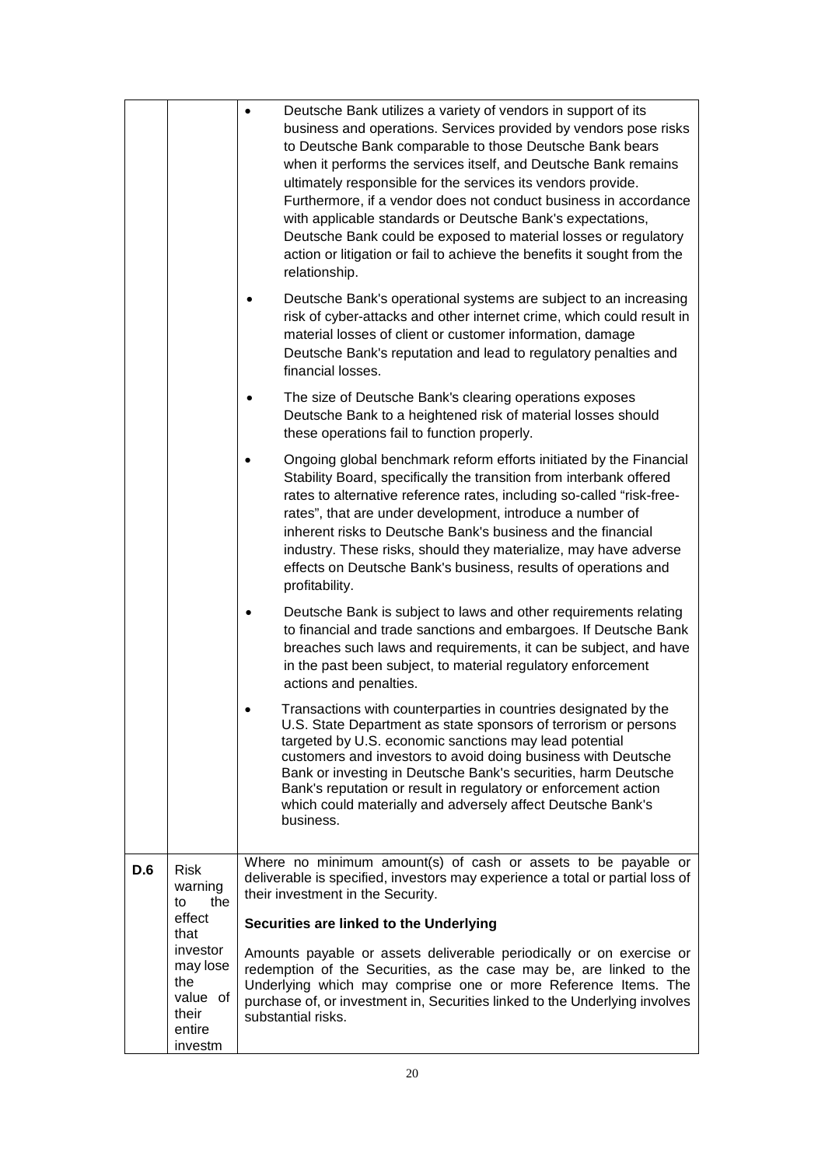|     |                                               | Deutsche Bank utilizes a variety of vendors in support of its<br>$\bullet$<br>business and operations. Services provided by vendors pose risks<br>to Deutsche Bank comparable to those Deutsche Bank bears<br>when it performs the services itself, and Deutsche Bank remains<br>ultimately responsible for the services its vendors provide.<br>Furthermore, if a vendor does not conduct business in accordance<br>with applicable standards or Deutsche Bank's expectations,<br>Deutsche Bank could be exposed to material losses or regulatory<br>action or litigation or fail to achieve the benefits it sought from the<br>relationship. |
|-----|-----------------------------------------------|------------------------------------------------------------------------------------------------------------------------------------------------------------------------------------------------------------------------------------------------------------------------------------------------------------------------------------------------------------------------------------------------------------------------------------------------------------------------------------------------------------------------------------------------------------------------------------------------------------------------------------------------|
|     |                                               | Deutsche Bank's operational systems are subject to an increasing<br>risk of cyber-attacks and other internet crime, which could result in<br>material losses of client or customer information, damage<br>Deutsche Bank's reputation and lead to regulatory penalties and<br>financial losses.                                                                                                                                                                                                                                                                                                                                                 |
|     |                                               | The size of Deutsche Bank's clearing operations exposes<br>Deutsche Bank to a heightened risk of material losses should<br>these operations fail to function properly.                                                                                                                                                                                                                                                                                                                                                                                                                                                                         |
|     |                                               | Ongoing global benchmark reform efforts initiated by the Financial<br>Stability Board, specifically the transition from interbank offered<br>rates to alternative reference rates, including so-called "risk-free-<br>rates", that are under development, introduce a number of<br>inherent risks to Deutsche Bank's business and the financial<br>industry. These risks, should they materialize, may have adverse<br>effects on Deutsche Bank's business, results of operations and<br>profitability.                                                                                                                                        |
|     |                                               | Deutsche Bank is subject to laws and other requirements relating<br>to financial and trade sanctions and embargoes. If Deutsche Bank<br>breaches such laws and requirements, it can be subject, and have<br>in the past been subject, to material regulatory enforcement<br>actions and penalties.                                                                                                                                                                                                                                                                                                                                             |
|     |                                               | Transactions with counterparties in countries designated by the<br>U.S. State Department as state sponsors of terrorism or persons<br>targeted by U.S. economic sanctions may lead potential<br>customers and investors to avoid doing business with Deutsche<br>Bank or investing in Deutsche Bank's securities, harm Deutsche<br>Bank's reputation or result in regulatory or enforcement action<br>which could materially and adversely affect Deutsche Bank's<br>business.                                                                                                                                                                 |
| D.6 | <b>Risk</b><br>warning<br>to<br>the           | Where no minimum amount(s) of cash or assets to be payable or<br>deliverable is specified, investors may experience a total or partial loss of<br>their investment in the Security.                                                                                                                                                                                                                                                                                                                                                                                                                                                            |
|     | effect<br>that                                | Securities are linked to the Underlying                                                                                                                                                                                                                                                                                                                                                                                                                                                                                                                                                                                                        |
|     | investor<br>may lose                          | Amounts payable or assets deliverable periodically or on exercise or                                                                                                                                                                                                                                                                                                                                                                                                                                                                                                                                                                           |
|     | the<br>value of<br>their<br>entire<br>investm | redemption of the Securities, as the case may be, are linked to the<br>Underlying which may comprise one or more Reference Items. The<br>purchase of, or investment in, Securities linked to the Underlying involves<br>substantial risks.                                                                                                                                                                                                                                                                                                                                                                                                     |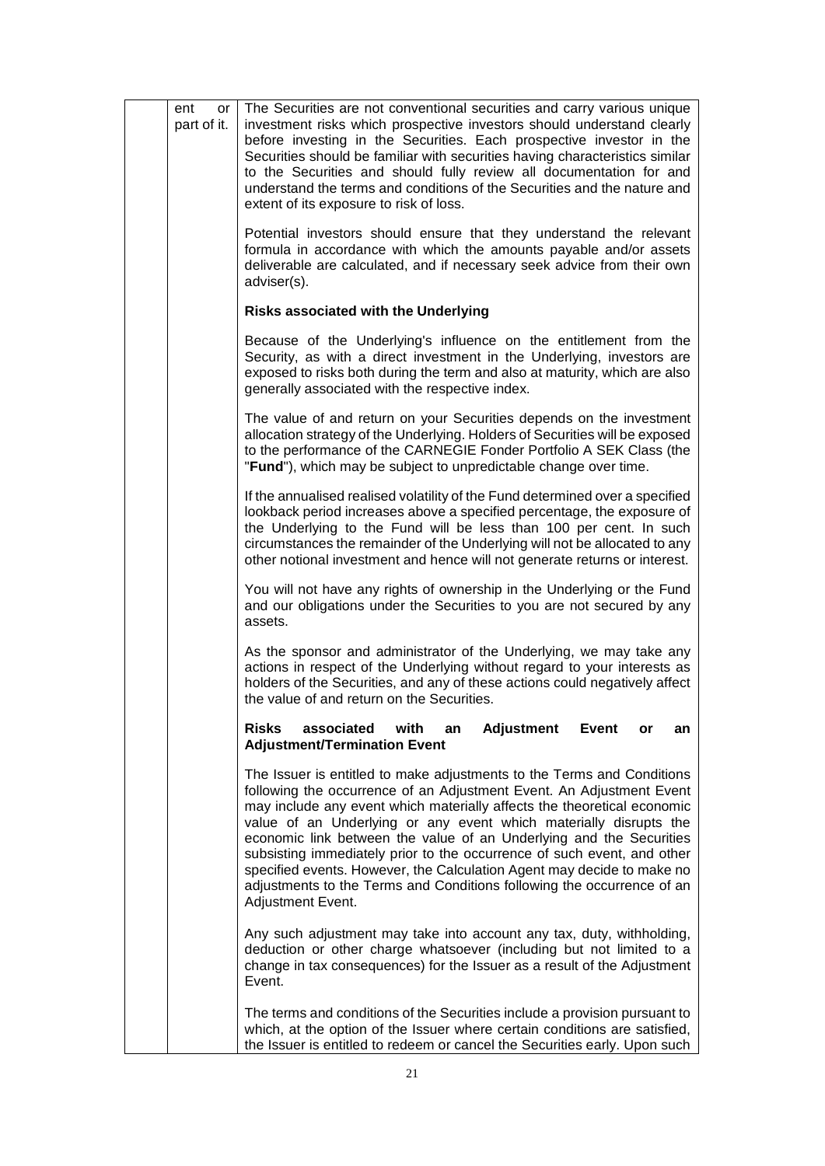| ent<br>part of it. | or   The Securities are not conventional securities and carry various unique<br>investment risks which prospective investors should understand clearly<br>before investing in the Securities. Each prospective investor in the<br>Securities should be familiar with securities having characteristics similar<br>to the Securities and should fully review all documentation for and<br>understand the terms and conditions of the Securities and the nature and<br>extent of its exposure to risk of loss.                                                                                                              |
|--------------------|---------------------------------------------------------------------------------------------------------------------------------------------------------------------------------------------------------------------------------------------------------------------------------------------------------------------------------------------------------------------------------------------------------------------------------------------------------------------------------------------------------------------------------------------------------------------------------------------------------------------------|
|                    | Potential investors should ensure that they understand the relevant<br>formula in accordance with which the amounts payable and/or assets<br>deliverable are calculated, and if necessary seek advice from their own<br>adviser(s).                                                                                                                                                                                                                                                                                                                                                                                       |
|                    | <b>Risks associated with the Underlying</b>                                                                                                                                                                                                                                                                                                                                                                                                                                                                                                                                                                               |
|                    | Because of the Underlying's influence on the entitlement from the<br>Security, as with a direct investment in the Underlying, investors are<br>exposed to risks both during the term and also at maturity, which are also<br>generally associated with the respective index.                                                                                                                                                                                                                                                                                                                                              |
|                    | The value of and return on your Securities depends on the investment<br>allocation strategy of the Underlying. Holders of Securities will be exposed<br>to the performance of the CARNEGIE Fonder Portfolio A SEK Class (the<br>"Fund"), which may be subject to unpredictable change over time.                                                                                                                                                                                                                                                                                                                          |
|                    | If the annualised realised volatility of the Fund determined over a specified<br>lookback period increases above a specified percentage, the exposure of<br>the Underlying to the Fund will be less than 100 per cent. In such<br>circumstances the remainder of the Underlying will not be allocated to any<br>other notional investment and hence will not generate returns or interest.                                                                                                                                                                                                                                |
|                    | You will not have any rights of ownership in the Underlying or the Fund<br>and our obligations under the Securities to you are not secured by any<br>assets.                                                                                                                                                                                                                                                                                                                                                                                                                                                              |
|                    | As the sponsor and administrator of the Underlying, we may take any<br>actions in respect of the Underlying without regard to your interests as<br>holders of the Securities, and any of these actions could negatively affect<br>the value of and return on the Securities.                                                                                                                                                                                                                                                                                                                                              |
|                    | <b>Risks</b><br>associated<br>with<br><b>Adjustment</b><br>an<br><b>Event</b><br>or<br>an<br><b>Adjustment/Termination Event</b>                                                                                                                                                                                                                                                                                                                                                                                                                                                                                          |
|                    | The Issuer is entitled to make adjustments to the Terms and Conditions<br>following the occurrence of an Adjustment Event. An Adjustment Event<br>may include any event which materially affects the theoretical economic<br>value of an Underlying or any event which materially disrupts the<br>economic link between the value of an Underlying and the Securities<br>subsisting immediately prior to the occurrence of such event, and other<br>specified events. However, the Calculation Agent may decide to make no<br>adjustments to the Terms and Conditions following the occurrence of an<br>Adjustment Event. |
|                    | Any such adjustment may take into account any tax, duty, withholding,<br>deduction or other charge whatsoever (including but not limited to a<br>change in tax consequences) for the Issuer as a result of the Adjustment<br>Event.                                                                                                                                                                                                                                                                                                                                                                                       |
|                    | The terms and conditions of the Securities include a provision pursuant to<br>which, at the option of the Issuer where certain conditions are satisfied,<br>the Issuer is entitled to redeem or cancel the Securities early. Upon such                                                                                                                                                                                                                                                                                                                                                                                    |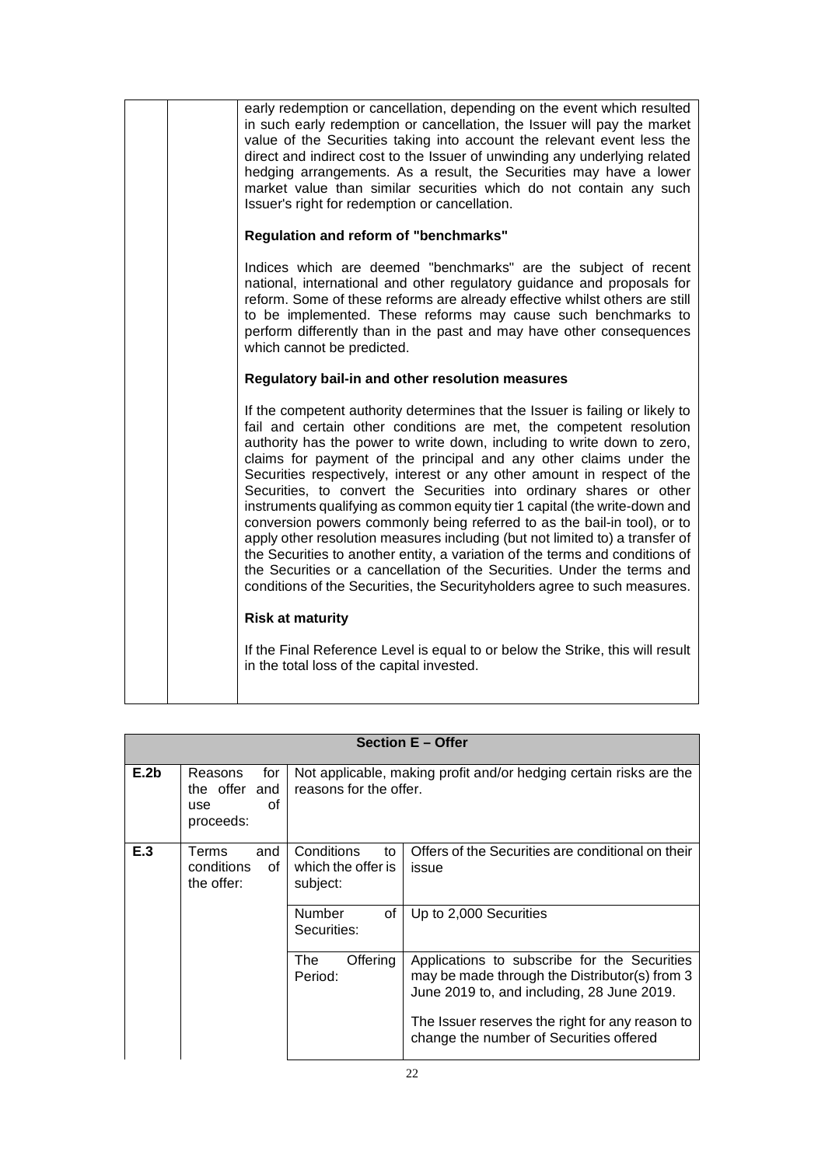| early redemption or cancellation, depending on the event which resulted<br>in such early redemption or cancellation, the Issuer will pay the market<br>value of the Securities taking into account the relevant event less the<br>direct and indirect cost to the Issuer of unwinding any underlying related<br>hedging arrangements. As a result, the Securities may have a lower<br>market value than similar securities which do not contain any such<br>Issuer's right for redemption or cancellation.<br>Regulation and reform of "benchmarks"<br>Indices which are deemed "benchmarks" are the subject of recent<br>national, international and other regulatory guidance and proposals for<br>reform. Some of these reforms are already effective whilst others are still<br>to be implemented. These reforms may cause such benchmarks to<br>perform differently than in the past and may have other consequences                 |
|-------------------------------------------------------------------------------------------------------------------------------------------------------------------------------------------------------------------------------------------------------------------------------------------------------------------------------------------------------------------------------------------------------------------------------------------------------------------------------------------------------------------------------------------------------------------------------------------------------------------------------------------------------------------------------------------------------------------------------------------------------------------------------------------------------------------------------------------------------------------------------------------------------------------------------------------|
| which cannot be predicted.<br>Regulatory bail-in and other resolution measures                                                                                                                                                                                                                                                                                                                                                                                                                                                                                                                                                                                                                                                                                                                                                                                                                                                            |
| If the competent authority determines that the Issuer is failing or likely to<br>fail and certain other conditions are met, the competent resolution<br>authority has the power to write down, including to write down to zero,<br>claims for payment of the principal and any other claims under the<br>Securities respectively, interest or any other amount in respect of the<br>Securities, to convert the Securities into ordinary shares or other<br>instruments qualifying as common equity tier 1 capital (the write-down and<br>conversion powers commonly being referred to as the bail-in tool), or to<br>apply other resolution measures including (but not limited to) a transfer of<br>the Securities to another entity, a variation of the terms and conditions of<br>the Securities or a cancellation of the Securities. Under the terms and<br>conditions of the Securities, the Securityholders agree to such measures. |
| <b>Risk at maturity</b>                                                                                                                                                                                                                                                                                                                                                                                                                                                                                                                                                                                                                                                                                                                                                                                                                                                                                                                   |
| If the Final Reference Level is equal to or below the Strike, this will result<br>in the total loss of the capital invested.                                                                                                                                                                                                                                                                                                                                                                                                                                                                                                                                                                                                                                                                                                                                                                                                              |
|                                                                                                                                                                                                                                                                                                                                                                                                                                                                                                                                                                                                                                                                                                                                                                                                                                                                                                                                           |

|      | <b>Section E - Offer</b>                                  |                                                                                              |                                                                                                                                             |  |  |
|------|-----------------------------------------------------------|----------------------------------------------------------------------------------------------|---------------------------------------------------------------------------------------------------------------------------------------------|--|--|
| E.2b | Reasons<br>for<br>the offer and<br>Ωf<br>use<br>proceeds: | Not applicable, making profit and/or hedging certain risks are the<br>reasons for the offer. |                                                                                                                                             |  |  |
| E.3  | and<br>Terms<br>οf<br>conditions<br>the offer:            | Conditions<br>to<br>which the offer is<br>subject:                                           | Offers of the Securities are conditional on their<br>issue                                                                                  |  |  |
|      |                                                           | Number<br>οf<br>Securities:                                                                  | Up to 2,000 Securities                                                                                                                      |  |  |
|      |                                                           | Offering<br><b>The</b><br>Period:                                                            | Applications to subscribe for the Securities<br>may be made through the Distributor(s) from 3<br>June 2019 to, and including, 28 June 2019. |  |  |
|      |                                                           |                                                                                              | The Issuer reserves the right for any reason to<br>change the number of Securities offered                                                  |  |  |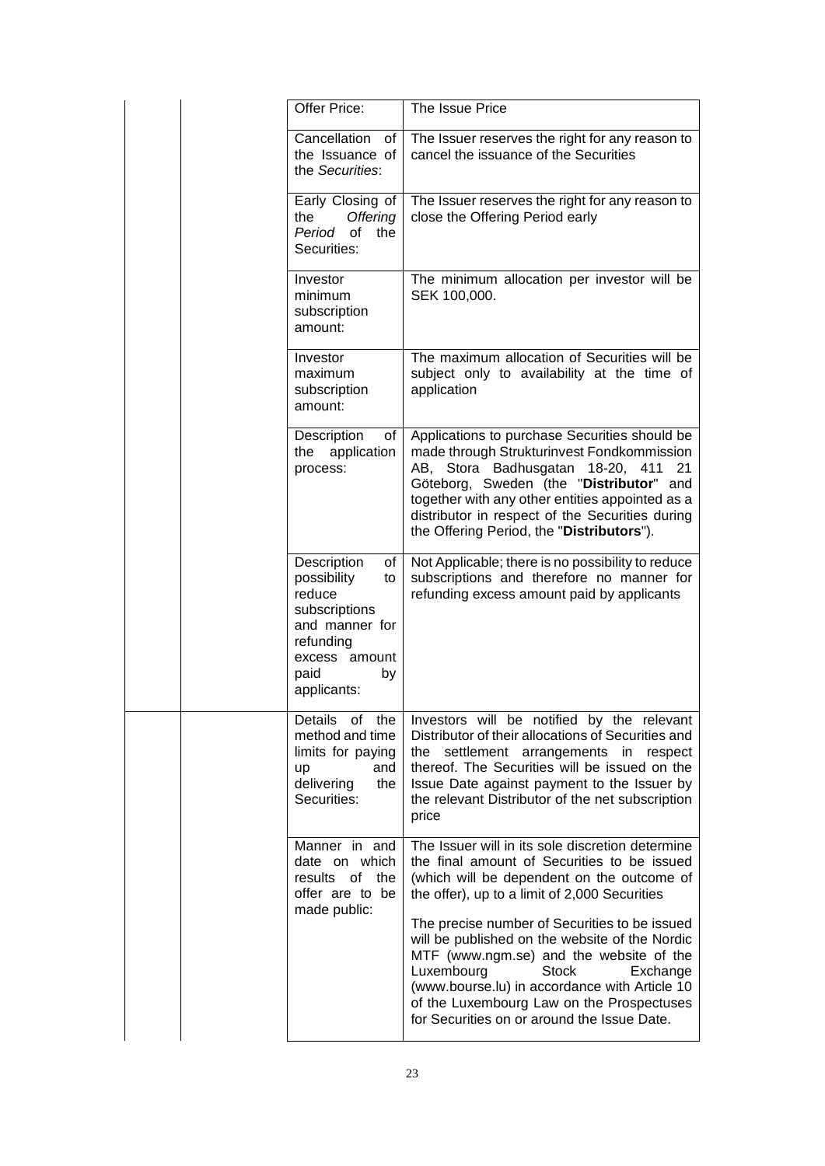| Offer Price:                                                                                                                                   | The Issue Price                                                                                                                                                                                                                                                                                                                     |
|------------------------------------------------------------------------------------------------------------------------------------------------|-------------------------------------------------------------------------------------------------------------------------------------------------------------------------------------------------------------------------------------------------------------------------------------------------------------------------------------|
| Cancellation<br>of<br>the Issuance of<br>the Securities:                                                                                       | The Issuer reserves the right for any reason to<br>cancel the issuance of the Securities                                                                                                                                                                                                                                            |
| Early Closing of<br>Offering<br>the<br>of<br>Period<br>the<br>Securities:                                                                      | The Issuer reserves the right for any reason to<br>close the Offering Period early                                                                                                                                                                                                                                                  |
| Investor<br>minimum<br>subscription<br>amount:                                                                                                 | The minimum allocation per investor will be<br>SEK 100,000.                                                                                                                                                                                                                                                                         |
| Investor<br>maximum<br>subscription<br>amount:                                                                                                 | The maximum allocation of Securities will be<br>subject only to availability at the time of<br>application                                                                                                                                                                                                                          |
| Description<br>of<br>application<br>the<br>process:                                                                                            | Applications to purchase Securities should be<br>made through Strukturinvest Fondkommission<br>AB, Stora Badhusgatan 18-20, 411<br>21<br>Göteborg, Sweden (the "Distributor" and<br>together with any other entities appointed as a<br>distributor in respect of the Securities during<br>the Offering Period, the "Distributors"). |
| Description<br>οf<br>possibility<br>to<br>reduce<br>subscriptions<br>and manner for<br>refunding<br>excess amount<br>paid<br>by<br>applicants: | Not Applicable; there is no possibility to reduce<br>subscriptions and therefore no manner for<br>refunding excess amount paid by applicants                                                                                                                                                                                        |
| method and time<br>limits for paying<br>and<br>up<br>delivering<br>the<br>Securities:                                                          | Details of the Investors will be notified by the relevant<br>Distributor of their allocations of Securities and<br>settlement arrangements in respect<br>the<br>thereof. The Securities will be issued on the<br>Issue Date against payment to the Issuer by<br>the relevant Distributor of the net subscription<br>price           |
| Manner in and<br>date on which<br>results of the<br>offer are to be<br>made public:                                                            | The Issuer will in its sole discretion determine<br>the final amount of Securities to be issued<br>(which will be dependent on the outcome of<br>the offer), up to a limit of 2,000 Securities                                                                                                                                      |
|                                                                                                                                                | The precise number of Securities to be issued<br>will be published on the website of the Nordic<br>MTF (www.ngm.se) and the website of the<br>Luxembourg<br><b>Stock</b><br>Exchange<br>(www.bourse.lu) in accordance with Article 10<br>of the Luxembourg Law on the Prospectuses<br>for Securities on or around the Issue Date.   |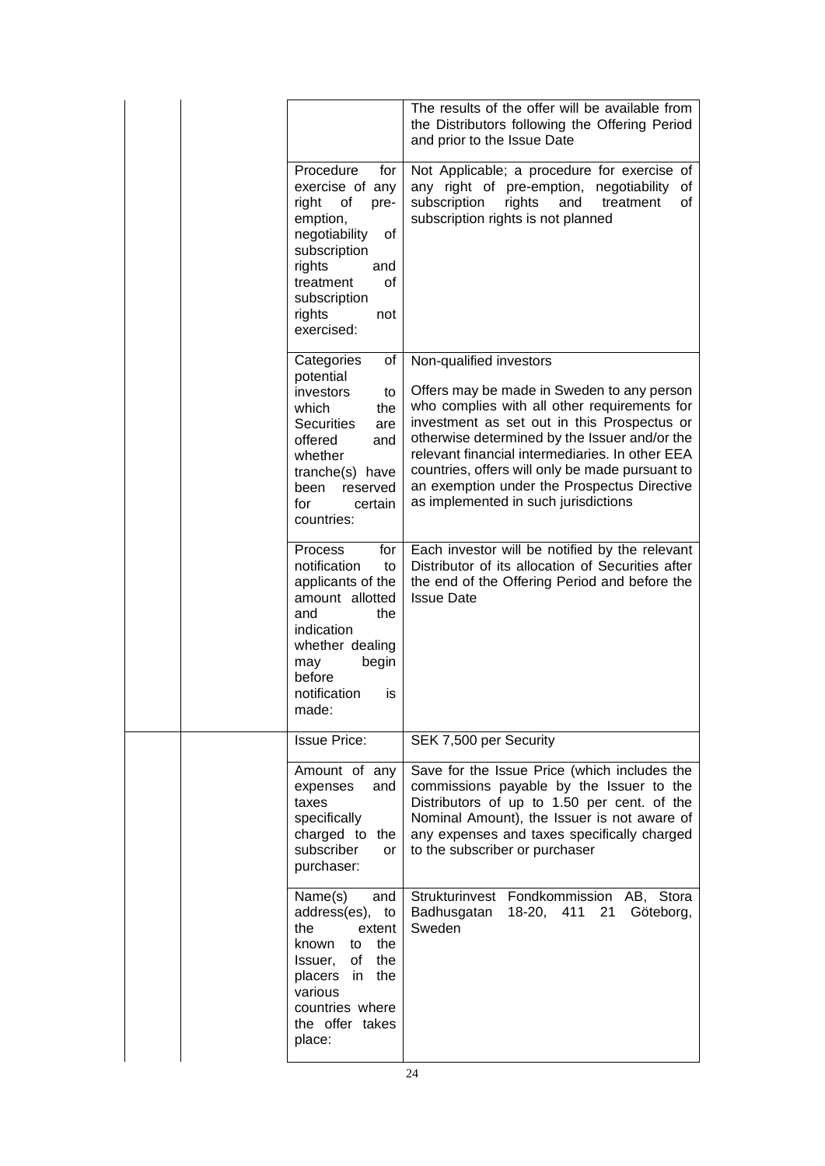|  |                                                                                                                                                                                                  | The results of the offer will be available from<br>the Distributors following the Offering Period<br>and prior to the Issue Date                                                                                                                                                                                                                                                                                   |
|--|--------------------------------------------------------------------------------------------------------------------------------------------------------------------------------------------------|--------------------------------------------------------------------------------------------------------------------------------------------------------------------------------------------------------------------------------------------------------------------------------------------------------------------------------------------------------------------------------------------------------------------|
|  | Procedure<br>for<br>exercise of any<br>right<br>οf<br>pre-<br>emption,<br>negotiability<br>οf<br>subscription<br>rights<br>and<br>treatment<br>0f<br>subscription<br>rights<br>not<br>exercised: | Not Applicable; a procedure for exercise of<br>any right of pre-emption, negotiability<br>οf<br>subscription<br>treatment<br>rights<br>and<br>of<br>subscription rights is not planned                                                                                                                                                                                                                             |
|  | of<br>Categories<br>potential<br>investors<br>to<br>which<br>the<br><b>Securities</b><br>are<br>offered<br>and<br>whether<br>tranche(s) have<br>been<br>reserved<br>for<br>certain<br>countries: | Non-qualified investors<br>Offers may be made in Sweden to any person<br>who complies with all other requirements for<br>investment as set out in this Prospectus or<br>otherwise determined by the Issuer and/or the<br>relevant financial intermediaries. In other EEA<br>countries, offers will only be made pursuant to<br>an exemption under the Prospectus Directive<br>as implemented in such jurisdictions |
|  | Process<br>for<br>notification<br>to<br>applicants of the<br>amount allotted<br>the<br>and<br>indication<br>whether dealing<br>begin<br>may<br>before<br>notification<br>İS<br>made:             | Each investor will be notified by the relevant<br>Distributor of its allocation of Securities after<br>the end of the Offering Period and before the<br><b>Issue Date</b>                                                                                                                                                                                                                                          |
|  | <b>Issue Price:</b>                                                                                                                                                                              | SEK 7,500 per Security                                                                                                                                                                                                                                                                                                                                                                                             |
|  | Amount of any<br>expenses<br>and<br>taxes<br>specifically<br>charged to the<br>subscriber<br>or<br>purchaser:                                                                                    | Save for the Issue Price (which includes the<br>commissions payable by the Issuer to the<br>Distributors of up to 1.50 per cent. of the<br>Nominal Amount), the Issuer is not aware of<br>any expenses and taxes specifically charged<br>to the subscriber or purchaser                                                                                                                                            |
|  | Name(s)<br>and<br>address(es),<br>to<br>the<br>extent<br>the<br>known<br>to<br>the<br>of<br>Issuer,<br>placers<br>in<br>the<br>various<br>countries where<br>the offer takes<br>place:           | Strukturinvest Fondkommission AB, Stora<br>18-20, 411<br>Badhusgatan<br>21<br>Göteborg,<br>Sweden                                                                                                                                                                                                                                                                                                                  |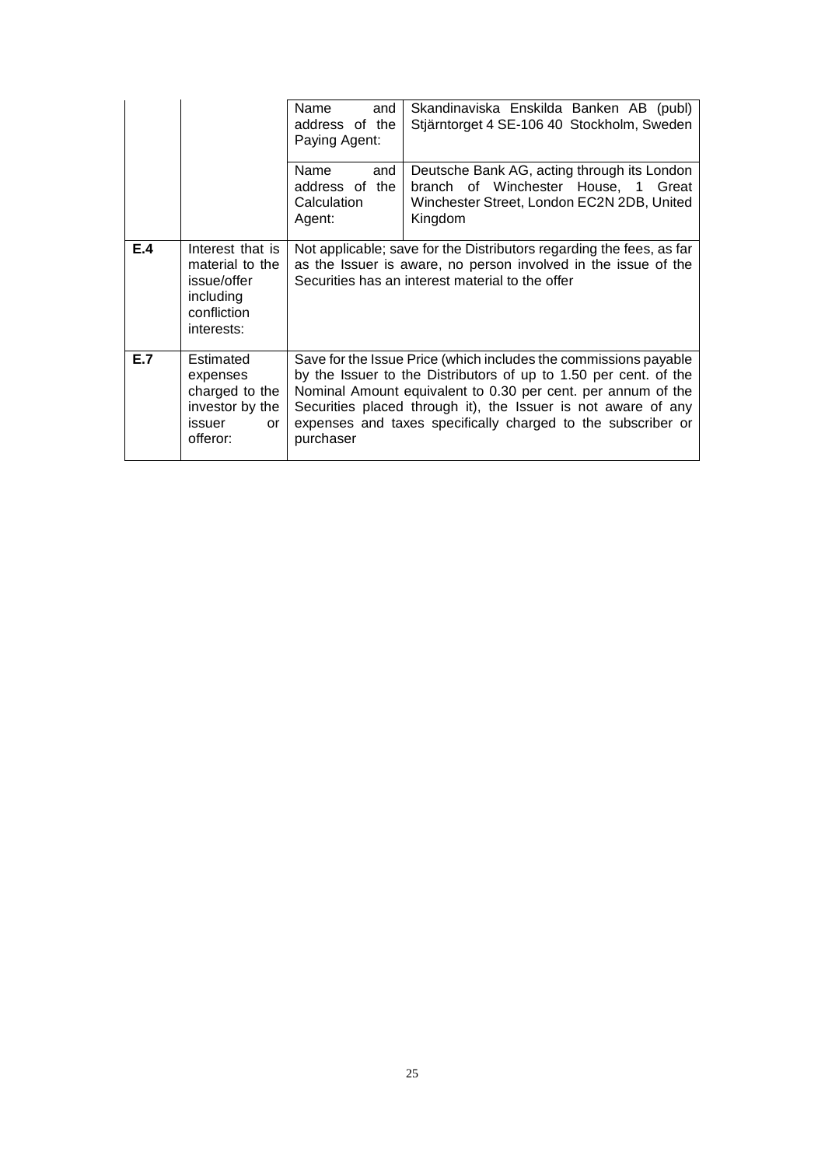|     |                                                                                              | Name<br>and<br>address of the<br>Paying Agent:         | Skandinaviska Enskilda Banken AB (publ)<br>Stjärntorget 4 SE-106 40 Stockholm, Sweden                                                                                                                                                                                                                                                 |
|-----|----------------------------------------------------------------------------------------------|--------------------------------------------------------|---------------------------------------------------------------------------------------------------------------------------------------------------------------------------------------------------------------------------------------------------------------------------------------------------------------------------------------|
|     |                                                                                              | Name<br>and<br>address of the<br>Calculation<br>Agent: | Deutsche Bank AG, acting through its London<br>branch of Winchester House, 1 Great<br>Winchester Street, London EC2N 2DB, United<br>Kingdom                                                                                                                                                                                           |
| E.4 | Interest that is<br>material to the<br>issue/offer<br>including<br>confliction<br>interests: |                                                        | Not applicable; save for the Distributors regarding the fees, as far<br>as the Issuer is aware, no person involved in the issue of the<br>Securities has an interest material to the offer                                                                                                                                            |
| E.7 | Estimated<br>expenses<br>charged to the<br>investor by the<br>issuer<br>or<br>offeror:       | purchaser                                              | Save for the Issue Price (which includes the commissions payable<br>by the Issuer to the Distributors of up to 1.50 per cent. of the<br>Nominal Amount equivalent to 0.30 per cent. per annum of the<br>Securities placed through it), the Issuer is not aware of any<br>expenses and taxes specifically charged to the subscriber or |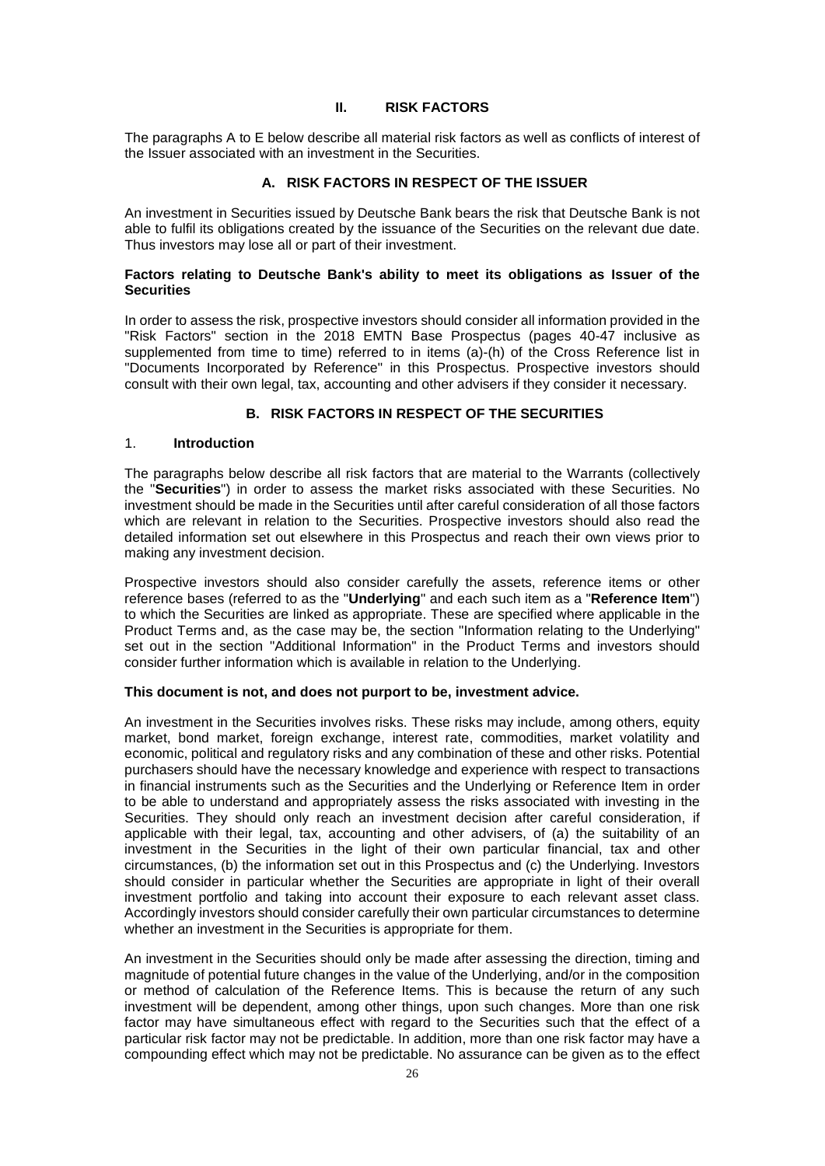## **II. RISK FACTORS**

The paragraphs A to E below describe all material risk factors as well as conflicts of interest of the Issuer associated with an investment in the Securities.

## **A. RISK FACTORS IN RESPECT OF THE ISSUER**

An investment in Securities issued by Deutsche Bank bears the risk that Deutsche Bank is not able to fulfil its obligations created by the issuance of the Securities on the relevant due date. Thus investors may lose all or part of their investment.

#### **Factors relating to Deutsche Bank's ability to meet its obligations as Issuer of the Securities**

In order to assess the risk, prospective investors should consider all information provided in the "Risk Factors" section in the 2018 EMTN Base Prospectus (pages 40-47 inclusive as supplemented from time to time) referred to in items (a)-(h) of the Cross Reference list in "Documents Incorporated by Reference" in this Prospectus. Prospective investors should consult with their own legal, tax, accounting and other advisers if they consider it necessary.

## **B. RISK FACTORS IN RESPECT OF THE SECURITIES**

#### 1. **Introduction**

The paragraphs below describe all risk factors that are material to the Warrants (collectively the "**Securities**") in order to assess the market risks associated with these Securities. No investment should be made in the Securities until after careful consideration of all those factors which are relevant in relation to the Securities. Prospective investors should also read the detailed information set out elsewhere in this Prospectus and reach their own views prior to making any investment decision.

Prospective investors should also consider carefully the assets, reference items or other reference bases (referred to as the "**Underlying**" and each such item as a "**Reference Item**") to which the Securities are linked as appropriate. These are specified where applicable in the Product Terms and, as the case may be, the section "Information relating to the Underlying" set out in the section "Additional Information" in the Product Terms and investors should consider further information which is available in relation to the Underlying.

#### **This document is not, and does not purport to be, investment advice.**

An investment in the Securities involves risks. These risks may include, among others, equity market, bond market, foreign exchange, interest rate, commodities, market volatility and economic, political and regulatory risks and any combination of these and other risks. Potential purchasers should have the necessary knowledge and experience with respect to transactions in financial instruments such as the Securities and the Underlying or Reference Item in order to be able to understand and appropriately assess the risks associated with investing in the Securities. They should only reach an investment decision after careful consideration, if applicable with their legal, tax, accounting and other advisers, of (a) the suitability of an investment in the Securities in the light of their own particular financial, tax and other circumstances, (b) the information set out in this Prospectus and (c) the Underlying. Investors should consider in particular whether the Securities are appropriate in light of their overall investment portfolio and taking into account their exposure to each relevant asset class. Accordingly investors should consider carefully their own particular circumstances to determine whether an investment in the Securities is appropriate for them.

An investment in the Securities should only be made after assessing the direction, timing and magnitude of potential future changes in the value of the Underlying, and/or in the composition or method of calculation of the Reference Items. This is because the return of any such investment will be dependent, among other things, upon such changes. More than one risk factor may have simultaneous effect with regard to the Securities such that the effect of a particular risk factor may not be predictable. In addition, more than one risk factor may have a compounding effect which may not be predictable. No assurance can be given as to the effect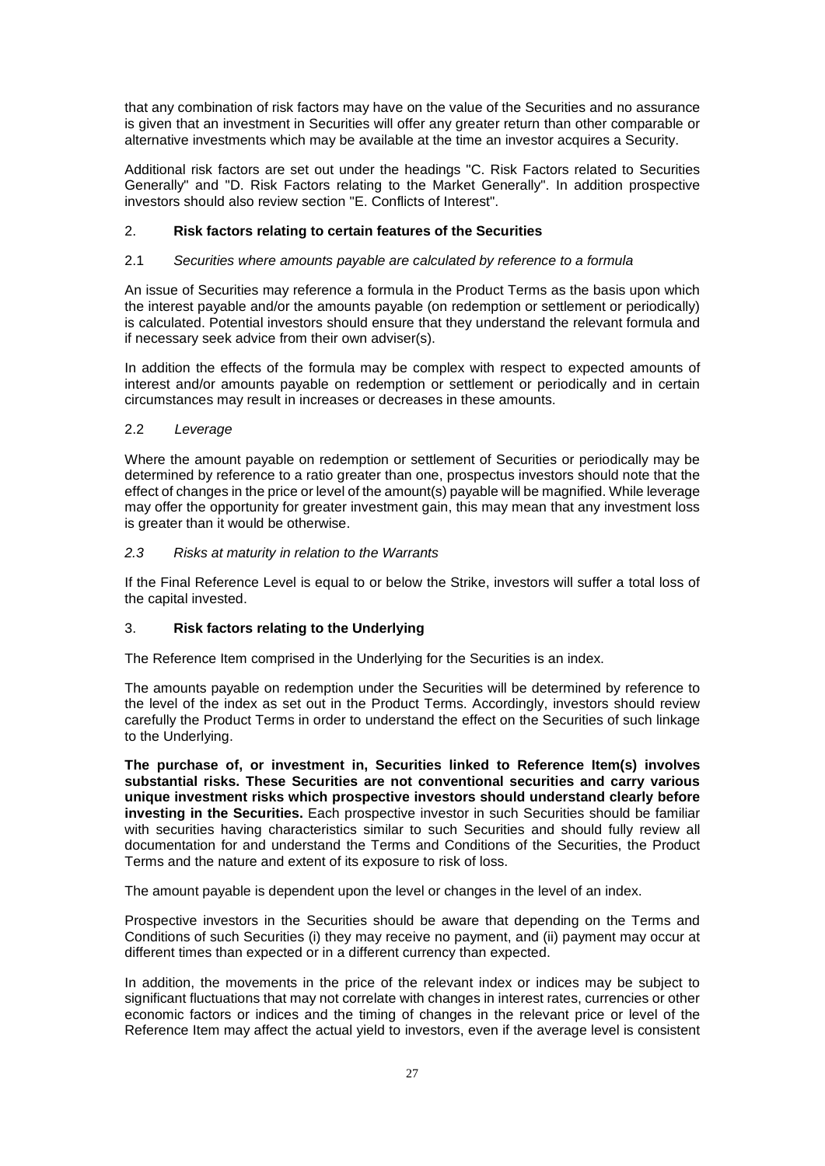that any combination of risk factors may have on the value of the Securities and no assurance is given that an investment in Securities will offer any greater return than other comparable or alternative investments which may be available at the time an investor acquires a Security.

Additional risk factors are set out under the headings "C. Risk Factors related to Securities Generally" and "D. Risk Factors relating to the Market Generally". In addition prospective investors should also review section "E. Conflicts of Interest".

## 2. **Risk factors relating to certain features of the Securities**

#### 2.1 *Securities where amounts payable are calculated by reference to a formula*

An issue of Securities may reference a formula in the Product Terms as the basis upon which the interest payable and/or the amounts payable (on redemption or settlement or periodically) is calculated. Potential investors should ensure that they understand the relevant formula and if necessary seek advice from their own adviser(s).

In addition the effects of the formula may be complex with respect to expected amounts of interest and/or amounts payable on redemption or settlement or periodically and in certain circumstances may result in increases or decreases in these amounts.

## 2.2 *Leverage*

Where the amount payable on redemption or settlement of Securities or periodically may be determined by reference to a ratio greater than one, prospectus investors should note that the effect of changes in the price or level of the amount(s) payable will be magnified. While leverage may offer the opportunity for greater investment gain, this may mean that any investment loss is greater than it would be otherwise.

#### *2.3 Risks at maturity in relation to the Warrants*

If the Final Reference Level is equal to or below the Strike, investors will suffer a total loss of the capital invested.

### 3. **Risk factors relating to the Underlying**

The Reference Item comprised in the Underlying for the Securities is an index.

The amounts payable on redemption under the Securities will be determined by reference to the level of the index as set out in the Product Terms. Accordingly, investors should review carefully the Product Terms in order to understand the effect on the Securities of such linkage to the Underlying.

**The purchase of, or investment in, Securities linked to Reference Item(s) involves substantial risks. These Securities are not conventional securities and carry various unique investment risks which prospective investors should understand clearly before investing in the Securities.** Each prospective investor in such Securities should be familiar with securities having characteristics similar to such Securities and should fully review all documentation for and understand the Terms and Conditions of the Securities, the Product Terms and the nature and extent of its exposure to risk of loss.

The amount payable is dependent upon the level or changes in the level of an index.

Prospective investors in the Securities should be aware that depending on the Terms and Conditions of such Securities (i) they may receive no payment, and (ii) payment may occur at different times than expected or in a different currency than expected.

In addition, the movements in the price of the relevant index or indices may be subject to significant fluctuations that may not correlate with changes in interest rates, currencies or other economic factors or indices and the timing of changes in the relevant price or level of the Reference Item may affect the actual yield to investors, even if the average level is consistent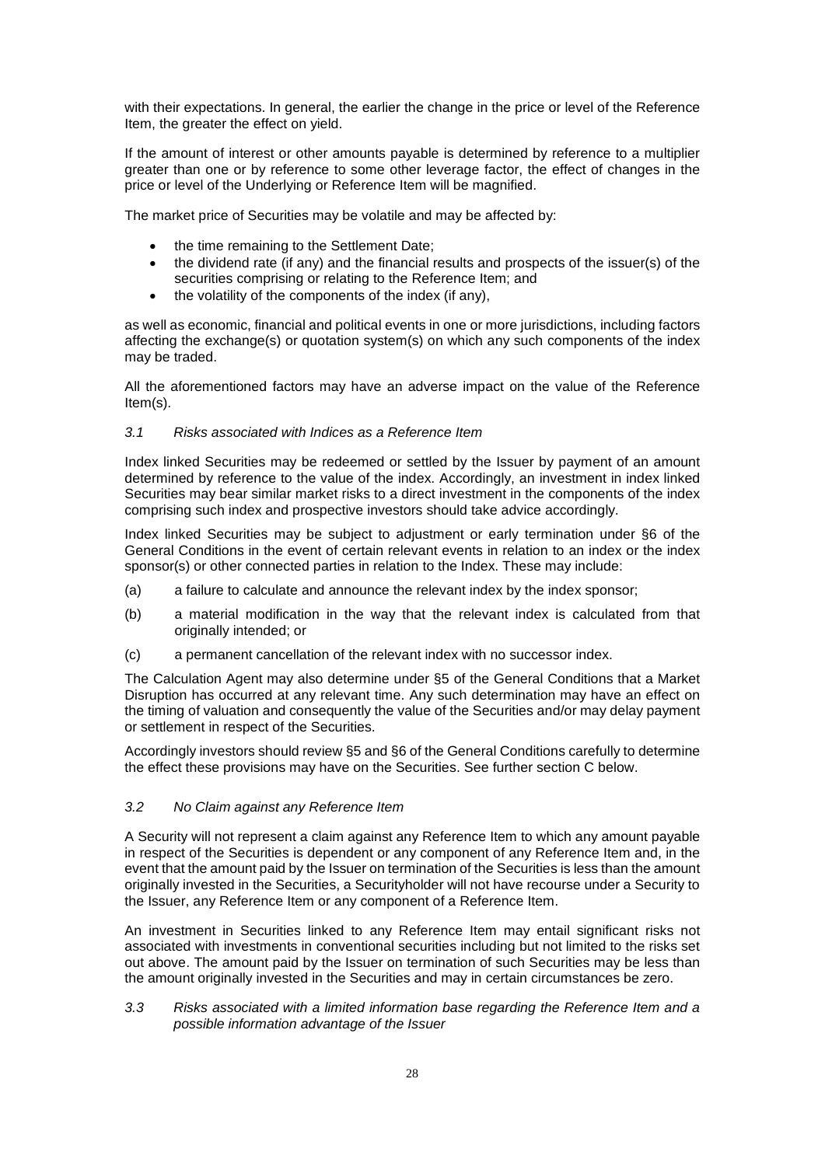with their expectations. In general, the earlier the change in the price or level of the Reference Item, the greater the effect on yield.

If the amount of interest or other amounts payable is determined by reference to a multiplier greater than one or by reference to some other leverage factor, the effect of changes in the price or level of the Underlying or Reference Item will be magnified.

The market price of Securities may be volatile and may be affected by:

- the time remaining to the Settlement Date;
- the dividend rate (if any) and the financial results and prospects of the issuer(s) of the securities comprising or relating to the Reference Item; and
- the volatility of the components of the index (if any),

as well as economic, financial and political events in one or more jurisdictions, including factors affecting the exchange(s) or quotation system(s) on which any such components of the index may be traded.

All the aforementioned factors may have an adverse impact on the value of the Reference Item(s).

#### *3.1 Risks associated with Indices as a Reference Item*

Index linked Securities may be redeemed or settled by the Issuer by payment of an amount determined by reference to the value of the index. Accordingly, an investment in index linked Securities may bear similar market risks to a direct investment in the components of the index comprising such index and prospective investors should take advice accordingly.

Index linked Securities may be subject to adjustment or early termination under §6 of the General Conditions in the event of certain relevant events in relation to an index or the index sponsor(s) or other connected parties in relation to the Index. These may include:

- (a) a failure to calculate and announce the relevant index by the index sponsor;
- (b) a material modification in the way that the relevant index is calculated from that originally intended; or
- (c) a permanent cancellation of the relevant index with no successor index.

The Calculation Agent may also determine under §5 of the General Conditions that a Market Disruption has occurred at any relevant time. Any such determination may have an effect on the timing of valuation and consequently the value of the Securities and/or may delay payment or settlement in respect of the Securities.

Accordingly investors should review §5 and §6 of the General Conditions carefully to determine the effect these provisions may have on the Securities. See further section C below.

#### *3.2 No Claim against any Reference Item*

A Security will not represent a claim against any Reference Item to which any amount payable in respect of the Securities is dependent or any component of any Reference Item and, in the event that the amount paid by the Issuer on termination of the Securities is less than the amount originally invested in the Securities, a Securityholder will not have recourse under a Security to the Issuer, any Reference Item or any component of a Reference Item.

An investment in Securities linked to any Reference Item may entail significant risks not associated with investments in conventional securities including but not limited to the risks set out above. The amount paid by the Issuer on termination of such Securities may be less than the amount originally invested in the Securities and may in certain circumstances be zero.

*3.3 Risks associated with a limited information base regarding the Reference Item and a possible information advantage of the Issuer*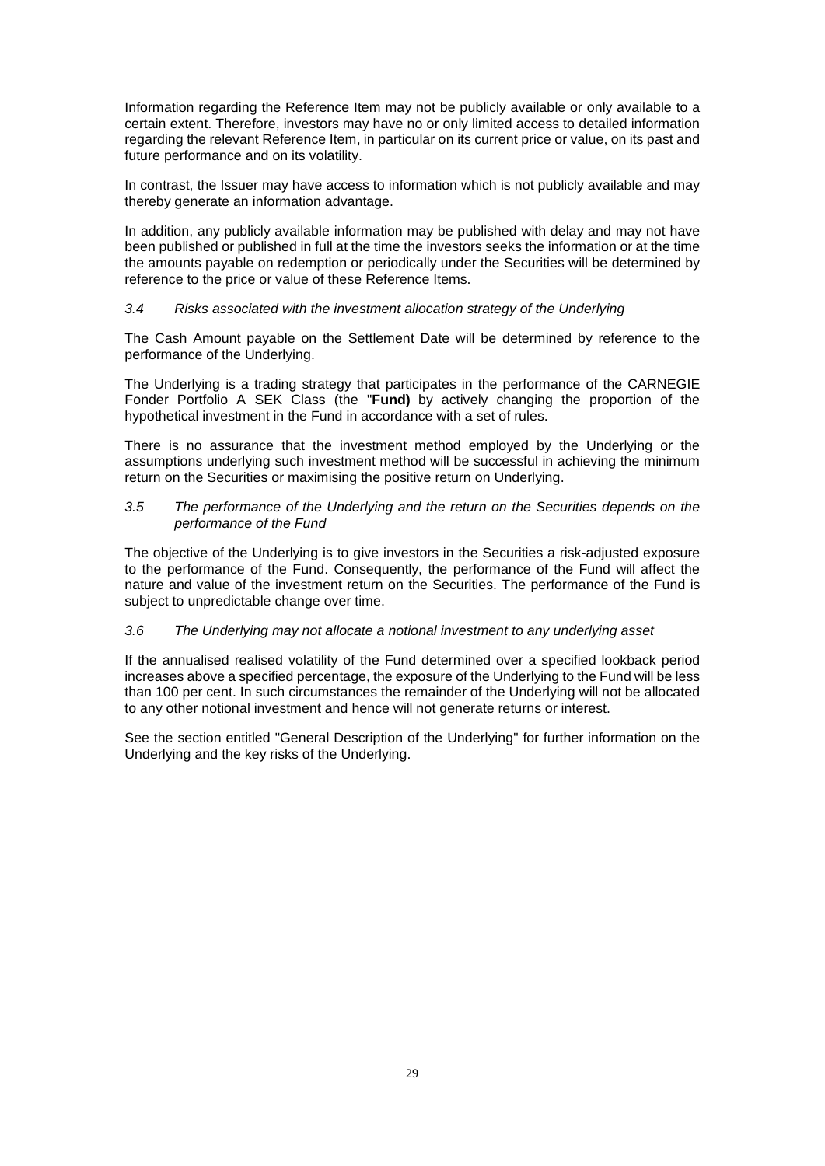Information regarding the Reference Item may not be publicly available or only available to a certain extent. Therefore, investors may have no or only limited access to detailed information regarding the relevant Reference Item, in particular on its current price or value, on its past and future performance and on its volatility.

In contrast, the Issuer may have access to information which is not publicly available and may thereby generate an information advantage.

In addition, any publicly available information may be published with delay and may not have been published or published in full at the time the investors seeks the information or at the time the amounts payable on redemption or periodically under the Securities will be determined by reference to the price or value of these Reference Items.

#### *3.4 Risks associated with the investment allocation strategy of the Underlying*

The Cash Amount payable on the Settlement Date will be determined by reference to the performance of the Underlying.

The Underlying is a trading strategy that participates in the performance of the CARNEGIE Fonder Portfolio A SEK Class (the "**Fund)** by actively changing the proportion of the hypothetical investment in the Fund in accordance with a set of rules.

There is no assurance that the investment method employed by the Underlying or the assumptions underlying such investment method will be successful in achieving the minimum return on the Securities or maximising the positive return on Underlying.

## *3.5 The performance of the Underlying and the return on the Securities depends on the performance of the Fund*

The objective of the Underlying is to give investors in the Securities a risk-adjusted exposure to the performance of the Fund. Consequently, the performance of the Fund will affect the nature and value of the investment return on the Securities. The performance of the Fund is subject to unpredictable change over time.

## *3.6 The Underlying may not allocate a notional investment to any underlying asset*

If the annualised realised volatility of the Fund determined over a specified lookback period increases above a specified percentage, the exposure of the Underlying to the Fund will be less than 100 per cent. In such circumstances the remainder of the Underlying will not be allocated to any other notional investment and hence will not generate returns or interest.

See the section entitled "General Description of the Underlying" for further information on the Underlying and the key risks of the Underlying.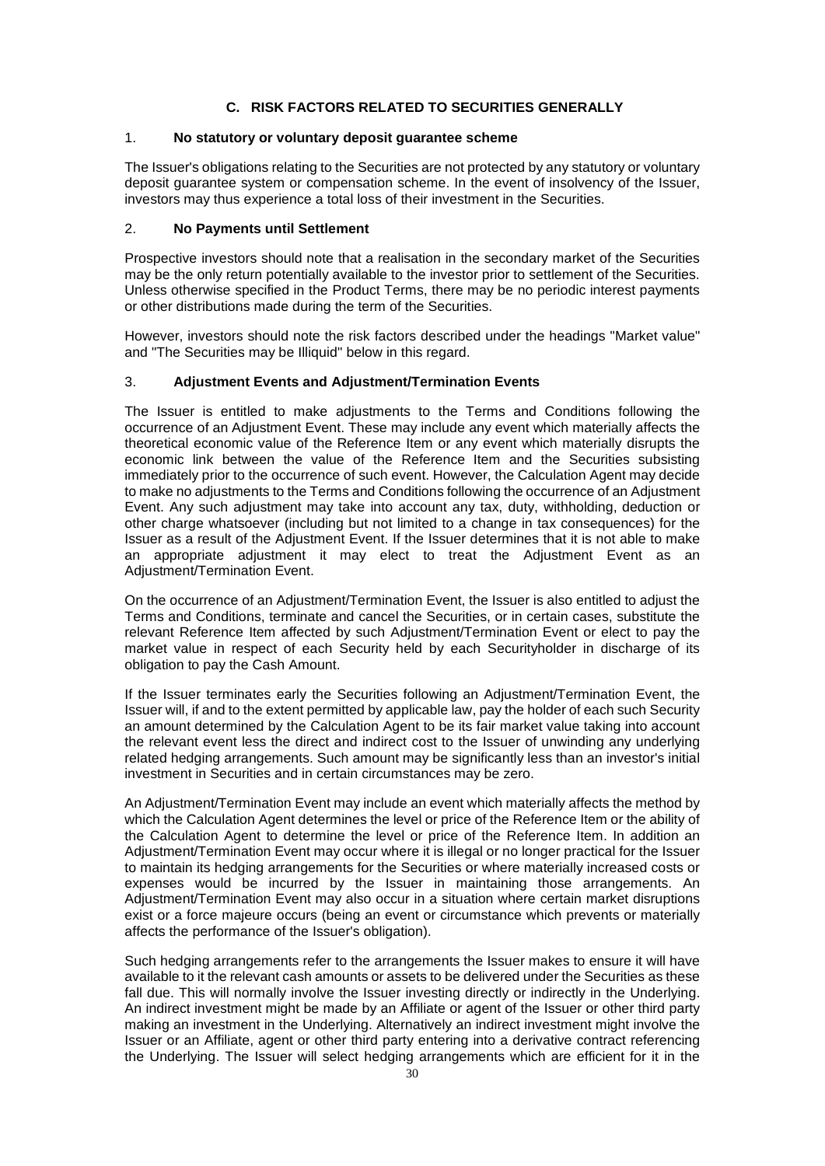## **C. RISK FACTORS RELATED TO SECURITIES GENERALLY**

## 1. **No statutory or voluntary deposit guarantee scheme**

The Issuer's obligations relating to the Securities are not protected by any statutory or voluntary deposit guarantee system or compensation scheme. In the event of insolvency of the Issuer, investors may thus experience a total loss of their investment in the Securities.

## 2. **No Payments until Settlement**

Prospective investors should note that a realisation in the secondary market of the Securities may be the only return potentially available to the investor prior to settlement of the Securities. Unless otherwise specified in the Product Terms, there may be no periodic interest payments or other distributions made during the term of the Securities.

However, investors should note the risk factors described under the headings "Market value" and "The Securities may be Illiquid" below in this regard.

## 3. **Adjustment Events and Adjustment/Termination Events**

The Issuer is entitled to make adjustments to the Terms and Conditions following the occurrence of an Adjustment Event. These may include any event which materially affects the theoretical economic value of the Reference Item or any event which materially disrupts the economic link between the value of the Reference Item and the Securities subsisting immediately prior to the occurrence of such event. However, the Calculation Agent may decide to make no adjustments to the Terms and Conditions following the occurrence of an Adjustment Event. Any such adjustment may take into account any tax, duty, withholding, deduction or other charge whatsoever (including but not limited to a change in tax consequences) for the Issuer as a result of the Adjustment Event. If the Issuer determines that it is not able to make an appropriate adjustment it may elect to treat the Adjustment Event as an Adjustment/Termination Event.

On the occurrence of an Adjustment/Termination Event, the Issuer is also entitled to adjust the Terms and Conditions, terminate and cancel the Securities, or in certain cases, substitute the relevant Reference Item affected by such Adjustment/Termination Event or elect to pay the market value in respect of each Security held by each Securityholder in discharge of its obligation to pay the Cash Amount.

If the Issuer terminates early the Securities following an Adjustment/Termination Event, the Issuer will, if and to the extent permitted by applicable law, pay the holder of each such Security an amount determined by the Calculation Agent to be its fair market value taking into account the relevant event less the direct and indirect cost to the Issuer of unwinding any underlying related hedging arrangements. Such amount may be significantly less than an investor's initial investment in Securities and in certain circumstances may be zero.

An Adjustment/Termination Event may include an event which materially affects the method by which the Calculation Agent determines the level or price of the Reference Item or the ability of the Calculation Agent to determine the level or price of the Reference Item. In addition an Adjustment/Termination Event may occur where it is illegal or no longer practical for the Issuer to maintain its hedging arrangements for the Securities or where materially increased costs or expenses would be incurred by the Issuer in maintaining those arrangements. An Adjustment/Termination Event may also occur in a situation where certain market disruptions exist or a force majeure occurs (being an event or circumstance which prevents or materially affects the performance of the Issuer's obligation).

Such hedging arrangements refer to the arrangements the Issuer makes to ensure it will have available to it the relevant cash amounts or assets to be delivered under the Securities as these fall due. This will normally involve the Issuer investing directly or indirectly in the Underlying. An indirect investment might be made by an Affiliate or agent of the Issuer or other third party making an investment in the Underlying. Alternatively an indirect investment might involve the Issuer or an Affiliate, agent or other third party entering into a derivative contract referencing the Underlying. The Issuer will select hedging arrangements which are efficient for it in the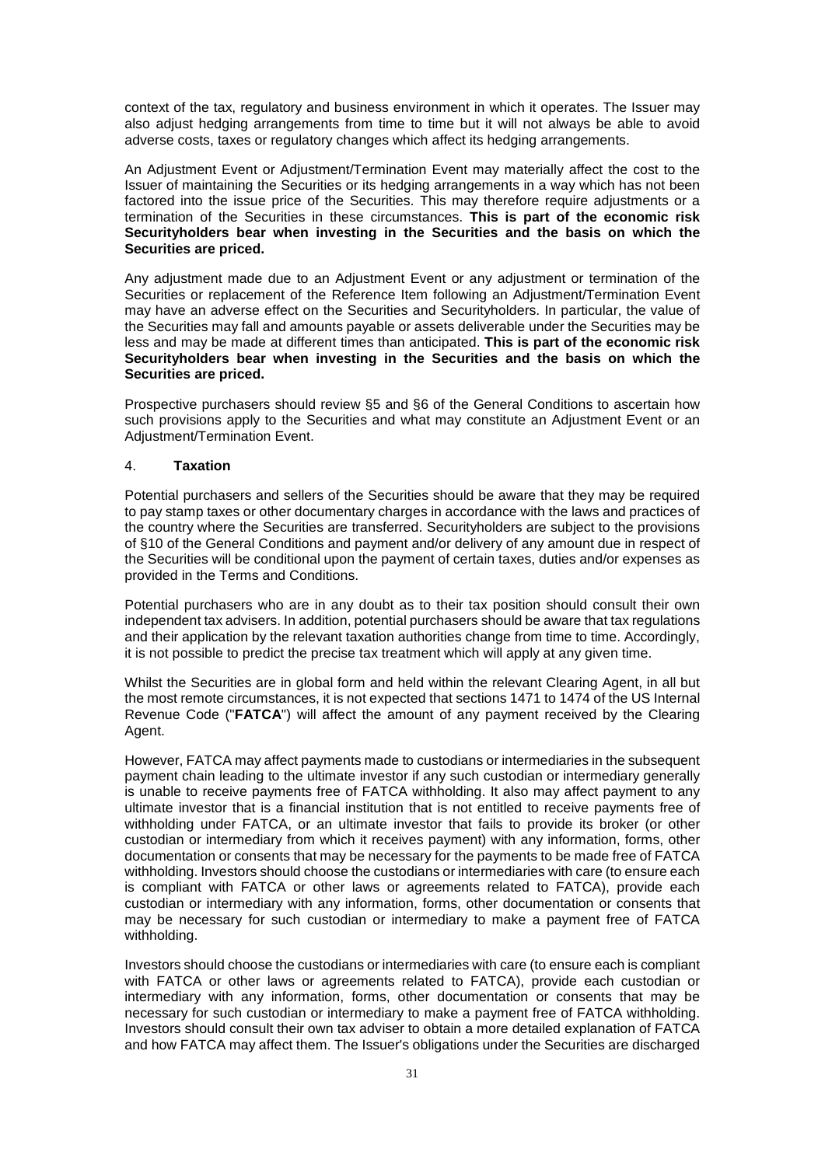context of the tax, regulatory and business environment in which it operates. The Issuer may also adjust hedging arrangements from time to time but it will not always be able to avoid adverse costs, taxes or regulatory changes which affect its hedging arrangements.

An Adjustment Event or Adjustment/Termination Event may materially affect the cost to the Issuer of maintaining the Securities or its hedging arrangements in a way which has not been factored into the issue price of the Securities. This may therefore require adjustments or a termination of the Securities in these circumstances. **This is part of the economic risk Securityholders bear when investing in the Securities and the basis on which the Securities are priced.**

Any adjustment made due to an Adjustment Event or any adjustment or termination of the Securities or replacement of the Reference Item following an Adjustment/Termination Event may have an adverse effect on the Securities and Securityholders. In particular, the value of the Securities may fall and amounts payable or assets deliverable under the Securities may be less and may be made at different times than anticipated. **This is part of the economic risk Securityholders bear when investing in the Securities and the basis on which the Securities are priced.**

Prospective purchasers should review §5 and §6 of the General Conditions to ascertain how such provisions apply to the Securities and what may constitute an Adjustment Event or an Adjustment/Termination Event.

## 4. **Taxation**

Potential purchasers and sellers of the Securities should be aware that they may be required to pay stamp taxes or other documentary charges in accordance with the laws and practices of the country where the Securities are transferred. Securityholders are subject to the provisions of §10 of the General Conditions and payment and/or delivery of any amount due in respect of the Securities will be conditional upon the payment of certain taxes, duties and/or expenses as provided in the Terms and Conditions.

Potential purchasers who are in any doubt as to their tax position should consult their own independent tax advisers. In addition, potential purchasers should be aware that tax regulations and their application by the relevant taxation authorities change from time to time. Accordingly, it is not possible to predict the precise tax treatment which will apply at any given time.

Whilst the Securities are in global form and held within the relevant Clearing Agent, in all but the most remote circumstances, it is not expected that sections 1471 to 1474 of the US Internal Revenue Code ("**FATCA**") will affect the amount of any payment received by the Clearing Agent.

However, FATCA may affect payments made to custodians or intermediaries in the subsequent payment chain leading to the ultimate investor if any such custodian or intermediary generally is unable to receive payments free of FATCA withholding. It also may affect payment to any ultimate investor that is a financial institution that is not entitled to receive payments free of withholding under FATCA, or an ultimate investor that fails to provide its broker (or other custodian or intermediary from which it receives payment) with any information, forms, other documentation or consents that may be necessary for the payments to be made free of FATCA withholding. Investors should choose the custodians or intermediaries with care (to ensure each is compliant with FATCA or other laws or agreements related to FATCA), provide each custodian or intermediary with any information, forms, other documentation or consents that may be necessary for such custodian or intermediary to make a payment free of FATCA withholding.

Investors should choose the custodians or intermediaries with care (to ensure each is compliant with FATCA or other laws or agreements related to FATCA), provide each custodian or intermediary with any information, forms, other documentation or consents that may be necessary for such custodian or intermediary to make a payment free of FATCA withholding. Investors should consult their own tax adviser to obtain a more detailed explanation of FATCA and how FATCA may affect them. The Issuer's obligations under the Securities are discharged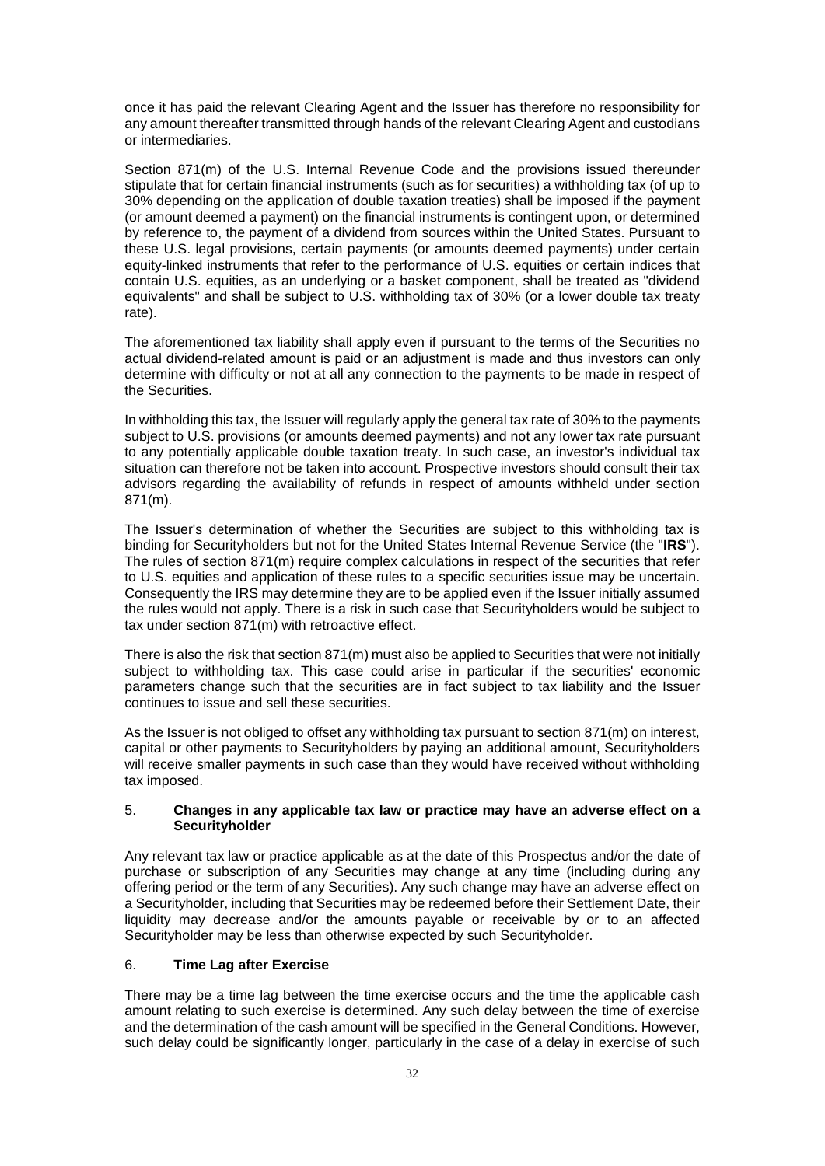once it has paid the relevant Clearing Agent and the Issuer has therefore no responsibility for any amount thereafter transmitted through hands of the relevant Clearing Agent and custodians or intermediaries.

Section 871(m) of the U.S. Internal Revenue Code and the provisions issued thereunder stipulate that for certain financial instruments (such as for securities) a withholding tax (of up to 30% depending on the application of double taxation treaties) shall be imposed if the payment (or amount deemed a payment) on the financial instruments is contingent upon, or determined by reference to, the payment of a dividend from sources within the United States. Pursuant to these U.S. legal provisions, certain payments (or amounts deemed payments) under certain equity-linked instruments that refer to the performance of U.S. equities or certain indices that contain U.S. equities, as an underlying or a basket component, shall be treated as "dividend equivalents" and shall be subject to U.S. withholding tax of 30% (or a lower double tax treaty rate).

The aforementioned tax liability shall apply even if pursuant to the terms of the Securities no actual dividend-related amount is paid or an adjustment is made and thus investors can only determine with difficulty or not at all any connection to the payments to be made in respect of the Securities.

In withholding this tax, the Issuer will regularly apply the general tax rate of 30% to the payments subject to U.S. provisions (or amounts deemed payments) and not any lower tax rate pursuant to any potentially applicable double taxation treaty. In such case, an investor's individual tax situation can therefore not be taken into account. Prospective investors should consult their tax advisors regarding the availability of refunds in respect of amounts withheld under section 871(m).

The Issuer's determination of whether the Securities are subject to this withholding tax is binding for Securityholders but not for the United States Internal Revenue Service (the "**IRS**"). The rules of section 871(m) require complex calculations in respect of the securities that refer to U.S. equities and application of these rules to a specific securities issue may be uncertain. Consequently the IRS may determine they are to be applied even if the Issuer initially assumed the rules would not apply. There is a risk in such case that Securityholders would be subject to tax under section 871(m) with retroactive effect.

There is also the risk that section 871(m) must also be applied to Securities that were not initially subject to withholding tax. This case could arise in particular if the securities' economic parameters change such that the securities are in fact subject to tax liability and the Issuer continues to issue and sell these securities.

As the Issuer is not obliged to offset any withholding tax pursuant to section 871(m) on interest, capital or other payments to Securityholders by paying an additional amount, Securityholders will receive smaller payments in such case than they would have received without withholding tax imposed.

## 5. **Changes in any applicable tax law or practice may have an adverse effect on a Securityholder**

Any relevant tax law or practice applicable as at the date of this Prospectus and/or the date of purchase or subscription of any Securities may change at any time (including during any offering period or the term of any Securities). Any such change may have an adverse effect on a Securityholder, including that Securities may be redeemed before their Settlement Date, their liquidity may decrease and/or the amounts payable or receivable by or to an affected Securityholder may be less than otherwise expected by such Securityholder.

## 6. **Time Lag after Exercise**

There may be a time lag between the time exercise occurs and the time the applicable cash amount relating to such exercise is determined. Any such delay between the time of exercise and the determination of the cash amount will be specified in the General Conditions. However, such delay could be significantly longer, particularly in the case of a delay in exercise of such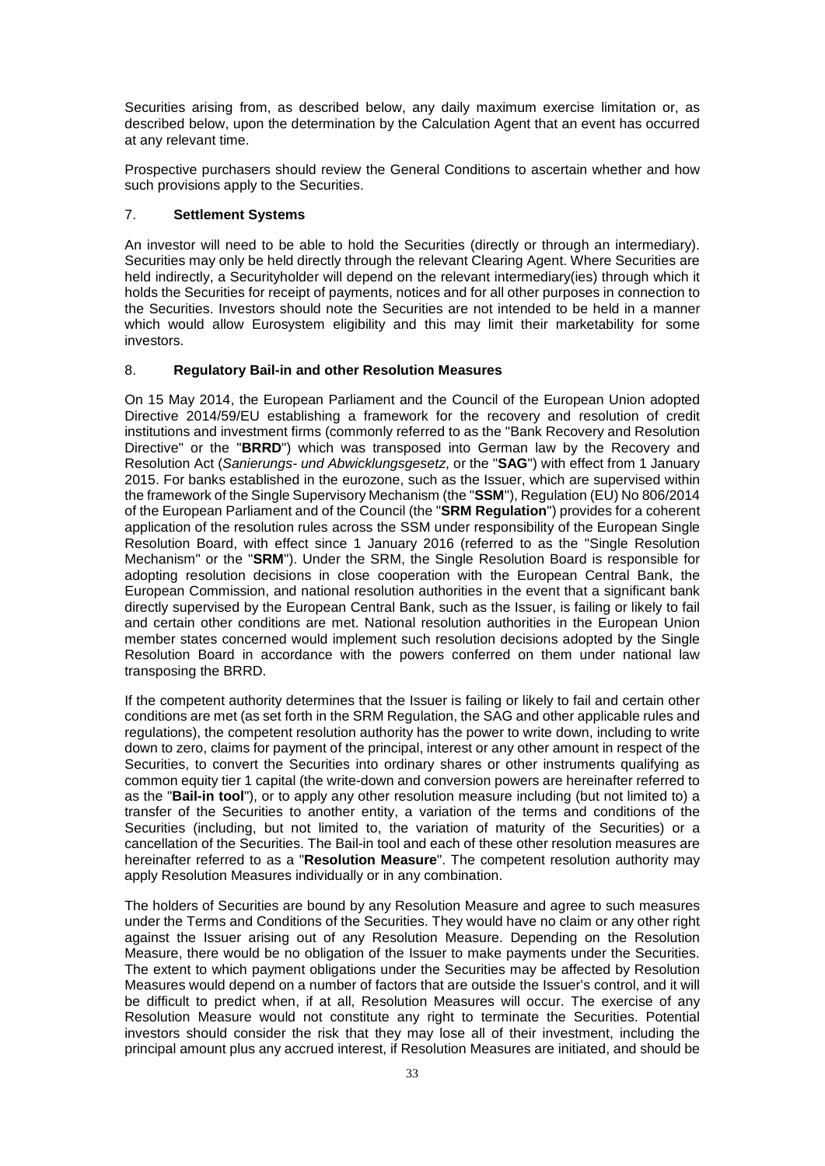Securities arising from, as described below, any daily maximum exercise limitation or, as described below, upon the determination by the Calculation Agent that an event has occurred at any relevant time.

Prospective purchasers should review the General Conditions to ascertain whether and how such provisions apply to the Securities.

## 7. **Settlement Systems**

An investor will need to be able to hold the Securities (directly or through an intermediary). Securities may only be held directly through the relevant Clearing Agent. Where Securities are held indirectly, a Securityholder will depend on the relevant intermediary(ies) through which it holds the Securities for receipt of payments, notices and for all other purposes in connection to the Securities. Investors should note the Securities are not intended to be held in a manner which would allow Eurosystem eligibility and this may limit their marketability for some investors.

## 8. **Regulatory Bail-in and other Resolution Measures**

On 15 May 2014, the European Parliament and the Council of the European Union adopted Directive 2014/59/EU establishing a framework for the recovery and resolution of credit institutions and investment firms (commonly referred to as the "Bank Recovery and Resolution Directive" or the "**BRRD**") which was transposed into German law by the Recovery and Resolution Act (*Sanierungs- und Abwicklungsgesetz*, or the "**SAG**") with effect from 1 January 2015. For banks established in the eurozone, such as the Issuer, which are supervised within the framework of the Single Supervisory Mechanism (the "**SSM**"), Regulation (EU) No 806/2014 of the European Parliament and of the Council (the "**SRM Regulation**") provides for a coherent application of the resolution rules across the SSM under responsibility of the European Single Resolution Board, with effect since 1 January 2016 (referred to as the "Single Resolution Mechanism" or the "**SRM**"). Under the SRM, the Single Resolution Board is responsible for adopting resolution decisions in close cooperation with the European Central Bank, the European Commission, and national resolution authorities in the event that a significant bank directly supervised by the European Central Bank, such as the Issuer, is failing or likely to fail and certain other conditions are met. National resolution authorities in the European Union member states concerned would implement such resolution decisions adopted by the Single Resolution Board in accordance with the powers conferred on them under national law transposing the BRRD.

If the competent authority determines that the Issuer is failing or likely to fail and certain other conditions are met (as set forth in the SRM Regulation, the SAG and other applicable rules and regulations), the competent resolution authority has the power to write down, including to write down to zero, claims for payment of the principal, interest or any other amount in respect of the Securities, to convert the Securities into ordinary shares or other instruments qualifying as common equity tier 1 capital (the write-down and conversion powers are hereinafter referred to as the "**Bail-in tool**"), or to apply any other resolution measure including (but not limited to) a transfer of the Securities to another entity, a variation of the terms and conditions of the Securities (including, but not limited to, the variation of maturity of the Securities) or a cancellation of the Securities. The Bail-in tool and each of these other resolution measures are hereinafter referred to as a "**Resolution Measure**". The competent resolution authority may apply Resolution Measures individually or in any combination.

The holders of Securities are bound by any Resolution Measure and agree to such measures under the Terms and Conditions of the Securities. They would have no claim or any other right against the Issuer arising out of any Resolution Measure. Depending on the Resolution Measure, there would be no obligation of the Issuer to make payments under the Securities. The extent to which payment obligations under the Securities may be affected by Resolution Measures would depend on a number of factors that are outside the Issuer's control, and it will be difficult to predict when, if at all, Resolution Measures will occur. The exercise of any Resolution Measure would not constitute any right to terminate the Securities. Potential investors should consider the risk that they may lose all of their investment, including the principal amount plus any accrued interest, if Resolution Measures are initiated, and should be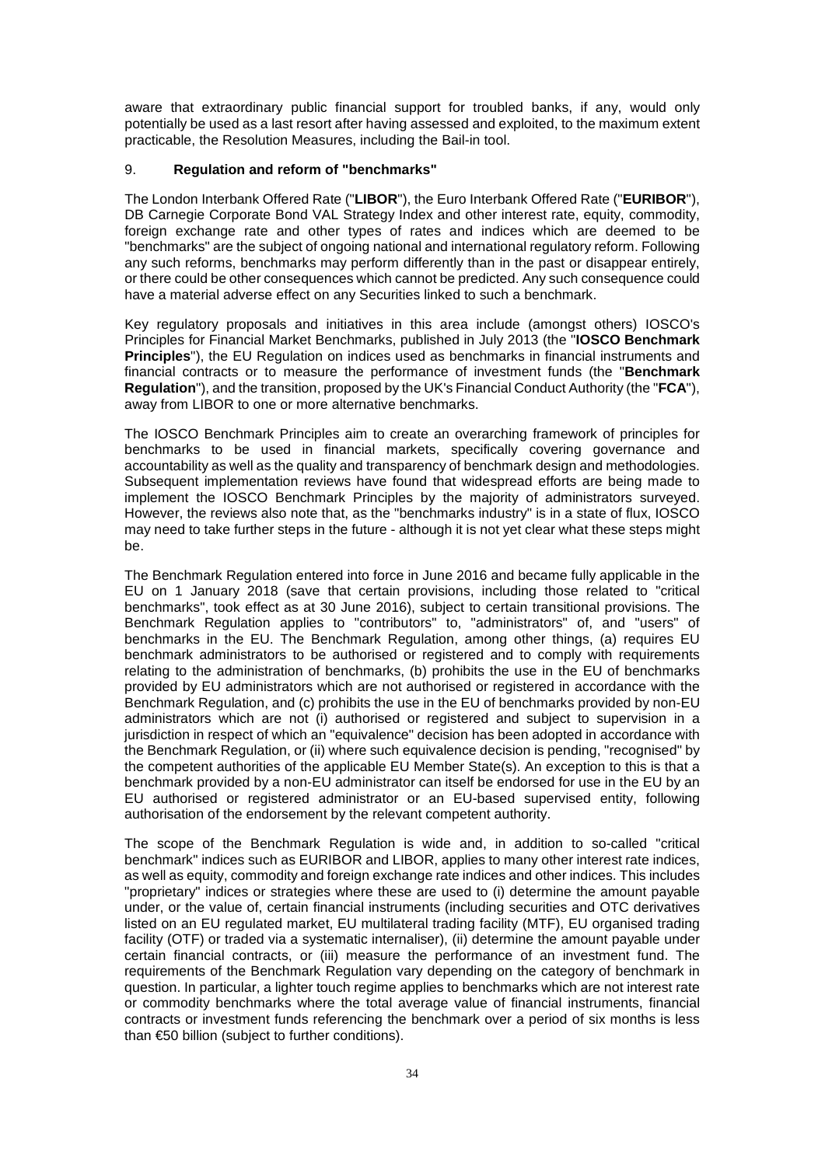aware that extraordinary public financial support for troubled banks, if any, would only potentially be used as a last resort after having assessed and exploited, to the maximum extent practicable, the Resolution Measures, including the Bail-in tool.

#### 9. **Regulation and reform of "benchmarks"**

The London Interbank Offered Rate ("**LIBOR**"), the Euro Interbank Offered Rate ("**EURIBOR**"), DB Carnegie Corporate Bond VAL Strategy Index and other interest rate, equity, commodity, foreign exchange rate and other types of rates and indices which are deemed to be "benchmarks" are the subject of ongoing national and international regulatory reform. Following any such reforms, benchmarks may perform differently than in the past or disappear entirely, or there could be other consequences which cannot be predicted. Any such consequence could have a material adverse effect on any Securities linked to such a benchmark.

Key regulatory proposals and initiatives in this area include (amongst others) IOSCO's Principles for Financial Market Benchmarks, published in July 2013 (the "**IOSCO Benchmark Principles**"), the EU Regulation on indices used as benchmarks in financial instruments and financial contracts or to measure the performance of investment funds (the "**Benchmark Regulation**"), and the transition, proposed by the UK's Financial Conduct Authority (the "**FCA**"), away from LIBOR to one or more alternative benchmarks.

The IOSCO Benchmark Principles aim to create an overarching framework of principles for benchmarks to be used in financial markets, specifically covering governance and accountability as well as the quality and transparency of benchmark design and methodologies. Subsequent implementation reviews have found that widespread efforts are being made to implement the IOSCO Benchmark Principles by the majority of administrators surveyed. However, the reviews also note that, as the "benchmarks industry" is in a state of flux, IOSCO may need to take further steps in the future - although it is not yet clear what these steps might be.

The Benchmark Regulation entered into force in June 2016 and became fully applicable in the EU on 1 January 2018 (save that certain provisions, including those related to "critical benchmarks", took effect as at 30 June 2016), subject to certain transitional provisions. The Benchmark Regulation applies to "contributors" to, "administrators" of, and "users" of benchmarks in the EU. The Benchmark Regulation, among other things, (a) requires EU benchmark administrators to be authorised or registered and to comply with requirements relating to the administration of benchmarks, (b) prohibits the use in the EU of benchmarks provided by EU administrators which are not authorised or registered in accordance with the Benchmark Regulation, and (c) prohibits the use in the EU of benchmarks provided by non-EU administrators which are not (i) authorised or registered and subject to supervision in a jurisdiction in respect of which an "equivalence" decision has been adopted in accordance with the Benchmark Regulation, or (ii) where such equivalence decision is pending, "recognised" by the competent authorities of the applicable EU Member State(s). An exception to this is that a benchmark provided by a non-EU administrator can itself be endorsed for use in the EU by an EU authorised or registered administrator or an EU-based supervised entity, following authorisation of the endorsement by the relevant competent authority.

The scope of the Benchmark Regulation is wide and, in addition to so-called "critical benchmark" indices such as EURIBOR and LIBOR, applies to many other interest rate indices, as well as equity, commodity and foreign exchange rate indices and other indices. This includes "proprietary" indices or strategies where these are used to (i) determine the amount payable under, or the value of, certain financial instruments (including securities and OTC derivatives listed on an EU regulated market, EU multilateral trading facility (MTF), EU organised trading facility (OTF) or traded via a systematic internaliser), (ii) determine the amount payable under certain financial contracts, or (iii) measure the performance of an investment fund. The requirements of the Benchmark Regulation vary depending on the category of benchmark in question. In particular, a lighter touch regime applies to benchmarks which are not interest rate or commodity benchmarks where the total average value of financial instruments, financial contracts or investment funds referencing the benchmark over a period of six months is less than €50 billion (subject to further conditions).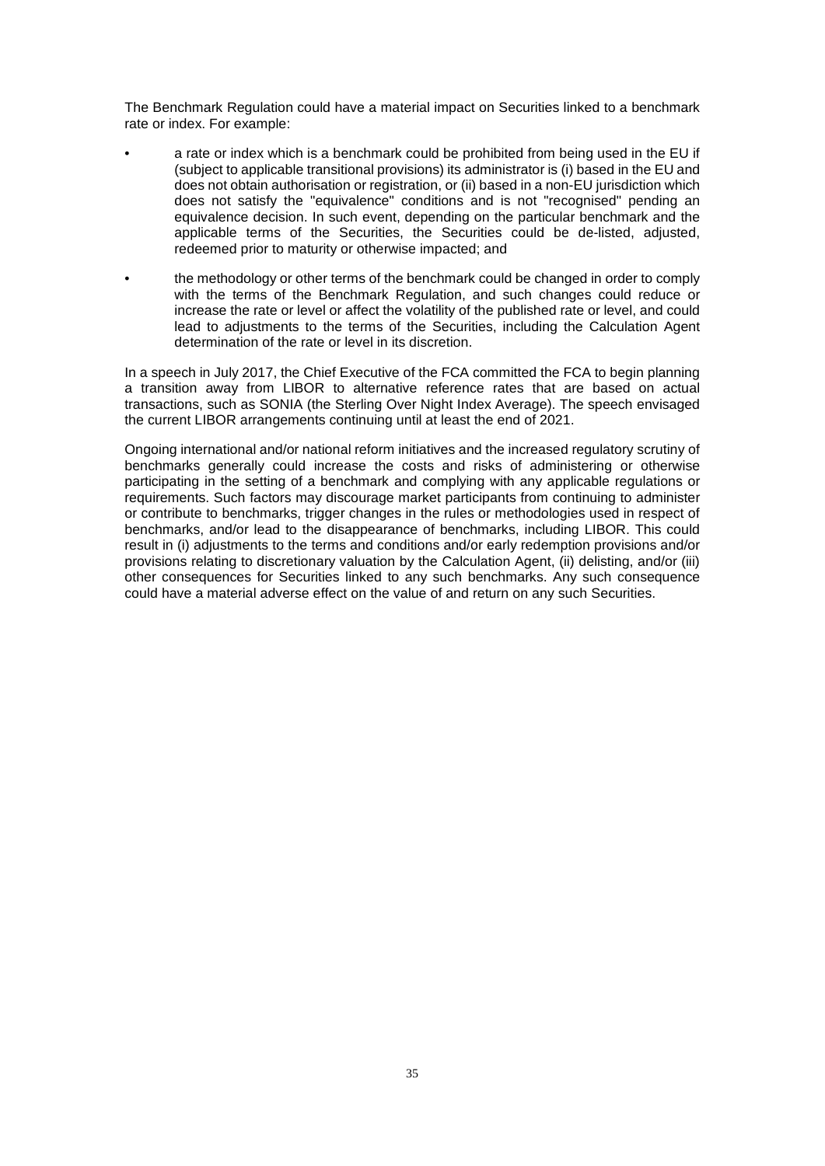The Benchmark Regulation could have a material impact on Securities linked to a benchmark rate or index. For example:

- a rate or index which is a benchmark could be prohibited from being used in the EU if (subject to applicable transitional provisions) its administrator is (i) based in the EU and does not obtain authorisation or registration, or (ii) based in a non-EU jurisdiction which does not satisfy the "equivalence" conditions and is not "recognised" pending an equivalence decision. In such event, depending on the particular benchmark and the applicable terms of the Securities, the Securities could be de-listed, adjusted, redeemed prior to maturity or otherwise impacted; and
- the methodology or other terms of the benchmark could be changed in order to comply with the terms of the Benchmark Regulation, and such changes could reduce or increase the rate or level or affect the volatility of the published rate or level, and could lead to adjustments to the terms of the Securities, including the Calculation Agent determination of the rate or level in its discretion.

In a speech in July 2017, the Chief Executive of the FCA committed the FCA to begin planning a transition away from LIBOR to alternative reference rates that are based on actual transactions, such as SONIA (the Sterling Over Night Index Average). The speech envisaged the current LIBOR arrangements continuing until at least the end of 2021.

Ongoing international and/or national reform initiatives and the increased regulatory scrutiny of benchmarks generally could increase the costs and risks of administering or otherwise participating in the setting of a benchmark and complying with any applicable regulations or requirements. Such factors may discourage market participants from continuing to administer or contribute to benchmarks, trigger changes in the rules or methodologies used in respect of benchmarks, and/or lead to the disappearance of benchmarks, including LIBOR. This could result in (i) adjustments to the terms and conditions and/or early redemption provisions and/or provisions relating to discretionary valuation by the Calculation Agent, (ii) delisting, and/or (iii) other consequences for Securities linked to any such benchmarks. Any such consequence could have a material adverse effect on the value of and return on any such Securities.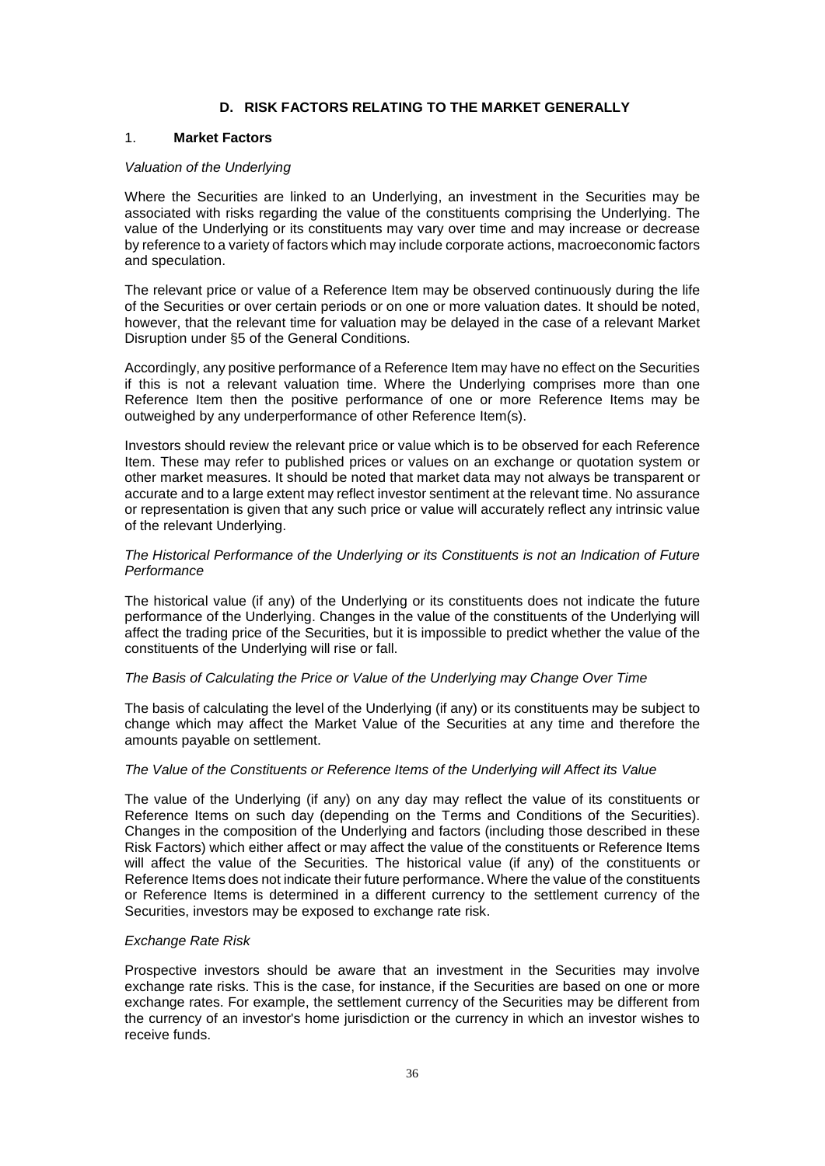## **D. RISK FACTORS RELATING TO THE MARKET GENERALLY**

### 1. **Market Factors**

#### *Valuation of the Underlying*

Where the Securities are linked to an Underlying, an investment in the Securities may be associated with risks regarding the value of the constituents comprising the Underlying. The value of the Underlying or its constituents may vary over time and may increase or decrease by reference to a variety of factors which may include corporate actions, macroeconomic factors and speculation.

The relevant price or value of a Reference Item may be observed continuously during the life of the Securities or over certain periods or on one or more valuation dates. It should be noted, however, that the relevant time for valuation may be delayed in the case of a relevant Market Disruption under §5 of the General Conditions.

Accordingly, any positive performance of a Reference Item may have no effect on the Securities if this is not a relevant valuation time. Where the Underlying comprises more than one Reference Item then the positive performance of one or more Reference Items may be outweighed by any underperformance of other Reference Item(s).

Investors should review the relevant price or value which is to be observed for each Reference Item. These may refer to published prices or values on an exchange or quotation system or other market measures. It should be noted that market data may not always be transparent or accurate and to a large extent may reflect investor sentiment at the relevant time. No assurance or representation is given that any such price or value will accurately reflect any intrinsic value of the relevant Underlying.

#### *The Historical Performance of the Underlying or its Constituents is not an Indication of Future Performance*

The historical value (if any) of the Underlying or its constituents does not indicate the future performance of the Underlying. Changes in the value of the constituents of the Underlying will affect the trading price of the Securities, but it is impossible to predict whether the value of the constituents of the Underlying will rise or fall.

## *The Basis of Calculating the Price or Value of the Underlying may Change Over Time*

The basis of calculating the level of the Underlying (if any) or its constituents may be subject to change which may affect the Market Value of the Securities at any time and therefore the amounts payable on settlement.

#### *The Value of the Constituents or Reference Items of the Underlying will Affect its Value*

The value of the Underlying (if any) on any day may reflect the value of its constituents or Reference Items on such day (depending on the Terms and Conditions of the Securities). Changes in the composition of the Underlying and factors (including those described in these Risk Factors) which either affect or may affect the value of the constituents or Reference Items will affect the value of the Securities. The historical value (if any) of the constituents or Reference Items does not indicate their future performance. Where the value of the constituents or Reference Items is determined in a different currency to the settlement currency of the Securities, investors may be exposed to exchange rate risk.

#### *Exchange Rate Risk*

Prospective investors should be aware that an investment in the Securities may involve exchange rate risks. This is the case, for instance, if the Securities are based on one or more exchange rates. For example, the settlement currency of the Securities may be different from the currency of an investor's home jurisdiction or the currency in which an investor wishes to receive funds.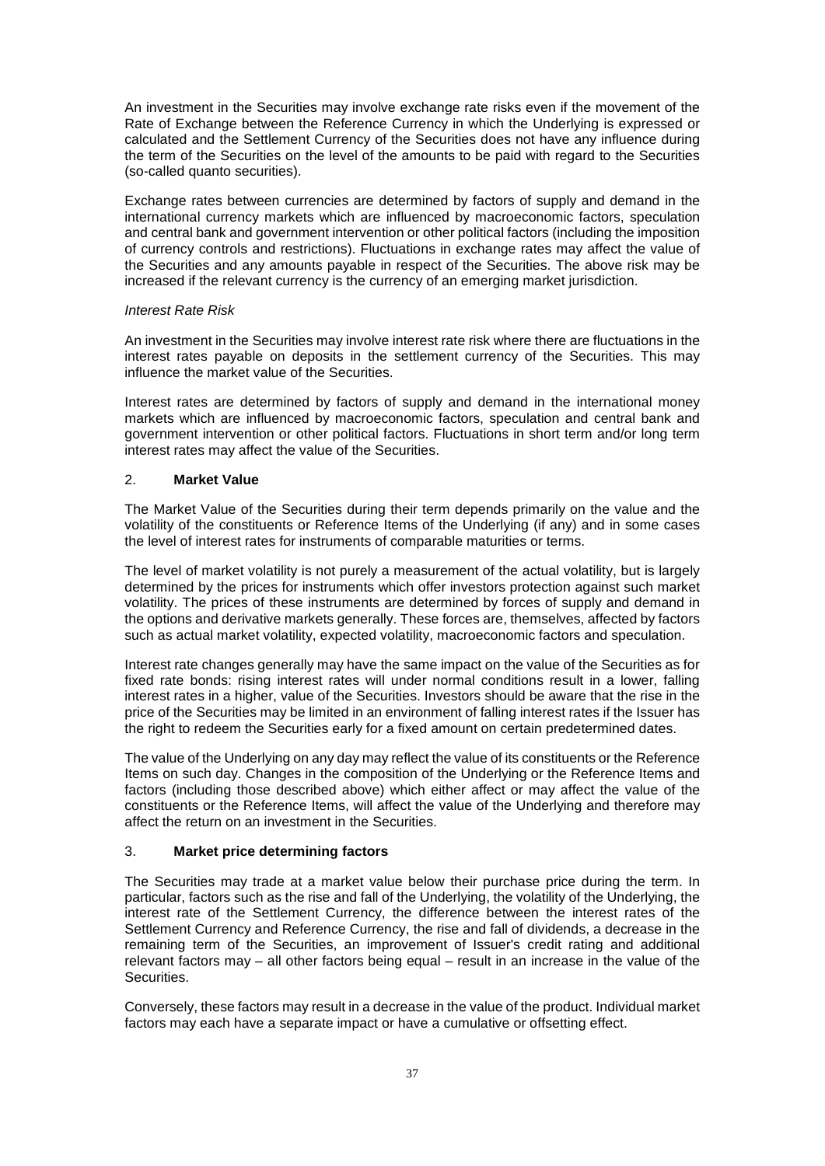An investment in the Securities may involve exchange rate risks even if the movement of the Rate of Exchange between the Reference Currency in which the Underlying is expressed or calculated and the Settlement Currency of the Securities does not have any influence during the term of the Securities on the level of the amounts to be paid with regard to the Securities (so-called quanto securities).

Exchange rates between currencies are determined by factors of supply and demand in the international currency markets which are influenced by macroeconomic factors, speculation and central bank and government intervention or other political factors (including the imposition of currency controls and restrictions). Fluctuations in exchange rates may affect the value of the Securities and any amounts payable in respect of the Securities. The above risk may be increased if the relevant currency is the currency of an emerging market jurisdiction.

#### *Interest Rate Risk*

An investment in the Securities may involve interest rate risk where there are fluctuations in the interest rates payable on deposits in the settlement currency of the Securities. This may influence the market value of the Securities.

Interest rates are determined by factors of supply and demand in the international money markets which are influenced by macroeconomic factors, speculation and central bank and government intervention or other political factors. Fluctuations in short term and/or long term interest rates may affect the value of the Securities.

### 2. **Market Value**

The Market Value of the Securities during their term depends primarily on the value and the volatility of the constituents or Reference Items of the Underlying (if any) and in some cases the level of interest rates for instruments of comparable maturities or terms.

The level of market volatility is not purely a measurement of the actual volatility, but is largely determined by the prices for instruments which offer investors protection against such market volatility. The prices of these instruments are determined by forces of supply and demand in the options and derivative markets generally. These forces are, themselves, affected by factors such as actual market volatility, expected volatility, macroeconomic factors and speculation.

Interest rate changes generally may have the same impact on the value of the Securities as for fixed rate bonds: rising interest rates will under normal conditions result in a lower, falling interest rates in a higher, value of the Securities. Investors should be aware that the rise in the price of the Securities may be limited in an environment of falling interest rates if the Issuer has the right to redeem the Securities early for a fixed amount on certain predetermined dates.

The value of the Underlying on any day may reflect the value of its constituents or the Reference Items on such day. Changes in the composition of the Underlying or the Reference Items and factors (including those described above) which either affect or may affect the value of the constituents or the Reference Items, will affect the value of the Underlying and therefore may affect the return on an investment in the Securities.

### 3. **Market price determining factors**

The Securities may trade at a market value below their purchase price during the term. In particular, factors such as the rise and fall of the Underlying, the volatility of the Underlying, the interest rate of the Settlement Currency, the difference between the interest rates of the Settlement Currency and Reference Currency, the rise and fall of dividends, a decrease in the remaining term of the Securities, an improvement of Issuer's credit rating and additional relevant factors may – all other factors being equal – result in an increase in the value of the Securities.

Conversely, these factors may result in a decrease in the value of the product. Individual market factors may each have a separate impact or have a cumulative or offsetting effect.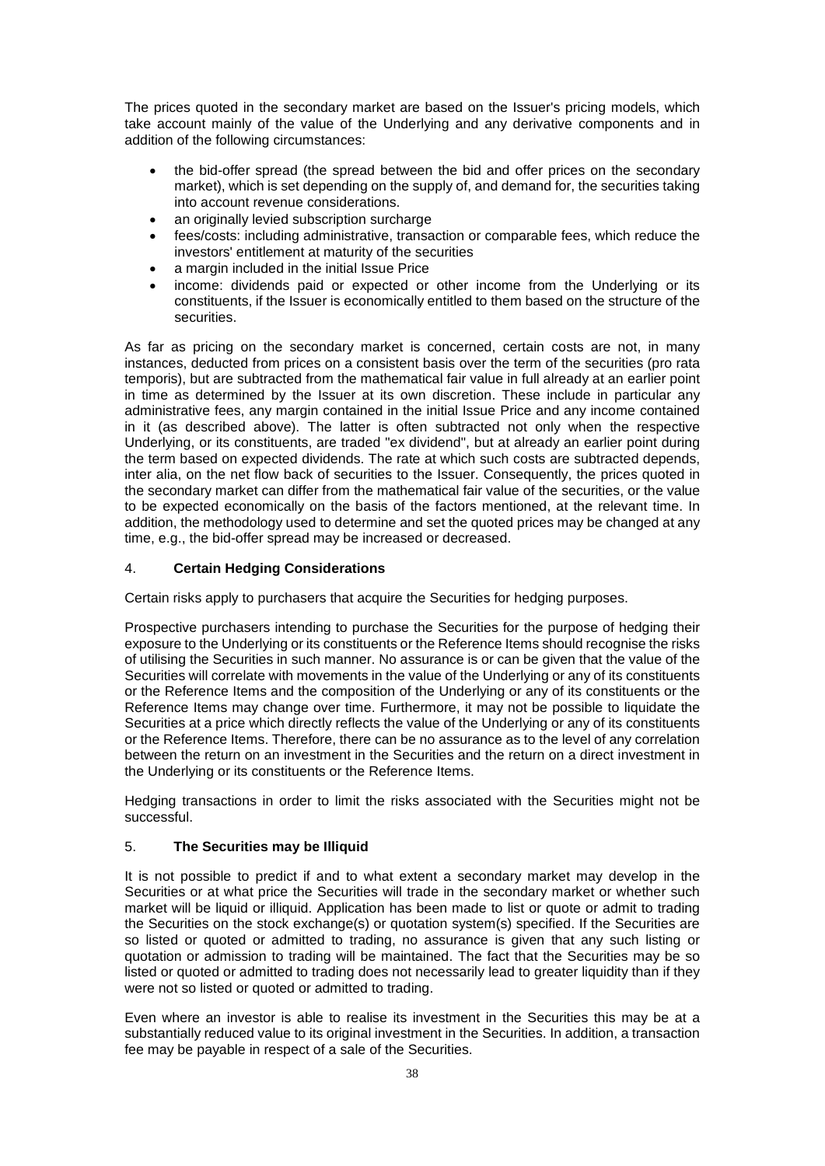The prices quoted in the secondary market are based on the Issuer's pricing models, which take account mainly of the value of the Underlying and any derivative components and in addition of the following circumstances:

- the bid-offer spread (the spread between the bid and offer prices on the secondary market), which is set depending on the supply of, and demand for, the securities taking into account revenue considerations.
- an originally levied subscription surcharge
- fees/costs: including administrative, transaction or comparable fees, which reduce the investors' entitlement at maturity of the securities
- a margin included in the initial Issue Price
- income: dividends paid or expected or other income from the Underlying or its constituents, if the Issuer is economically entitled to them based on the structure of the securities.

As far as pricing on the secondary market is concerned, certain costs are not, in many instances, deducted from prices on a consistent basis over the term of the securities (pro rata temporis), but are subtracted from the mathematical fair value in full already at an earlier point in time as determined by the Issuer at its own discretion. These include in particular any administrative fees, any margin contained in the initial Issue Price and any income contained in it (as described above). The latter is often subtracted not only when the respective Underlying, or its constituents, are traded "ex dividend", but at already an earlier point during the term based on expected dividends. The rate at which such costs are subtracted depends, inter alia, on the net flow back of securities to the Issuer. Consequently, the prices quoted in the secondary market can differ from the mathematical fair value of the securities, or the value to be expected economically on the basis of the factors mentioned, at the relevant time. In addition, the methodology used to determine and set the quoted prices may be changed at any time, e.g., the bid-offer spread may be increased or decreased.

# 4. **Certain Hedging Considerations**

Certain risks apply to purchasers that acquire the Securities for hedging purposes.

Prospective purchasers intending to purchase the Securities for the purpose of hedging their exposure to the Underlying or its constituents or the Reference Items should recognise the risks of utilising the Securities in such manner. No assurance is or can be given that the value of the Securities will correlate with movements in the value of the Underlying or any of its constituents or the Reference Items and the composition of the Underlying or any of its constituents or the Reference Items may change over time. Furthermore, it may not be possible to liquidate the Securities at a price which directly reflects the value of the Underlying or any of its constituents or the Reference Items. Therefore, there can be no assurance as to the level of any correlation between the return on an investment in the Securities and the return on a direct investment in the Underlying or its constituents or the Reference Items.

Hedging transactions in order to limit the risks associated with the Securities might not be successful.

# 5. **The Securities may be Illiquid**

It is not possible to predict if and to what extent a secondary market may develop in the Securities or at what price the Securities will trade in the secondary market or whether such market will be liquid or illiquid. Application has been made to list or quote or admit to trading the Securities on the stock exchange(s) or quotation system(s) specified. If the Securities are so listed or quoted or admitted to trading, no assurance is given that any such listing or quotation or admission to trading will be maintained. The fact that the Securities may be so listed or quoted or admitted to trading does not necessarily lead to greater liquidity than if they were not so listed or quoted or admitted to trading.

Even where an investor is able to realise its investment in the Securities this may be at a substantially reduced value to its original investment in the Securities. In addition, a transaction fee may be payable in respect of a sale of the Securities.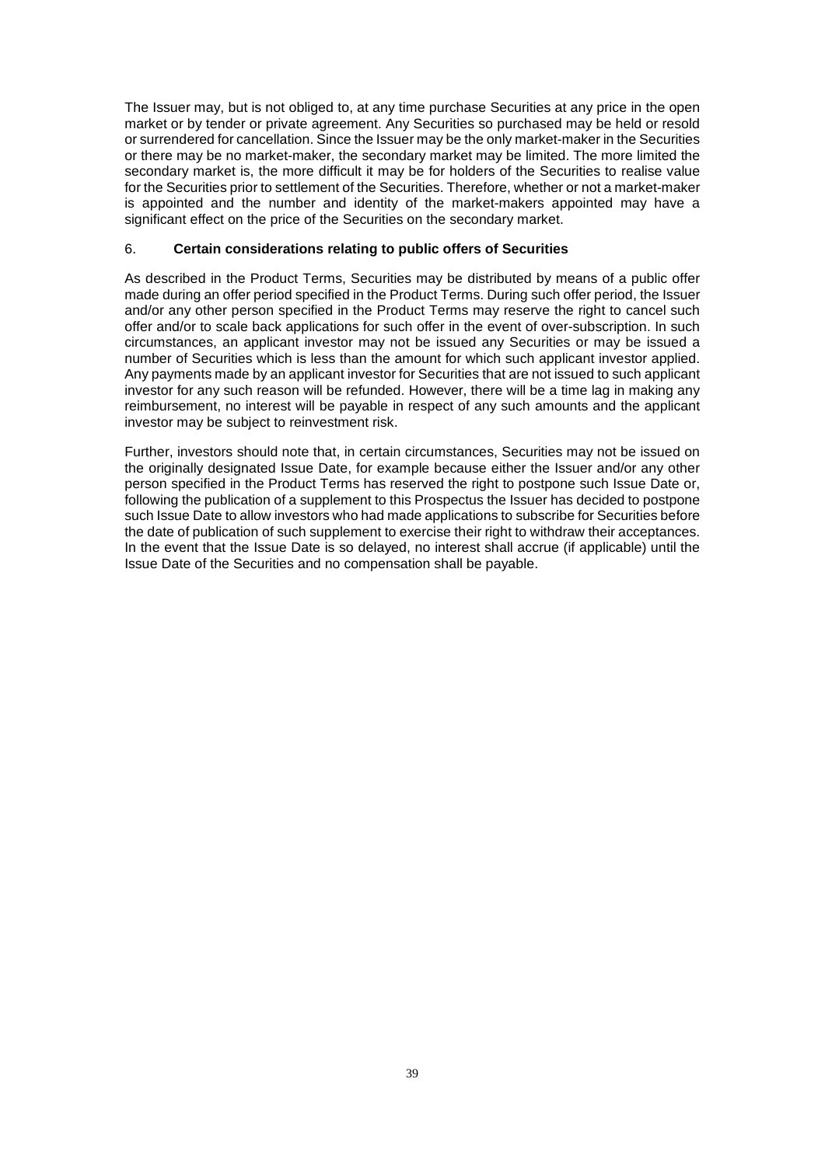The Issuer may, but is not obliged to, at any time purchase Securities at any price in the open market or by tender or private agreement. Any Securities so purchased may be held or resold or surrendered for cancellation. Since the Issuer may be the only market-maker in the Securities or there may be no market-maker, the secondary market may be limited. The more limited the secondary market is, the more difficult it may be for holders of the Securities to realise value for the Securities prior to settlement of the Securities. Therefore, whether or not a market-maker is appointed and the number and identity of the market-makers appointed may have a significant effect on the price of the Securities on the secondary market.

### 6. **Certain considerations relating to public offers of Securities**

As described in the Product Terms, Securities may be distributed by means of a public offer made during an offer period specified in the Product Terms. During such offer period, the Issuer and/or any other person specified in the Product Terms may reserve the right to cancel such offer and/or to scale back applications for such offer in the event of over-subscription. In such circumstances, an applicant investor may not be issued any Securities or may be issued a number of Securities which is less than the amount for which such applicant investor applied. Any payments made by an applicant investor for Securities that are not issued to such applicant investor for any such reason will be refunded. However, there will be a time lag in making any reimbursement, no interest will be payable in respect of any such amounts and the applicant investor may be subject to reinvestment risk.

Further, investors should note that, in certain circumstances, Securities may not be issued on the originally designated Issue Date, for example because either the Issuer and/or any other person specified in the Product Terms has reserved the right to postpone such Issue Date or, following the publication of a supplement to this Prospectus the Issuer has decided to postpone such Issue Date to allow investors who had made applications to subscribe for Securities before the date of publication of such supplement to exercise their right to withdraw their acceptances. In the event that the Issue Date is so delayed, no interest shall accrue (if applicable) until the Issue Date of the Securities and no compensation shall be payable.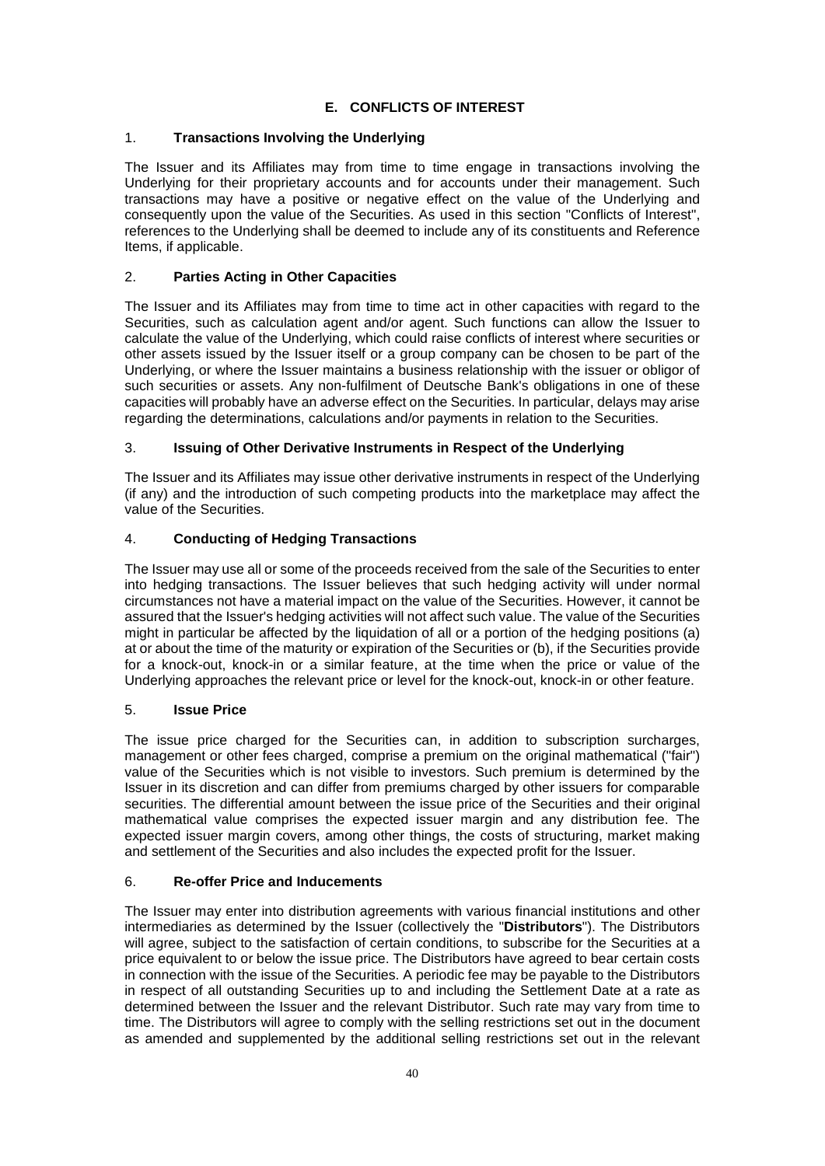# **E. CONFLICTS OF INTEREST**

# 1. **Transactions Involving the Underlying**

The Issuer and its Affiliates may from time to time engage in transactions involving the Underlying for their proprietary accounts and for accounts under their management. Such transactions may have a positive or negative effect on the value of the Underlying and consequently upon the value of the Securities. As used in this section "Conflicts of Interest", references to the Underlying shall be deemed to include any of its constituents and Reference Items, if applicable.

### 2. **Parties Acting in Other Capacities**

The Issuer and its Affiliates may from time to time act in other capacities with regard to the Securities, such as calculation agent and/or agent. Such functions can allow the Issuer to calculate the value of the Underlying, which could raise conflicts of interest where securities or other assets issued by the Issuer itself or a group company can be chosen to be part of the Underlying, or where the Issuer maintains a business relationship with the issuer or obligor of such securities or assets. Any non-fulfilment of Deutsche Bank's obligations in one of these capacities will probably have an adverse effect on the Securities. In particular, delays may arise regarding the determinations, calculations and/or payments in relation to the Securities.

### 3. **Issuing of Other Derivative Instruments in Respect of the Underlying**

The Issuer and its Affiliates may issue other derivative instruments in respect of the Underlying (if any) and the introduction of such competing products into the marketplace may affect the value of the Securities.

# 4. **Conducting of Hedging Transactions**

The Issuer may use all or some of the proceeds received from the sale of the Securities to enter into hedging transactions. The Issuer believes that such hedging activity will under normal circumstances not have a material impact on the value of the Securities. However, it cannot be assured that the Issuer's hedging activities will not affect such value. The value of the Securities might in particular be affected by the liquidation of all or a portion of the hedging positions (a) at or about the time of the maturity or expiration of the Securities or (b), if the Securities provide for a knock-out, knock-in or a similar feature, at the time when the price or value of the Underlying approaches the relevant price or level for the knock-out, knock-in or other feature.

### 5. **Issue Price**

The issue price charged for the Securities can, in addition to subscription surcharges, management or other fees charged, comprise a premium on the original mathematical ("fair") value of the Securities which is not visible to investors. Such premium is determined by the Issuer in its discretion and can differ from premiums charged by other issuers for comparable securities. The differential amount between the issue price of the Securities and their original mathematical value comprises the expected issuer margin and any distribution fee. The expected issuer margin covers, among other things, the costs of structuring, market making and settlement of the Securities and also includes the expected profit for the Issuer.

### 6. **Re-offer Price and Inducements**

The Issuer may enter into distribution agreements with various financial institutions and other intermediaries as determined by the Issuer (collectively the "**Distributors**"). The Distributors will agree, subject to the satisfaction of certain conditions, to subscribe for the Securities at a price equivalent to or below the issue price. The Distributors have agreed to bear certain costs in connection with the issue of the Securities. A periodic fee may be payable to the Distributors in respect of all outstanding Securities up to and including the Settlement Date at a rate as determined between the Issuer and the relevant Distributor. Such rate may vary from time to time. The Distributors will agree to comply with the selling restrictions set out in the document as amended and supplemented by the additional selling restrictions set out in the relevant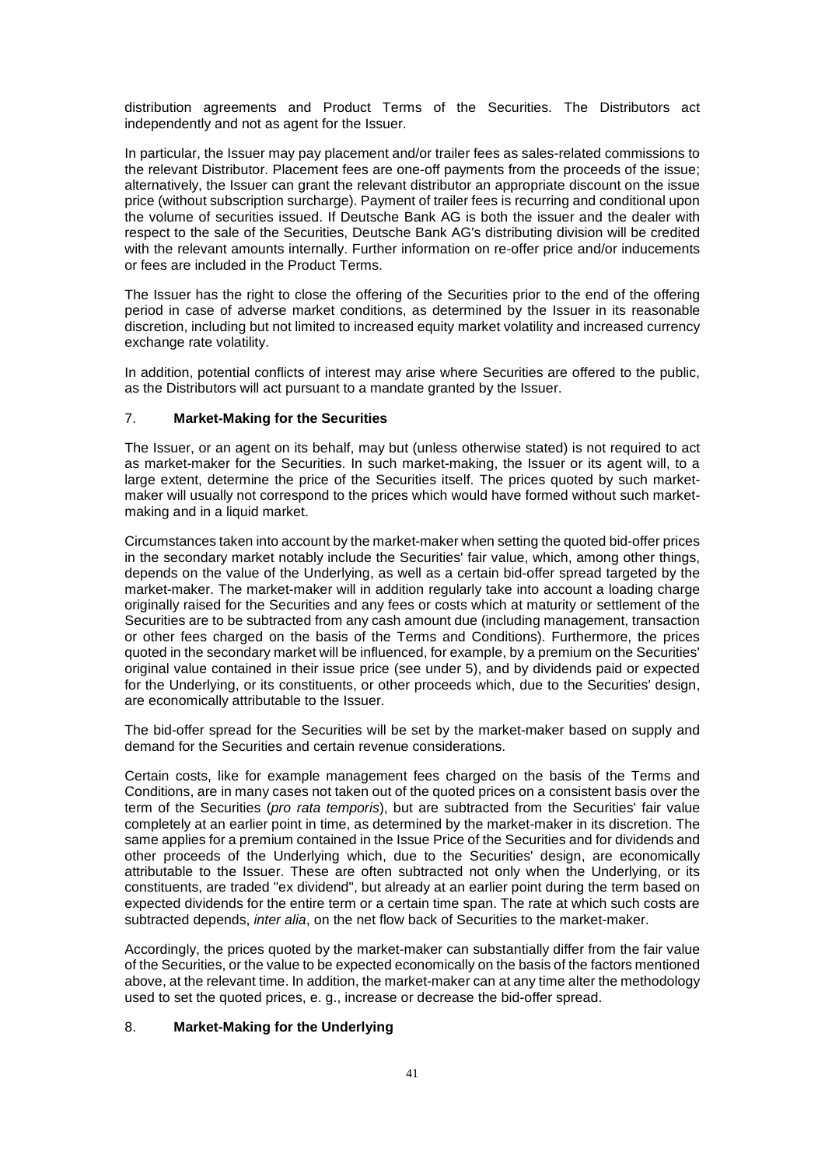distribution agreements and Product Terms of the Securities. The Distributors act independently and not as agent for the Issuer.

In particular, the Issuer may pay placement and/or trailer fees as sales-related commissions to the relevant Distributor. Placement fees are one-off payments from the proceeds of the issue; alternatively, the Issuer can grant the relevant distributor an appropriate discount on the issue price (without subscription surcharge). Payment of trailer fees is recurring and conditional upon the volume of securities issued. If Deutsche Bank AG is both the issuer and the dealer with respect to the sale of the Securities, Deutsche Bank AG's distributing division will be credited with the relevant amounts internally. Further information on re-offer price and/or inducements or fees are included in the Product Terms.

The Issuer has the right to close the offering of the Securities prior to the end of the offering period in case of adverse market conditions, as determined by the Issuer in its reasonable discretion, including but not limited to increased equity market volatility and increased currency exchange rate volatility.

In addition, potential conflicts of interest may arise where Securities are offered to the public, as the Distributors will act pursuant to a mandate granted by the Issuer.

### 7. **Market-Making for the Securities**

The Issuer, or an agent on its behalf, may but (unless otherwise stated) is not required to act as market-maker for the Securities. In such market-making, the Issuer or its agent will, to a large extent, determine the price of the Securities itself. The prices quoted by such marketmaker will usually not correspond to the prices which would have formed without such marketmaking and in a liquid market.

Circumstances taken into account by the market-maker when setting the quoted bid-offer prices in the secondary market notably include the Securities' fair value, which, among other things, depends on the value of the Underlying, as well as a certain bid-offer spread targeted by the market-maker. The market-maker will in addition regularly take into account a loading charge originally raised for the Securities and any fees or costs which at maturity or settlement of the Securities are to be subtracted from any cash amount due (including management, transaction or other fees charged on the basis of the Terms and Conditions). Furthermore, the prices quoted in the secondary market will be influenced, for example, by a premium on the Securities' original value contained in their issue price (see under 5), and by dividends paid or expected for the Underlying, or its constituents, or other proceeds which, due to the Securities' design, are economically attributable to the Issuer.

The bid-offer spread for the Securities will be set by the market-maker based on supply and demand for the Securities and certain revenue considerations.

Certain costs, like for example management fees charged on the basis of the Terms and Conditions, are in many cases not taken out of the quoted prices on a consistent basis over the term of the Securities (*pro rata temporis*), but are subtracted from the Securities' fair value completely at an earlier point in time, as determined by the market-maker in its discretion. The same applies for a premium contained in the Issue Price of the Securities and for dividends and other proceeds of the Underlying which, due to the Securities' design, are economically attributable to the Issuer. These are often subtracted not only when the Underlying, or its constituents, are traded "ex dividend", but already at an earlier point during the term based on expected dividends for the entire term or a certain time span. The rate at which such costs are subtracted depends, *inter alia*, on the net flow back of Securities to the market-maker.

Accordingly, the prices quoted by the market-maker can substantially differ from the fair value of the Securities, or the value to be expected economically on the basis of the factors mentioned above, at the relevant time. In addition, the market-maker can at any time alter the methodology used to set the quoted prices, e. g., increase or decrease the bid-offer spread.

### 8. **Market-Making for the Underlying**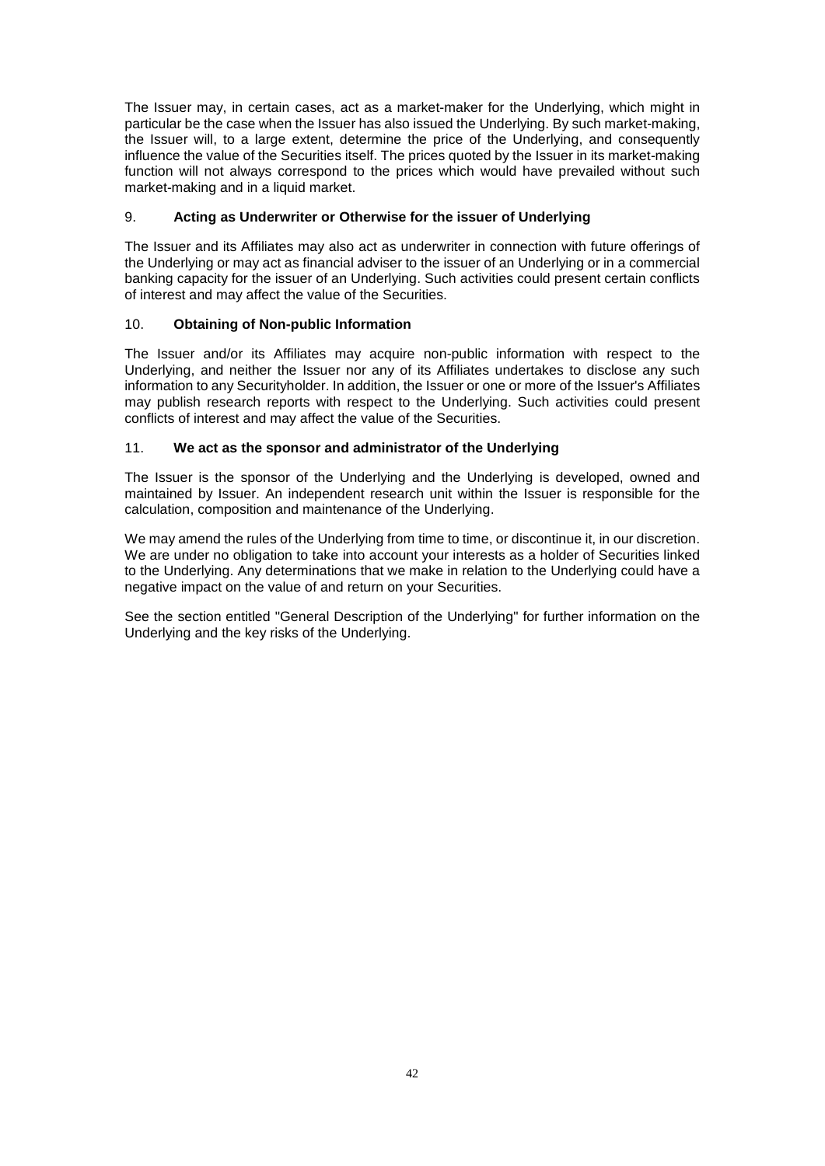The Issuer may, in certain cases, act as a market-maker for the Underlying, which might in particular be the case when the Issuer has also issued the Underlying. By such market-making, the Issuer will, to a large extent, determine the price of the Underlying, and consequently influence the value of the Securities itself. The prices quoted by the Issuer in its market-making function will not always correspond to the prices which would have prevailed without such market-making and in a liquid market.

# 9. **Acting as Underwriter or Otherwise for the issuer of Underlying**

The Issuer and its Affiliates may also act as underwriter in connection with future offerings of the Underlying or may act as financial adviser to the issuer of an Underlying or in a commercial banking capacity for the issuer of an Underlying. Such activities could present certain conflicts of interest and may affect the value of the Securities.

# 10. **Obtaining of Non-public Information**

The Issuer and/or its Affiliates may acquire non-public information with respect to the Underlying, and neither the Issuer nor any of its Affiliates undertakes to disclose any such information to any Securityholder. In addition, the Issuer or one or more of the Issuer's Affiliates may publish research reports with respect to the Underlying. Such activities could present conflicts of interest and may affect the value of the Securities.

### 11. **We act as the sponsor and administrator of the Underlying**

The Issuer is the sponsor of the Underlying and the Underlying is developed, owned and maintained by Issuer. An independent research unit within the Issuer is responsible for the calculation, composition and maintenance of the Underlying.

We may amend the rules of the Underlying from time to time, or discontinue it, in our discretion. We are under no obligation to take into account your interests as a holder of Securities linked to the Underlying. Any determinations that we make in relation to the Underlying could have a negative impact on the value of and return on your Securities.

See the section entitled "General Description of the Underlying" for further information on the Underlying and the key risks of the Underlying.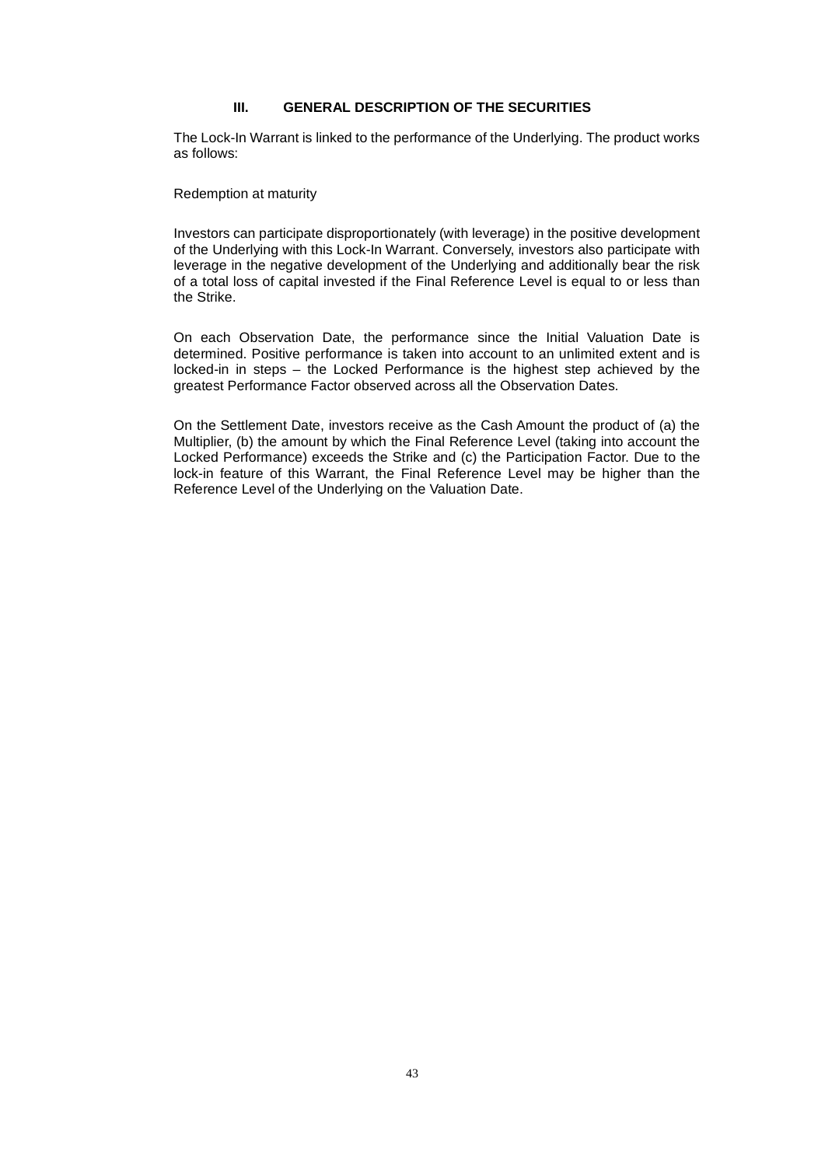# **III. GENERAL DESCRIPTION OF THE SECURITIES**

The Lock-In Warrant is linked to the performance of the Underlying. The product works as follows:

Redemption at maturity

Investors can participate disproportionately (with leverage) in the positive development of the Underlying with this Lock-In Warrant. Conversely, investors also participate with leverage in the negative development of the Underlying and additionally bear the risk of a total loss of capital invested if the Final Reference Level is equal to or less than the Strike.

On each Observation Date, the performance since the Initial Valuation Date is determined. Positive performance is taken into account to an unlimited extent and is locked-in in steps – the Locked Performance is the highest step achieved by the greatest Performance Factor observed across all the Observation Dates.

On the Settlement Date, investors receive as the Cash Amount the product of (a) the Multiplier, (b) the amount by which the Final Reference Level (taking into account the Locked Performance) exceeds the Strike and (c) the Participation Factor. Due to the lock-in feature of this Warrant, the Final Reference Level may be higher than the Reference Level of the Underlying on the Valuation Date.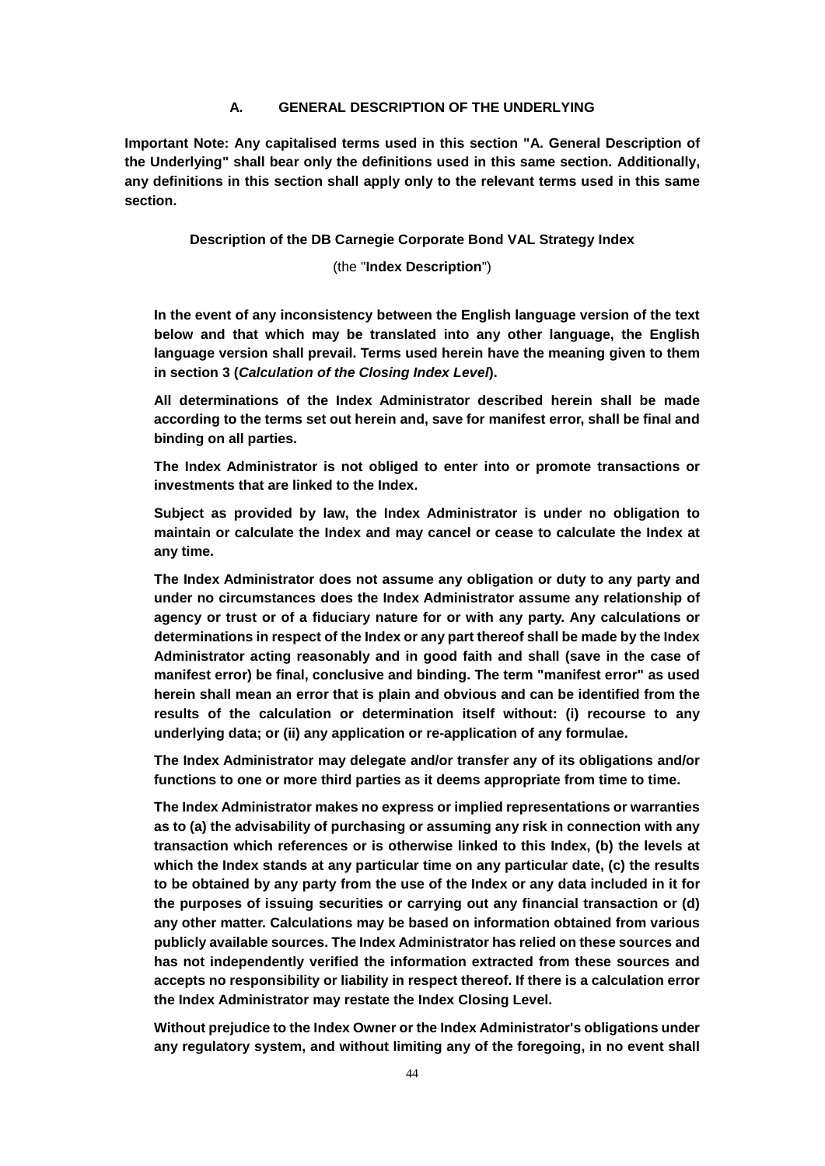### **A. GENERAL DESCRIPTION OF THE UNDERLYING**

**Important Note: Any capitalised terms used in this section "A. General Description of the Underlying" shall bear only the definitions used in this same section. Additionally, any definitions in this section shall apply only to the relevant terms used in this same section.** 

**Description of the DB Carnegie Corporate Bond VAL Strategy Index**

(the "**Index Description**")

**In the event of any inconsistency between the English language version of the text below and that which may be translated into any other language, the English language version shall prevail. Terms used herein have the meaning given to them in section 3 (***Calculation of the Closing Index Level***).**

**All determinations of the Index Administrator described herein shall be made according to the terms set out herein and, save for manifest error, shall be final and binding on all parties.**

**The Index Administrator is not obliged to enter into or promote transactions or investments that are linked to the Index.**

**Subject as provided by law, the Index Administrator is under no obligation to maintain or calculate the Index and may cancel or cease to calculate the Index at any time.**

**The Index Administrator does not assume any obligation or duty to any party and under no circumstances does the Index Administrator assume any relationship of agency or trust or of a fiduciary nature for or with any party. Any calculations or determinations in respect of the Index or any part thereof shall be made by the Index Administrator acting reasonably and in good faith and shall (save in the case of manifest error) be final, conclusive and binding. The term "manifest error" as used herein shall mean an error that is plain and obvious and can be identified from the results of the calculation or determination itself without: (i) recourse to any underlying data; or (ii) any application or re-application of any formulae.**

**The Index Administrator may delegate and/or transfer any of its obligations and/or functions to one or more third parties as it deems appropriate from time to time.**

**The Index Administrator makes no express or implied representations or warranties as to (a) the advisability of purchasing or assuming any risk in connection with any transaction which references or is otherwise linked to this Index, (b) the levels at which the Index stands at any particular time on any particular date, (c) the results to be obtained by any party from the use of the Index or any data included in it for the purposes of issuing securities or carrying out any financial transaction or (d) any other matter. Calculations may be based on information obtained from various publicly available sources. The Index Administrator has relied on these sources and has not independently verified the information extracted from these sources and accepts no responsibility or liability in respect thereof. If there is a calculation error the Index Administrator may restate the Index Closing Level.**

**Without prejudice to the Index Owner or the Index Administrator's obligations under any regulatory system, and without limiting any of the foregoing, in no event shall**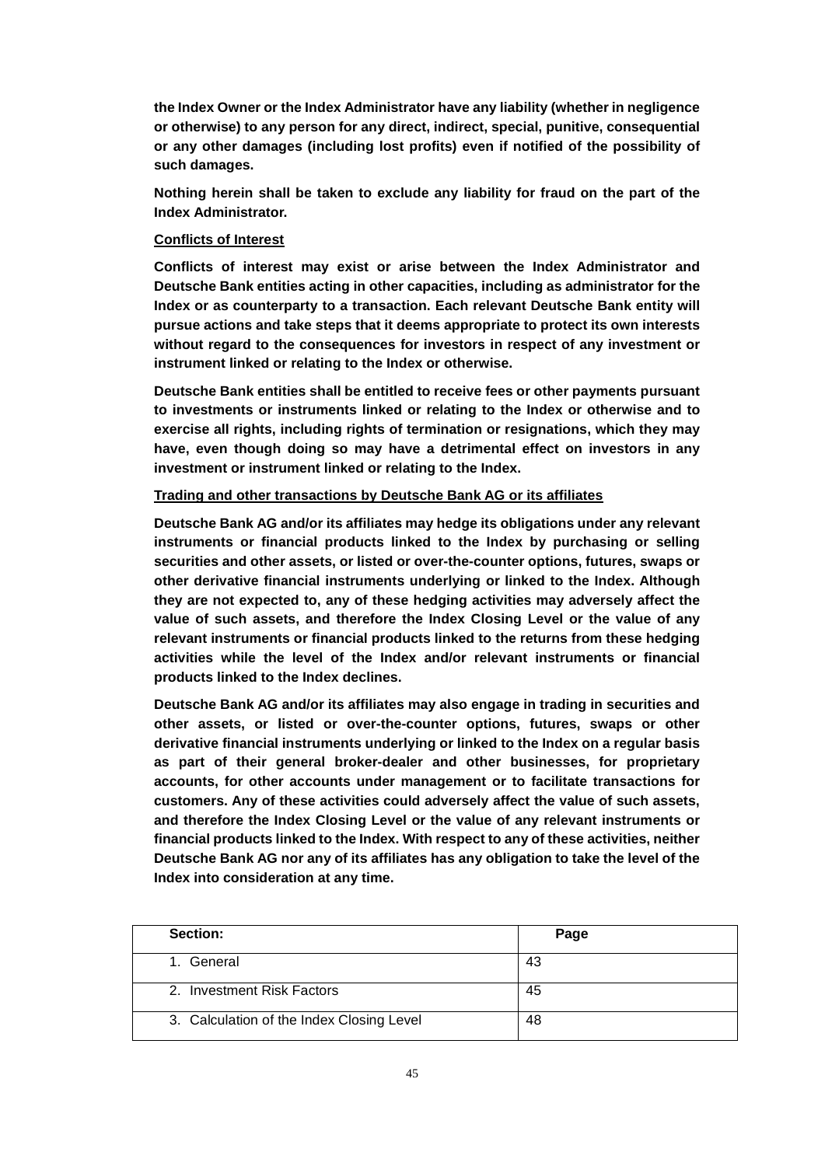**the Index Owner or the Index Administrator have any liability (whether in negligence or otherwise) to any person for any direct, indirect, special, punitive, consequential or any other damages (including lost profits) even if notified of the possibility of such damages.**

**Nothing herein shall be taken to exclude any liability for fraud on the part of the Index Administrator.**

# **Conflicts of Interest**

**Conflicts of interest may exist or arise between the Index Administrator and Deutsche Bank entities acting in other capacities, including as administrator for the Index or as counterparty to a transaction. Each relevant Deutsche Bank entity will pursue actions and take steps that it deems appropriate to protect its own interests without regard to the consequences for investors in respect of any investment or instrument linked or relating to the Index or otherwise.**

**Deutsche Bank entities shall be entitled to receive fees or other payments pursuant to investments or instruments linked or relating to the Index or otherwise and to exercise all rights, including rights of termination or resignations, which they may have, even though doing so may have a detrimental effect on investors in any investment or instrument linked or relating to the Index.**

## **Trading and other transactions by Deutsche Bank AG or its affiliates**

**Deutsche Bank AG and/or its affiliates may hedge its obligations under any relevant instruments or financial products linked to the Index by purchasing or selling securities and other assets, or listed or over-the-counter options, futures, swaps or other derivative financial instruments underlying or linked to the Index. Although they are not expected to, any of these hedging activities may adversely affect the value of such assets, and therefore the Index Closing Level or the value of any relevant instruments or financial products linked to the returns from these hedging activities while the level of the Index and/or relevant instruments or financial products linked to the Index declines.**

**Deutsche Bank AG and/or its affiliates may also engage in trading in securities and other assets, or listed or over-the-counter options, futures, swaps or other derivative financial instruments underlying or linked to the Index on a regular basis as part of their general broker-dealer and other businesses, for proprietary accounts, for other accounts under management or to facilitate transactions for customers. Any of these activities could adversely affect the value of such assets, and therefore the Index Closing Level or the value of any relevant instruments or financial products linked to the Index. With respect to any of these activities, neither Deutsche Bank AG nor any of its affiliates has any obligation to take the level of the Index into consideration at any time.**

| Section:                                  | Page |
|-------------------------------------------|------|
| General<br>$1_{-}$                        | 43   |
| 2. Investment Risk Factors                | 45   |
| 3. Calculation of the Index Closing Level | 48   |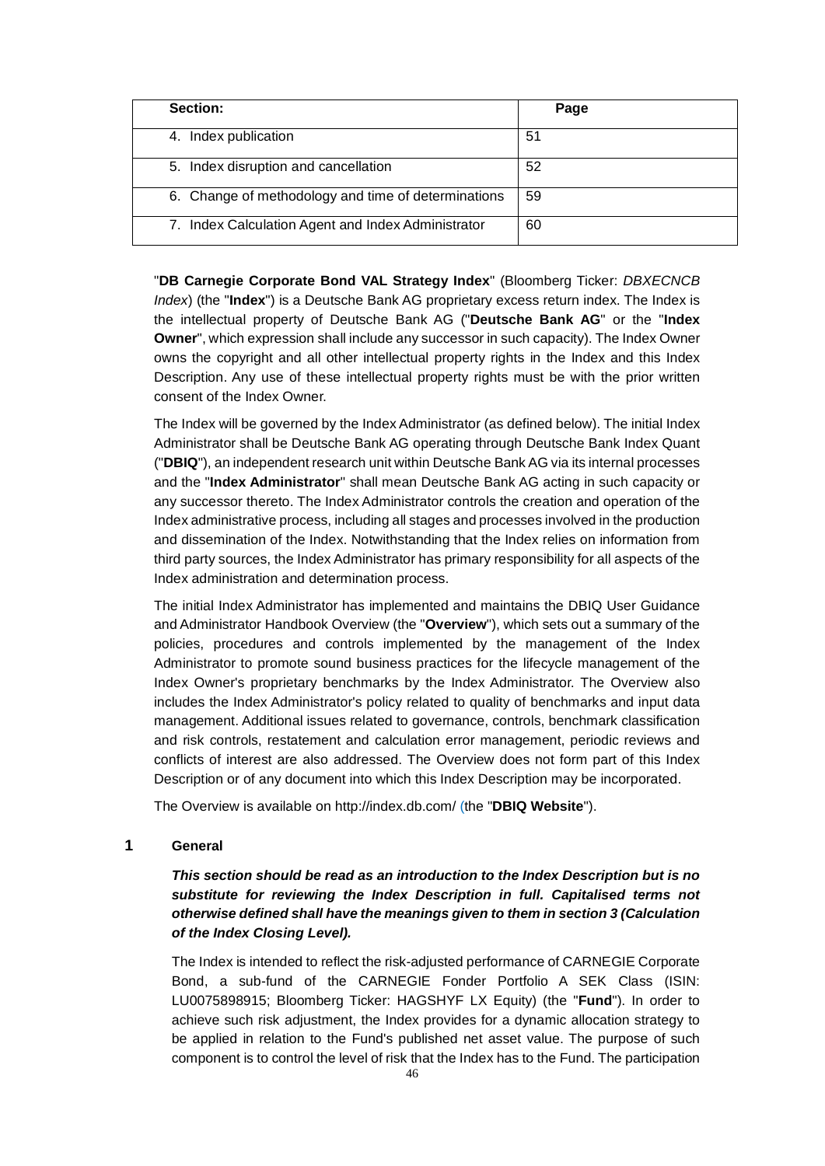| Section:                                            | Page |
|-----------------------------------------------------|------|
| 4. Index publication                                | 51   |
| 5. Index disruption and cancellation                | 52   |
| 6. Change of methodology and time of determinations | 59   |
| 7. Index Calculation Agent and Index Administrator  | 60   |

"**DB Carnegie Corporate Bond VAL Strategy Index**" (Bloomberg Ticker: *DBXECNCB Index*) (the "**Index**") is a Deutsche Bank AG proprietary excess return index. The Index is the intellectual property of Deutsche Bank AG ("**Deutsche Bank AG**" or the "**Index Owner**", which expression shall include any successor in such capacity). The Index Owner owns the copyright and all other intellectual property rights in the Index and this Index Description. Any use of these intellectual property rights must be with the prior written consent of the Index Owner.

The Index will be governed by the Index Administrator (as defined below). The initial Index Administrator shall be Deutsche Bank AG operating through Deutsche Bank Index Quant ("**DBIQ**"), an independent research unit within Deutsche Bank AG via its internal processes and the "**Index Administrator**" shall mean Deutsche Bank AG acting in such capacity or any successor thereto. The Index Administrator controls the creation and operation of the Index administrative process, including all stages and processes involved in the production and dissemination of the Index. Notwithstanding that the Index relies on information from third party sources, the Index Administrator has primary responsibility for all aspects of the Index administration and determination process.

The initial Index Administrator has implemented and maintains the DBIQ User Guidance and Administrator Handbook Overview (the "**Overview**"), which sets out a summary of the policies, procedures and controls implemented by the management of the Index Administrator to promote sound business practices for the lifecycle management of the Index Owner's proprietary benchmarks by the Index Administrator. The Overview also includes the Index Administrator's policy related to quality of benchmarks and input data management. Additional issues related to governance, controls, benchmark classification and risk controls, restatement and calculation error management, periodic reviews and conflicts of interest are also addressed. The Overview does not form part of this Index Description or of any document into which this Index Description may be incorporated.

The Overview is available on<http://index.db.com/> (the "**DBIQ Website**").

# **1 General**

# *This section should be read as an introduction to the Index Description but is no substitute for reviewing the Index Description in full. Capitalised terms not otherwise defined shall have the meanings given to them in section 3 (Calculation of the Index Closing Level).*

The Index is intended to reflect the risk-adjusted performance of CARNEGIE Corporate Bond, a sub-fund of the CARNEGIE Fonder Portfolio A SEK Class (ISIN: LU0075898915; Bloomberg Ticker: HAGSHYF LX Equity) (the "**Fund**"). In order to achieve such risk adjustment, the Index provides for a dynamic allocation strategy to be applied in relation to the Fund's published net asset value. The purpose of such component is to control the level of risk that the Index has to the Fund. The participation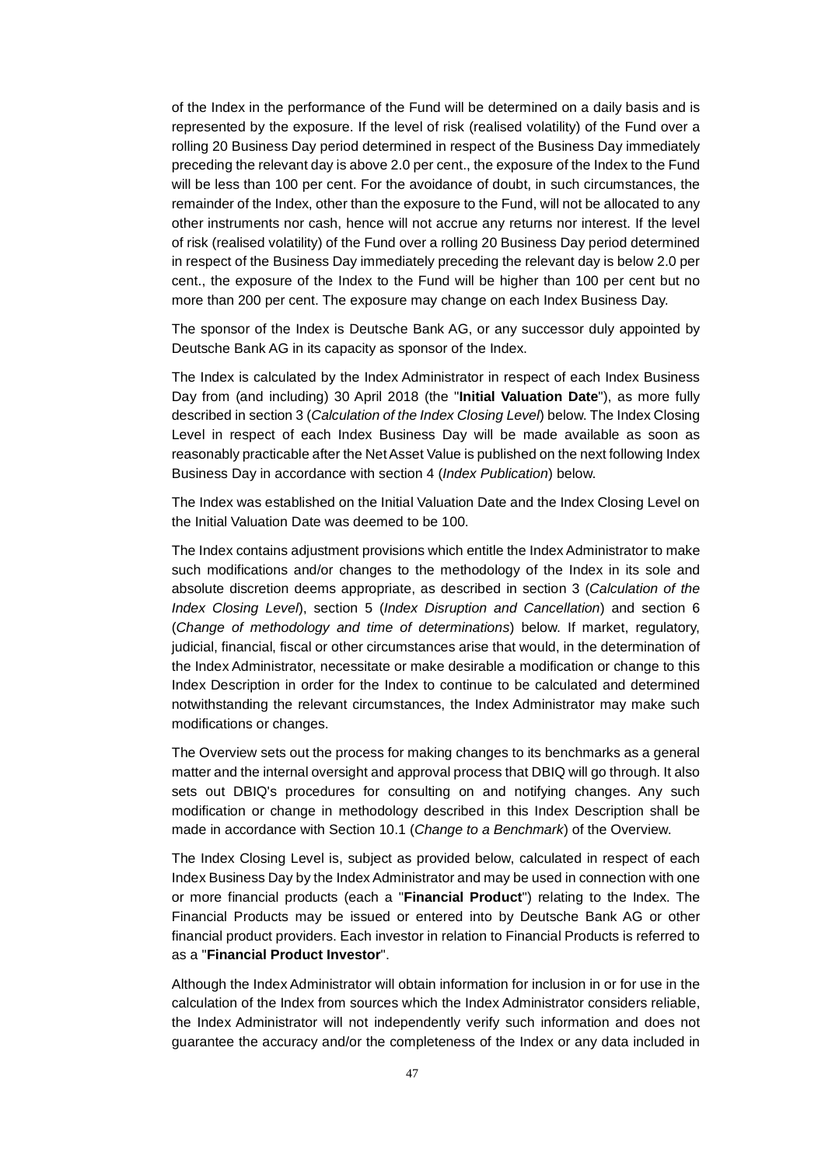of the Index in the performance of the Fund will be determined on a daily basis and is represented by the exposure. If the level of risk (realised volatility) of the Fund over a rolling 20 Business Day period determined in respect of the Business Day immediately preceding the relevant day is above 2.0 per cent., the exposure of the Index to the Fund will be less than 100 per cent. For the avoidance of doubt, in such circumstances, the remainder of the Index, other than the exposure to the Fund, will not be allocated to any other instruments nor cash, hence will not accrue any returns nor interest. If the level of risk (realised volatility) of the Fund over a rolling 20 Business Day period determined in respect of the Business Day immediately preceding the relevant day is below 2.0 per cent., the exposure of the Index to the Fund will be higher than 100 per cent but no more than 200 per cent. The exposure may change on each Index Business Day.

The sponsor of the Index is Deutsche Bank AG, or any successor duly appointed by Deutsche Bank AG in its capacity as sponsor of the Index.

The Index is calculated by the Index Administrator in respect of each Index Business Day from (and including) 30 April 2018 (the "**Initial Valuation Date**"), as more fully described in section 3 (*Calculation of the Index Closing Level*) below. The Index Closing Level in respect of each Index Business Day will be made available as soon as reasonably practicable after the Net Asset Value is published on the next following Index Business Day in accordance with section 4 (*Index Publication*) below.

The Index was established on the Initial Valuation Date and the Index Closing Level on the Initial Valuation Date was deemed to be 100.

The Index contains adjustment provisions which entitle the Index Administrator to make such modifications and/or changes to the methodology of the Index in its sole and absolute discretion deems appropriate, as described in section 3 (*Calculation of the Index Closing Level*), section 5 (*Index Disruption and Cancellation*) and section 6 (*Change of methodology and time of determinations*) below. If market, regulatory, judicial, financial, fiscal or other circumstances arise that would, in the determination of the Index Administrator, necessitate or make desirable a modification or change to this Index Description in order for the Index to continue to be calculated and determined notwithstanding the relevant circumstances, the Index Administrator may make such modifications or changes.

The Overview sets out the process for making changes to its benchmarks as a general matter and the internal oversight and approval process that DBIQ will go through. It also sets out DBIQ's procedures for consulting on and notifying changes. Any such modification or change in methodology described in this Index Description shall be made in accordance with Section 10.1 (*Change to a Benchmark*) of the Overview.

The Index Closing Level is, subject as provided below, calculated in respect of each Index Business Day by the Index Administrator and may be used in connection with one or more financial products (each a "**Financial Product**") relating to the Index. The Financial Products may be issued or entered into by Deutsche Bank AG or other financial product providers. Each investor in relation to Financial Products is referred to as a "**Financial Product Investor**".

Although the Index Administrator will obtain information for inclusion in or for use in the calculation of the Index from sources which the Index Administrator considers reliable, the Index Administrator will not independently verify such information and does not guarantee the accuracy and/or the completeness of the Index or any data included in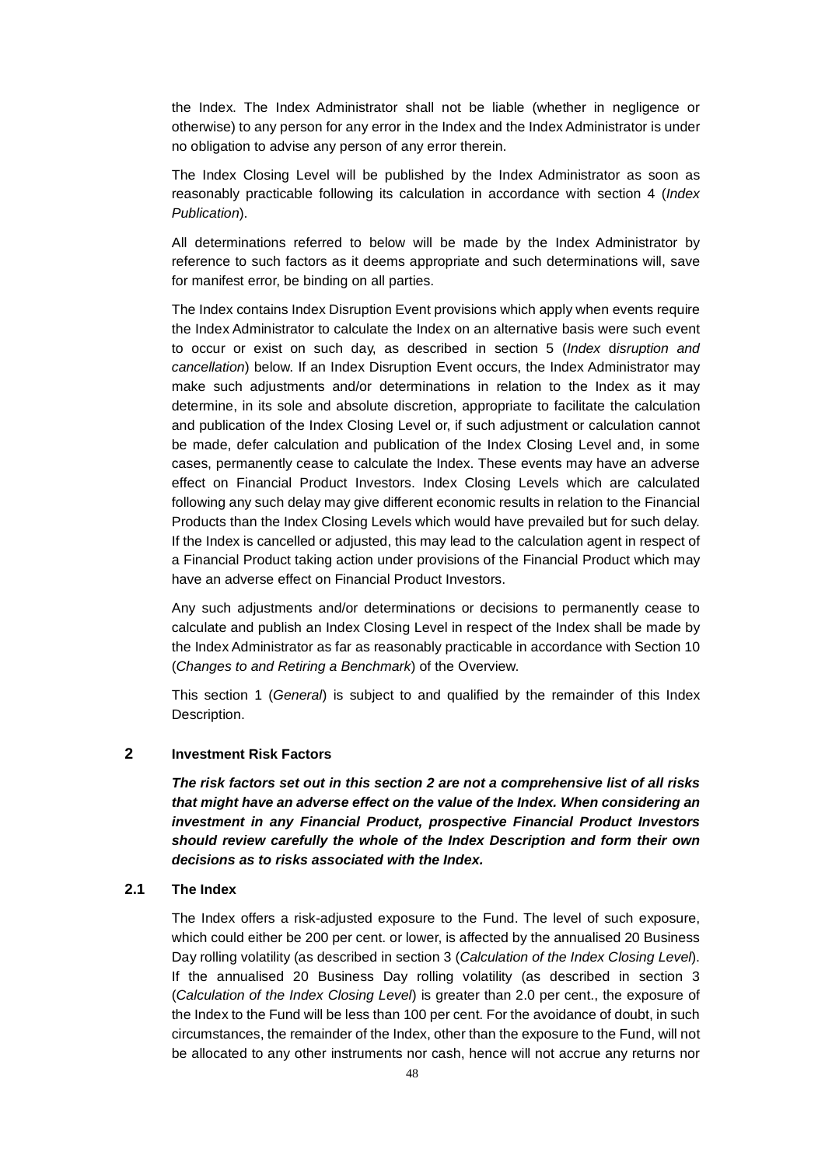the Index. The Index Administrator shall not be liable (whether in negligence or otherwise) to any person for any error in the Index and the Index Administrator is under no obligation to advise any person of any error therein.

The Index Closing Level will be published by the Index Administrator as soon as reasonably practicable following its calculation in accordance with section 4 (*Index Publication*).

All determinations referred to below will be made by the Index Administrator by reference to such factors as it deems appropriate and such determinations will, save for manifest error, be binding on all parties.

The Index contains Index Disruption Event provisions which apply when events require the Index Administrator to calculate the Index on an alternative basis were such event to occur or exist on such day, as described in section 5 (*Index* d*isruption and cancellation*) below. If an Index Disruption Event occurs, the Index Administrator may make such adjustments and/or determinations in relation to the Index as it may determine, in its sole and absolute discretion, appropriate to facilitate the calculation and publication of the Index Closing Level or, if such adjustment or calculation cannot be made, defer calculation and publication of the Index Closing Level and, in some cases, permanently cease to calculate the Index. These events may have an adverse effect on Financial Product Investors. Index Closing Levels which are calculated following any such delay may give different economic results in relation to the Financial Products than the Index Closing Levels which would have prevailed but for such delay. If the Index is cancelled or adjusted, this may lead to the calculation agent in respect of a Financial Product taking action under provisions of the Financial Product which may have an adverse effect on Financial Product Investors.

Any such adjustments and/or determinations or decisions to permanently cease to calculate and publish an Index Closing Level in respect of the Index shall be made by the Index Administrator as far as reasonably practicable in accordance with Section 10 (*Changes to and Retiring a Benchmark*) of the Overview.

This section 1 (*General*) is subject to and qualified by the remainder of this Index Description.

# **2 Investment Risk Factors**

*The risk factors set out in this section 2 are not a comprehensive list of all risks that might have an adverse effect on the value of the Index. When considering an investment in any Financial Product, prospective Financial Product Investors should review carefully the whole of the Index Description and form their own decisions as to risks associated with the Index.*

# **2.1 The Index**

The Index offers a risk-adjusted exposure to the Fund. The level of such exposure, which could either be 200 per cent. or lower, is affected by the annualised 20 Business Day rolling volatility (as described in section [3](#page-50-0) (*Calculation of the Index Closing Level*). If the annualised 20 Business Day rolling volatility (as described in section [3](#page-50-0) (*Calculation of the Index Closing Level*) is greater than 2.0 per cent., the exposure of the Index to the Fund will be less than 100 per cent. For the avoidance of doubt, in such circumstances, the remainder of the Index, other than the exposure to the Fund, will not be allocated to any other instruments nor cash, hence will not accrue any returns nor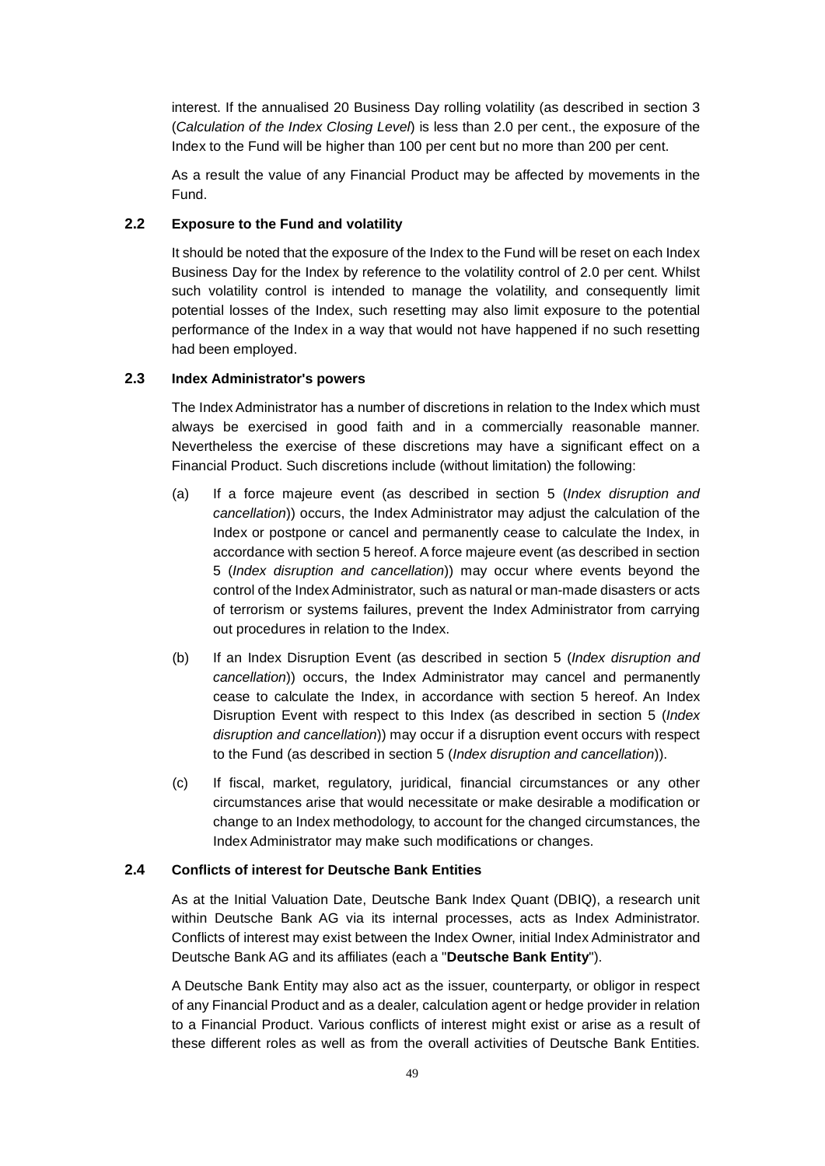interest. If the annualised 20 Business Day rolling volatility (as described in section [3](#page-50-0) (*Calculation of the Index Closing Level*) is less than 2.0 per cent., the exposure of the Index to the Fund will be higher than 100 per cent but no more than 200 per cent.

As a result the value of any Financial Product may be affected by movements in the Fund.

# **2.2 Exposure to the Fund and volatility**

It should be noted that the exposure of the Index to the Fund will be reset on each Index Business Day for the Index by reference to the volatility control of 2.0 per cent. Whilst such volatility control is intended to manage the volatility, and consequently limit potential losses of the Index, such resetting may also limit exposure to the potential performance of the Index in a way that would not have happened if no such resetting had been employed.

# **2.3 Index Administrator's powers**

The Index Administrator has a number of discretions in relation to the Index which must always be exercised in good faith and in a commercially reasonable manner. Nevertheless the exercise of these discretions may have a significant effect on a Financial Product. Such discretions include (without limitation) the following:

- (a) If a force majeure event (as described in section 5 (*Index disruption and cancellation*)) occurs, the Index Administrator may adjust the calculation of the Index or postpone or cancel and permanently cease to calculate the Index, in accordance with section 5 hereof. A force majeure event (as described in section 5 (*Index disruption and cancellation*)) may occur where events beyond the control of the Index Administrator, such as natural or man-made disasters or acts of terrorism or systems failures, prevent the Index Administrator from carrying out procedures in relation to the Index.
- (b) If an Index Disruption Event (as described in section 5 (*Index disruption and cancellation*)) occurs, the Index Administrator may cancel and permanently cease to calculate the Index, in accordance with section 5 hereof. An Index Disruption Event with respect to this Index (as described in section 5 (*Index disruption and cancellation*)) may occur if a disruption event occurs with respect to the Fund (as described in section 5 (*Index disruption and cancellation*)).
- (c) If fiscal, market, regulatory, juridical, financial circumstances or any other circumstances arise that would necessitate or make desirable a modification or change to an Index methodology, to account for the changed circumstances, the Index Administrator may make such modifications or changes.

## **2.4 Conflicts of interest for Deutsche Bank Entities**

As at the Initial Valuation Date, Deutsche Bank Index Quant (DBIQ), a research unit within Deutsche Bank AG via its internal processes, acts as Index Administrator. Conflicts of interest may exist between the Index Owner, initial Index Administrator and Deutsche Bank AG and its affiliates (each a "**Deutsche Bank Entity**").

A Deutsche Bank Entity may also act as the issuer, counterparty, or obligor in respect of any Financial Product and as a dealer, calculation agent or hedge provider in relation to a Financial Product. Various conflicts of interest might exist or arise as a result of these different roles as well as from the overall activities of Deutsche Bank Entities.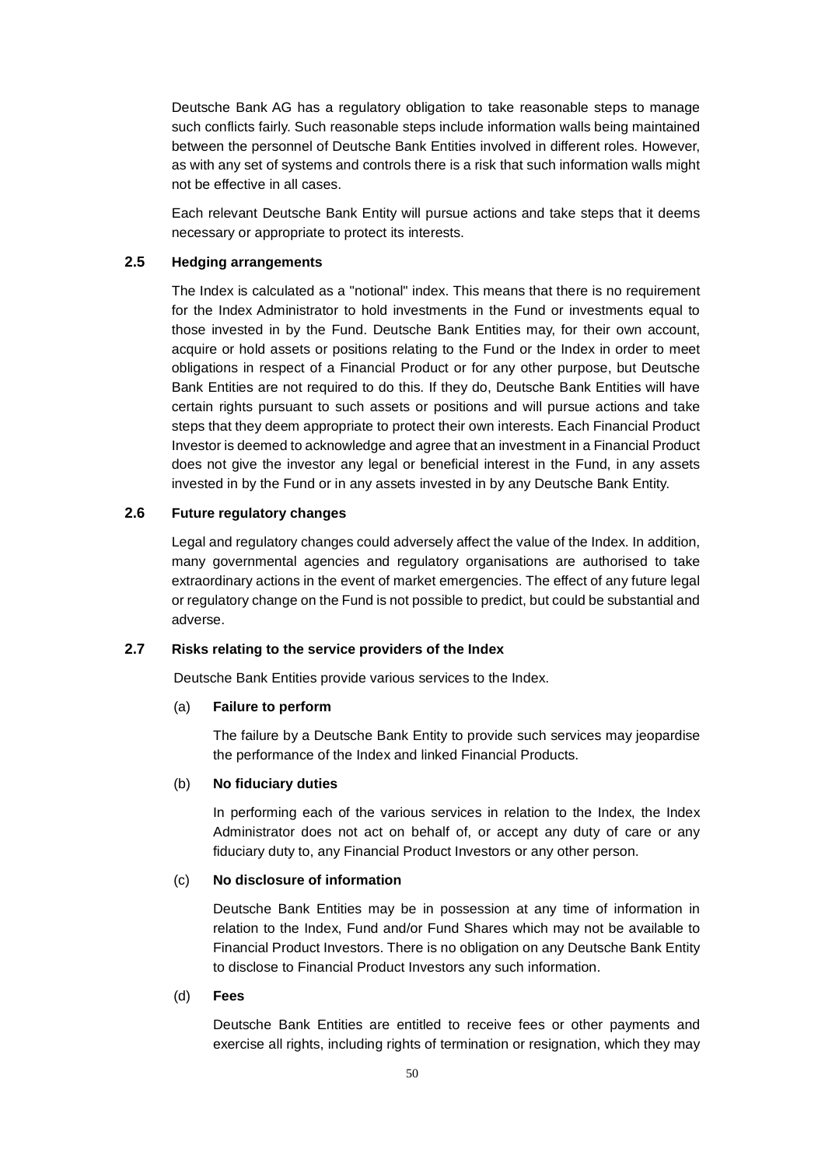Deutsche Bank AG has a regulatory obligation to take reasonable steps to manage such conflicts fairly. Such reasonable steps include information walls being maintained between the personnel of Deutsche Bank Entities involved in different roles. However, as with any set of systems and controls there is a risk that such information walls might not be effective in all cases.

Each relevant Deutsche Bank Entity will pursue actions and take steps that it deems necessary or appropriate to protect its interests.

### **2.5 Hedging arrangements**

The Index is calculated as a "notional" index. This means that there is no requirement for the Index Administrator to hold investments in the Fund or investments equal to those invested in by the Fund. Deutsche Bank Entities may, for their own account, acquire or hold assets or positions relating to the Fund or the Index in order to meet obligations in respect of a Financial Product or for any other purpose, but Deutsche Bank Entities are not required to do this. If they do, Deutsche Bank Entities will have certain rights pursuant to such assets or positions and will pursue actions and take steps that they deem appropriate to protect their own interests. Each Financial Product Investor is deemed to acknowledge and agree that an investment in a Financial Product does not give the investor any legal or beneficial interest in the Fund, in any assets invested in by the Fund or in any assets invested in by any Deutsche Bank Entity.

### **2.6 Future regulatory changes**

Legal and regulatory changes could adversely affect the value of the Index. In addition, many governmental agencies and regulatory organisations are authorised to take extraordinary actions in the event of market emergencies. The effect of any future legal or regulatory change on the Fund is not possible to predict, but could be substantial and adverse.

### **2.7 Risks relating to the service providers of the Index**

Deutsche Bank Entities provide various services to the Index.

#### (a) **Failure to perform**

The failure by a Deutsche Bank Entity to provide such services may jeopardise the performance of the Index and linked Financial Products.

### (b) **No fiduciary duties**

In performing each of the various services in relation to the Index, the Index Administrator does not act on behalf of, or accept any duty of care or any fiduciary duty to, any Financial Product Investors or any other person.

# (c) **No disclosure of information**

Deutsche Bank Entities may be in possession at any time of information in relation to the Index, Fund and/or Fund Shares which may not be available to Financial Product Investors. There is no obligation on any Deutsche Bank Entity to disclose to Financial Product Investors any such information.

#### (d) **Fees**

Deutsche Bank Entities are entitled to receive fees or other payments and exercise all rights, including rights of termination or resignation, which they may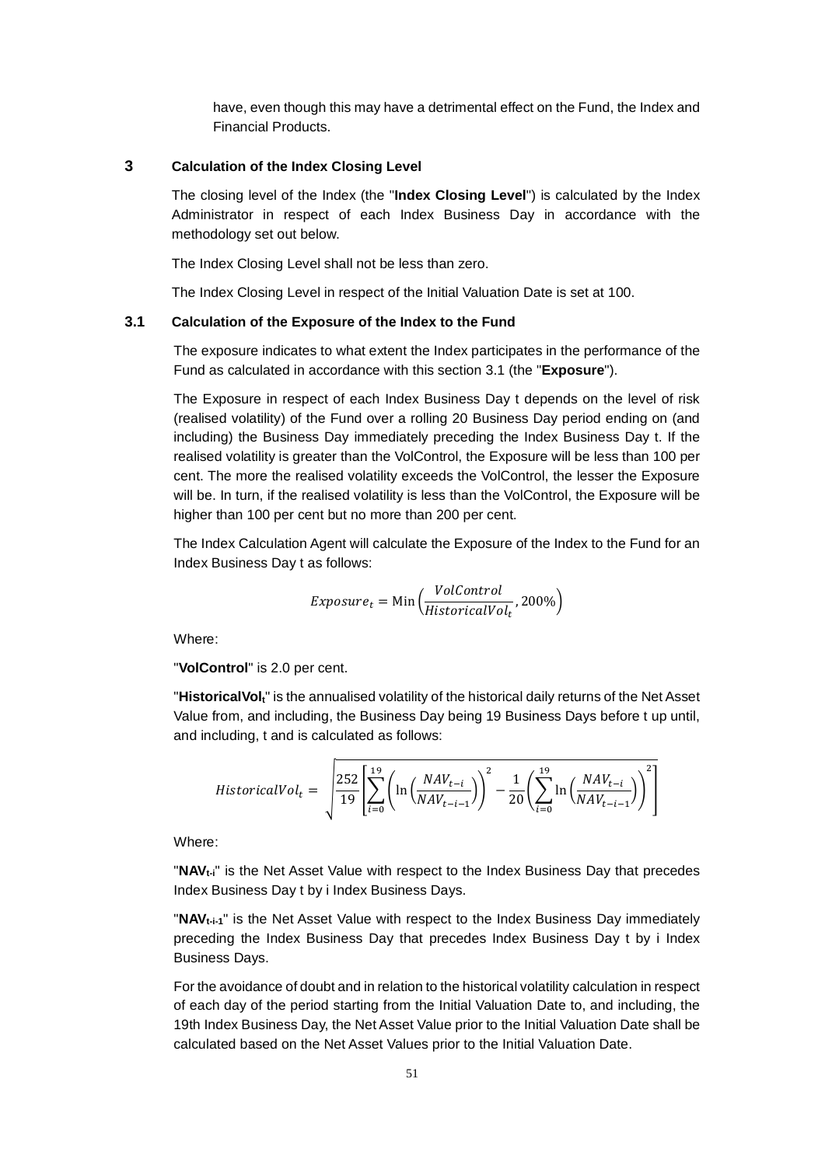have, even though this may have a detrimental effect on the Fund, the Index and Financial Products.

# <span id="page-50-0"></span>**3 Calculation of the Index Closing Level**

The closing level of the Index (the "**Index Closing Level**") is calculated by the Index Administrator in respect of each Index Business Day in accordance with the methodology set out below.

The Index Closing Level shall not be less than zero.

The Index Closing Level in respect of the Initial Valuation Date is set at 100.

#### **3.1 Calculation of the Exposure of the Index to the Fund**

The exposure indicates to what extent the Index participates in the performance of the Fund as calculated in accordance with this section 3.1 (the "**Exposure**").

The Exposure in respect of each Index Business Day t depends on the level of risk (realised volatility) of the Fund over a rolling 20 Business Day period ending on (and including) the Business Day immediately preceding the Index Business Day t. If the realised volatility is greater than the VolControl, the Exposure will be less than 100 per cent. The more the realised volatility exceeds the VolControl, the lesser the Exposure will be. In turn, if the realised volatility is less than the VolControl, the Exposure will be higher than 100 per cent but no more than 200 per cent.

The Index Calculation Agent will calculate the Exposure of the Index to the Fund for an Index Business Day t as follows:

$$
Exposure_t = \text{Min}\left(\frac{VolControl}{HistoricalVol_t}, 200\%\right)
$$

Where:

"**VolControl**" is 2.0 per cent.

"**HistoricalVolt**" is the annualised volatility of the historical daily returns of the Net Asset Value from, and including, the Business Day being 19 Business Days before t up until, and including, t and is calculated as follows:

$$
HistoricalVol_{t} = \sqrt{\frac{252}{19} \left[ \sum_{i=0}^{19} \left( \ln \left( \frac{NAV_{t-i}}{NAV_{t-i-1}} \right) \right)^{2} - \frac{1}{20} \left( \sum_{i=0}^{19} \ln \left( \frac{NAV_{t-i}}{NAV_{t-i-1}} \right) \right)^{2} \right]}
$$

Where:

"**NAVt-i**" is the Net Asset Value with respect to the Index Business Day that precedes Index Business Day t by i Index Business Days.

"**NAVt-i-1**" is the Net Asset Value with respect to the Index Business Day immediately preceding the Index Business Day that precedes Index Business Day t by i Index Business Days.

For the avoidance of doubt and in relation to the historical volatility calculation in respect of each day of the period starting from the Initial Valuation Date to, and including, the 19th Index Business Day, the Net Asset Value prior to the Initial Valuation Date shall be calculated based on the Net Asset Values prior to the Initial Valuation Date.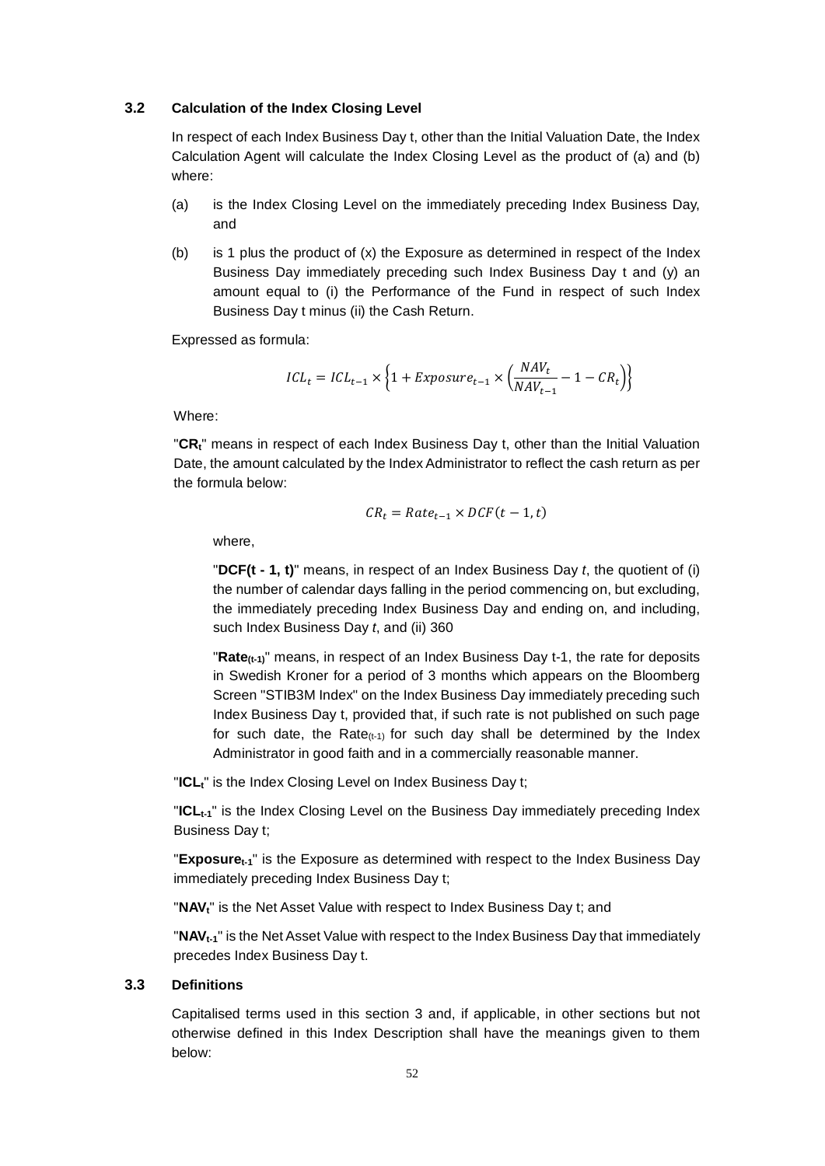# **3.2 Calculation of the Index Closing Level**

In respect of each Index Business Day t, other than the Initial Valuation Date, the Index Calculation Agent will calculate the Index Closing Level as the product of (a) and (b) where:

- (a) is the Index Closing Level on the immediately preceding Index Business Day, and
- (b) is 1 plus the product of (x) the Exposure as determined in respect of the Index Business Day immediately preceding such Index Business Day t and (y) an amount equal to (i) the Performance of the Fund in respect of such Index Business Day t minus (ii) the Cash Return.

Expressed as formula:

$$
ICL_t = ICL_{t-1} \times \left\{ 1 + Exposure_{t-1} \times \left( \frac{NAV_t}{NAV_{t-1}} - 1 - CR_t \right) \right\}
$$

Where:

"**CRt**" means in respect of each Index Business Day t, other than the Initial Valuation Date, the amount calculated by the Index Administrator to reflect the cash return as per the formula below:

$$
CR_t = Rate_{t-1} \times DCF(t-1,t)
$$

where,

"**DCF(t - 1, t)**" means, in respect of an Index Business Day *t*, the quotient of (i) the number of calendar days falling in the period commencing on, but excluding, the immediately preceding Index Business Day and ending on, and including, such Index Business Day *t*, and (ii) 360

"**Rate(t-1)**" means, in respect of an Index Business Day t-1, the rate for deposits in Swedish Kroner for a period of 3 months which appears on the Bloomberg Screen "STIB3M Index" on the Index Business Day immediately preceding such Index Business Day t, provided that, if such rate is not published on such page for such date, the Rate $(t-1)$  for such day shall be determined by the Index Administrator in good faith and in a commercially reasonable manner.

"ICL<sub>t</sub>" is the Index Closing Level on Index Business Day t;

"**ICLt-1**" is the Index Closing Level on the Business Day immediately preceding Index Business Day t;

"**Exposuret-1**" is the Exposure as determined with respect to the Index Business Day immediately preceding Index Business Day t;

"NAV<sub>t</sub>" is the Net Asset Value with respect to Index Business Day t; and

"**NAVt-1**" is the Net Asset Value with respect to the Index Business Day that immediately precedes Index Business Day t.

# **3.3 Definitions**

Capitalised terms used in this section 3 and, if applicable, in other sections but not otherwise defined in this Index Description shall have the meanings given to them below: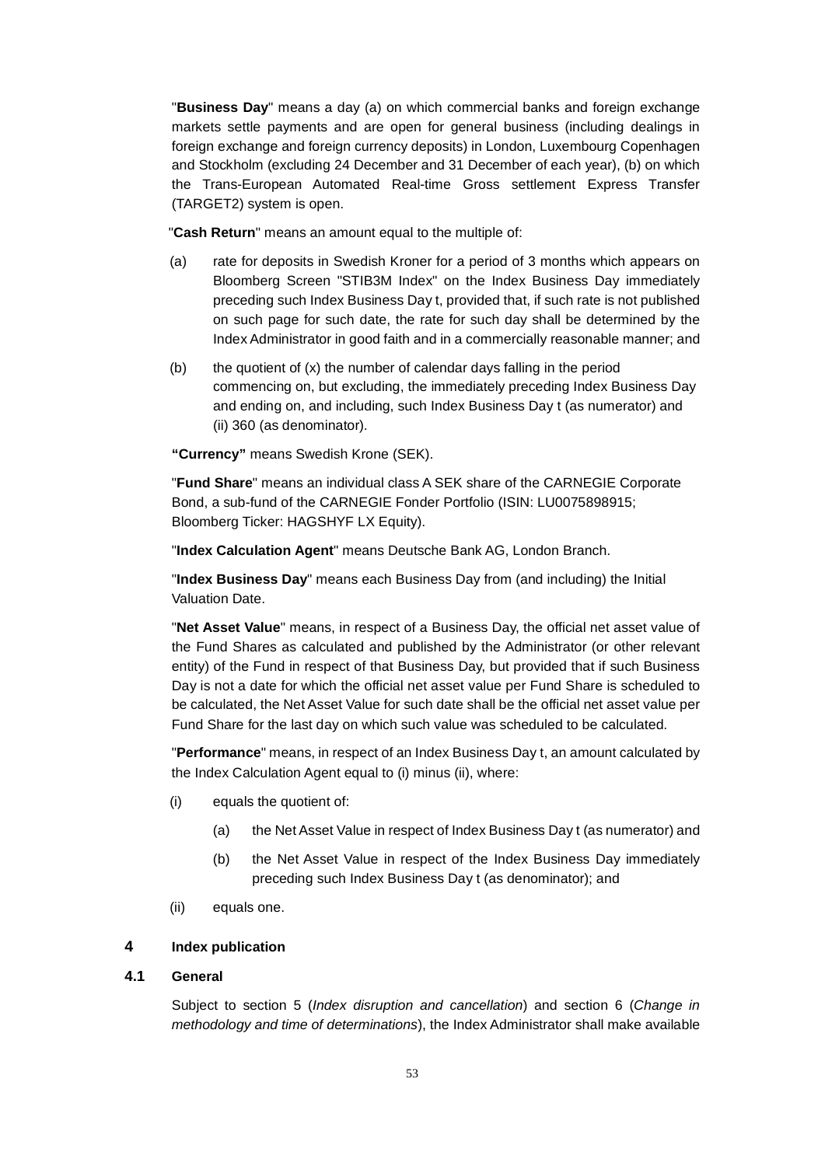"**Business Day**" means a day (a) on which commercial banks and foreign exchange markets settle payments and are open for general business (including dealings in foreign exchange and foreign currency deposits) in London, Luxembourg Copenhagen and Stockholm (excluding 24 December and 31 December of each year), (b) on which the Trans-European Automated Real-time Gross settlement Express Transfer (TARGET2) system is open.

"**Cash Return**" means an amount equal to the multiple of:

- (a) rate for deposits in Swedish Kroner for a period of 3 months which appears on Bloomberg Screen "STIB3M Index" on the Index Business Day immediately preceding such Index Business Day t, provided that, if such rate is not published on such page for such date, the rate for such day shall be determined by the Index Administrator in good faith and in a commercially reasonable manner; and
- (b) the quotient of (x) the number of calendar days falling in the period commencing on, but excluding, the immediately preceding Index Business Day and ending on, and including, such Index Business Day t (as numerator) and (ii) 360 (as denominator).

**"Currency"** means Swedish Krone (SEK).

"**Fund Share**" means an individual class A SEK share of the CARNEGIE Corporate Bond, a sub-fund of the CARNEGIE Fonder Portfolio (ISIN: LU0075898915; Bloomberg Ticker: HAGSHYF LX Equity).

"**Index Calculation Agent**" means Deutsche Bank AG, London Branch.

"**Index Business Day**" means each Business Day from (and including) the Initial Valuation Date.

"**Net Asset Value**" means, in respect of a Business Day, the official net asset value of the Fund Shares as calculated and published by the Administrator (or other relevant entity) of the Fund in respect of that Business Day, but provided that if such Business Day is not a date for which the official net asset value per Fund Share is scheduled to be calculated, the Net Asset Value for such date shall be the official net asset value per Fund Share for the last day on which such value was scheduled to be calculated.

"**Performance**" means, in respect of an Index Business Day t, an amount calculated by the Index Calculation Agent equal to (i) minus (ii), where:

- (i) equals the quotient of:
	- (a) the Net Asset Value in respect of Index Business Day t (as numerator) and
	- (b) the Net Asset Value in respect of the Index Business Day immediately preceding such Index Business Day t (as denominator); and
- (ii) equals one.

# **4 Index publication**

# **4.1 General**

Subject to section 5 (*Index disruption and cancellation*) and section 6 (*Change in methodology and time of determinations*), the Index Administrator shall make available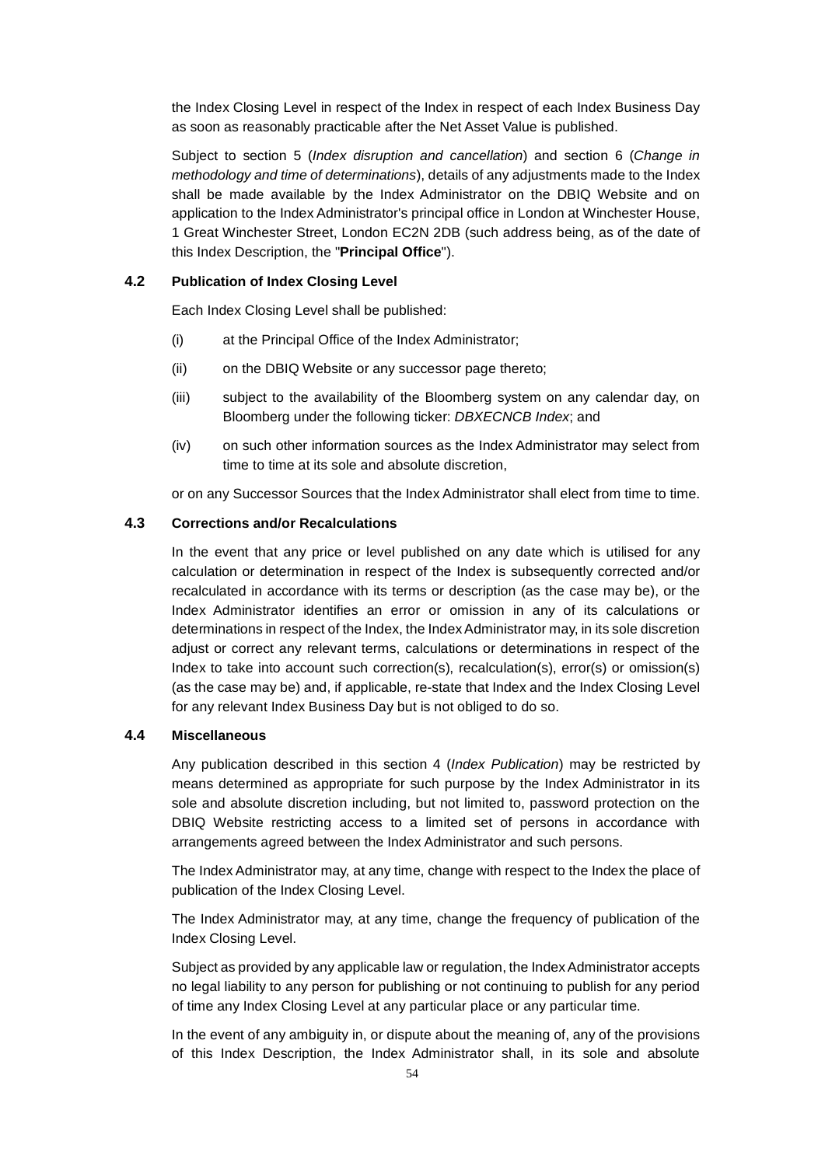the Index Closing Level in respect of the Index in respect of each Index Business Day as soon as reasonably practicable after the Net Asset Value is published.

Subject to section 5 (*Index disruption and cancellation*) and section 6 (*Change in methodology and time of determinations*), details of any adjustments made to the Index shall be made available by the Index Administrator on the DBIQ Website and on application to the Index Administrator's principal office in London at Winchester House, 1 Great Winchester Street, London EC2N 2DB (such address being, as of the date of this Index Description, the "**Principal Office**").

# **4.2 Publication of Index Closing Level**

Each Index Closing Level shall be published:

- (i) at the Principal Office of the Index Administrator;
- (ii) on the DBIQ Website or any successor page thereto;
- (iii) subject to the availability of the Bloomberg system on any calendar day, on Bloomberg under the following ticker: *DBXECNCB Index*; and
- (iv) on such other information sources as the Index Administrator may select from time to time at its sole and absolute discretion,

or on any Successor Sources that the Index Administrator shall elect from time to time.

# **4.3 Corrections and/or Recalculations**

In the event that any price or level published on any date which is utilised for any calculation or determination in respect of the Index is subsequently corrected and/or recalculated in accordance with its terms or description (as the case may be), or the Index Administrator identifies an error or omission in any of its calculations or determinations in respect of the Index, the Index Administrator may, in its sole discretion adjust or correct any relevant terms, calculations or determinations in respect of the Index to take into account such correction(s), recalculation(s), error(s) or omission(s) (as the case may be) and, if applicable, re-state that Index and the Index Closing Level for any relevant Index Business Day but is not obliged to do so.

# **4.4 Miscellaneous**

Any publication described in this section 4 (*Index Publication*) may be restricted by means determined as appropriate for such purpose by the Index Administrator in its sole and absolute discretion including, but not limited to, password protection on the DBIQ Website restricting access to a limited set of persons in accordance with arrangements agreed between the Index Administrator and such persons.

The Index Administrator may, at any time, change with respect to the Index the place of publication of the Index Closing Level.

The Index Administrator may, at any time, change the frequency of publication of the Index Closing Level.

Subject as provided by any applicable law or regulation, the Index Administrator accepts no legal liability to any person for publishing or not continuing to publish for any period of time any Index Closing Level at any particular place or any particular time.

In the event of any ambiguity in, or dispute about the meaning of, any of the provisions of this Index Description, the Index Administrator shall, in its sole and absolute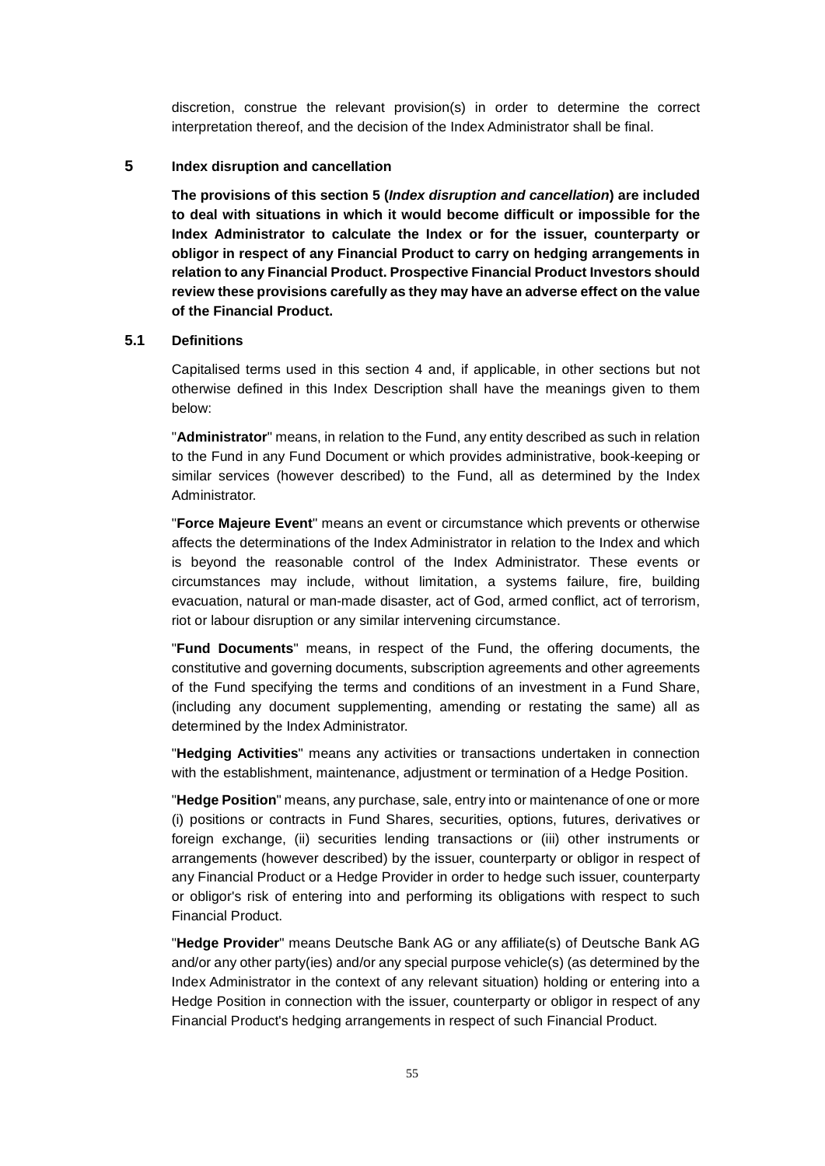discretion, construe the relevant provision(s) in order to determine the correct interpretation thereof, and the decision of the Index Administrator shall be final.

# **5 Index disruption and cancellation**

**The provisions of this section 5 (***Index disruption and cancellation***) are included to deal with situations in which it would become difficult or impossible for the Index Administrator to calculate the Index or for the issuer, counterparty or obligor in respect of any Financial Product to carry on hedging arrangements in relation to any Financial Product. Prospective Financial Product Investors should review these provisions carefully as they may have an adverse effect on the value of the Financial Product.**

# **5.1 Definitions**

Capitalised terms used in this section 4 and, if applicable, in other sections but not otherwise defined in this Index Description shall have the meanings given to them below:

"**Administrator**" means, in relation to the Fund, any entity described as such in relation to the Fund in any Fund Document or which provides administrative, book-keeping or similar services (however described) to the Fund, all as determined by the Index Administrator.

"**Force Majeure Event**" means an event or circumstance which prevents or otherwise affects the determinations of the Index Administrator in relation to the Index and which is beyond the reasonable control of the Index Administrator. These events or circumstances may include, without limitation, a systems failure, fire, building evacuation, natural or man-made disaster, act of God, armed conflict, act of terrorism, riot or labour disruption or any similar intervening circumstance.

"**Fund Documents**" means, in respect of the Fund, the offering documents, the constitutive and governing documents, subscription agreements and other agreements of the Fund specifying the terms and conditions of an investment in a Fund Share, (including any document supplementing, amending or restating the same) all as determined by the Index Administrator.

"**Hedging Activities**" means any activities or transactions undertaken in connection with the establishment, maintenance, adjustment or termination of a Hedge Position.

"**Hedge Position**" means, any purchase, sale, entry into or maintenance of one or more (i) positions or contracts in Fund Shares, securities, options, futures, derivatives or foreign exchange, (ii) securities lending transactions or (iii) other instruments or arrangements (however described) by the issuer, counterparty or obligor in respect of any Financial Product or a Hedge Provider in order to hedge such issuer, counterparty or obligor's risk of entering into and performing its obligations with respect to such Financial Product.

"**Hedge Provider**" means Deutsche Bank AG or any affiliate(s) of Deutsche Bank AG and/or any other party(ies) and/or any special purpose vehicle(s) (as determined by the Index Administrator in the context of any relevant situation) holding or entering into a Hedge Position in connection with the issuer, counterparty or obligor in respect of any Financial Product's hedging arrangements in respect of such Financial Product.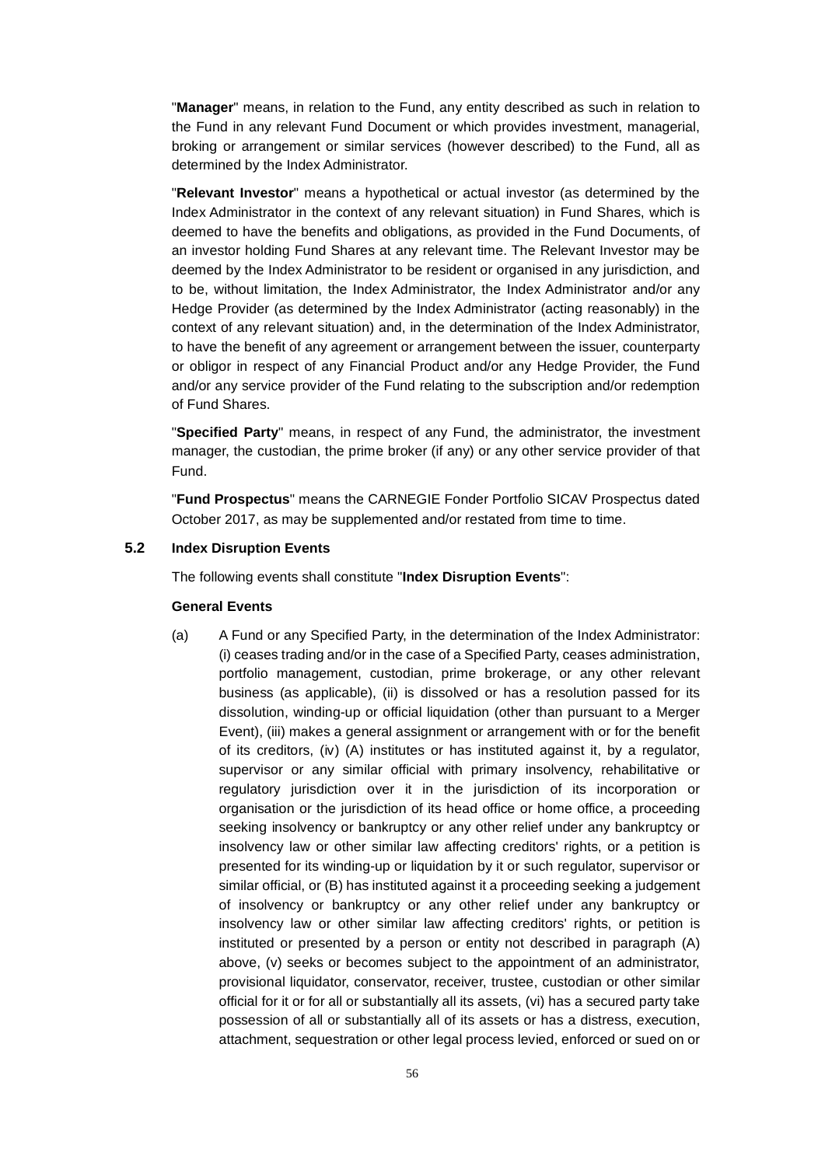"**Manager**" means, in relation to the Fund, any entity described as such in relation to the Fund in any relevant Fund Document or which provides investment, managerial, broking or arrangement or similar services (however described) to the Fund, all as determined by the Index Administrator.

"**Relevant Investor**" means a hypothetical or actual investor (as determined by the Index Administrator in the context of any relevant situation) in Fund Shares, which is deemed to have the benefits and obligations, as provided in the Fund Documents, of an investor holding Fund Shares at any relevant time. The Relevant Investor may be deemed by the Index Administrator to be resident or organised in any jurisdiction, and to be, without limitation, the Index Administrator, the Index Administrator and/or any Hedge Provider (as determined by the Index Administrator (acting reasonably) in the context of any relevant situation) and, in the determination of the Index Administrator, to have the benefit of any agreement or arrangement between the issuer, counterparty or obligor in respect of any Financial Product and/or any Hedge Provider, the Fund and/or any service provider of the Fund relating to the subscription and/or redemption of Fund Shares.

"**Specified Party**" means, in respect of any Fund, the administrator, the investment manager, the custodian, the prime broker (if any) or any other service provider of that Fund.

"**Fund Prospectus**" means the CARNEGIE Fonder Portfolio SICAV Prospectus dated October 2017, as may be supplemented and/or restated from time to time.

### **5.2 Index Disruption Events**

The following events shall constitute "**Index Disruption Events**":

### **General Events**

(a) A Fund or any Specified Party, in the determination of the Index Administrator: (i) ceases trading and/or in the case of a Specified Party, ceases administration, portfolio management, custodian, prime brokerage, or any other relevant business (as applicable), (ii) is dissolved or has a resolution passed for its dissolution, winding-up or official liquidation (other than pursuant to a Merger Event), (iii) makes a general assignment or arrangement with or for the benefit of its creditors, (iv) (A) institutes or has instituted against it, by a regulator, supervisor or any similar official with primary insolvency, rehabilitative or regulatory jurisdiction over it in the jurisdiction of its incorporation or organisation or the jurisdiction of its head office or home office, a proceeding seeking insolvency or bankruptcy or any other relief under any bankruptcy or insolvency law or other similar law affecting creditors' rights, or a petition is presented for its winding-up or liquidation by it or such regulator, supervisor or similar official, or (B) has instituted against it a proceeding seeking a judgement of insolvency or bankruptcy or any other relief under any bankruptcy or insolvency law or other similar law affecting creditors' rights, or petition is instituted or presented by a person or entity not described in paragraph (A) above, (v) seeks or becomes subject to the appointment of an administrator, provisional liquidator, conservator, receiver, trustee, custodian or other similar official for it or for all or substantially all its assets, (vi) has a secured party take possession of all or substantially all of its assets or has a distress, execution, attachment, sequestration or other legal process levied, enforced or sued on or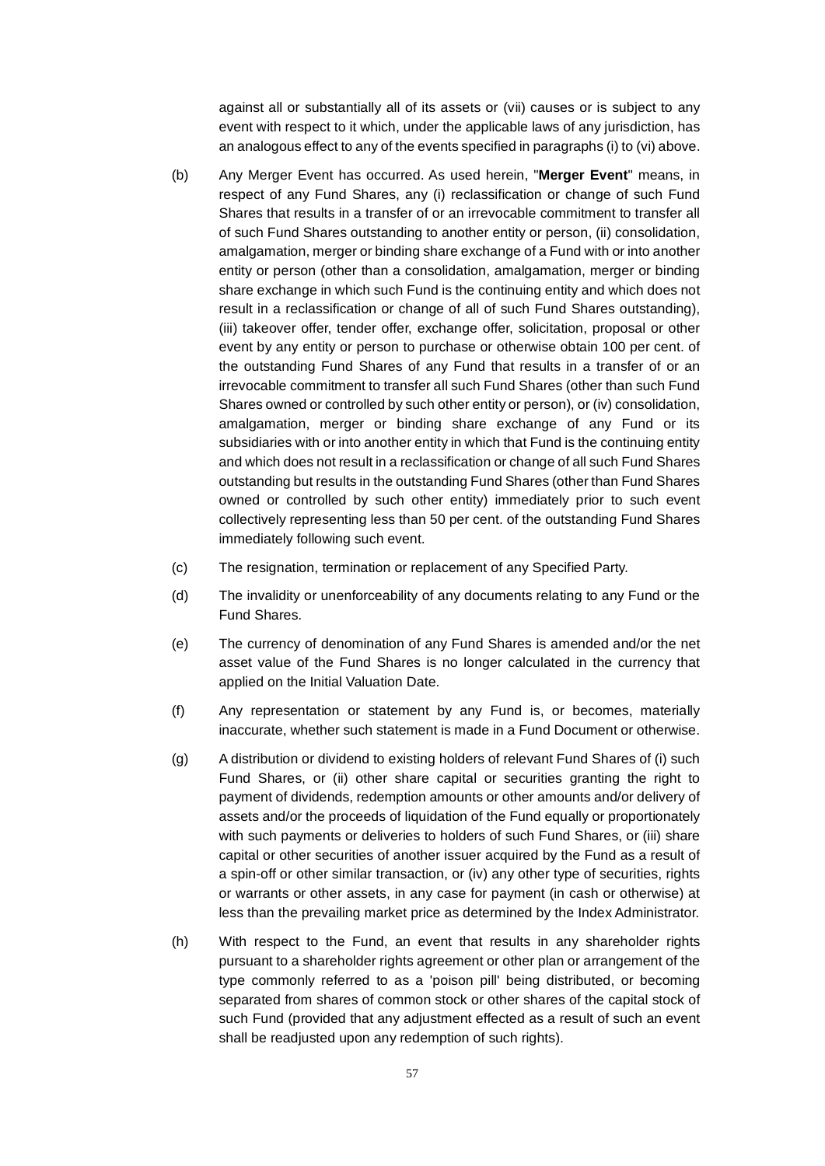against all or substantially all of its assets or (vii) causes or is subject to any event with respect to it which, under the applicable laws of any jurisdiction, has an analogous effect to any of the events specified in paragraphs (i) to (vi) above.

- (b) Any Merger Event has occurred. As used herein, "**Merger Event**" means, in respect of any Fund Shares, any (i) reclassification or change of such Fund Shares that results in a transfer of or an irrevocable commitment to transfer all of such Fund Shares outstanding to another entity or person, (ii) consolidation, amalgamation, merger or binding share exchange of a Fund with or into another entity or person (other than a consolidation, amalgamation, merger or binding share exchange in which such Fund is the continuing entity and which does not result in a reclassification or change of all of such Fund Shares outstanding), (iii) takeover offer, tender offer, exchange offer, solicitation, proposal or other event by any entity or person to purchase or otherwise obtain 100 per cent. of the outstanding Fund Shares of any Fund that results in a transfer of or an irrevocable commitment to transfer all such Fund Shares (other than such Fund Shares owned or controlled by such other entity or person), or (iv) consolidation, amalgamation, merger or binding share exchange of any Fund or its subsidiaries with or into another entity in which that Fund is the continuing entity and which does not result in a reclassification or change of all such Fund Shares outstanding but results in the outstanding Fund Shares (other than Fund Shares owned or controlled by such other entity) immediately prior to such event collectively representing less than 50 per cent. of the outstanding Fund Shares immediately following such event.
- (c) The resignation, termination or replacement of any Specified Party.
- (d) The invalidity or unenforceability of any documents relating to any Fund or the Fund Shares.
- (e) The currency of denomination of any Fund Shares is amended and/or the net asset value of the Fund Shares is no longer calculated in the currency that applied on the Initial Valuation Date.
- (f) Any representation or statement by any Fund is, or becomes, materially inaccurate, whether such statement is made in a Fund Document or otherwise.
- (g) A distribution or dividend to existing holders of relevant Fund Shares of (i) such Fund Shares, or (ii) other share capital or securities granting the right to payment of dividends, redemption amounts or other amounts and/or delivery of assets and/or the proceeds of liquidation of the Fund equally or proportionately with such payments or deliveries to holders of such Fund Shares, or (iii) share capital or other securities of another issuer acquired by the Fund as a result of a spin-off or other similar transaction, or (iv) any other type of securities, rights or warrants or other assets, in any case for payment (in cash or otherwise) at less than the prevailing market price as determined by the Index Administrator.
- (h) With respect to the Fund, an event that results in any shareholder rights pursuant to a shareholder rights agreement or other plan or arrangement of the type commonly referred to as a 'poison pill' being distributed, or becoming separated from shares of common stock or other shares of the capital stock of such Fund (provided that any adjustment effected as a result of such an event shall be readjusted upon any redemption of such rights).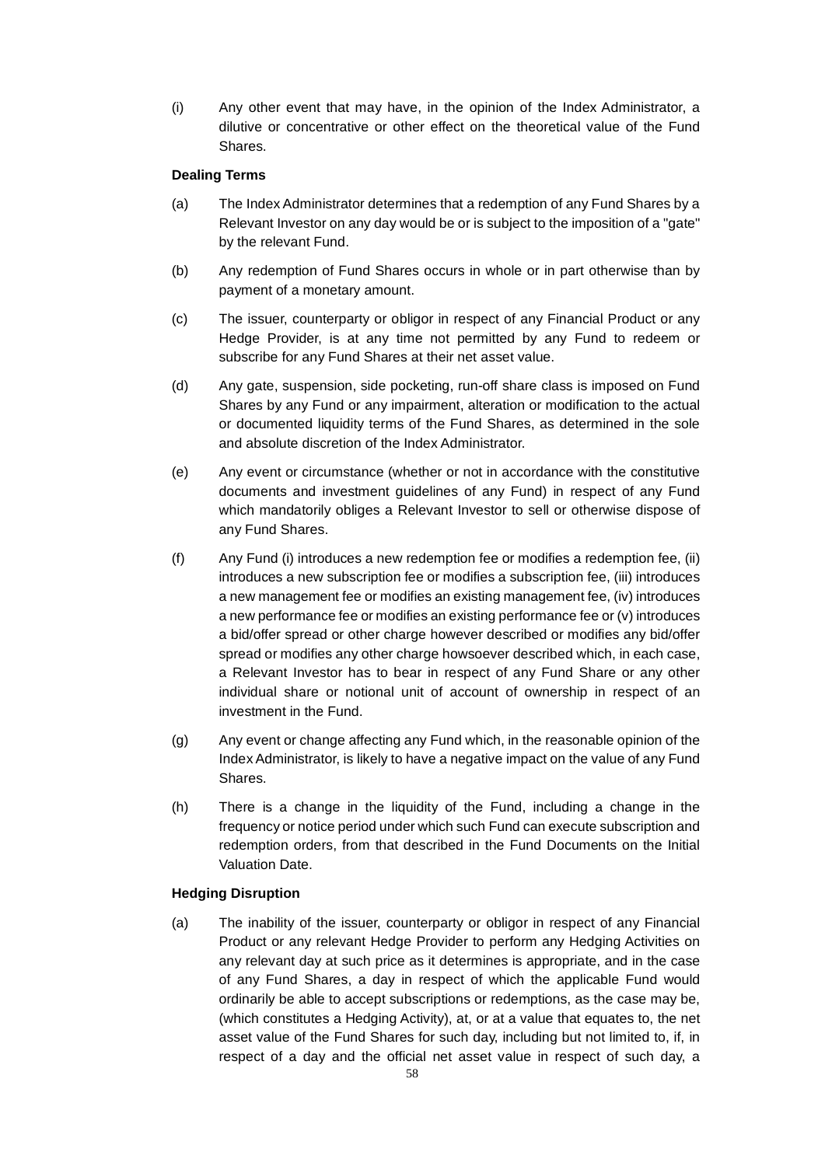(i) Any other event that may have, in the opinion of the Index Administrator, a dilutive or concentrative or other effect on the theoretical value of the Fund Shares.

# **Dealing Terms**

- (a) The Index Administrator determines that a redemption of any Fund Shares by a Relevant Investor on any day would be or is subject to the imposition of a "gate" by the relevant Fund.
- (b) Any redemption of Fund Shares occurs in whole or in part otherwise than by payment of a monetary amount.
- (c) The issuer, counterparty or obligor in respect of any Financial Product or any Hedge Provider, is at any time not permitted by any Fund to redeem or subscribe for any Fund Shares at their net asset value.
- (d) Any gate, suspension, side pocketing, run-off share class is imposed on Fund Shares by any Fund or any impairment, alteration or modification to the actual or documented liquidity terms of the Fund Shares, as determined in the sole and absolute discretion of the Index Administrator.
- (e) Any event or circumstance (whether or not in accordance with the constitutive documents and investment guidelines of any Fund) in respect of any Fund which mandatorily obliges a Relevant Investor to sell or otherwise dispose of any Fund Shares.
- (f) Any Fund (i) introduces a new redemption fee or modifies a redemption fee, (ii) introduces a new subscription fee or modifies a subscription fee, (iii) introduces a new management fee or modifies an existing management fee, (iv) introduces a new performance fee or modifies an existing performance fee or (v) introduces a bid/offer spread or other charge however described or modifies any bid/offer spread or modifies any other charge howsoever described which, in each case, a Relevant Investor has to bear in respect of any Fund Share or any other individual share or notional unit of account of ownership in respect of an investment in the Fund.
- (g) Any event or change affecting any Fund which, in the reasonable opinion of the Index Administrator, is likely to have a negative impact on the value of any Fund Shares.
- (h) There is a change in the liquidity of the Fund, including a change in the frequency or notice period under which such Fund can execute subscription and redemption orders, from that described in the Fund Documents on the Initial Valuation Date.

### **Hedging Disruption**

(a) The inability of the issuer, counterparty or obligor in respect of any Financial Product or any relevant Hedge Provider to perform any Hedging Activities on any relevant day at such price as it determines is appropriate, and in the case of any Fund Shares, a day in respect of which the applicable Fund would ordinarily be able to accept subscriptions or redemptions, as the case may be, (which constitutes a Hedging Activity), at, or at a value that equates to, the net asset value of the Fund Shares for such day, including but not limited to, if, in respect of a day and the official net asset value in respect of such day, a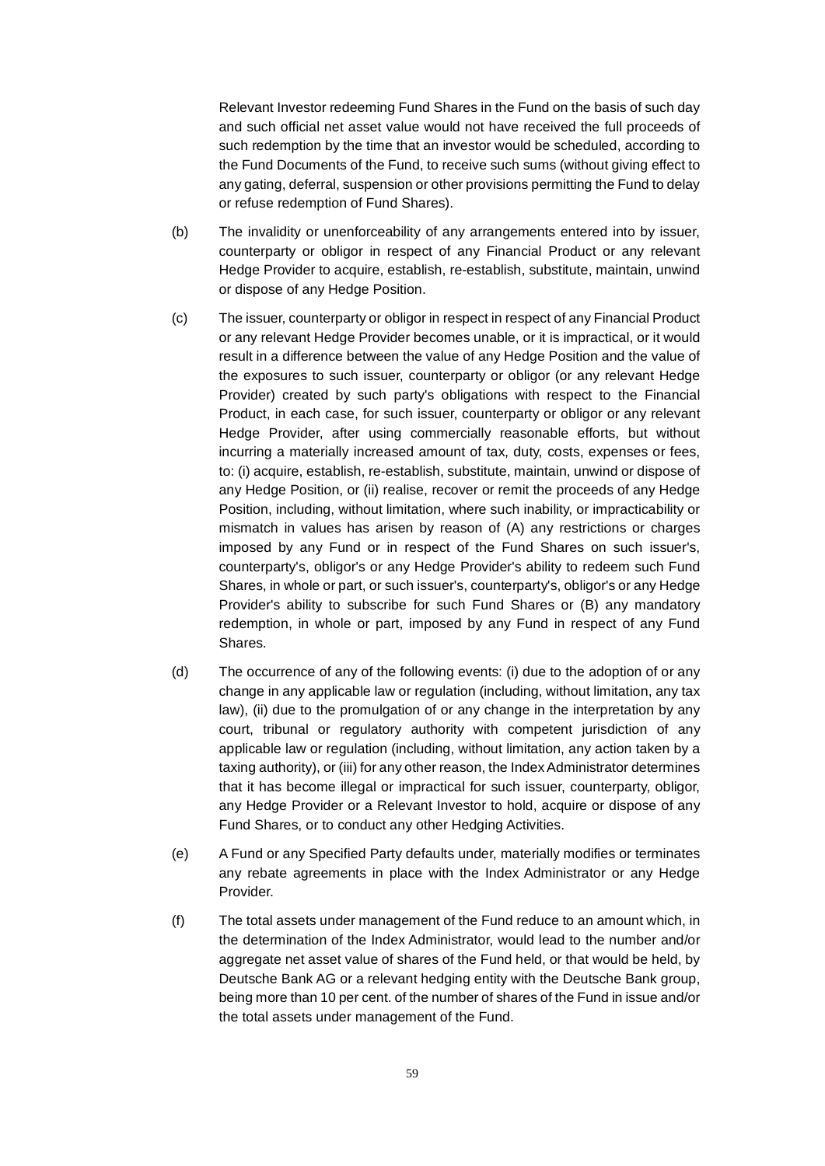Relevant Investor redeeming Fund Shares in the Fund on the basis of such day and such official net asset value would not have received the full proceeds of such redemption by the time that an investor would be scheduled, according to the Fund Documents of the Fund, to receive such sums (without giving effect to any gating, deferral, suspension or other provisions permitting the Fund to delay or refuse redemption of Fund Shares).

- (b) The invalidity or unenforceability of any arrangements entered into by issuer, counterparty or obligor in respect of any Financial Product or any relevant Hedge Provider to acquire, establish, re-establish, substitute, maintain, unwind or dispose of any Hedge Position.
- (c) The issuer, counterparty or obligor in respect in respect of any Financial Product or any relevant Hedge Provider becomes unable, or it is impractical, or it would result in a difference between the value of any Hedge Position and the value of the exposures to such issuer, counterparty or obligor (or any relevant Hedge Provider) created by such party's obligations with respect to the Financial Product, in each case, for such issuer, counterparty or obligor or any relevant Hedge Provider, after using commercially reasonable efforts, but without incurring a materially increased amount of tax, duty, costs, expenses or fees, to: (i) acquire, establish, re-establish, substitute, maintain, unwind or dispose of any Hedge Position, or (ii) realise, recover or remit the proceeds of any Hedge Position, including, without limitation, where such inability, or impracticability or mismatch in values has arisen by reason of (A) any restrictions or charges imposed by any Fund or in respect of the Fund Shares on such issuer's, counterparty's, obligor's or any Hedge Provider's ability to redeem such Fund Shares, in whole or part, or such issuer's, counterparty's, obligor's or any Hedge Provider's ability to subscribe for such Fund Shares or (B) any mandatory redemption, in whole or part, imposed by any Fund in respect of any Fund Shares.
- (d) The occurrence of any of the following events: (i) due to the adoption of or any change in any applicable law or regulation (including, without limitation, any tax law), (ii) due to the promulgation of or any change in the interpretation by any court, tribunal or regulatory authority with competent jurisdiction of any applicable law or regulation (including, without limitation, any action taken by a taxing authority), or (iii) for any other reason, the Index Administrator determines that it has become illegal or impractical for such issuer, counterparty, obligor, any Hedge Provider or a Relevant Investor to hold, acquire or dispose of any Fund Shares, or to conduct any other Hedging Activities.
- (e) A Fund or any Specified Party defaults under, materially modifies or terminates any rebate agreements in place with the Index Administrator or any Hedge Provider.
- (f) The total assets under management of the Fund reduce to an amount which, in the determination of the Index Administrator, would lead to the number and/or aggregate net asset value of shares of the Fund held, or that would be held, by Deutsche Bank AG or a relevant hedging entity with the Deutsche Bank group, being more than 10 per cent. of the number of shares of the Fund in issue and/or the total assets under management of the Fund.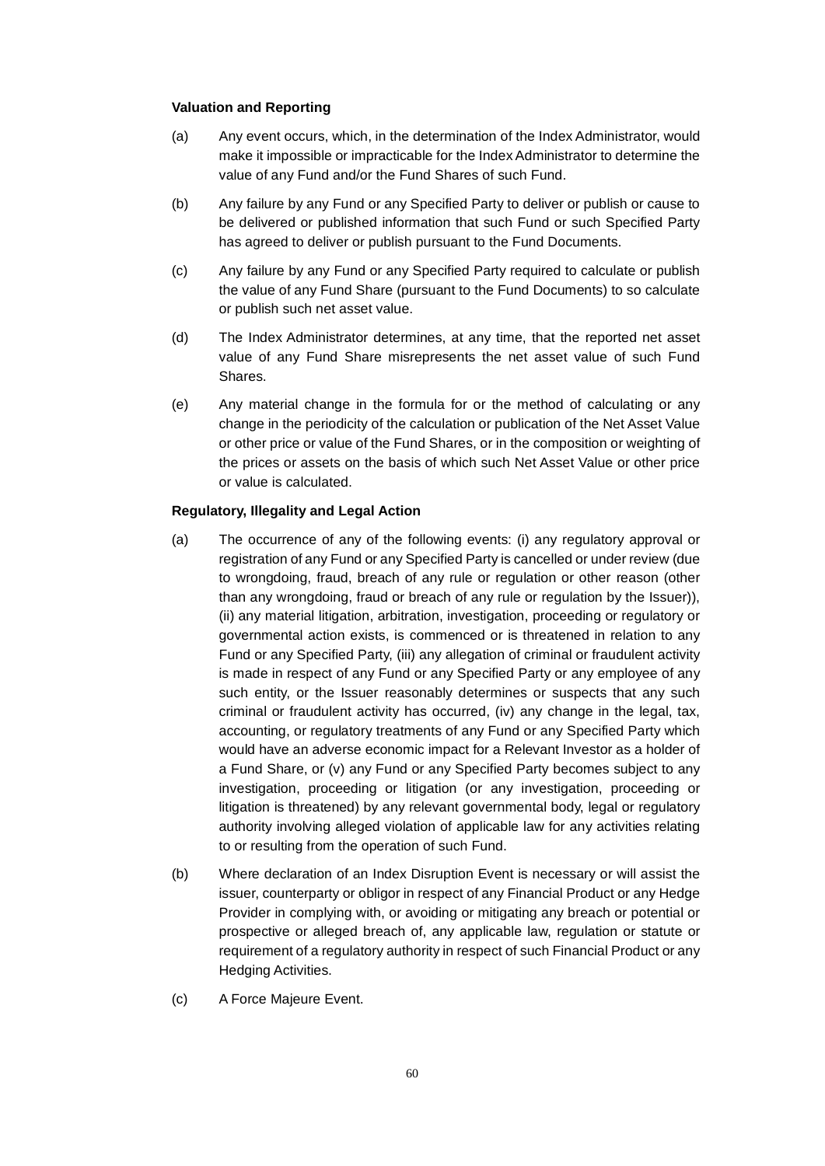### **Valuation and Reporting**

- (a) Any event occurs, which, in the determination of the Index Administrator, would make it impossible or impracticable for the Index Administrator to determine the value of any Fund and/or the Fund Shares of such Fund.
- (b) Any failure by any Fund or any Specified Party to deliver or publish or cause to be delivered or published information that such Fund or such Specified Party has agreed to deliver or publish pursuant to the Fund Documents.
- (c) Any failure by any Fund or any Specified Party required to calculate or publish the value of any Fund Share (pursuant to the Fund Documents) to so calculate or publish such net asset value.
- (d) The Index Administrator determines, at any time, that the reported net asset value of any Fund Share misrepresents the net asset value of such Fund Shares.
- (e) Any material change in the formula for or the method of calculating or any change in the periodicity of the calculation or publication of the Net Asset Value or other price or value of the Fund Shares, or in the composition or weighting of the prices or assets on the basis of which such Net Asset Value or other price or value is calculated.

### **Regulatory, Illegality and Legal Action**

- (a) The occurrence of any of the following events: (i) any regulatory approval or registration of any Fund or any Specified Party is cancelled or under review (due to wrongdoing, fraud, breach of any rule or regulation or other reason (other than any wrongdoing, fraud or breach of any rule or regulation by the Issuer)), (ii) any material litigation, arbitration, investigation, proceeding or regulatory or governmental action exists, is commenced or is threatened in relation to any Fund or any Specified Party, (iii) any allegation of criminal or fraudulent activity is made in respect of any Fund or any Specified Party or any employee of any such entity, or the Issuer reasonably determines or suspects that any such criminal or fraudulent activity has occurred, (iv) any change in the legal, tax, accounting, or regulatory treatments of any Fund or any Specified Party which would have an adverse economic impact for a Relevant Investor as a holder of a Fund Share, or (v) any Fund or any Specified Party becomes subject to any investigation, proceeding or litigation (or any investigation, proceeding or litigation is threatened) by any relevant governmental body, legal or regulatory authority involving alleged violation of applicable law for any activities relating to or resulting from the operation of such Fund.
- (b) Where declaration of an Index Disruption Event is necessary or will assist the issuer, counterparty or obligor in respect of any Financial Product or any Hedge Provider in complying with, or avoiding or mitigating any breach or potential or prospective or alleged breach of, any applicable law, regulation or statute or requirement of a regulatory authority in respect of such Financial Product or any Hedging Activities.
- (c) A Force Majeure Event.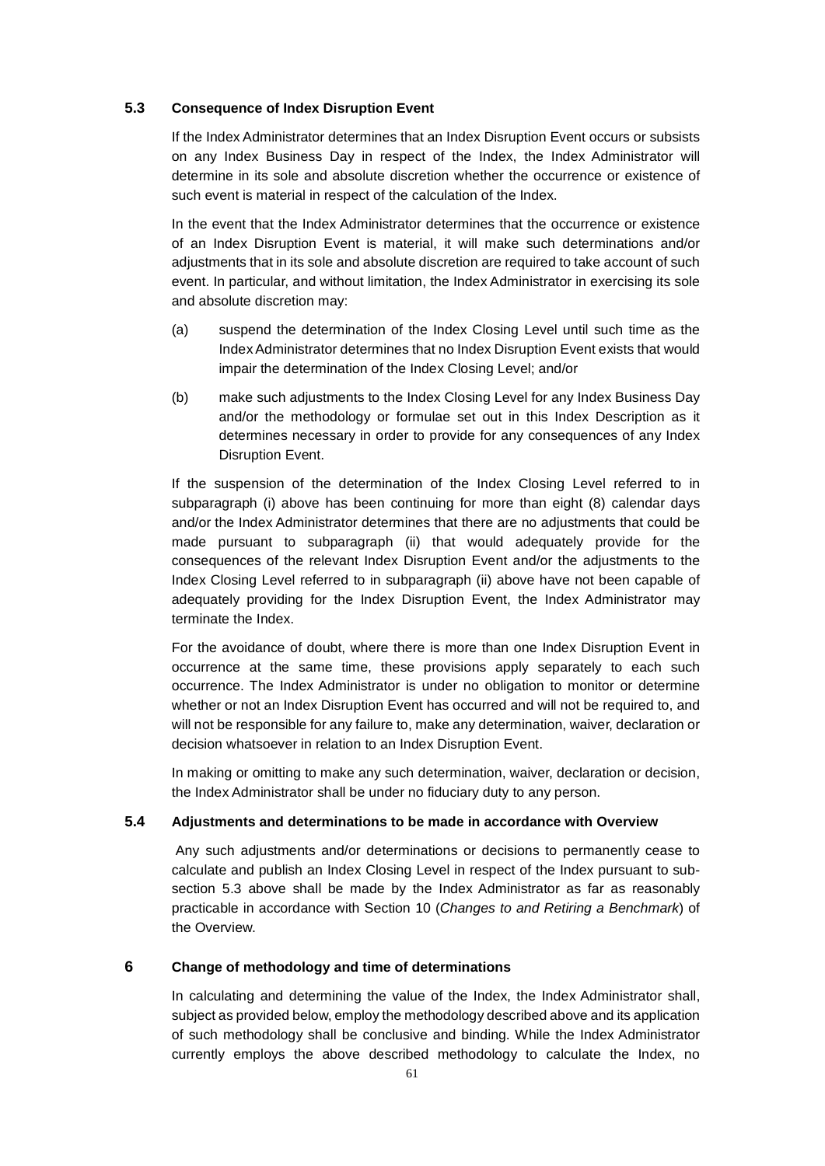# **5.3 Consequence of Index Disruption Event**

If the Index Administrator determines that an Index Disruption Event occurs or subsists on any Index Business Day in respect of the Index, the Index Administrator will determine in its sole and absolute discretion whether the occurrence or existence of such event is material in respect of the calculation of the Index.

In the event that the Index Administrator determines that the occurrence or existence of an Index Disruption Event is material, it will make such determinations and/or adjustments that in its sole and absolute discretion are required to take account of such event. In particular, and without limitation, the Index Administrator in exercising its sole and absolute discretion may:

- (a) suspend the determination of the Index Closing Level until such time as the Index Administrator determines that no Index Disruption Event exists that would impair the determination of the Index Closing Level; and/or
- (b) make such adjustments to the Index Closing Level for any Index Business Day and/or the methodology or formulae set out in this Index Description as it determines necessary in order to provide for any consequences of any Index Disruption Event.

If the suspension of the determination of the Index Closing Level referred to in subparagraph (i) above has been continuing for more than eight (8) calendar days and/or the Index Administrator determines that there are no adjustments that could be made pursuant to subparagraph (ii) that would adequately provide for the consequences of the relevant Index Disruption Event and/or the adjustments to the Index Closing Level referred to in subparagraph (ii) above have not been capable of adequately providing for the Index Disruption Event, the Index Administrator may terminate the Index.

For the avoidance of doubt, where there is more than one Index Disruption Event in occurrence at the same time, these provisions apply separately to each such occurrence. The Index Administrator is under no obligation to monitor or determine whether or not an Index Disruption Event has occurred and will not be required to, and will not be responsible for any failure to, make any determination, waiver, declaration or decision whatsoever in relation to an Index Disruption Event.

In making or omitting to make any such determination, waiver, declaration or decision, the Index Administrator shall be under no fiduciary duty to any person.

### **5.4 Adjustments and determinations to be made in accordance with Overview**

Any such adjustments and/or determinations or decisions to permanently cease to calculate and publish an Index Closing Level in respect of the Index pursuant to subsection 5.3 above shall be made by the Index Administrator as far as reasonably practicable in accordance with Section 10 (*Changes to and Retiring a Benchmark*) of the Overview.

# **6 Change of methodology and time of determinations**

In calculating and determining the value of the Index, the Index Administrator shall, subject as provided below, employ the methodology described above and its application of such methodology shall be conclusive and binding. While the Index Administrator currently employs the above described methodology to calculate the Index, no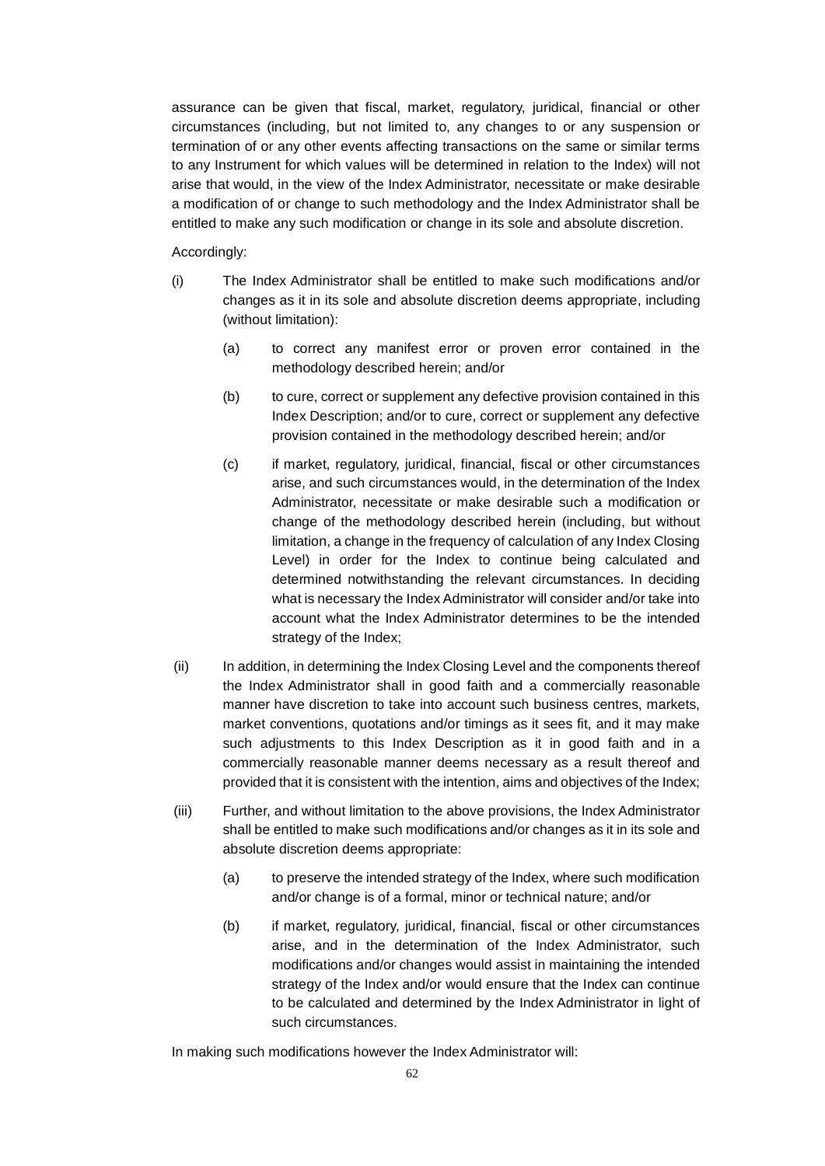assurance can be given that fiscal, market, regulatory, juridical, financial or other circumstances (including, but not limited to, any changes to or any suspension or termination of or any other events affecting transactions on the same or similar terms to any Instrument for which values will be determined in relation to the Index) will not arise that would, in the view of the Index Administrator, necessitate or make desirable a modification of or change to such methodology and the Index Administrator shall be entitled to make any such modification or change in its sole and absolute discretion.

Accordingly:

- (i) The Index Administrator shall be entitled to make such modifications and/or changes as it in its sole and absolute discretion deems appropriate, including (without limitation):
	- (a) to correct any manifest error or proven error contained in the methodology described herein; and/or
	- (b) to cure, correct or supplement any defective provision contained in this Index Description; and/or to cure, correct or supplement any defective provision contained in the methodology described herein; and/or
	- (c) if market, regulatory, juridical, financial, fiscal or other circumstances arise, and such circumstances would, in the determination of the Index Administrator, necessitate or make desirable such a modification or change of the methodology described herein (including, but without limitation, a change in the frequency of calculation of any Index Closing Level) in order for the Index to continue being calculated and determined notwithstanding the relevant circumstances. In deciding what is necessary the Index Administrator will consider and/or take into account what the Index Administrator determines to be the intended strategy of the Index;
- (ii) In addition, in determining the Index Closing Level and the components thereof the Index Administrator shall in good faith and a commercially reasonable manner have discretion to take into account such business centres, markets, market conventions, quotations and/or timings as it sees fit, and it may make such adjustments to this Index Description as it in good faith and in a commercially reasonable manner deems necessary as a result thereof and provided that it is consistent with the intention, aims and objectives of the Index;
- (iii) Further, and without limitation to the above provisions, the Index Administrator shall be entitled to make such modifications and/or changes as it in its sole and absolute discretion deems appropriate:
	- (a) to preserve the intended strategy of the Index, where such modification and/or change is of a formal, minor or technical nature; and/or
	- (b) if market, regulatory, juridical, financial, fiscal or other circumstances arise, and in the determination of the Index Administrator, such modifications and/or changes would assist in maintaining the intended strategy of the Index and/or would ensure that the Index can continue to be calculated and determined by the Index Administrator in light of such circumstances.

In making such modifications however the Index Administrator will: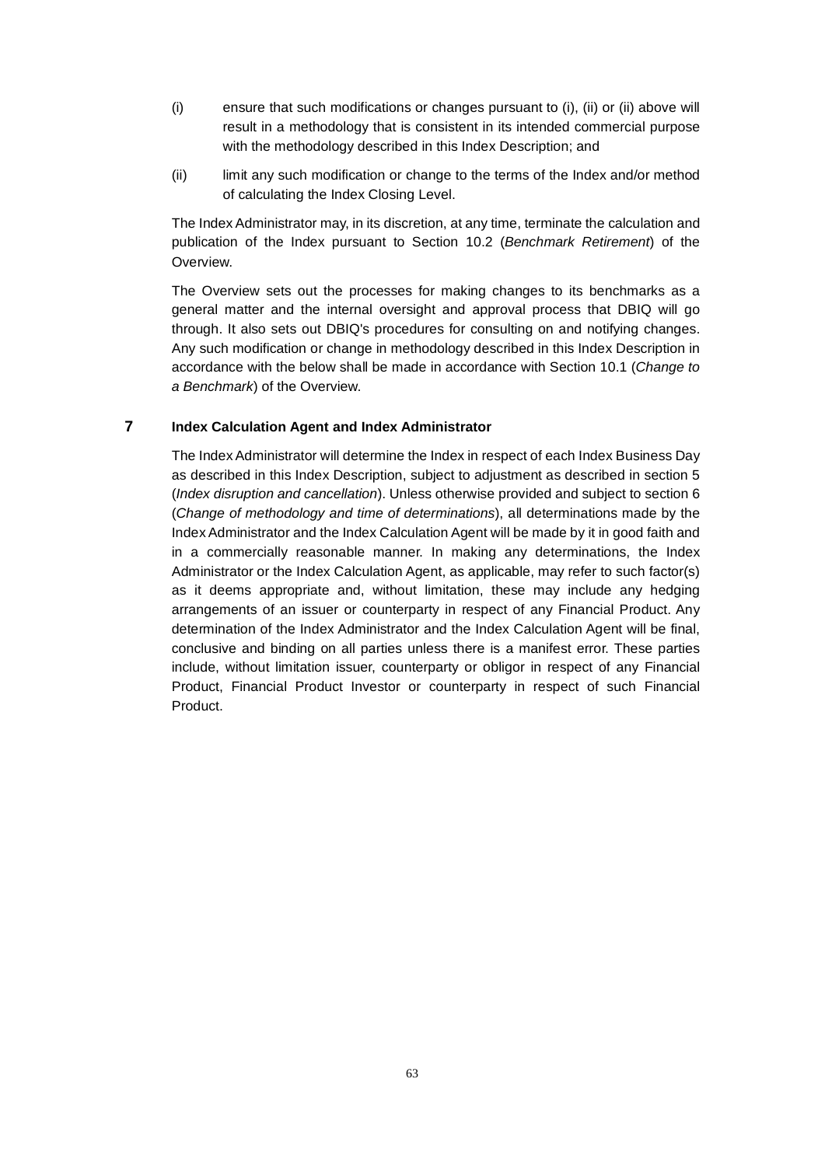- (i) ensure that such modifications or changes pursuant to (i), (ii) or (ii) above will result in a methodology that is consistent in its intended commercial purpose with the methodology described in this Index Description; and
- (ii) limit any such modification or change to the terms of the Index and/or method of calculating the Index Closing Level.

The Index Administrator may, in its discretion, at any time, terminate the calculation and publication of the Index pursuant to Section 10.2 (*Benchmark Retirement*) of the Overview.

The Overview sets out the processes for making changes to its benchmarks as a general matter and the internal oversight and approval process that DBIQ will go through. It also sets out DBIQ's procedures for consulting on and notifying changes. Any such modification or change in methodology described in this Index Description in accordance with the below shall be made in accordance with Section 10.1 (*Change to a Benchmark*) of the Overview.

# **7 Index Calculation Agent and Index Administrator**

The Index Administrator will determine the Index in respect of each Index Business Day as described in this Index Description, subject to adjustment as described in section 5 (*Index disruption and cancellation*). Unless otherwise provided and subject to section 6 (*Change of methodology and time of determinations*), all determinations made by the Index Administrator and the Index Calculation Agent will be made by it in good faith and in a commercially reasonable manner. In making any determinations, the Index Administrator or the Index Calculation Agent, as applicable, may refer to such factor(s) as it deems appropriate and, without limitation, these may include any hedging arrangements of an issuer or counterparty in respect of any Financial Product. Any determination of the Index Administrator and the Index Calculation Agent will be final, conclusive and binding on all parties unless there is a manifest error. These parties include, without limitation issuer, counterparty or obligor in respect of any Financial Product, Financial Product Investor or counterparty in respect of such Financial Product.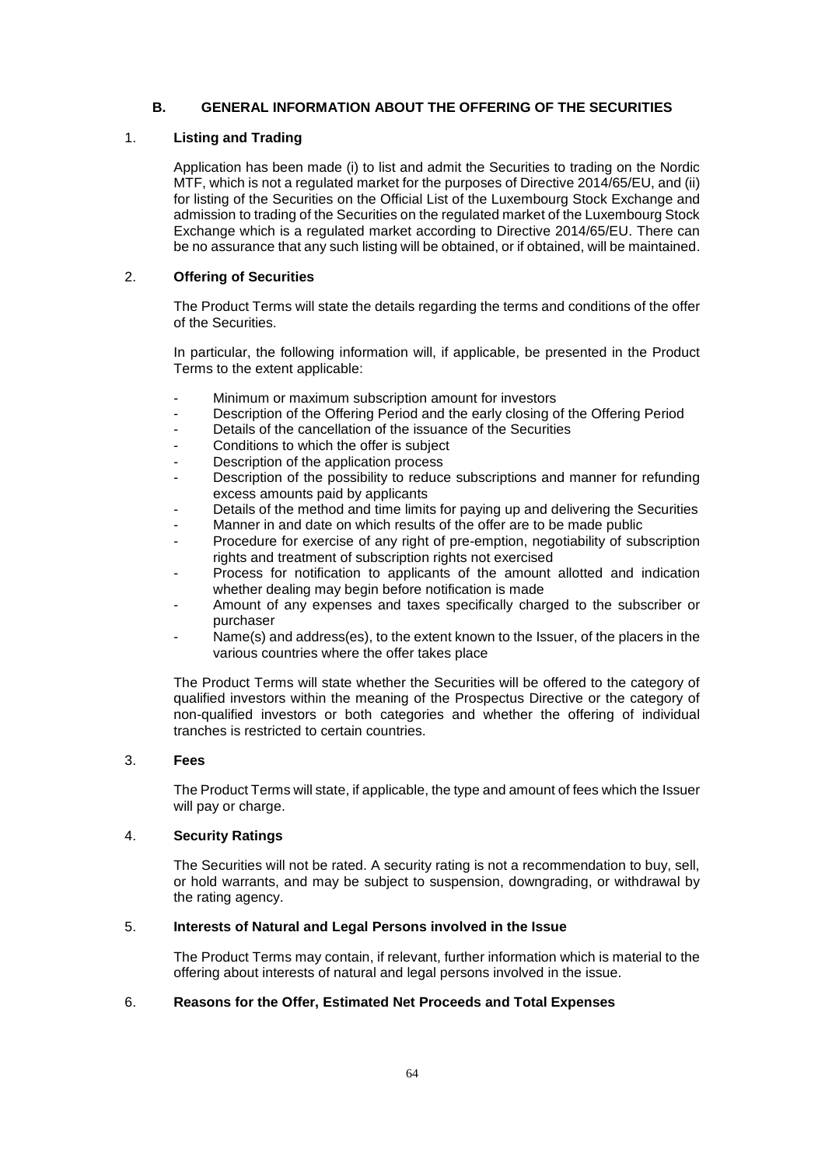# **B. GENERAL INFORMATION ABOUT THE OFFERING OF THE SECURITIES**

### 1. **Listing and Trading**

Application has been made (i) to list and admit the Securities to trading on the Nordic MTF, which is not a regulated market for the purposes of Directive 2014/65/EU, and (ii) for listing of the Securities on the Official List of the Luxembourg Stock Exchange and admission to trading of the Securities on the regulated market of the Luxembourg Stock Exchange which is a regulated market according to Directive 2014/65/EU. There can be no assurance that any such listing will be obtained, or if obtained, will be maintained.

### 2. **Offering of Securities**

The Product Terms will state the details regarding the terms and conditions of the offer of the Securities.

In particular, the following information will, if applicable, be presented in the Product Terms to the extent applicable:

- Minimum or maximum subscription amount for investors
- Description of the Offering Period and the early closing of the Offering Period
- Details of the cancellation of the issuance of the Securities
- Conditions to which the offer is subject
- Description of the application process
- Description of the possibility to reduce subscriptions and manner for refunding excess amounts paid by applicants
- Details of the method and time limits for paying up and delivering the Securities
- Manner in and date on which results of the offer are to be made public
- Procedure for exercise of any right of pre-emption, negotiability of subscription rights and treatment of subscription rights not exercised
- Process for notification to applicants of the amount allotted and indication whether dealing may begin before notification is made
- Amount of any expenses and taxes specifically charged to the subscriber or purchaser
- Name(s) and address(es), to the extent known to the Issuer, of the placers in the various countries where the offer takes place

The Product Terms will state whether the Securities will be offered to the category of qualified investors within the meaning of the Prospectus Directive or the category of non-qualified investors or both categories and whether the offering of individual tranches is restricted to certain countries.

### 3. **Fees**

The Product Terms will state, if applicable, the type and amount of fees which the Issuer will pay or charge.

### 4. **Security Ratings**

The Securities will not be rated. A security rating is not a recommendation to buy, sell, or hold warrants, and may be subject to suspension, downgrading, or withdrawal by the rating agency.

### 5. **Interests of Natural and Legal Persons involved in the Issue**

The Product Terms may contain, if relevant, further information which is material to the offering about interests of natural and legal persons involved in the issue.

### 6. **Reasons for the Offer, Estimated Net Proceeds and Total Expenses**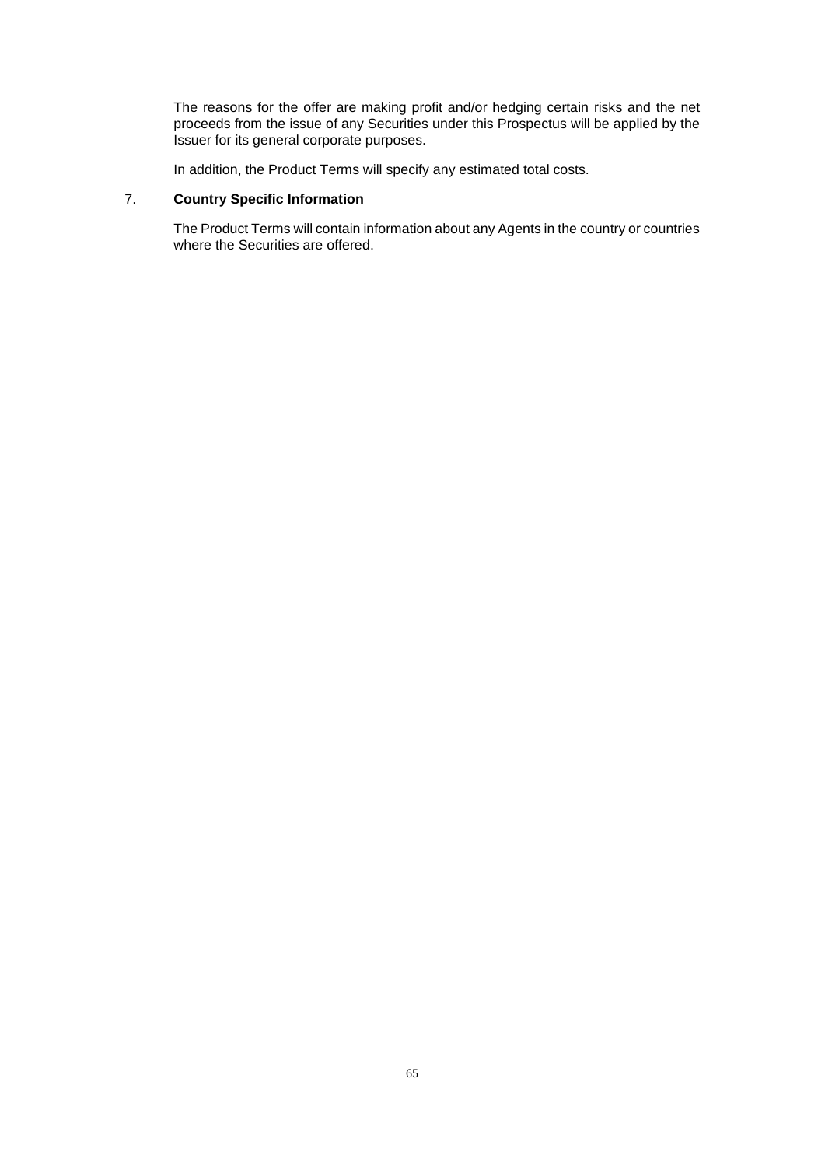The reasons for the offer are making profit and/or hedging certain risks and the net proceeds from the issue of any Securities under this Prospectus will be applied by the Issuer for its general corporate purposes.

In addition, the Product Terms will specify any estimated total costs.

### 7. **Country Specific Information**

The Product Terms will contain information about any Agents in the country or countries where the Securities are offered.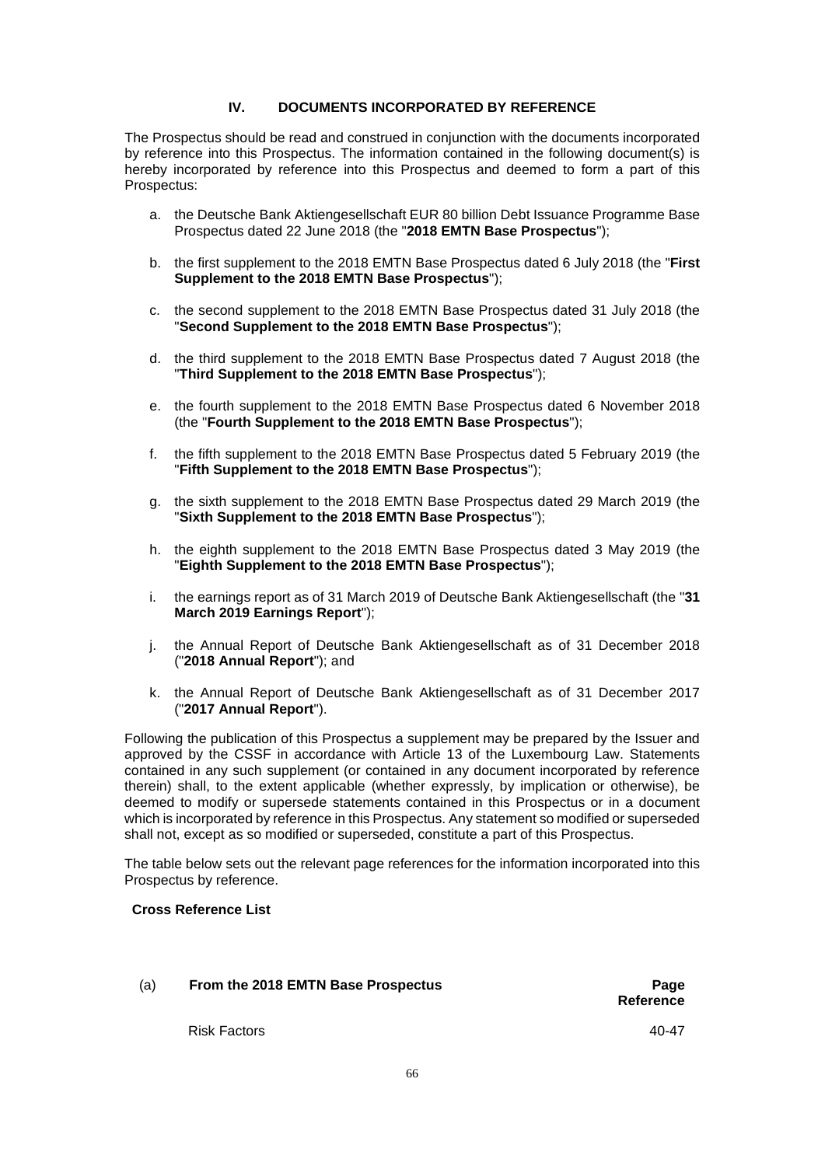# **IV. DOCUMENTS INCORPORATED BY REFERENCE**

The Prospectus should be read and construed in conjunction with the documents incorporated by reference into this Prospectus. The information contained in the following document(s) is hereby incorporated by reference into this Prospectus and deemed to form a part of this Prospectus:

- a. the Deutsche Bank Aktiengesellschaft EUR 80 billion Debt Issuance Programme Base Prospectus dated 22 June 2018 (the "**2018 EMTN Base Prospectus**");
- b. the first supplement to the 2018 EMTN Base Prospectus dated 6 July 2018 (the "**First Supplement to the 2018 EMTN Base Prospectus**");
- c. the second supplement to the 2018 EMTN Base Prospectus dated 31 July 2018 (the "**Second Supplement to the 2018 EMTN Base Prospectus**");
- d. the third supplement to the 2018 EMTN Base Prospectus dated 7 August 2018 (the "**Third Supplement to the 2018 EMTN Base Prospectus**");
- e. the fourth supplement to the 2018 EMTN Base Prospectus dated 6 November 2018 (the "**Fourth Supplement to the 2018 EMTN Base Prospectus**");
- f. the fifth supplement to the 2018 EMTN Base Prospectus dated 5 February 2019 (the "**Fifth Supplement to the 2018 EMTN Base Prospectus**");
- g. the sixth supplement to the 2018 EMTN Base Prospectus dated 29 March 2019 (the "**Sixth Supplement to the 2018 EMTN Base Prospectus**");
- h. the eighth supplement to the 2018 EMTN Base Prospectus dated 3 May 2019 (the "**Eighth Supplement to the 2018 EMTN Base Prospectus**");
- i. the earnings report as of 31 March 2019 of Deutsche Bank Aktiengesellschaft (the "**31 March 2019 Earnings Report**");
- j. the Annual Report of Deutsche Bank Aktiengesellschaft as of 31 December 2018 ("**2018 Annual Report**"); and
- k. the Annual Report of Deutsche Bank Aktiengesellschaft as of 31 December 2017 ("**2017 Annual Report**").

Following the publication of this Prospectus a supplement may be prepared by the Issuer and approved by the CSSF in accordance with Article 13 of the Luxembourg Law. Statements contained in any such supplement (or contained in any document incorporated by reference therein) shall, to the extent applicable (whether expressly, by implication or otherwise), be deemed to modify or supersede statements contained in this Prospectus or in a document which is incorporated by reference in this Prospectus. Any statement so modified or superseded shall not, except as so modified or superseded, constitute a part of this Prospectus.

The table below sets out the relevant page references for the information incorporated into this Prospectus by reference.

### **Cross Reference List**

# (a) **From the 2018 EMTN Base Prospectus Page Reference**

Risk Factors 40-47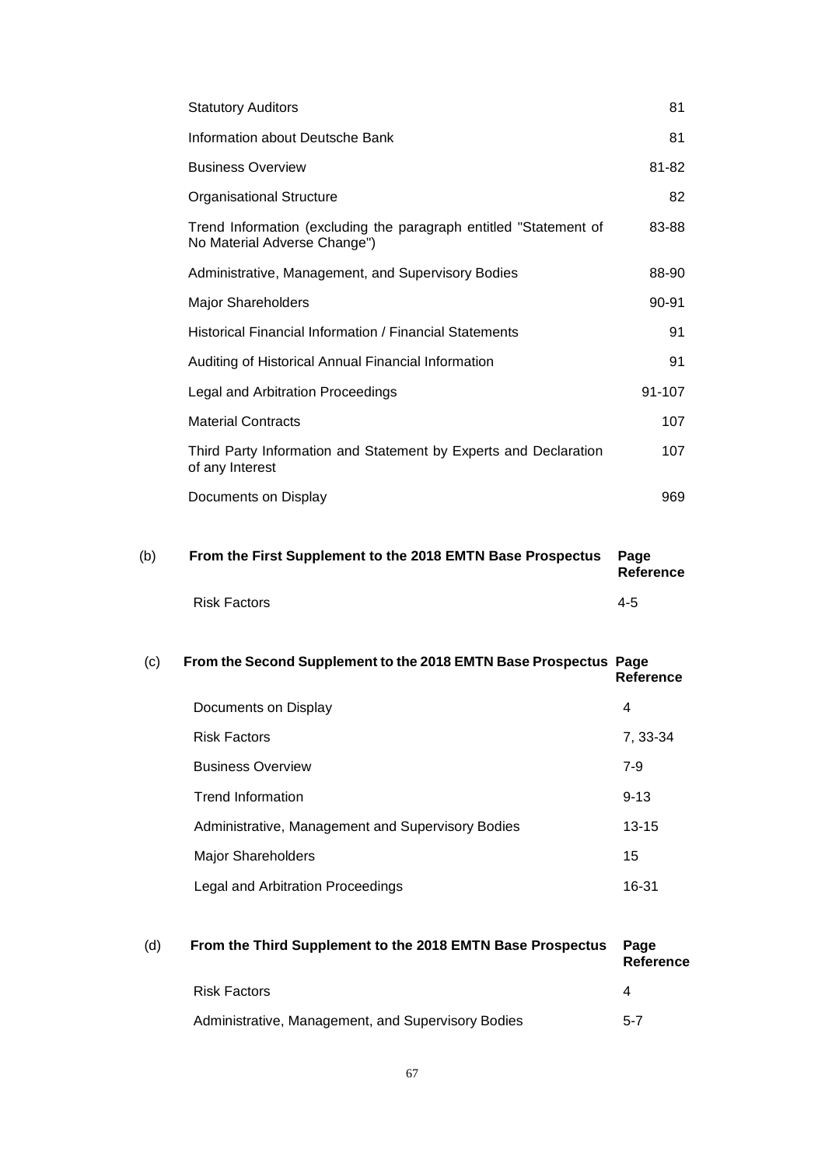| <b>Statutory Auditors</b>                                                                         | 81     |
|---------------------------------------------------------------------------------------------------|--------|
| Information about Deutsche Bank                                                                   | 81     |
| <b>Business Overview</b>                                                                          | 81-82  |
| <b>Organisational Structure</b>                                                                   | 82     |
| Trend Information (excluding the paragraph entitled "Statement of<br>No Material Adverse Change") | 83-88  |
| Administrative, Management, and Supervisory Bodies                                                | 88-90  |
| <b>Major Shareholders</b>                                                                         | 90-91  |
| Historical Financial Information / Financial Statements                                           | 91     |
| Auditing of Historical Annual Financial Information                                               | 91     |
| Legal and Arbitration Proceedings                                                                 | 91-107 |
| <b>Material Contracts</b>                                                                         | 107    |
| Third Party Information and Statement by Experts and Declaration<br>of any Interest               | 107    |
| Documents on Display                                                                              | 969    |

| (b) | From the First Supplement to the 2018 EMTN Base Prospectus | Page<br>Reference |
|-----|------------------------------------------------------------|-------------------|
|     | <b>Risk Factors</b>                                        | 4-5               |

# (c) **From the Second Supplement to the 2018 EMTN Base Prospectus Page Reference**

| Documents on Display                              | 4         |
|---------------------------------------------------|-----------|
| Risk Factors                                      | 7, 33-34  |
| <b>Business Overview</b>                          | 7-9       |
| <b>Trend Information</b>                          | $9 - 13$  |
| Administrative, Management and Supervisory Bodies | $13 - 15$ |
| Major Shareholders                                | 15        |
| Legal and Arbitration Proceedings                 | 16-31     |

| (d) | From the Third Supplement to the 2018 EMTN Base Prospectus | Page<br>Reference |
|-----|------------------------------------------------------------|-------------------|
|     | <b>Risk Factors</b>                                        |                   |
|     | Administrative, Management, and Supervisory Bodies         | $5 - 7$           |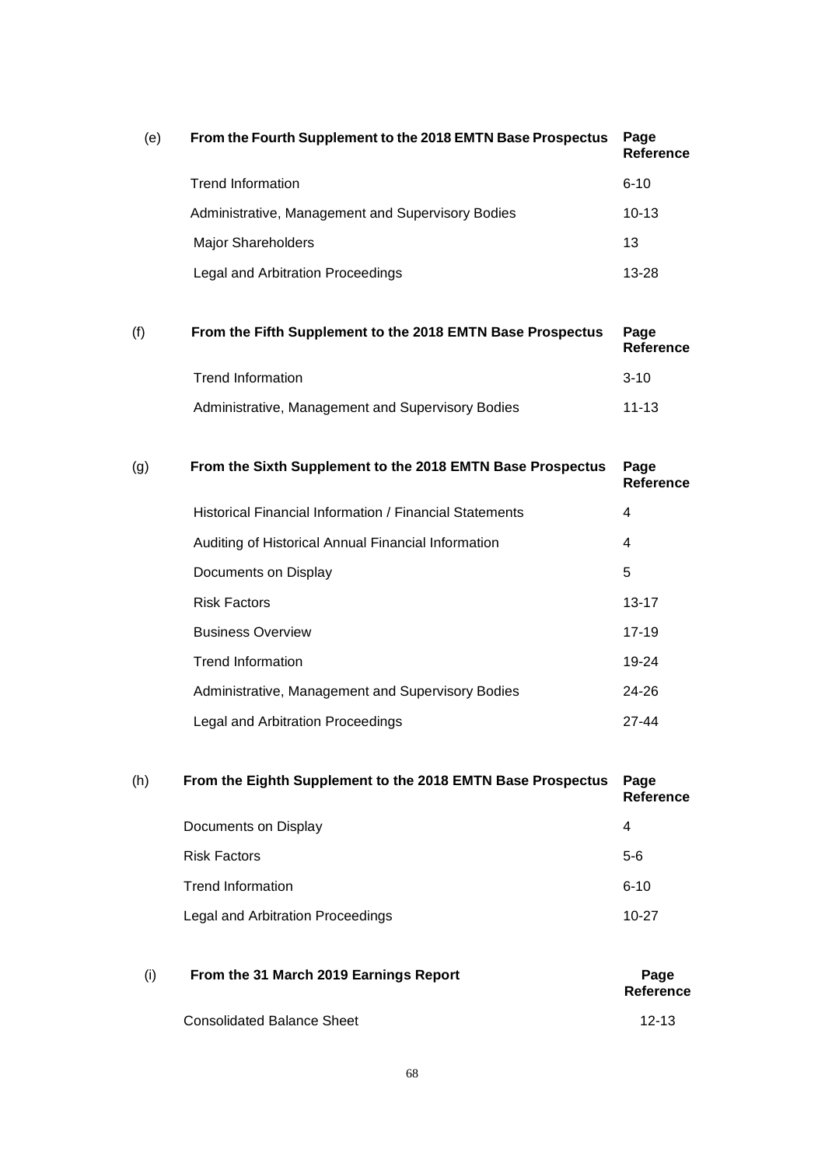| (e) | From the Fourth Supplement to the 2018 EMTN Base Prospectus | Page<br>Reference |
|-----|-------------------------------------------------------------|-------------------|
|     | Trend Information                                           | $6 - 10$          |
|     | Administrative, Management and Supervisory Bodies           | $10-13$           |
|     | <b>Major Shareholders</b>                                   | 13                |
|     | Legal and Arbitration Proceedings                           | 13-28             |

| (f) | From the Fifth Supplement to the 2018 EMTN Base Prospectus | Page<br>Reference |
|-----|------------------------------------------------------------|-------------------|
|     | Trend Information                                          | $3-10$            |
|     | Administrative, Management and Supervisory Bodies          | $11 - 13$         |

| (g) | From the Sixth Supplement to the 2018 EMTN Base Prospectus | Page<br><b>Reference</b> |
|-----|------------------------------------------------------------|--------------------------|
|     | Historical Financial Information / Financial Statements    | 4                        |
|     | Auditing of Historical Annual Financial Information        | 4                        |
|     | Documents on Display                                       | 5                        |
|     | <b>Risk Factors</b>                                        | $13 - 17$                |
|     | <b>Business Overview</b>                                   | $17 - 19$                |
|     | <b>Trend Information</b>                                   | 19-24                    |
|     | Administrative, Management and Supervisory Bodies          | 24-26                    |
|     | Legal and Arbitration Proceedings                          | $27 - 44$                |

| (h) | From the Eighth Supplement to the 2018 EMTN Base Prospectus | Page<br><b>Reference</b> |
|-----|-------------------------------------------------------------|--------------------------|
|     | Documents on Display                                        | 4                        |
|     | <b>Risk Factors</b>                                         | $5-6$                    |
|     | <b>Trend Information</b>                                    | $6 - 10$                 |
|     | Legal and Arbitration Proceedings                           | 10-27                    |
|     |                                                             |                          |
|     |                                                             |                          |

| (i) | From the 31 March 2019 Earnings Report | Page<br>Reference |
|-----|----------------------------------------|-------------------|
|     | <b>Consolidated Balance Sheet</b>      | $12 - 13$         |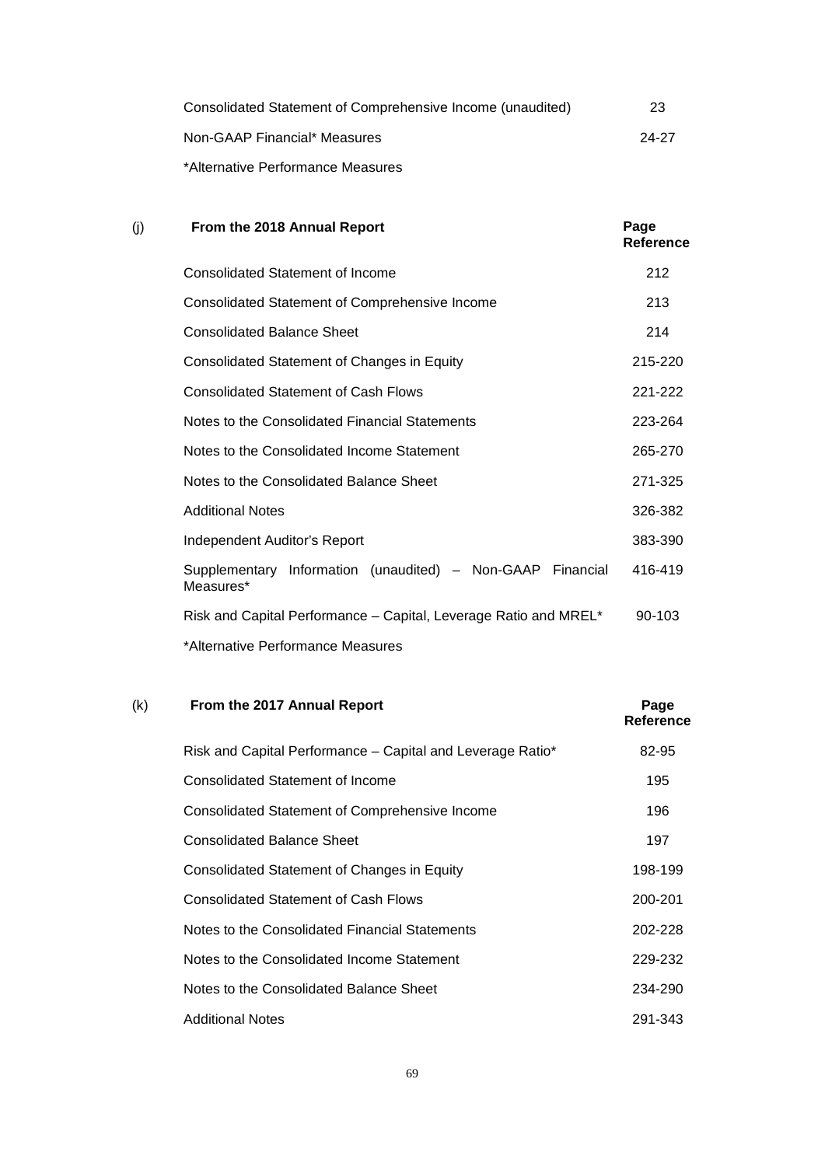| Consolidated Statement of Comprehensive Income (unaudited) | -23   |
|------------------------------------------------------------|-------|
| Non-GAAP Financial* Measures                               | 24-27 |
| *Alternative Performance Measures                          |       |

| (j) | From the 2018 Annual Report                                             | Page<br>Reference |
|-----|-------------------------------------------------------------------------|-------------------|
|     | Consolidated Statement of Income                                        | 212               |
|     | <b>Consolidated Statement of Comprehensive Income</b>                   | 213               |
|     | <b>Consolidated Balance Sheet</b>                                       | 214               |
|     | <b>Consolidated Statement of Changes in Equity</b>                      | 215-220           |
|     | <b>Consolidated Statement of Cash Flows</b>                             | 221-222           |
|     | Notes to the Consolidated Financial Statements                          | 223-264           |
|     | Notes to the Consolidated Income Statement                              | 265-270           |
|     | Notes to the Consolidated Balance Sheet                                 | 271-325           |
|     | <b>Additional Notes</b>                                                 | 326-382           |
|     | Independent Auditor's Report                                            | 383-390           |
|     | Supplementary Information (unaudited) - Non-GAAP Financial<br>Measures* | 416-419           |
|     | Risk and Capital Performance - Capital, Leverage Ratio and MREL*        | 90-103            |
|     | *Alternative Performance Measures                                       |                   |

# $(k)$  **From the 2017 Annual Report**

| From the 2017 Annual Report                                | Page<br>Reference |
|------------------------------------------------------------|-------------------|
| Risk and Capital Performance – Capital and Leverage Ratio* | 82-95             |
| Consolidated Statement of Income                           | 195               |
| Consolidated Statement of Comprehensive Income             | 196               |
| <b>Consolidated Balance Sheet</b>                          | 197               |
| Consolidated Statement of Changes in Equity                | 198-199           |
| <b>Consolidated Statement of Cash Flows</b>                | 200-201           |
| Notes to the Consolidated Financial Statements             | 202-228           |
| Notes to the Consolidated Income Statement                 | 229-232           |
| Notes to the Consolidated Balance Sheet                    | 234-290           |
| <b>Additional Notes</b>                                    | 291-343           |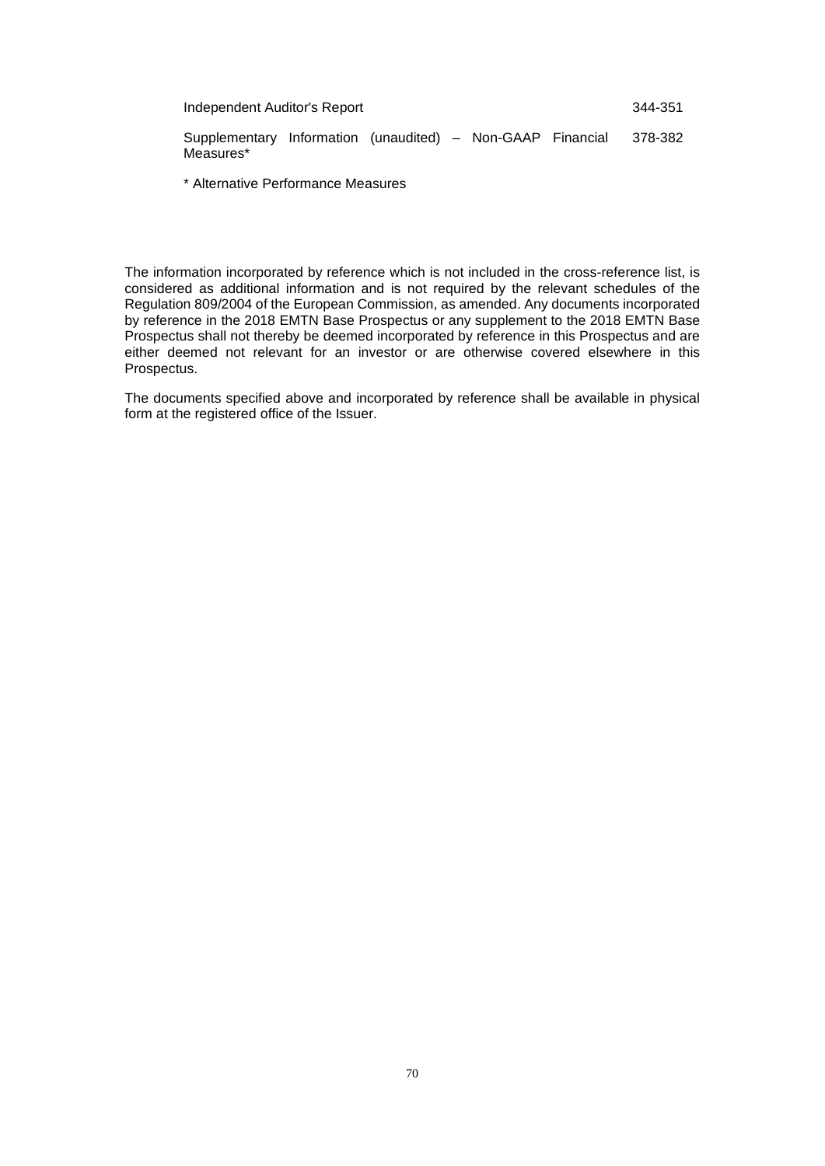Independent Auditor's Report 344-351

Supplementary Information (unaudited) – Non-GAAP Financial Measures\* 378-382

\* Alternative Performance Measures

The information incorporated by reference which is not included in the cross-reference list, is considered as additional information and is not required by the relevant schedules of the Regulation 809/2004 of the European Commission, as amended. Any documents incorporated by reference in the 2018 EMTN Base Prospectus or any supplement to the 2018 EMTN Base Prospectus shall not thereby be deemed incorporated by reference in this Prospectus and are either deemed not relevant for an investor or are otherwise covered elsewhere in this Prospectus.

The documents specified above and incorporated by reference shall be available in physical form at the registered office of the Issuer.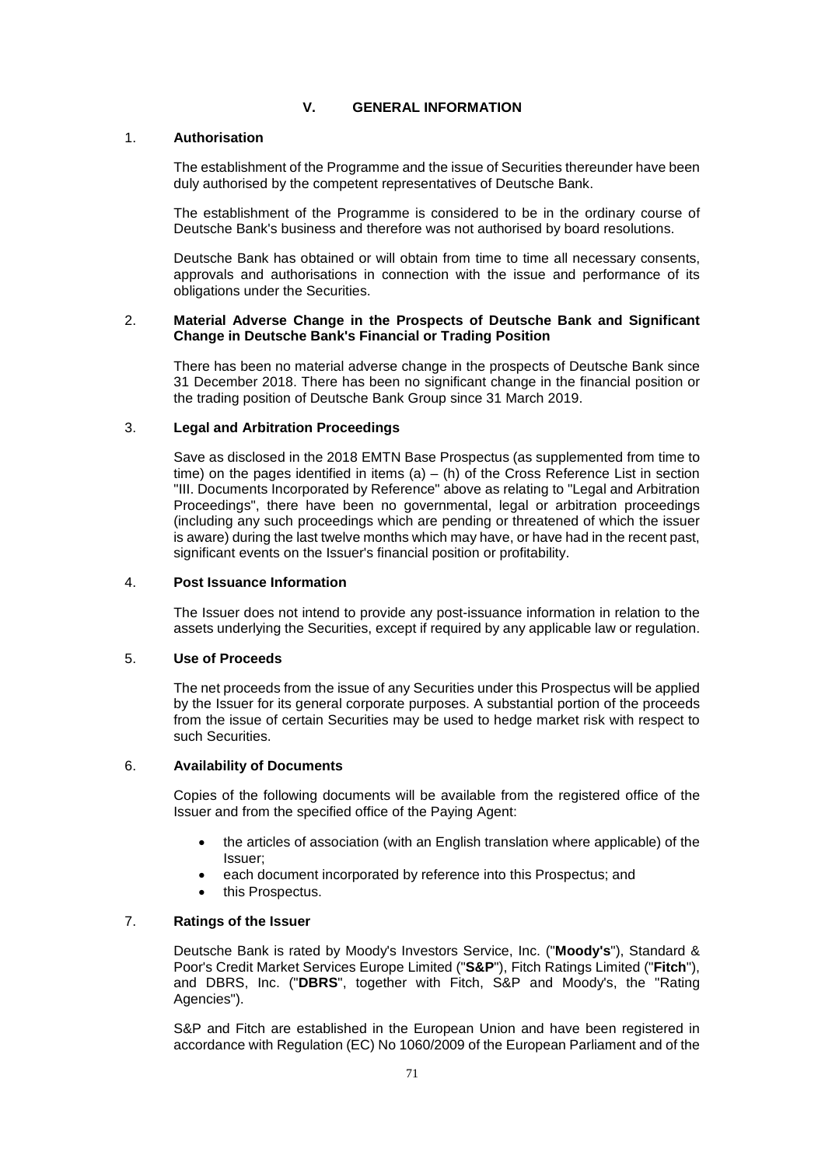## **V. GENERAL INFORMATION**

### 1. **Authorisation**

The establishment of the Programme and the issue of Securities thereunder have been duly authorised by the competent representatives of Deutsche Bank.

The establishment of the Programme is considered to be in the ordinary course of Deutsche Bank's business and therefore was not authorised by board resolutions.

Deutsche Bank has obtained or will obtain from time to time all necessary consents, approvals and authorisations in connection with the issue and performance of its obligations under the Securities.

#### 2. **Material Adverse Change in the Prospects of Deutsche Bank and Significant Change in Deutsche Bank's Financial or Trading Position**

There has been no material adverse change in the prospects of Deutsche Bank since 31 December 2018. There has been no significant change in the financial position or the trading position of Deutsche Bank Group since 31 March 2019.

### 3. **Legal and Arbitration Proceedings**

Save as disclosed in the 2018 EMTN Base Prospectus (as supplemented from time to time) on the pages identified in items  $(a) - (h)$  of the Cross Reference List in section "III. Documents Incorporated by Reference" above as relating to "Legal and Arbitration Proceedings", there have been no governmental, legal or arbitration proceedings (including any such proceedings which are pending or threatened of which the issuer is aware) during the last twelve months which may have, or have had in the recent past, significant events on the Issuer's financial position or profitability.

### 4. **Post Issuance Information**

The Issuer does not intend to provide any post-issuance information in relation to the assets underlying the Securities, except if required by any applicable law or regulation.

### 5. **Use of Proceeds**

The net proceeds from the issue of any Securities under this Prospectus will be applied by the Issuer for its general corporate purposes. A substantial portion of the proceeds from the issue of certain Securities may be used to hedge market risk with respect to such Securities.

# 6. **Availability of Documents**

Copies of the following documents will be available from the registered office of the Issuer and from the specified office of the Paying Agent:

- the articles of association (with an English translation where applicable) of the Issuer;
- each document incorporated by reference into this Prospectus; and
- this Prospectus.

### 7. **Ratings of the Issuer**

Deutsche Bank is rated by Moody's Investors Service, Inc. ("**Moody's**"), Standard & Poor's Credit Market Services Europe Limited ("**S&P**"), Fitch Ratings Limited ("**Fitch**"), and DBRS, Inc. ("**DBRS**", together with Fitch, S&P and Moody's, the "Rating Agencies").

S&P and Fitch are established in the European Union and have been registered in accordance with Regulation (EC) No 1060/2009 of the European Parliament and of the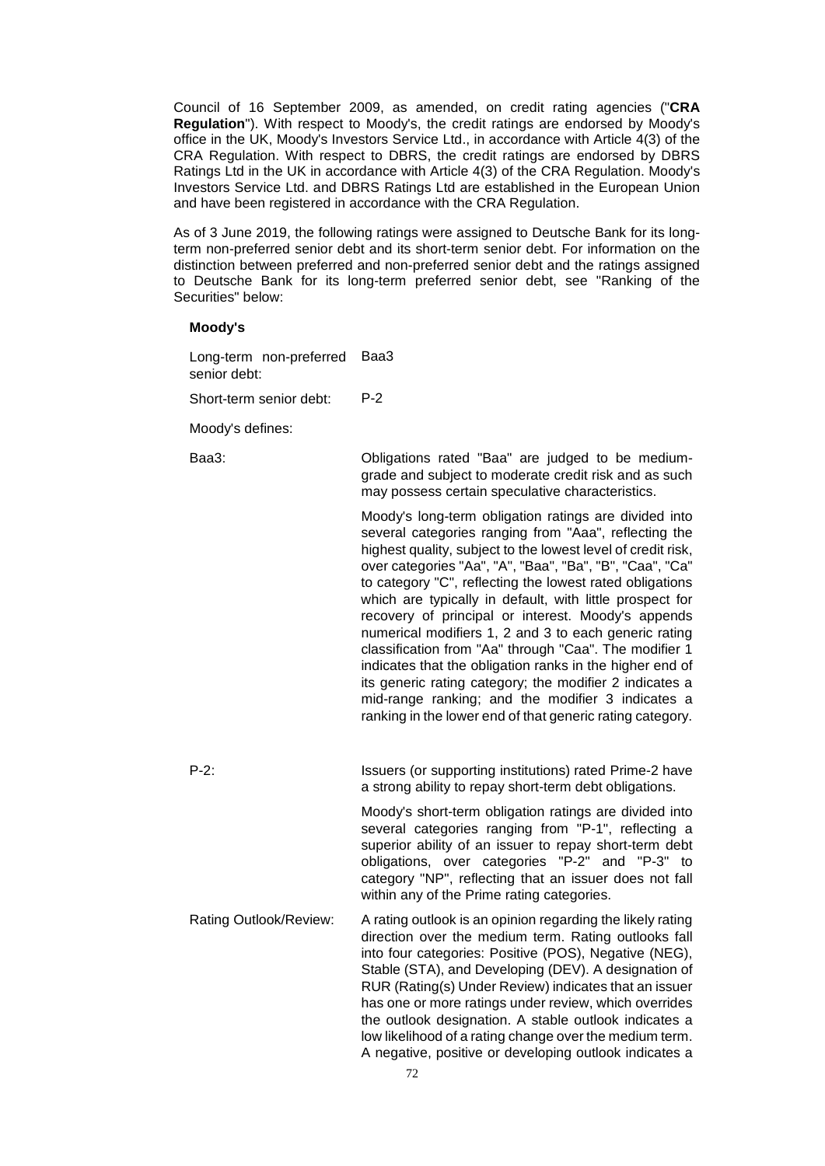Council of 16 September 2009, as amended, on credit rating agencies ("**CRA Regulation**"). With respect to Moody's, the credit ratings are endorsed by Moody's office in the UK, Moody's Investors Service Ltd., in accordance with Article 4(3) of the CRA Regulation. With respect to DBRS, the credit ratings are endorsed by DBRS Ratings Ltd in the UK in accordance with Article 4(3) of the CRA Regulation. Moody's Investors Service Ltd. and DBRS Ratings Ltd are established in the European Union and have been registered in accordance with the CRA Regulation.

As of 3 June 2019, the following ratings were assigned to Deutsche Bank for its longterm non-preferred senior debt and its short-term senior debt. For information on the distinction between preferred and non-preferred senior debt and the ratings assigned to Deutsche Bank for its long-term preferred senior debt, see "Ranking of the Securities" below:

#### **Moody's**

Long-term non-preferred senior debt: Baa3

Short-term senior debt: P-2

Moody's defines:

Baa3: Obligations rated "Baa" are judged to be mediumgrade and subject to moderate credit risk and as such may possess certain speculative characteristics.

> Moody's long-term obligation ratings are divided into several categories ranging from "Aaa", reflecting the highest quality, subject to the lowest level of credit risk, over categories "Aa", "A", "Baa", "Ba", "B", "Caa", "Ca" to category "C", reflecting the lowest rated obligations which are typically in default, with little prospect for recovery of principal or interest. Moody's appends numerical modifiers 1, 2 and 3 to each generic rating classification from "Aa" through "Caa". The modifier 1 indicates that the obligation ranks in the higher end of its generic rating category; the modifier 2 indicates a mid-range ranking; and the modifier 3 indicates a ranking in the lower end of that generic rating category.

P-2: Issuers (or supporting institutions) rated Prime-2 have a strong ability to repay short-term debt obligations.

> Moody's short-term obligation ratings are divided into several categories ranging from "P-1", reflecting a superior ability of an issuer to repay short-term debt obligations, over categories "P-2" and "P-3" to category "NP", reflecting that an issuer does not fall within any of the Prime rating categories.

Rating Outlook/Review: A rating outlook is an opinion regarding the likely rating direction over the medium term. Rating outlooks fall into four categories: Positive (POS), Negative (NEG), Stable (STA), and Developing (DEV). A designation of RUR (Rating(s) Under Review) indicates that an issuer has one or more ratings under review, which overrides the outlook designation. A stable outlook indicates a low likelihood of a rating change over the medium term. A negative, positive or developing outlook indicates a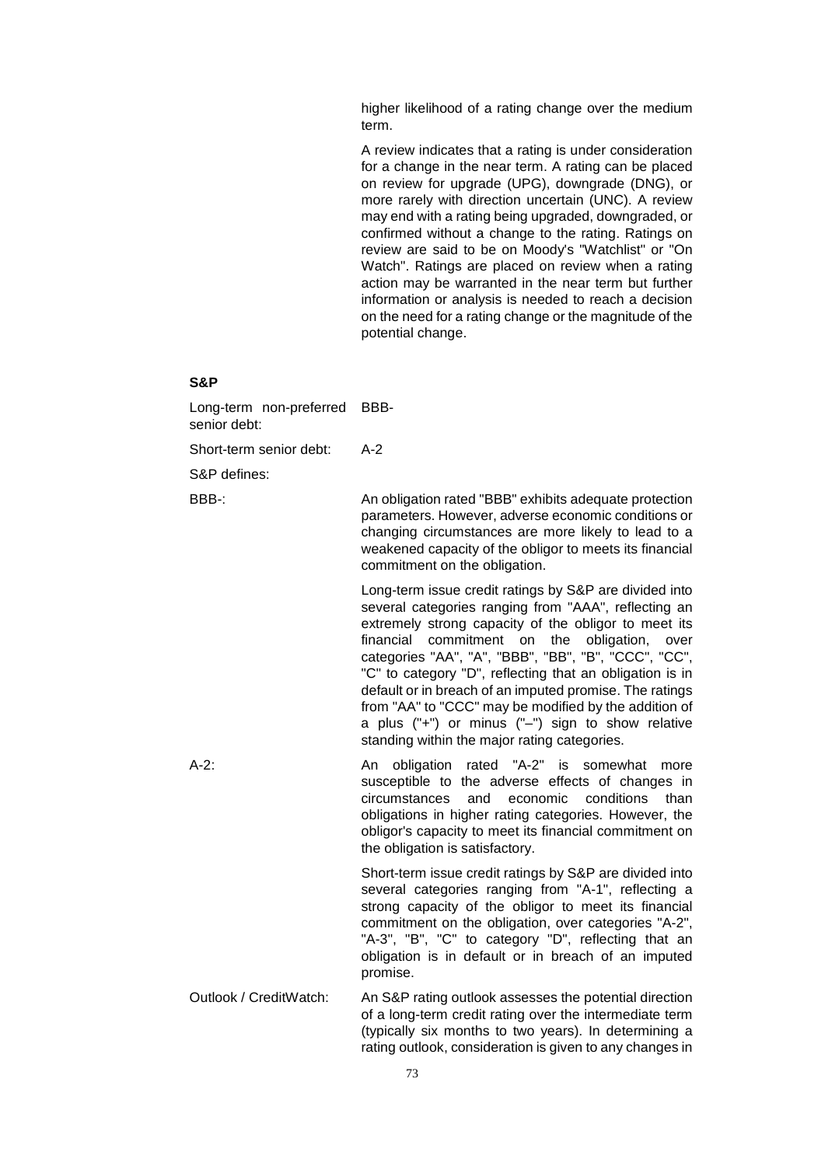higher likelihood of a rating change over the medium term.

A review indicates that a rating is under consideration for a change in the near term. A rating can be placed on review for upgrade (UPG), downgrade (DNG), or more rarely with direction uncertain (UNC). A review may end with a rating being upgraded, downgraded, or confirmed without a change to the rating. Ratings on review are said to be on Moody's "Watchlist" or "On Watch". Ratings are placed on review when a rating action may be warranted in the near term but further information or analysis is needed to reach a decision on the need for a rating change or the magnitude of the potential change.

#### **S&P**

Long-term non-preferred BBBsenior debt:

Short-term senior debt: A-2

S&P defines:

BBB-: An obligation rated "BBB" exhibits adequate protection parameters. However, adverse economic conditions or changing circumstances are more likely to lead to a weakened capacity of the obligor to meets its financial commitment on the obligation.

> Long-term issue credit ratings by S&P are divided into several categories ranging from "AAA", reflecting an extremely strong capacity of the obligor to meet its financial commitment on the obligation, over categories "AA", "A", "BBB", "BB", "B", "CCC", "CC", "C" to category "D", reflecting that an obligation is in default or in breach of an imputed promise. The ratings from "AA" to "CCC" may be modified by the addition of a plus ("+") or minus ("–") sign to show relative standing within the major rating categories.

A-2: An obligation rated "A-2" is somewhat more susceptible to the adverse effects of changes in circumstances and economic conditions than obligations in higher rating categories. However, the obligor's capacity to meet its financial commitment on the obligation is satisfactory.

> Short-term issue credit ratings by S&P are divided into several categories ranging from "A-1", reflecting a strong capacity of the obligor to meet its financial commitment on the obligation, over categories "A-2", "A-3", "B", "C" to category "D", reflecting that an obligation is in default or in breach of an imputed promise.

Outlook / CreditWatch: An S&P rating outlook assesses the potential direction of a long-term credit rating over the intermediate term (typically six months to two years). In determining a rating outlook, consideration is given to any changes in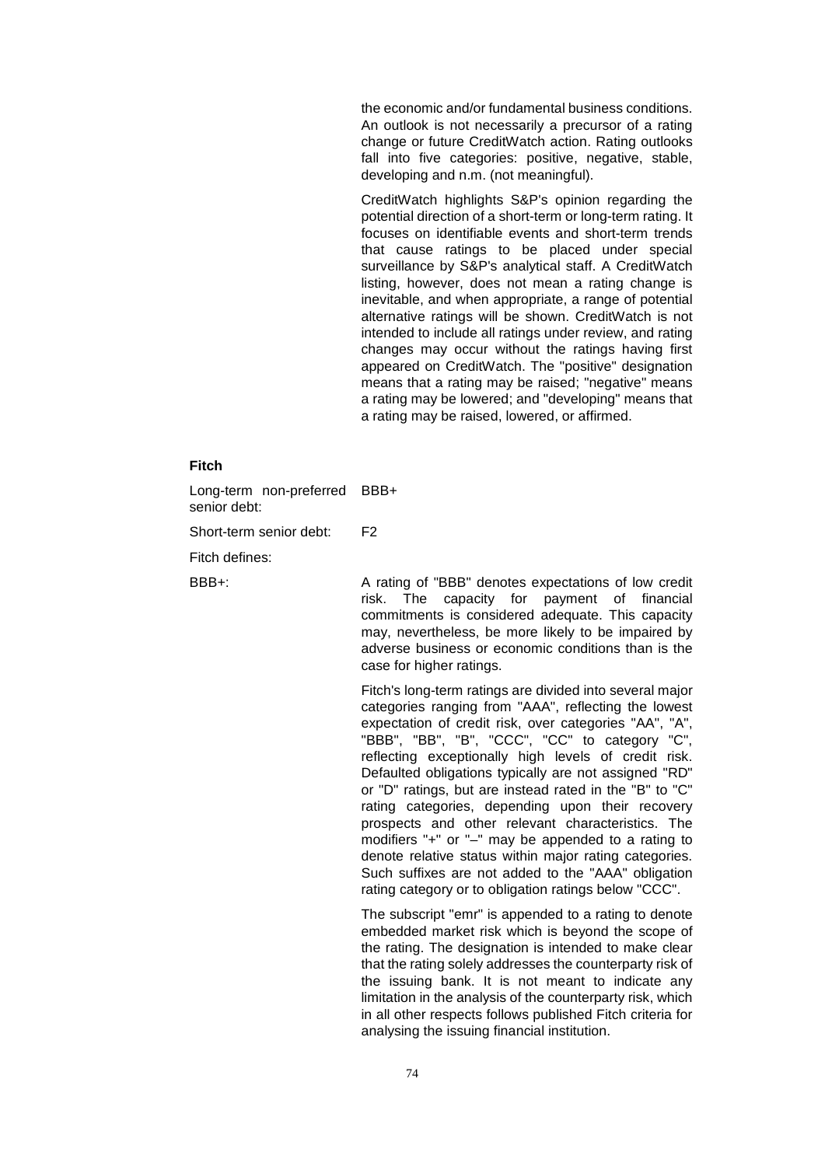the economic and/or fundamental business conditions. An outlook is not necessarily a precursor of a rating change or future CreditWatch action. Rating outlooks fall into five categories: positive, negative, stable, developing and n.m. (not meaningful).

CreditWatch highlights S&P's opinion regarding the potential direction of a short-term or long-term rating. It focuses on identifiable events and short-term trends that cause ratings to be placed under special surveillance by S&P's analytical staff. A CreditWatch listing, however, does not mean a rating change is inevitable, and when appropriate, a range of potential alternative ratings will be shown. CreditWatch is not intended to include all ratings under review, and rating changes may occur without the ratings having first appeared on CreditWatch. The "positive" designation means that a rating may be raised; "negative" means a rating may be lowered; and "developing" means that a rating may be raised, lowered, or affirmed.

#### **Fitch**

Long-term non-preferred BBB+ senior debt:

Short-term senior debt: F2

Fitch defines:

BBB+: A rating of "BBB" denotes expectations of low credit risk. The capacity for payment of financial commitments is considered adequate. This capacity may, nevertheless, be more likely to be impaired by adverse business or economic conditions than is the case for higher ratings.

> Fitch's long-term ratings are divided into several major categories ranging from "AAA", reflecting the lowest expectation of credit risk, over categories "AA", "A", "BBB", "BB", "B", "CCC", "CC" to category "C", reflecting exceptionally high levels of credit risk. Defaulted obligations typically are not assigned "RD" or "D" ratings, but are instead rated in the "B" to "C" rating categories, depending upon their recovery prospects and other relevant characteristics. The modifiers "+" or "–" may be appended to a rating to denote relative status within major rating categories. Such suffixes are not added to the "AAA" obligation rating category or to obligation ratings below "CCC".

> The subscript "emr" is appended to a rating to denote embedded market risk which is beyond the scope of the rating. The designation is intended to make clear that the rating solely addresses the counterparty risk of the issuing bank. It is not meant to indicate any limitation in the analysis of the counterparty risk, which in all other respects follows published Fitch criteria for analysing the issuing financial institution.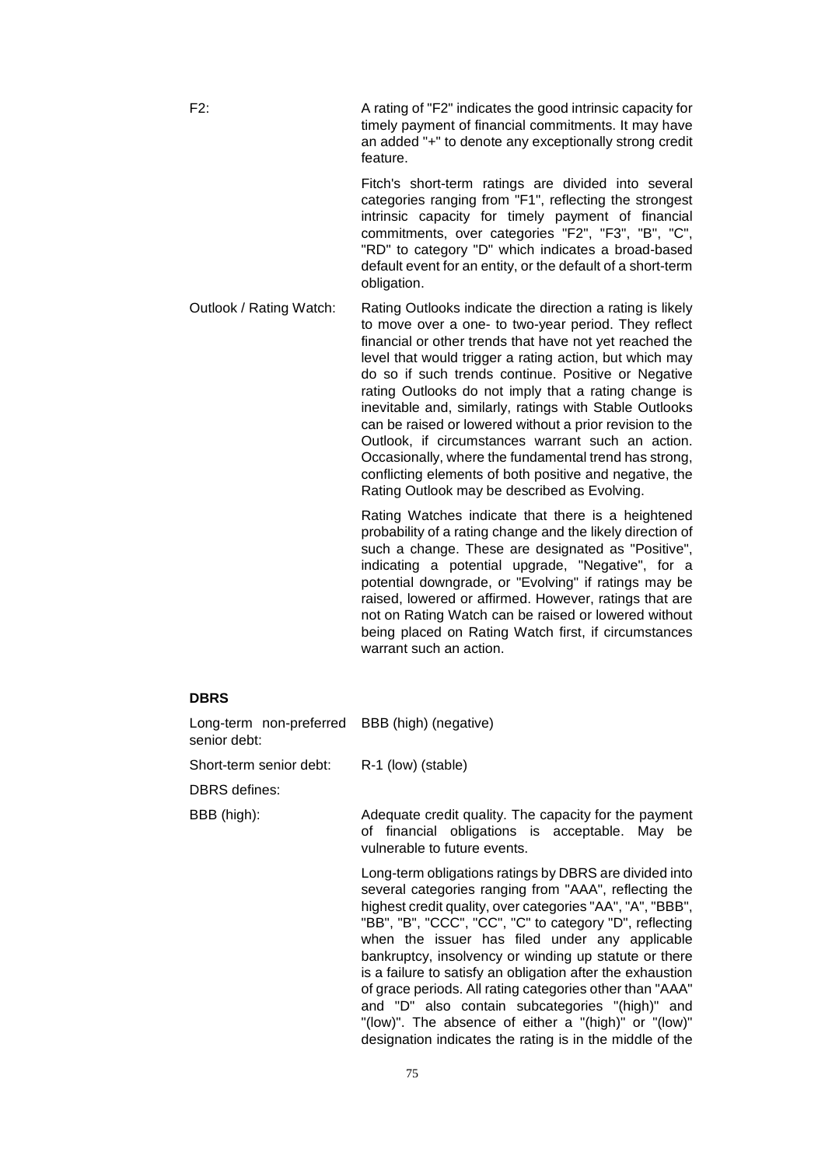F2: A rating of "F2" indicates the good intrinsic capacity for timely payment of financial commitments. It may have an added "+" to denote any exceptionally strong credit feature.

> Fitch's short-term ratings are divided into several categories ranging from "F1", reflecting the strongest intrinsic capacity for timely payment of financial commitments, over categories "F2", "F3", "B", "C", "RD" to category "D" which indicates a broad-based default event for an entity, or the default of a short-term obligation.

Outlook / Rating Watch: Rating Outlooks indicate the direction a rating is likely to move over a one- to two-year period. They reflect financial or other trends that have not yet reached the level that would trigger a rating action, but which may do so if such trends continue. Positive or Negative rating Outlooks do not imply that a rating change is inevitable and, similarly, ratings with Stable Outlooks can be raised or lowered without a prior revision to the Outlook, if circumstances warrant such an action. Occasionally, where the fundamental trend has strong, conflicting elements of both positive and negative, the Rating Outlook may be described as Evolving.

> Rating Watches indicate that there is a heightened probability of a rating change and the likely direction of such a change. These are designated as "Positive", indicating a potential upgrade, "Negative", for a potential downgrade, or "Evolving" if ratings may be raised, lowered or affirmed. However, ratings that are not on Rating Watch can be raised or lowered without being placed on Rating Watch first, if circumstances warrant such an action.

#### **DBRS**

|              |  | Long-term non-preferred BBB (high) (negative) |
|--------------|--|-----------------------------------------------|
| senior debt: |  |                                               |

Short-term senior debt: R-1 (low) (stable)

DBRS defines:

BBB (high): Adequate credit quality. The capacity for the payment of financial obligations is acceptable. May be vulnerable to future events.

> Long-term obligations ratings by DBRS are divided into several categories ranging from "AAA", reflecting the highest credit quality, over categories "AA", "A", "BBB", "BB", "B", "CCC", "CC", "C" to category "D", reflecting when the issuer has filed under any applicable bankruptcy, insolvency or winding up statute or there is a failure to satisfy an obligation after the exhaustion of grace periods. All rating categories other than "AAA" and "D" also contain subcategories "(high)" and "(low)". The absence of either a "(high)" or "(low)" designation indicates the rating is in the middle of the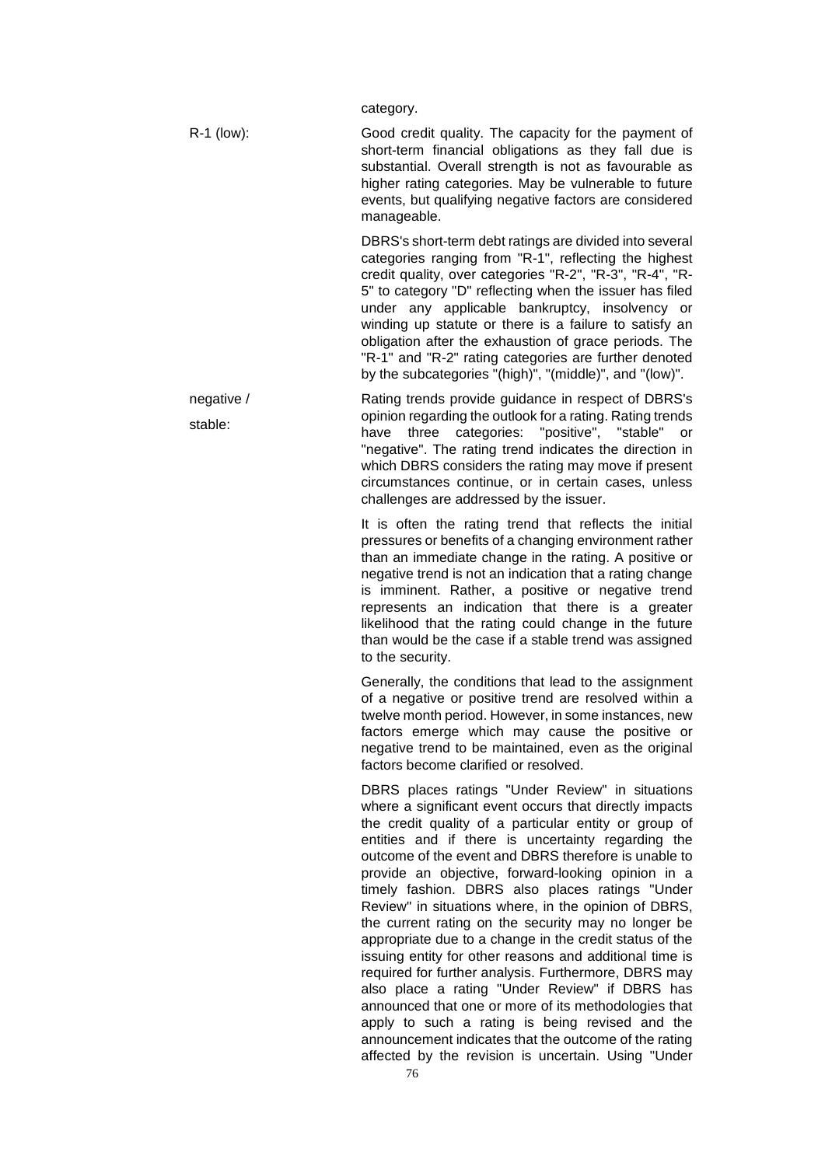|                       | category.                                                                                                                                                                                                                                                                                                                                                                                                                                                                                                                        |
|-----------------------|----------------------------------------------------------------------------------------------------------------------------------------------------------------------------------------------------------------------------------------------------------------------------------------------------------------------------------------------------------------------------------------------------------------------------------------------------------------------------------------------------------------------------------|
| R-1 (low):            | Good credit quality. The capacity for the payment of<br>short-term financial obligations as they fall due is<br>substantial. Overall strength is not as favourable as<br>higher rating categories. May be vulnerable to future<br>events, but qualifying negative factors are considered<br>manageable.                                                                                                                                                                                                                          |
|                       | DBRS's short-term debt ratings are divided into several<br>categories ranging from "R-1", reflecting the highest<br>credit quality, over categories "R-2", "R-3", "R-4", "R-<br>5" to category "D" reflecting when the issuer has filed<br>under any applicable bankruptcy, insolvency or<br>winding up statute or there is a failure to satisfy an<br>obligation after the exhaustion of grace periods. The<br>"R-1" and "R-2" rating categories are further denoted<br>by the subcategories "(high)", "(middle)", and "(low)". |
| negative /<br>stable: | Rating trends provide guidance in respect of DBRS's<br>opinion regarding the outlook for a rating. Rating trends<br>categories:<br>"positive", "stable"<br>have<br>three<br>or<br>"negative". The rating trend indicates the direction in<br>which DBRS considers the rating may move if present<br>circumstances continue, or in certain cases, unless<br>challenges are addressed by the issuer.                                                                                                                               |
|                       | It is often the rating trend that reflects the initial<br>pressures or benefits of a changing environment rather<br>than an immediate change in the rating. A positive or<br>negative trend is not an indication that a rating change<br>is imminent. Rather, a positive or negative trend<br>represents an indication that there is a greater<br>likelihood that the rating could change in the future<br>than would be the case if a stable trend was assigned<br>to the security.                                             |
|                       | Generally, the conditions that lead to the assignment<br>of a negative or positive trend are resolved within a<br>twelve month period. However, in some instances, new<br>factors emerge which may cause the positive or<br>negative trend to be maintained, even as the original                                                                                                                                                                                                                                                |

DBRS places ratings "Under Review" in situations where a significant event occurs that directly impacts the credit quality of a particular entity or group of entities and if there is uncertainty regarding the outcome of the event and DBRS therefore is unable to provide an objective, forward -looking opinion in a timely fashion. DBRS also places ratings "Under Review " in situations where, in the opinion of DBRS, the current rating on the security may no longer be appropriate due to a change in the credit status of the issuing entity for other reasons and additional time is required for further analysis. Furthermore, DBRS may also place a rating "Under Review " if DBRS has announced that one or more of its methodologies that apply to such a rating is being revised and the announcement indicates that the outcome of the rating affected by the revision is uncertain. Using "Under

factors become clarified or resolved.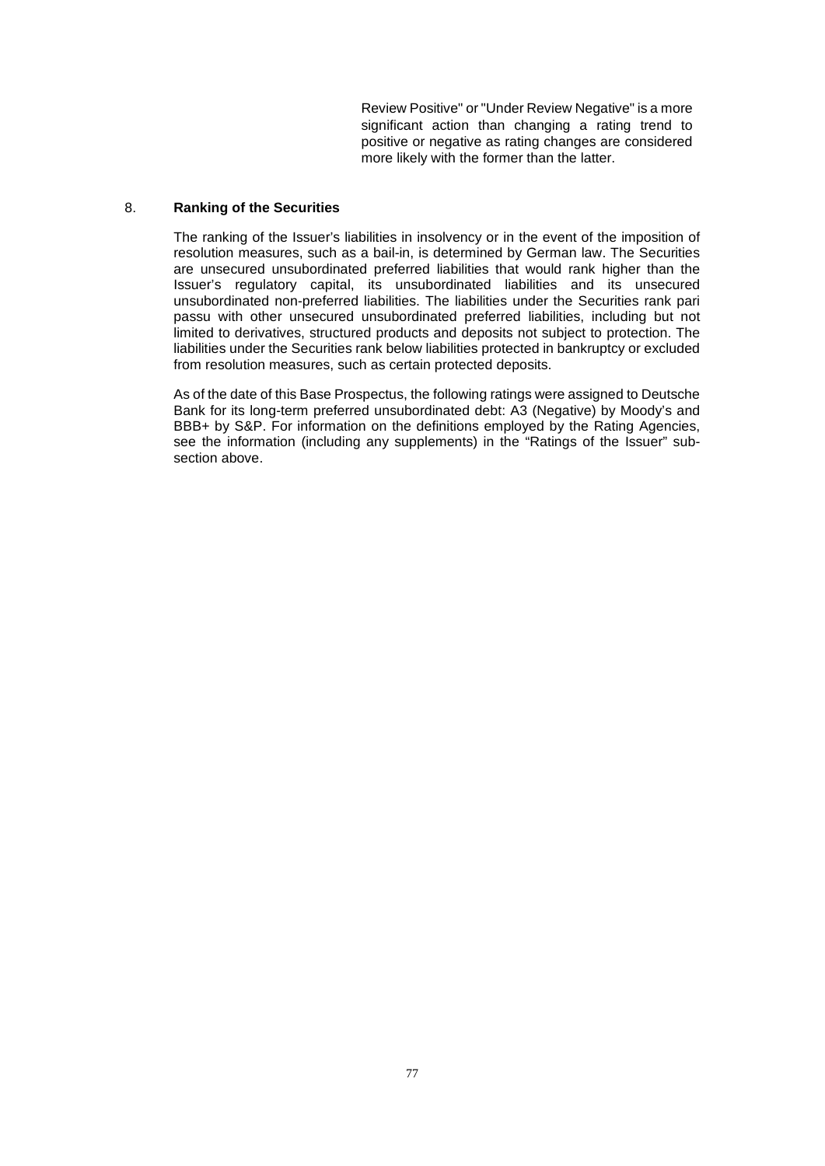Review Positive" or "Under Review Negative" is a more significant action than changing a rating trend to positive or negative as rating changes are considered more likely with the former than the latter.

## 8. **Ranking of the Securities**

The ranking of the Issuer's liabilities in insolvency or in the event of the imposition of resolution measures, such as a bail-in, is determined by German law. The Securities are unsecured unsubordinated preferred liabilities that would rank higher than the Issuer's regulatory capital, its unsubordinated liabilities and its unsecured unsubordinated non-preferred liabilities. The liabilities under the Securities rank pari passu with other unsecured unsubordinated preferred liabilities, including but not limited to derivatives, structured products and deposits not subject to protection. The liabilities under the Securities rank below liabilities protected in bankruptcy or excluded from resolution measures, such as certain protected deposits.

As of the date of this Base Prospectus, the following ratings were assigned to Deutsche Bank for its long-term preferred unsubordinated debt: A3 (Negative) by Moody's and BBB+ by S&P. For information on the definitions employed by the Rating Agencies, see the information (including any supplements) in the "Ratings of the Issuer" subsection above.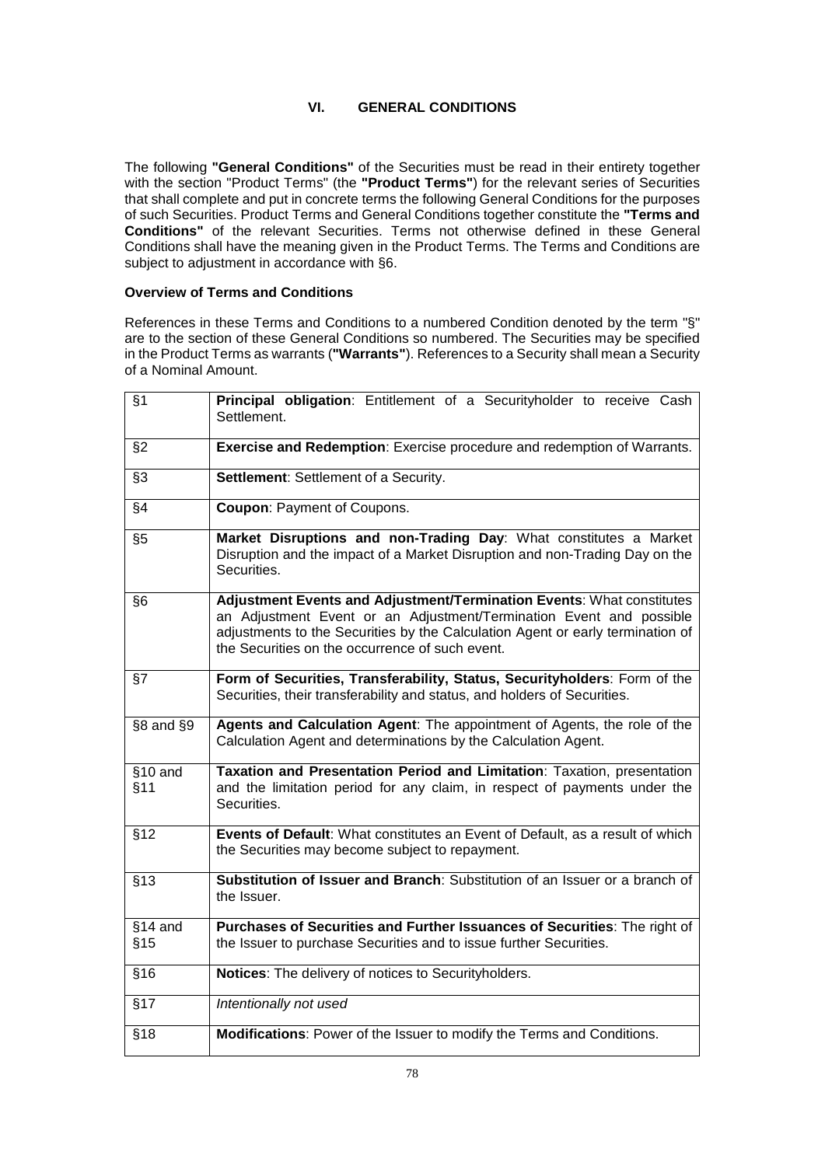# **VI. GENERAL CONDITIONS**

The following **"General Conditions"** of the Securities must be read in their entirety together with the section "Product Terms" (the **"Product Terms"**) for the relevant series of Securities that shall complete and put in concrete terms the following General Conditions for the purposes of such Securities. Product Terms and General Conditions together constitute the **"Terms and Conditions"** of the relevant Securities. Terms not otherwise defined in these General Conditions shall have the meaning given in the Product Terms. The Terms and Conditions are subject to adjustment in accordance with §6.

## **Overview of Terms and Conditions**

References in these Terms and Conditions to a numbered Condition denoted by the term "§" are to the section of these General Conditions so numbered. The Securities may be specified in the Product Terms as warrants (**"Warrants"**). References to a Security shall mean a Security of a Nominal Amount.

| § <sub>1</sub> | Principal obligation: Entitlement of a Securityholder to receive Cash<br>Settlement.                                                                                                                                                                                              |
|----------------|-----------------------------------------------------------------------------------------------------------------------------------------------------------------------------------------------------------------------------------------------------------------------------------|
| $\S2$          | Exercise and Redemption: Exercise procedure and redemption of Warrants.                                                                                                                                                                                                           |
| §3             | Settlement: Settlement of a Security.                                                                                                                                                                                                                                             |
| §4             | Coupon: Payment of Coupons.                                                                                                                                                                                                                                                       |
| §5             | Market Disruptions and non-Trading Day: What constitutes a Market<br>Disruption and the impact of a Market Disruption and non-Trading Day on the<br>Securities.                                                                                                                   |
| §6             | Adjustment Events and Adjustment/Termination Events: What constitutes<br>an Adjustment Event or an Adjustment/Termination Event and possible<br>adjustments to the Securities by the Calculation Agent or early termination of<br>the Securities on the occurrence of such event. |
| §7             | Form of Securities, Transferability, Status, Securityholders: Form of the<br>Securities, their transferability and status, and holders of Securities.                                                                                                                             |
| §8 and §9      | Agents and Calculation Agent: The appointment of Agents, the role of the<br>Calculation Agent and determinations by the Calculation Agent.                                                                                                                                        |
| §10 and<br>§11 | Taxation and Presentation Period and Limitation: Taxation, presentation<br>and the limitation period for any claim, in respect of payments under the<br>Securities.                                                                                                               |
| §12            | Events of Default: What constitutes an Event of Default, as a result of which<br>the Securities may become subject to repayment.                                                                                                                                                  |
| §13            | Substitution of Issuer and Branch: Substitution of an Issuer or a branch of<br>the Issuer.                                                                                                                                                                                        |
| §14 and<br>§15 | Purchases of Securities and Further Issuances of Securities: The right of<br>the Issuer to purchase Securities and to issue further Securities.                                                                                                                                   |
|                |                                                                                                                                                                                                                                                                                   |
| §16            | Notices: The delivery of notices to Securityholders.                                                                                                                                                                                                                              |
| §17            | Intentionally not used                                                                                                                                                                                                                                                            |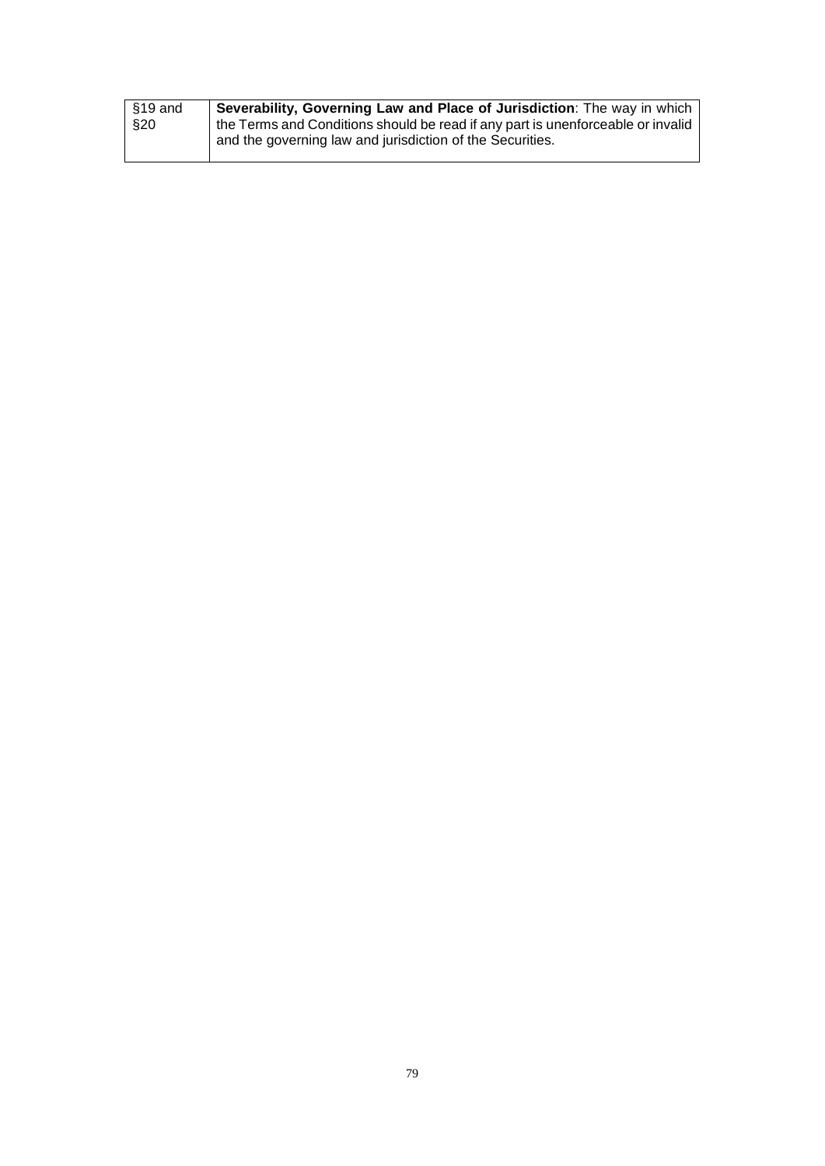| §19 and | Severability, Governing Law and Place of Jurisdiction: The way in which         |
|---------|---------------------------------------------------------------------------------|
| §20     | the Terms and Conditions should be read if any part is unenforceable or invalid |
|         | and the governing law and jurisdiction of the Securities.                       |
|         |                                                                                 |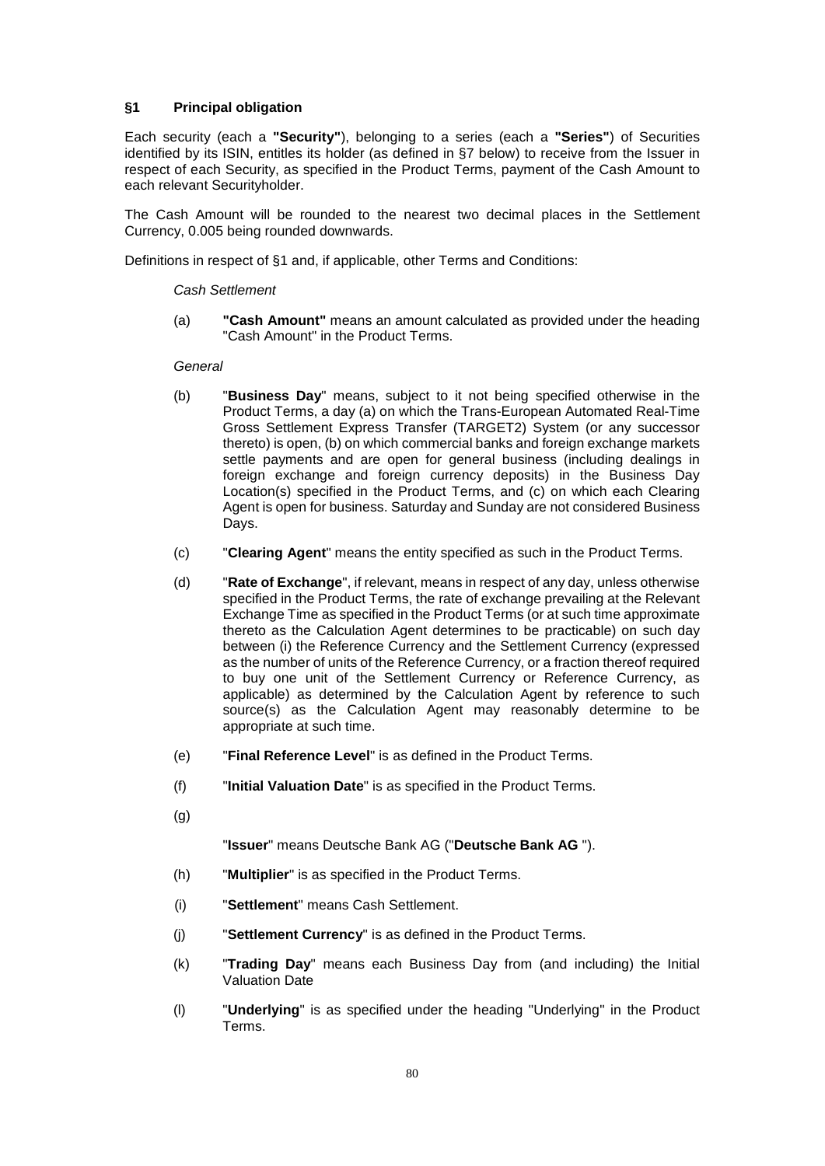## **§1 Principal obligation**

Each security (each a **"Security"**), belonging to a series (each a **"Series"**) of Securities identified by its ISIN, entitles its holder (as defined in §7 below) to receive from the Issuer in respect of each Security, as specified in the Product Terms, payment of the Cash Amount to each relevant Securityholder.

The Cash Amount will be rounded to the nearest two decimal places in the Settlement Currency, 0.005 being rounded downwards.

Definitions in respect of §1 and, if applicable, other Terms and Conditions:

### *Cash Settlement*

(a) **"Cash Amount"** means an amount calculated as provided under the heading "Cash Amount" in the Product Terms.

## *General*

- (b) "**Business Day**" means, subject to it not being specified otherwise in the Product Terms, a day (a) on which the Trans-European Automated Real-Time Gross Settlement Express Transfer (TARGET2) System (or any successor thereto) is open, (b) on which commercial banks and foreign exchange markets settle payments and are open for general business (including dealings in foreign exchange and foreign currency deposits) in the Business Day Location(s) specified in the Product Terms, and (c) on which each Clearing Agent is open for business. Saturday and Sunday are not considered Business Days.
- (c) "**Clearing Agent**" means the entity specified as such in the Product Terms.
- (d) "**Rate of Exchange**", if relevant, means in respect of any day, unless otherwise specified in the Product Terms, the rate of exchange prevailing at the Relevant Exchange Time as specified in the Product Terms (or at such time approximate thereto as the Calculation Agent determines to be practicable) on such day between (i) the Reference Currency and the Settlement Currency (expressed as the number of units of the Reference Currency, or a fraction thereof required to buy one unit of the Settlement Currency or Reference Currency, as applicable) as determined by the Calculation Agent by reference to such source(s) as the Calculation Agent may reasonably determine to be appropriate at such time.
- (e) "**Final Reference Level**" is as defined in the Product Terms.
- (f) "**Initial Valuation Date**" is as specified in the Product Terms.
- (g)

"**Issuer**" means Deutsche Bank AG ("**Deutsche Bank AG** ").

- (h) "**Multiplier**" is as specified in the Product Terms.
- (i) "**Settlement**" means Cash Settlement.
- (j) "**Settlement Currency**" is as defined in the Product Terms.
- (k) "**Trading Day**" means each Business Day from (and including) the Initial Valuation Date
- (l) "**Underlying**" is as specified under the heading "Underlying" in the Product Terms.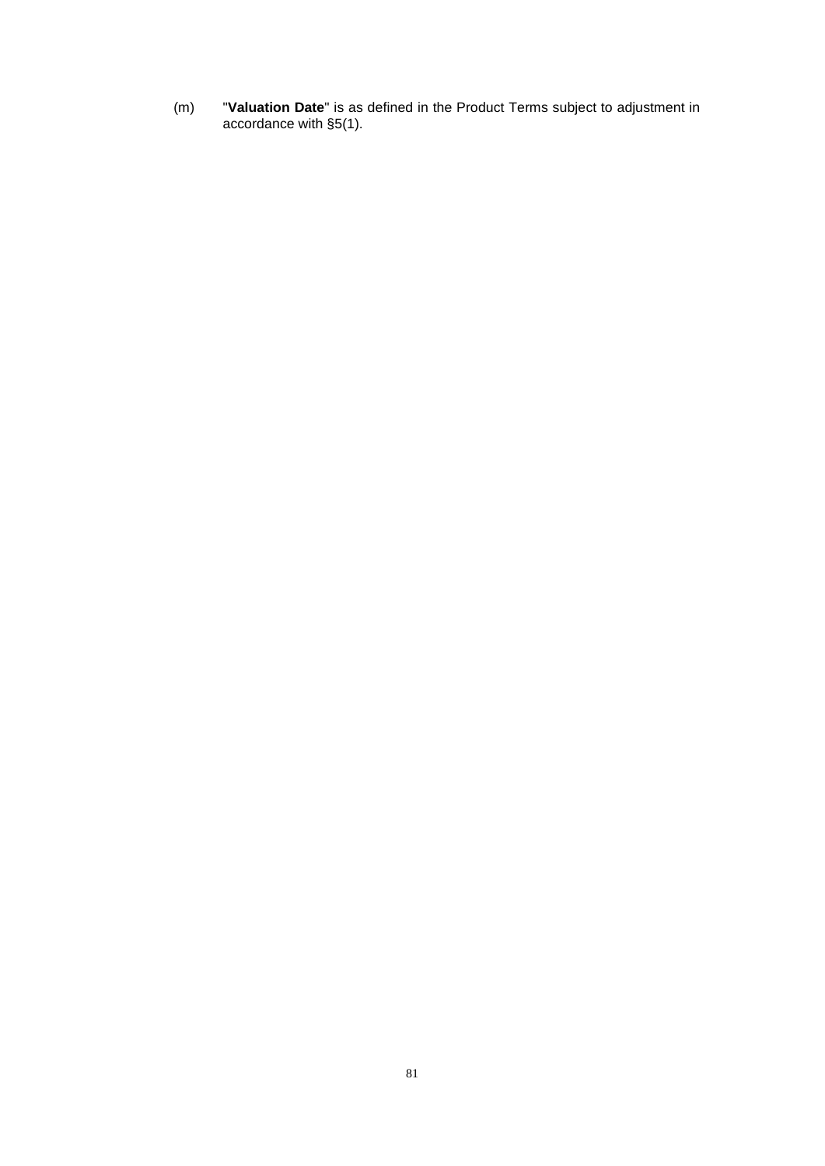(m) "**Valuation Date**" is as defined in the Product Terms subject to adjustment in accordance with §5(1).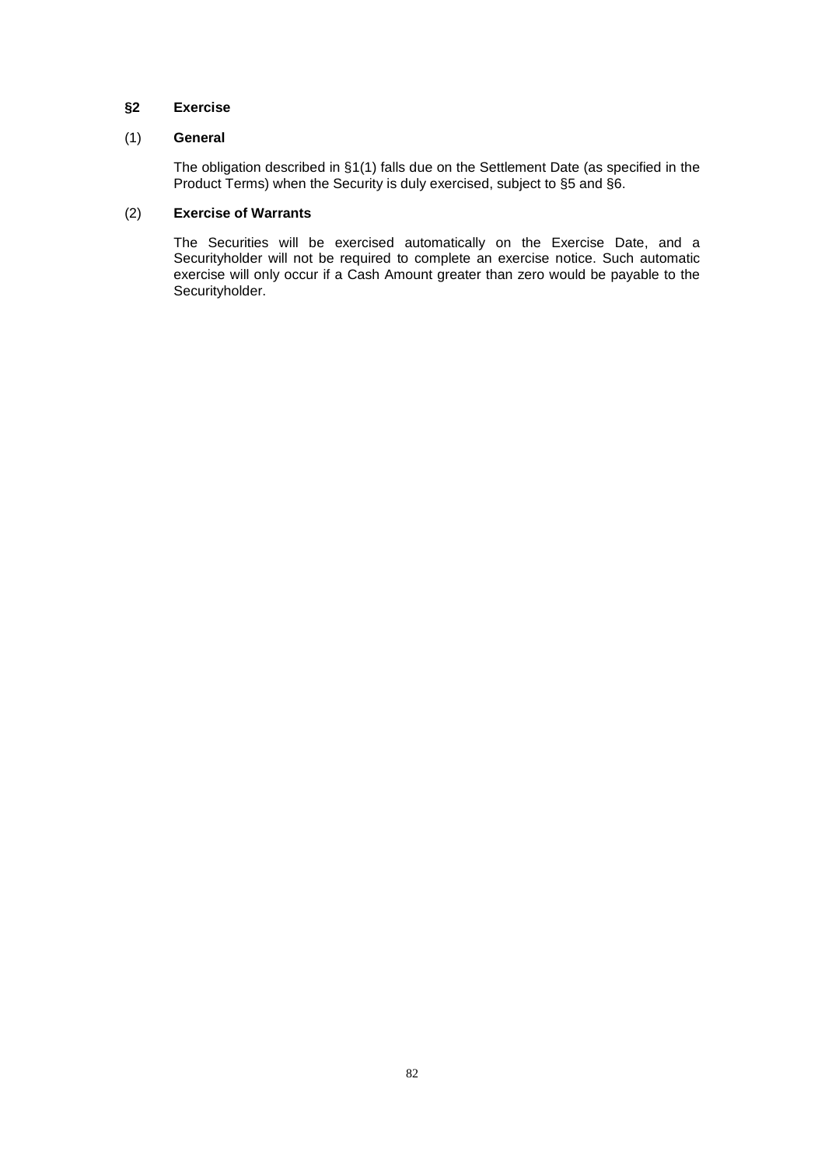## **§2 Exercise**

## (1) **General**

The obligation described in §1(1) falls due on the Settlement Date (as specified in the Product Terms) when the Security is duly exercised, subject to §5 and §6.

# (2) **Exercise of Warrants**

The Securities will be exercised automatically on the Exercise Date, and a Securityholder will not be required to complete an exercise notice. Such automatic exercise will only occur if a Cash Amount greater than zero would be payable to the Securityholder.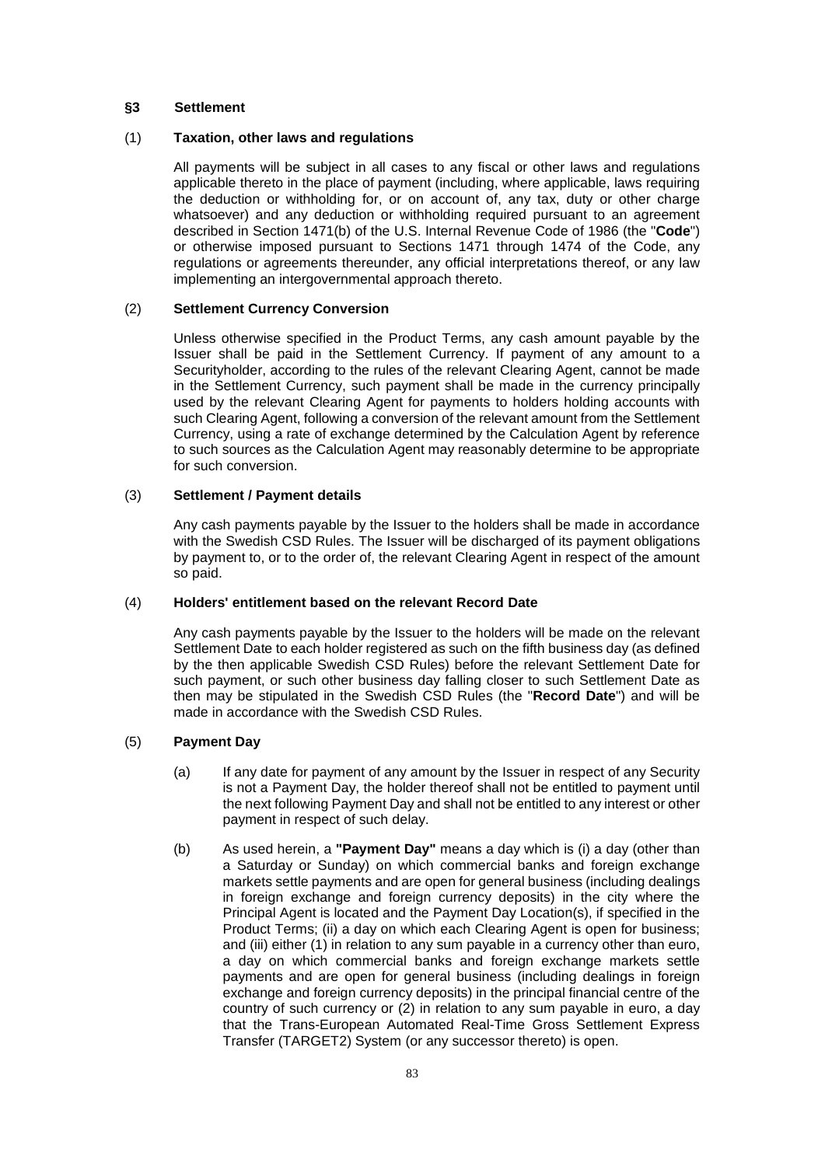## **§3 Settlement**

### (1) **Taxation, other laws and regulations**

All payments will be subject in all cases to any fiscal or other laws and regulations applicable thereto in the place of payment (including, where applicable, laws requiring the deduction or withholding for, or on account of, any tax, duty or other charge whatsoever) and any deduction or withholding required pursuant to an agreement described in Section 1471(b) of the U.S. Internal Revenue Code of 1986 (the "**Code**") or otherwise imposed pursuant to Sections 1471 through 1474 of the Code, any regulations or agreements thereunder, any official interpretations thereof, or any law implementing an intergovernmental approach thereto.

## (2) **Settlement Currency Conversion**

Unless otherwise specified in the Product Terms, any cash amount payable by the Issuer shall be paid in the Settlement Currency. If payment of any amount to a Securityholder, according to the rules of the relevant Clearing Agent, cannot be made in the Settlement Currency, such payment shall be made in the currency principally used by the relevant Clearing Agent for payments to holders holding accounts with such Clearing Agent, following a conversion of the relevant amount from the Settlement Currency, using a rate of exchange determined by the Calculation Agent by reference to such sources as the Calculation Agent may reasonably determine to be appropriate for such conversion.

## (3) **Settlement / Payment details**

Any cash payments payable by the Issuer to the holders shall be made in accordance with the Swedish CSD Rules. The Issuer will be discharged of its payment obligations by payment to, or to the order of, the relevant Clearing Agent in respect of the amount so paid.

#### (4) **Holders' entitlement based on the relevant Record Date**

Any cash payments payable by the Issuer to the holders will be made on the relevant Settlement Date to each holder registered as such on the fifth business day (as defined by the then applicable Swedish CSD Rules) before the relevant Settlement Date for such payment, or such other business day falling closer to such Settlement Date as then may be stipulated in the Swedish CSD Rules (the "**Record Date**") and will be made in accordance with the Swedish CSD Rules.

## (5) **Payment Day**

- (a) If any date for payment of any amount by the Issuer in respect of any Security is not a Payment Day, the holder thereof shall not be entitled to payment until the next following Payment Day and shall not be entitled to any interest or other payment in respect of such delay.
- (b) As used herein, a **"Payment Day"** means a day which is (i) a day (other than a Saturday or Sunday) on which commercial banks and foreign exchange markets settle payments and are open for general business (including dealings in foreign exchange and foreign currency deposits) in the city where the Principal Agent is located and the Payment Day Location(s), if specified in the Product Terms; (ii) a day on which each Clearing Agent is open for business; and (iii) either (1) in relation to any sum payable in a currency other than euro, a day on which commercial banks and foreign exchange markets settle payments and are open for general business (including dealings in foreign exchange and foreign currency deposits) in the principal financial centre of the country of such currency or (2) in relation to any sum payable in euro, a day that the Trans-European Automated Real-Time Gross Settlement Express Transfer (TARGET2) System (or any successor thereto) is open.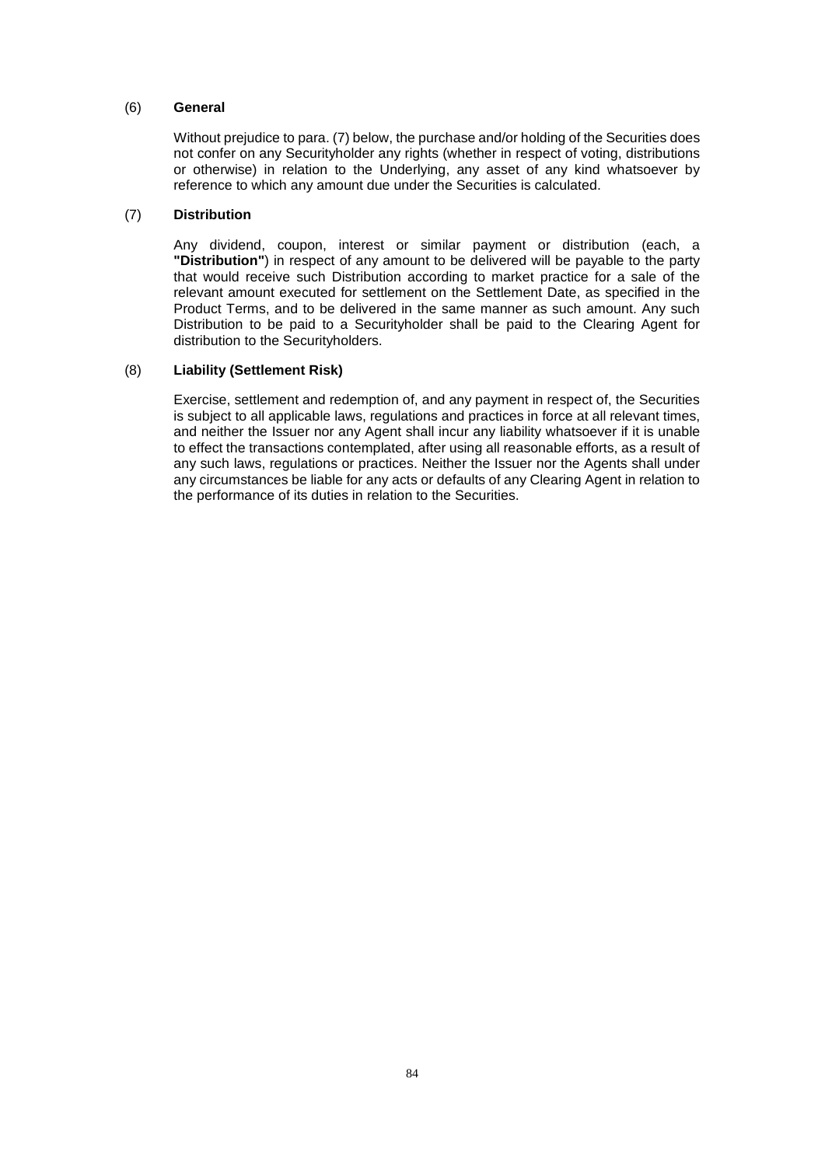## (6) **General**

Without prejudice to para. (7) below, the purchase and/or holding of the Securities does not confer on any Securityholder any rights (whether in respect of voting, distributions or otherwise) in relation to the Underlying, any asset of any kind whatsoever by reference to which any amount due under the Securities is calculated.

### (7) **Distribution**

Any dividend, coupon, interest or similar payment or distribution (each, a **"Distribution"**) in respect of any amount to be delivered will be payable to the party that would receive such Distribution according to market practice for a sale of the relevant amount executed for settlement on the Settlement Date, as specified in the Product Terms, and to be delivered in the same manner as such amount. Any such Distribution to be paid to a Securityholder shall be paid to the Clearing Agent for distribution to the Securityholders.

## (8) **Liability (Settlement Risk)**

Exercise, settlement and redemption of, and any payment in respect of, the Securities is subject to all applicable laws, regulations and practices in force at all relevant times, and neither the Issuer nor any Agent shall incur any liability whatsoever if it is unable to effect the transactions contemplated, after using all reasonable efforts, as a result of any such laws, regulations or practices. Neither the Issuer nor the Agents shall under any circumstances be liable for any acts or defaults of any Clearing Agent in relation to the performance of its duties in relation to the Securities.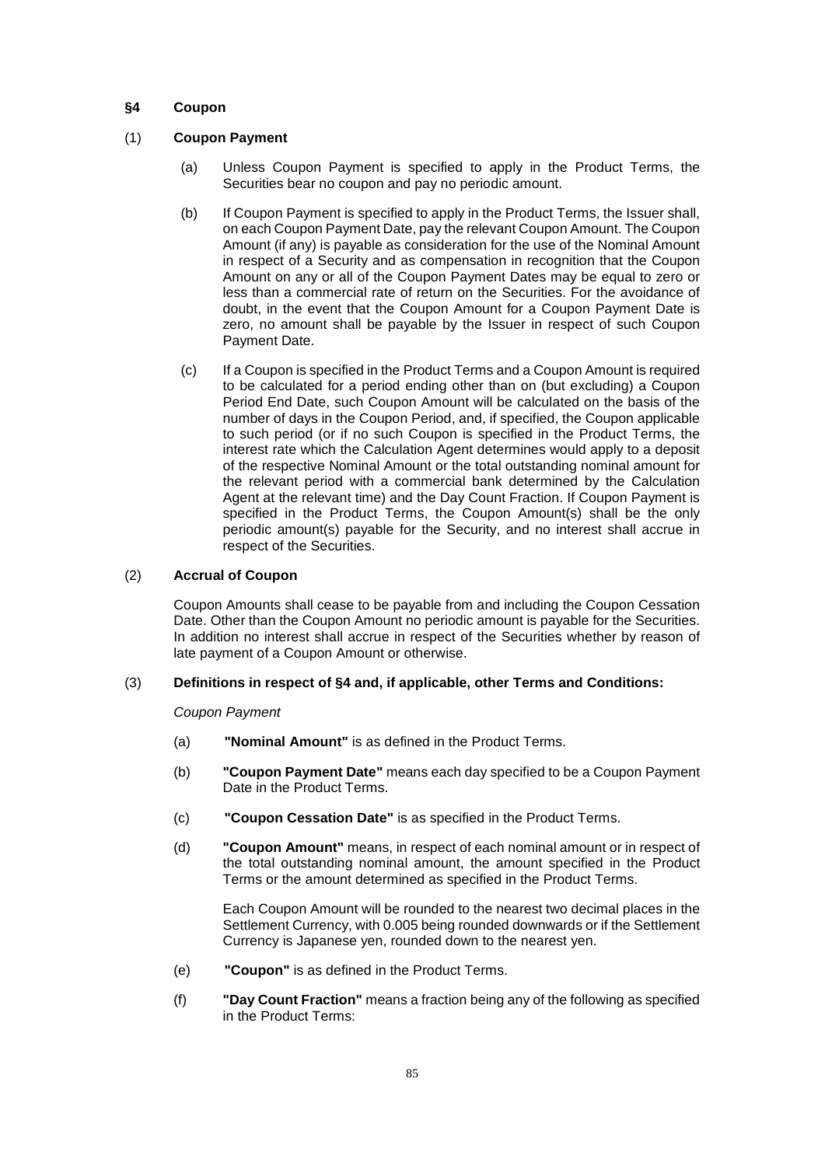## **§4 Coupon**

## (1) **Coupon Payment**

- (a) Unless Coupon Payment is specified to apply in the Product Terms, the Securities bear no coupon and pay no periodic amount.
- (b) If Coupon Payment is specified to apply in the Product Terms, the Issuer shall, on each Coupon Payment Date, pay the relevant Coupon Amount. The Coupon Amount (if any) is payable as consideration for the use of the Nominal Amount in respect of a Security and as compensation in recognition that the Coupon Amount on any or all of the Coupon Payment Dates may be equal to zero or less than a commercial rate of return on the Securities. For the avoidance of doubt, in the event that the Coupon Amount for a Coupon Payment Date is zero, no amount shall be payable by the Issuer in respect of such Coupon Payment Date.
- (c) If a Coupon is specified in the Product Terms and a Coupon Amount is required to be calculated for a period ending other than on (but excluding) a Coupon Period End Date, such Coupon Amount will be calculated on the basis of the number of days in the Coupon Period, and, if specified, the Coupon applicable to such period (or if no such Coupon is specified in the Product Terms, the interest rate which the Calculation Agent determines would apply to a deposit of the respective Nominal Amount or the total outstanding nominal amount for the relevant period with a commercial bank determined by the Calculation Agent at the relevant time) and the Day Count Fraction. If Coupon Payment is specified in the Product Terms, the Coupon Amount(s) shall be the only periodic amount(s) payable for the Security, and no interest shall accrue in respect of the Securities.

#### (2) **Accrual of Coupon**

Coupon Amounts shall cease to be payable from and including the Coupon Cessation Date. Other than the Coupon Amount no periodic amount is payable for the Securities. In addition no interest shall accrue in respect of the Securities whether by reason of late payment of a Coupon Amount or otherwise.

#### (3) **Definitions in respect of §4 and, if applicable, other Terms and Conditions:**

#### *Coupon Payment*

- (a) **"Nominal Amount"** is as defined in the Product Terms.
- (b) **"Coupon Payment Date"** means each day specified to be a Coupon Payment Date in the Product Terms.
- (c) **"Coupon Cessation Date"** is as specified in the Product Terms.
- (d) **"Coupon Amount"** means, in respect of each nominal amount or in respect of the total outstanding nominal amount, the amount specified in the Product Terms or the amount determined as specified in the Product Terms.

Each Coupon Amount will be rounded to the nearest two decimal places in the Settlement Currency, with 0.005 being rounded downwards or if the Settlement Currency is Japanese yen, rounded down to the nearest yen.

- (e) **"Coupon"** is as defined in the Product Terms.
- (f) **"Day Count Fraction"** means a fraction being any of the following as specified in the Product Terms: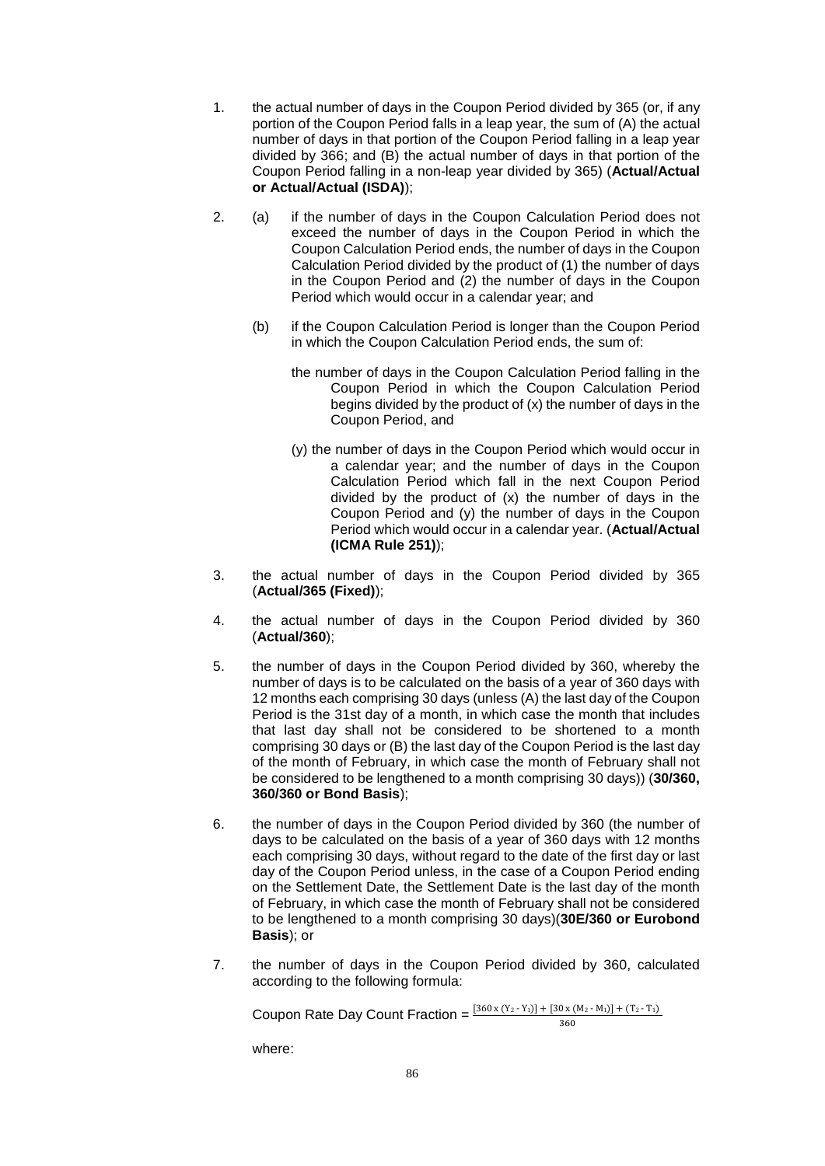- 1. the actual number of days in the Coupon Period divided by 365 (or, if any portion of the Coupon Period falls in a leap year, the sum of (A) the actual number of days in that portion of the Coupon Period falling in a leap year divided by 366; and (B) the actual number of days in that portion of the Coupon Period falling in a non-leap year divided by 365) (**Actual/Actual or Actual/Actual (ISDA)**);
- 2. (a) if the number of days in the Coupon Calculation Period does not exceed the number of days in the Coupon Period in which the Coupon Calculation Period ends, the number of days in the Coupon Calculation Period divided by the product of (1) the number of days in the Coupon Period and (2) the number of days in the Coupon Period which would occur in a calendar year; and
	- (b) if the Coupon Calculation Period is longer than the Coupon Period in which the Coupon Calculation Period ends, the sum of:
		- the number of days in the Coupon Calculation Period falling in the Coupon Period in which the Coupon Calculation Period begins divided by the product of (x) the number of days in the Coupon Period, and
		- (y) the number of days in the Coupon Period which would occur in a calendar year; and the number of days in the Coupon Calculation Period which fall in the next Coupon Period divided by the product of (x) the number of days in the Coupon Period and (y) the number of days in the Coupon Period which would occur in a calendar year. (**Actual/Actual (ICMA Rule 251)**);
- 3. the actual number of days in the Coupon Period divided by 365 (**Actual/365 (Fixed)**);
- 4. the actual number of days in the Coupon Period divided by 360 (**Actual/360**);
- 5. the number of days in the Coupon Period divided by 360, whereby the number of days is to be calculated on the basis of a year of 360 days with 12 months each comprising 30 days (unless (A) the last day of the Coupon Period is the 31st day of a month, in which case the month that includes that last day shall not be considered to be shortened to a month comprising 30 days or (B) the last day of the Coupon Period is the last day of the month of February, in which case the month of February shall not be considered to be lengthened to a month comprising 30 days)) (**30/360, 360/360 or Bond Basis**);
- 6. the number of days in the Coupon Period divided by 360 (the number of days to be calculated on the basis of a year of 360 days with 12 months each comprising 30 days, without regard to the date of the first day or last day of the Coupon Period unless, in the case of a Coupon Period ending on the Settlement Date, the Settlement Date is the last day of the month of February, in which case the month of February shall not be considered to be lengthened to a month comprising 30 days)(**30E/360 or Eurobond Basis**); or
- 7. the number of days in the Coupon Period divided by 360, calculated according to the following formula:

Coupon Rate Day Count Fraction =  $\frac{[360 \times (Y_2 - Y_1)] + [30 \times (M_2 - M_1)] + (T_2 - T_1)}{360}$ 

where: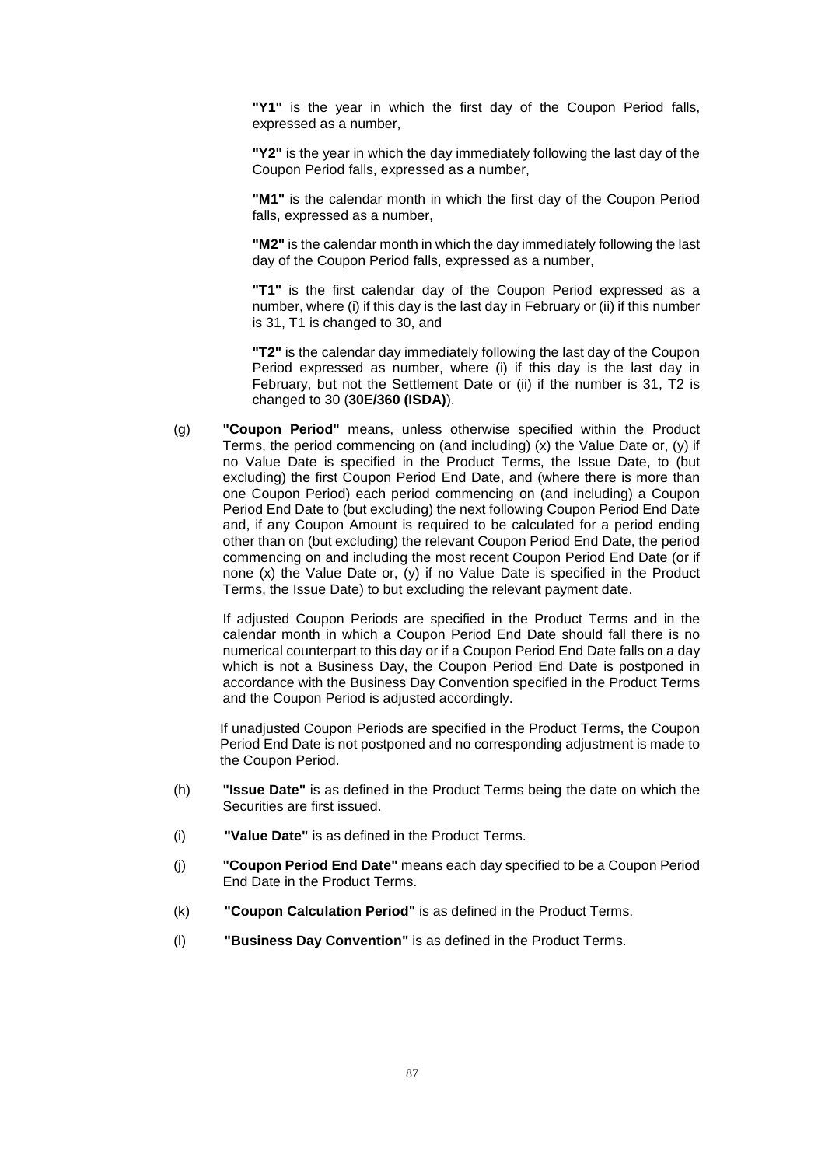**"Y1"** is the year in which the first day of the Coupon Period falls, expressed as a number,

**"Y2"** is the year in which the day immediately following the last day of the Coupon Period falls, expressed as a number,

**"M1"** is the calendar month in which the first day of the Coupon Period falls, expressed as a number,

**"M2"** is the calendar month in which the day immediately following the last day of the Coupon Period falls, expressed as a number,

**"T1"** is the first calendar day of the Coupon Period expressed as a number, where (i) if this day is the last day in February or (ii) if this number is 31, T1 is changed to 30, and

**"T2"** is the calendar day immediately following the last day of the Coupon Period expressed as number, where (i) if this day is the last day in February, but not the Settlement Date or (ii) if the number is 31, T2 is changed to 30 (**30E/360 (ISDA)**).

(g) **"Coupon Period"** means, unless otherwise specified within the Product Terms, the period commencing on (and including) (x) the Value Date or, (y) if no Value Date is specified in the Product Terms, the Issue Date, to (but excluding) the first Coupon Period End Date, and (where there is more than one Coupon Period) each period commencing on (and including) a Coupon Period End Date to (but excluding) the next following Coupon Period End Date and, if any Coupon Amount is required to be calculated for a period ending other than on (but excluding) the relevant Coupon Period End Date, the period commencing on and including the most recent Coupon Period End Date (or if none (x) the Value Date or, (y) if no Value Date is specified in the Product Terms, the Issue Date) to but excluding the relevant payment date.

If adjusted Coupon Periods are specified in the Product Terms and in the calendar month in which a Coupon Period End Date should fall there is no numerical counterpart to this day or if a Coupon Period End Date falls on a day which is not a Business Day, the Coupon Period End Date is postponed in accordance with the Business Day Convention specified in the Product Terms and the Coupon Period is adjusted accordingly.

If unadjusted Coupon Periods are specified in the Product Terms, the Coupon Period End Date is not postponed and no corresponding adjustment is made to the Coupon Period.

- (h) **"Issue Date"** is as defined in the Product Terms being the date on which the Securities are first issued.
- (i) **"Value Date"** is as defined in the Product Terms.
- (j) **"Coupon Period End Date"** means each day specified to be a Coupon Period End Date in the Product Terms.
- (k) **"Coupon Calculation Period"** is as defined in the Product Terms.
- (l) **"Business Day Convention"** is as defined in the Product Terms.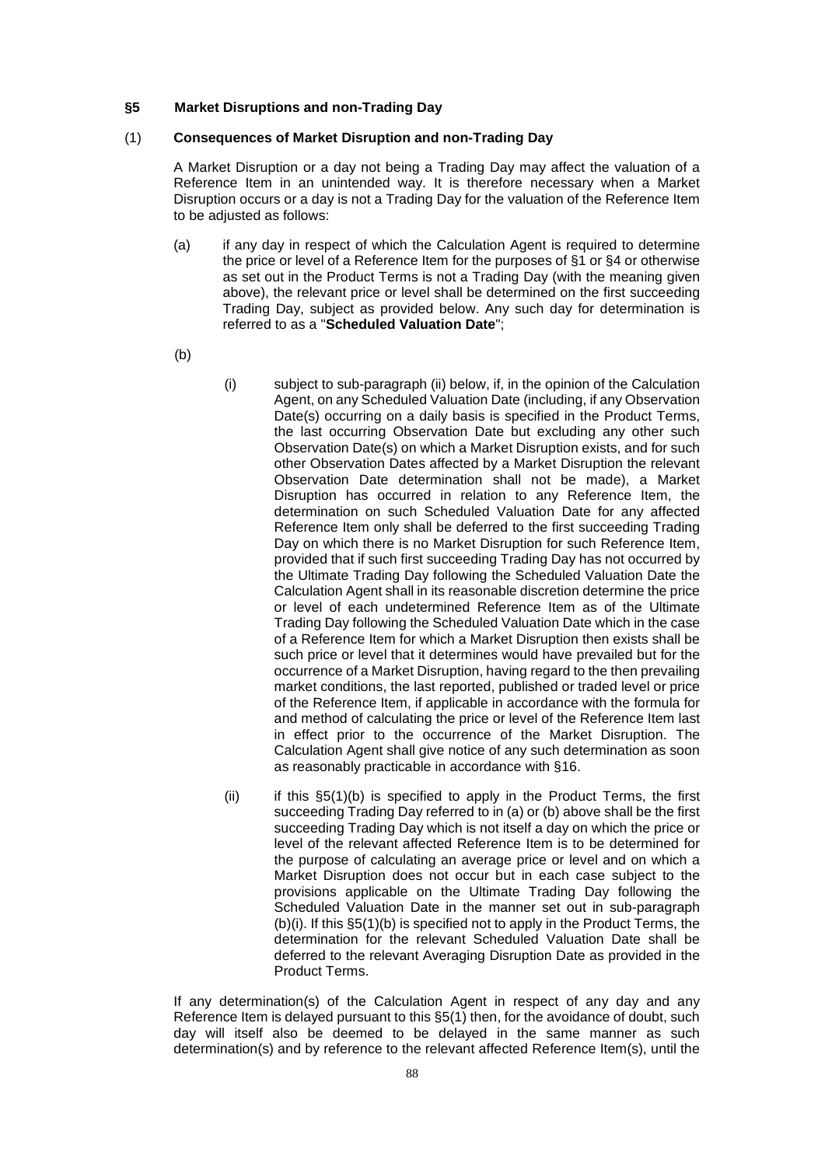#### **§5 Market Disruptions and non-Trading Day**

#### (1) **Consequences of Market Disruption and non-Trading Day**

A Market Disruption or a day not being a Trading Day may affect the valuation of a Reference Item in an unintended way. It is therefore necessary when a Market Disruption occurs or a day is not a Trading Day for the valuation of the Reference Item to be adjusted as follows:

(a) if any day in respect of which the Calculation Agent is required to determine the price or level of a Reference Item for the purposes of §1 or §4 or otherwise as set out in the Product Terms is not a Trading Day (with the meaning given above), the relevant price or level shall be determined on the first succeeding Trading Day, subject as provided below. Any such day for determination is referred to as a "**Scheduled Valuation Date**";

(b)

- (i) subject to sub-paragraph (ii) below, if, in the opinion of the Calculation Agent, on any Scheduled Valuation Date (including, if any Observation Date(s) occurring on a daily basis is specified in the Product Terms, the last occurring Observation Date but excluding any other such Observation Date(s) on which a Market Disruption exists, and for such other Observation Dates affected by a Market Disruption the relevant Observation Date determination shall not be made), a Market Disruption has occurred in relation to any Reference Item, the determination on such Scheduled Valuation Date for any affected Reference Item only shall be deferred to the first succeeding Trading Day on which there is no Market Disruption for such Reference Item, provided that if such first succeeding Trading Day has not occurred by the Ultimate Trading Day following the Scheduled Valuation Date the Calculation Agent shall in its reasonable discretion determine the price or level of each undetermined Reference Item as of the Ultimate Trading Day following the Scheduled Valuation Date which in the case of a Reference Item for which a Market Disruption then exists shall be such price or level that it determines would have prevailed but for the occurrence of a Market Disruption, having regard to the then prevailing market conditions, the last reported, published or traded level or price of the Reference Item, if applicable in accordance with the formula for and method of calculating the price or level of the Reference Item last in effect prior to the occurrence of the Market Disruption. The Calculation Agent shall give notice of any such determination as soon as reasonably practicable in accordance with §16.
- (ii) if this  $\S5(1)(b)$  is specified to apply in the Product Terms, the first succeeding Trading Day referred to in (a) or (b) above shall be the first succeeding Trading Day which is not itself a day on which the price or level of the relevant affected Reference Item is to be determined for the purpose of calculating an average price or level and on which a Market Disruption does not occur but in each case subject to the provisions applicable on the Ultimate Trading Day following the Scheduled Valuation Date in the manner set out in sub-paragraph (b)(i). If this §5(1)(b) is specified not to apply in the Product Terms, the determination for the relevant Scheduled Valuation Date shall be deferred to the relevant Averaging Disruption Date as provided in the Product Terms.

If any determination(s) of the Calculation Agent in respect of any day and any Reference Item is delayed pursuant to this §5(1) then, for the avoidance of doubt, such day will itself also be deemed to be delayed in the same manner as such determination(s) and by reference to the relevant affected Reference Item(s), until the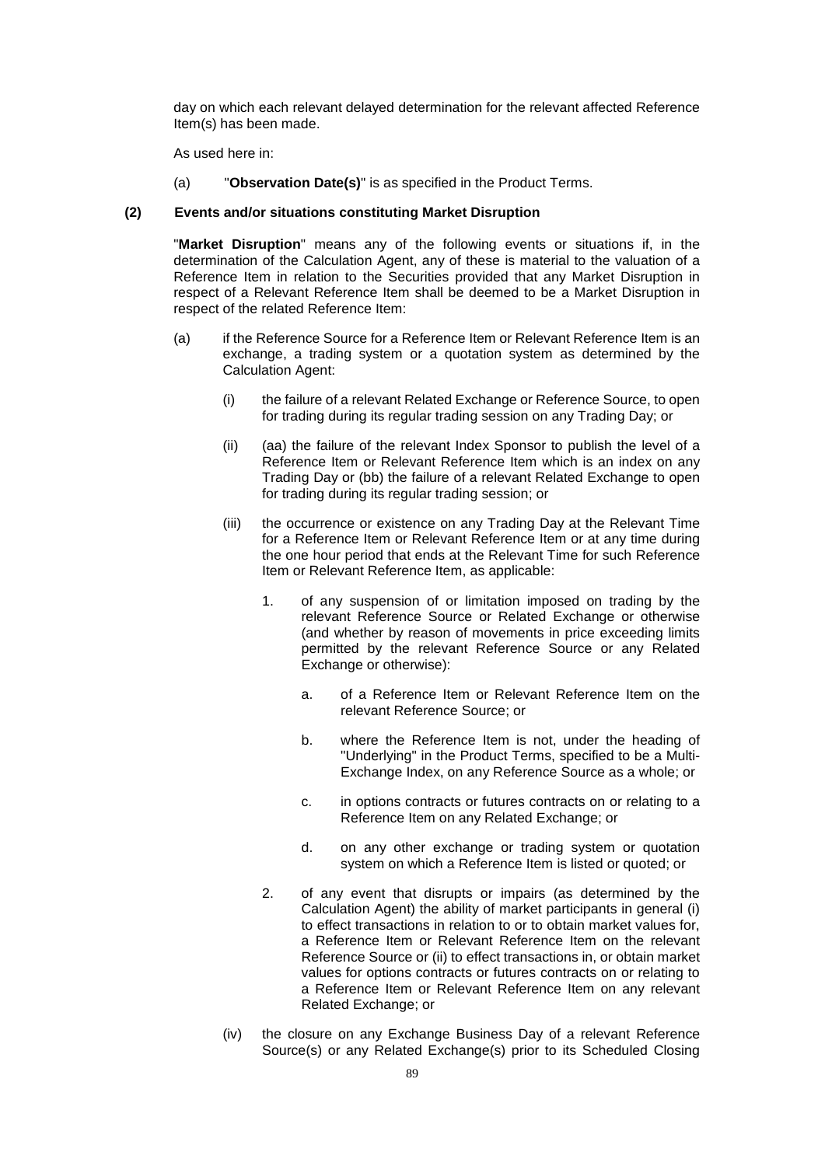day on which each relevant delayed determination for the relevant affected Reference Item(s) has been made.

As used here in:

(a) "**Observation Date(s)**" is as specified in the Product Terms.

#### **(2) Events and/or situations constituting Market Disruption**

"**Market Disruption**" means any of the following events or situations if, in the determination of the Calculation Agent, any of these is material to the valuation of a Reference Item in relation to the Securities provided that any Market Disruption in respect of a Relevant Reference Item shall be deemed to be a Market Disruption in respect of the related Reference Item:

- (a) if the Reference Source for a Reference Item or Relevant Reference Item is an exchange, a trading system or a quotation system as determined by the Calculation Agent:
	- (i) the failure of a relevant Related Exchange or Reference Source, to open for trading during its regular trading session on any Trading Day; or
	- (ii) (aa) the failure of the relevant Index Sponsor to publish the level of a Reference Item or Relevant Reference Item which is an index on any Trading Day or (bb) the failure of a relevant Related Exchange to open for trading during its regular trading session; or
	- (iii) the occurrence or existence on any Trading Day at the Relevant Time for a Reference Item or Relevant Reference Item or at any time during the one hour period that ends at the Relevant Time for such Reference Item or Relevant Reference Item, as applicable:
		- 1. of any suspension of or limitation imposed on trading by the relevant Reference Source or Related Exchange or otherwise (and whether by reason of movements in price exceeding limits permitted by the relevant Reference Source or any Related Exchange or otherwise):
			- a. of a Reference Item or Relevant Reference Item on the relevant Reference Source; or
			- b. where the Reference Item is not, under the heading of "Underlying" in the Product Terms, specified to be a Multi-Exchange Index, on any Reference Source as a whole; or
			- c. in options contracts or futures contracts on or relating to a Reference Item on any Related Exchange; or
			- d. on any other exchange or trading system or quotation system on which a Reference Item is listed or quoted; or
		- 2. of any event that disrupts or impairs (as determined by the Calculation Agent) the ability of market participants in general (i) to effect transactions in relation to or to obtain market values for, a Reference Item or Relevant Reference Item on the relevant Reference Source or (ii) to effect transactions in, or obtain market values for options contracts or futures contracts on or relating to a Reference Item or Relevant Reference Item on any relevant Related Exchange; or
	- (iv) the closure on any Exchange Business Day of a relevant Reference Source(s) or any Related Exchange(s) prior to its Scheduled Closing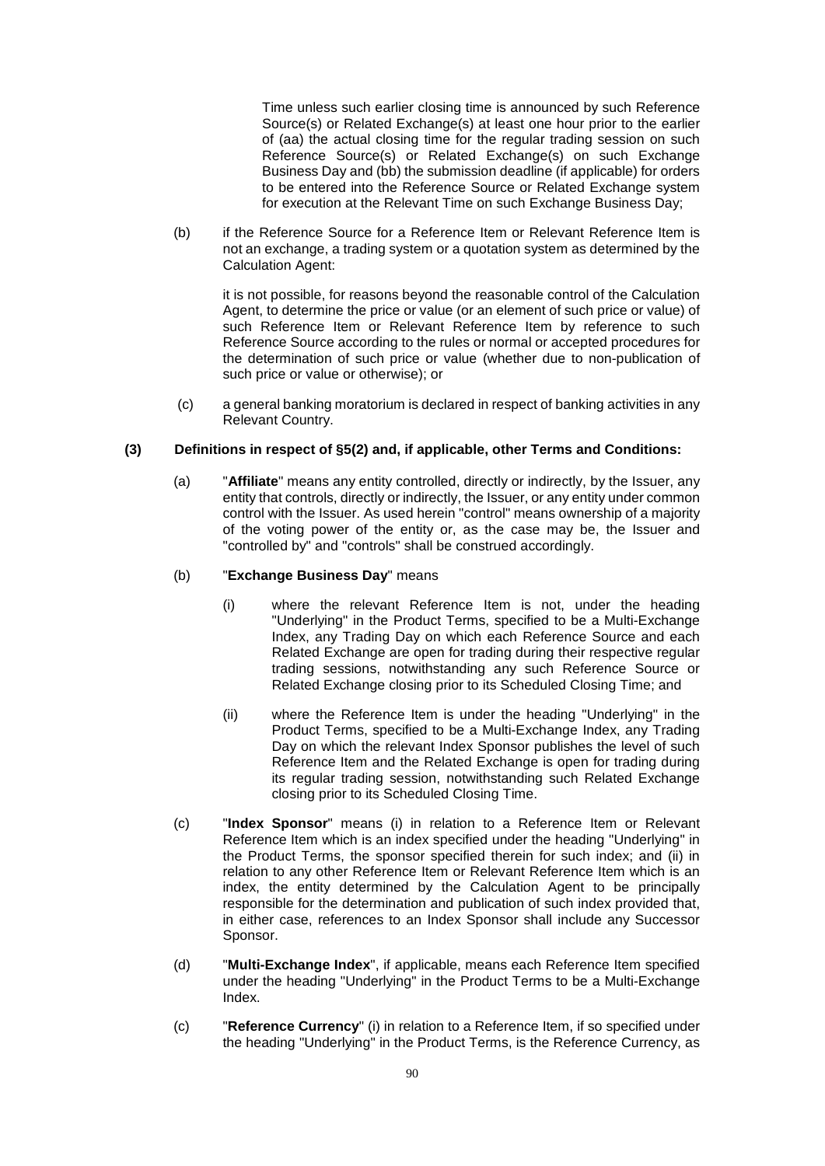Time unless such earlier closing time is announced by such Reference Source(s) or Related Exchange(s) at least one hour prior to the earlier of (aa) the actual closing time for the regular trading session on such Reference Source(s) or Related Exchange(s) on such Exchange Business Day and (bb) the submission deadline (if applicable) for orders to be entered into the Reference Source or Related Exchange system for execution at the Relevant Time on such Exchange Business Day;

(b) if the Reference Source for a Reference Item or Relevant Reference Item is not an exchange, a trading system or a quotation system as determined by the Calculation Agent:

it is not possible, for reasons beyond the reasonable control of the Calculation Agent, to determine the price or value (or an element of such price or value) of such Reference Item or Relevant Reference Item by reference to such Reference Source according to the rules or normal or accepted procedures for the determination of such price or value (whether due to non-publication of such price or value or otherwise); or

(c) a general banking moratorium is declared in respect of banking activities in any Relevant Country.

#### **(3) Definitions in respect of §5(2) and, if applicable, other Terms and Conditions:**

(a) "**Affiliate**" means any entity controlled, directly or indirectly, by the Issuer, any entity that controls, directly or indirectly, the Issuer, or any entity under common control with the Issuer. As used herein "control" means ownership of a majority of the voting power of the entity or, as the case may be, the Issuer and "controlled by" and "controls" shall be construed accordingly.

### (b) "**Exchange Business Day**" means

- (i) where the relevant Reference Item is not, under the heading "Underlying" in the Product Terms, specified to be a Multi-Exchange Index, any Trading Day on which each Reference Source and each Related Exchange are open for trading during their respective regular trading sessions, notwithstanding any such Reference Source or Related Exchange closing prior to its Scheduled Closing Time; and
- (ii) where the Reference Item is under the heading "Underlying" in the Product Terms, specified to be a Multi-Exchange Index, any Trading Day on which the relevant Index Sponsor publishes the level of such Reference Item and the Related Exchange is open for trading during its regular trading session, notwithstanding such Related Exchange closing prior to its Scheduled Closing Time.
- (c) "**Index Sponsor**" means (i) in relation to a Reference Item or Relevant Reference Item which is an index specified under the heading "Underlying" in the Product Terms, the sponsor specified therein for such index; and (ii) in relation to any other Reference Item or Relevant Reference Item which is an index, the entity determined by the Calculation Agent to be principally responsible for the determination and publication of such index provided that, in either case, references to an Index Sponsor shall include any Successor Sponsor.
- (d) "**Multi-Exchange Index**", if applicable, means each Reference Item specified under the heading "Underlying" in the Product Terms to be a Multi-Exchange Index.
- (c) "**Reference Currency**" (i) in relation to a Reference Item, if so specified under the heading "Underlying" in the Product Terms, is the Reference Currency, as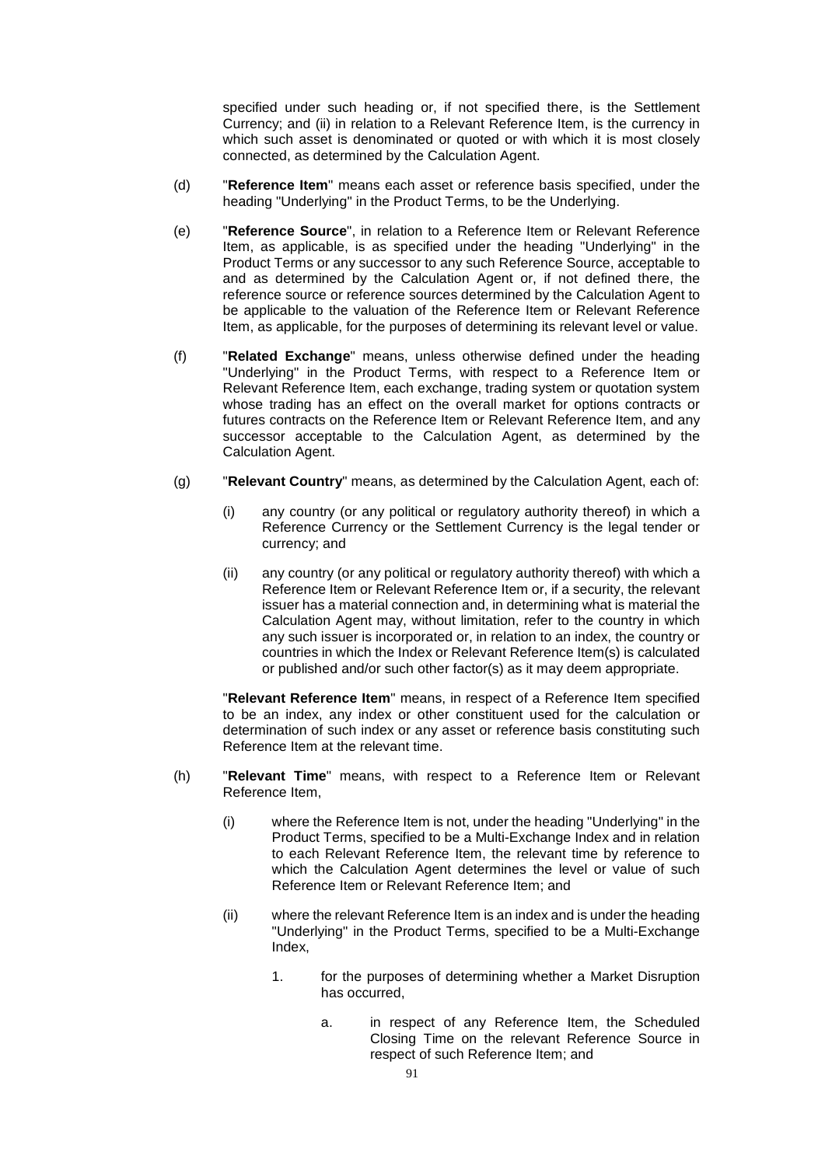specified under such heading or, if not specified there, is the Settlement Currency; and (ii) in relation to a Relevant Reference Item, is the currency in which such asset is denominated or quoted or with which it is most closely connected, as determined by the Calculation Agent.

- (d) "**Reference Item**" means each asset or reference basis specified, under the heading "Underlying" in the Product Terms, to be the Underlying.
- (e) "**Reference Source**", in relation to a Reference Item or Relevant Reference Item, as applicable, is as specified under the heading "Underlying" in the Product Terms or any successor to any such Reference Source, acceptable to and as determined by the Calculation Agent or, if not defined there, the reference source or reference sources determined by the Calculation Agent to be applicable to the valuation of the Reference Item or Relevant Reference Item, as applicable, for the purposes of determining its relevant level or value.
- (f) "**Related Exchange**" means, unless otherwise defined under the heading "Underlying" in the Product Terms, with respect to a Reference Item or Relevant Reference Item, each exchange, trading system or quotation system whose trading has an effect on the overall market for options contracts or futures contracts on the Reference Item or Relevant Reference Item, and any successor acceptable to the Calculation Agent, as determined by the Calculation Agent.
- (g) "**Relevant Country**" means, as determined by the Calculation Agent, each of:
	- (i) any country (or any political or regulatory authority thereof) in which a Reference Currency or the Settlement Currency is the legal tender or currency; and
	- (ii) any country (or any political or regulatory authority thereof) with which a Reference Item or Relevant Reference Item or, if a security, the relevant issuer has a material connection and, in determining what is material the Calculation Agent may, without limitation, refer to the country in which any such issuer is incorporated or, in relation to an index, the country or countries in which the Index or Relevant Reference Item(s) is calculated or published and/or such other factor(s) as it may deem appropriate.

"**Relevant Reference Item**" means, in respect of a Reference Item specified to be an index, any index or other constituent used for the calculation or determination of such index or any asset or reference basis constituting such Reference Item at the relevant time.

- (h) "**Relevant Time**" means, with respect to a Reference Item or Relevant Reference Item,
	- (i) where the Reference Item is not, under the heading "Underlying" in the Product Terms, specified to be a Multi-Exchange Index and in relation to each Relevant Reference Item, the relevant time by reference to which the Calculation Agent determines the level or value of such Reference Item or Relevant Reference Item; and
	- (ii) where the relevant Reference Item is an index and is under the heading "Underlying" in the Product Terms, specified to be a Multi-Exchange Index,
		- 1. for the purposes of determining whether a Market Disruption has occurred,
			- a. in respect of any Reference Item, the Scheduled Closing Time on the relevant Reference Source in respect of such Reference Item; and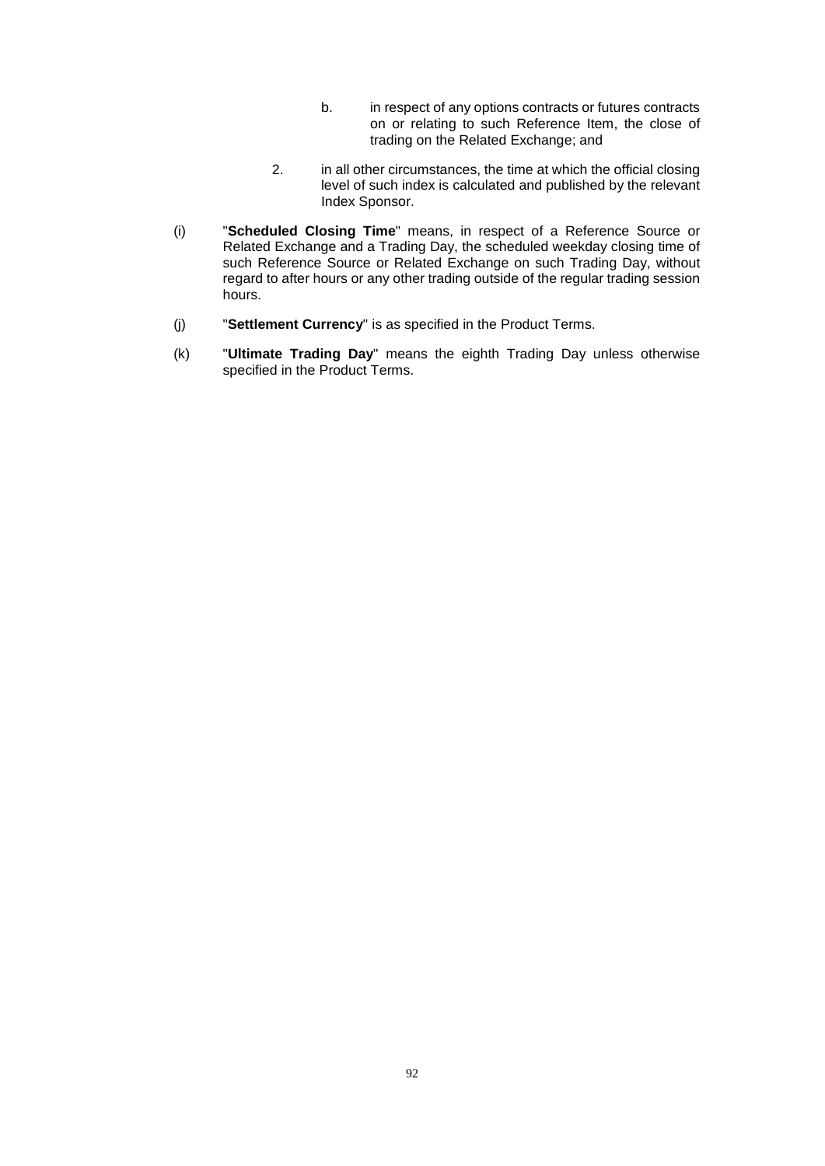- b. in respect of any options contracts or futures contracts on or relating to such Reference Item, the close of trading on the Related Exchange; and
- 2. in all other circumstances, the time at which the official closing level of such index is calculated and published by the relevant Index Sponsor.
- (i) "**Scheduled Closing Time**" means, in respect of a Reference Source or Related Exchange and a Trading Day, the scheduled weekday closing time of such Reference Source or Related Exchange on such Trading Day, without regard to after hours or any other trading outside of the regular trading session hours.
- (j) "**Settlement Currency**" is as specified in the Product Terms.
- (k) "**Ultimate Trading Day**" means the eighth Trading Day unless otherwise specified in the Product Terms.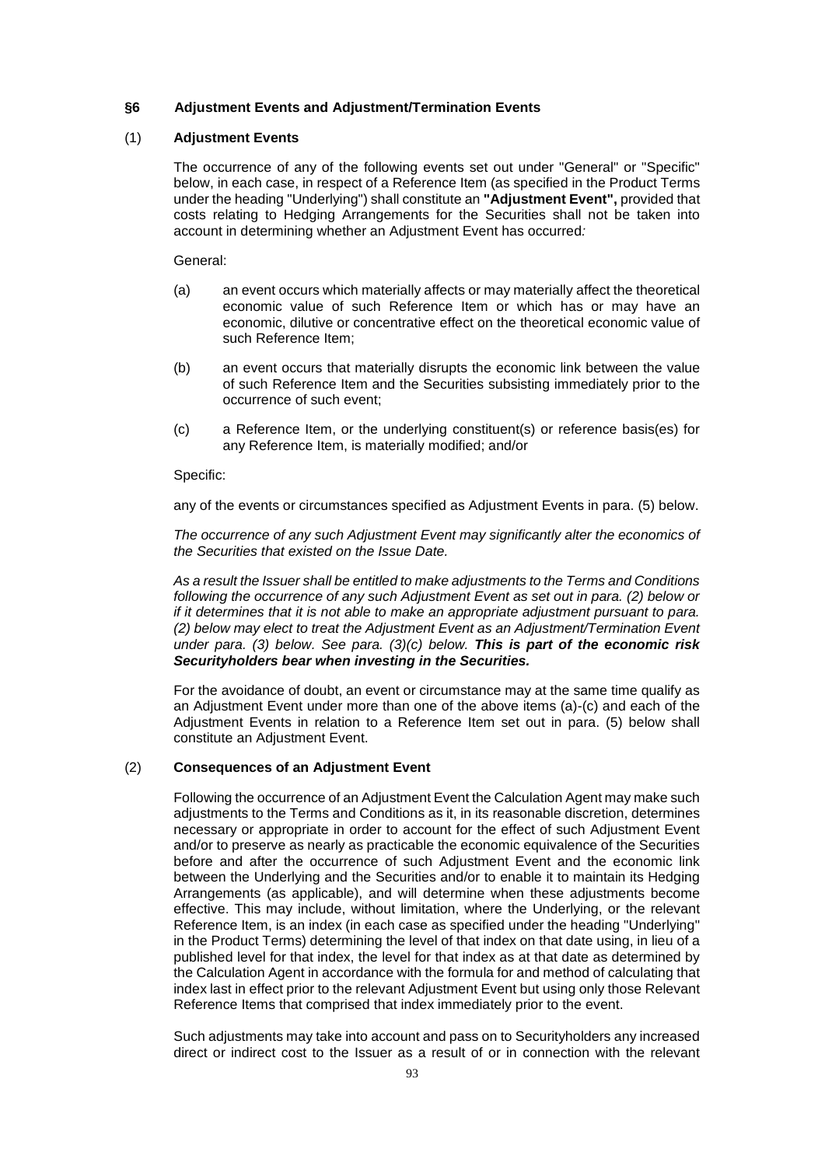#### **§6 Adjustment Events and Adjustment/Termination Events**

#### (1) **Adjustment Events**

The occurrence of any of the following events set out under "General" or "Specific" below, in each case, in respect of a Reference Item (as specified in the Product Terms under the heading "Underlying") shall constitute an **"Adjustment Event",** provided that costs relating to Hedging Arrangements for the Securities shall not be taken into account in determining whether an Adjustment Event has occurred*:*

General:

- (a) an event occurs which materially affects or may materially affect the theoretical economic value of such Reference Item or which has or may have an economic, dilutive or concentrative effect on the theoretical economic value of such Reference Item;
- (b) an event occurs that materially disrupts the economic link between the value of such Reference Item and the Securities subsisting immediately prior to the occurrence of such event;
- (c) a Reference Item, or the underlying constituent(s) or reference basis(es) for any Reference Item, is materially modified; and/or

Specific:

any of the events or circumstances specified as Adjustment Events in para. (5) below.

*The occurrence of any such Adjustment Event may significantly alter the economics of the Securities that existed on the Issue Date.*

*As a result the Issuer shall be entitled to make adjustments to the Terms and Conditions following the occurrence of any such Adjustment Event as set out in para. (2) below or if it determines that it is not able to make an appropriate adjustment pursuant to para. (2) below may elect to treat the Adjustment Event as an Adjustment/Termination Event under para. (3) below. See para. (3)(c) below. This is part of the economic risk Securityholders bear when investing in the Securities.*

For the avoidance of doubt, an event or circumstance may at the same time qualify as an Adjustment Event under more than one of the above items (a)-(c) and each of the Adjustment Events in relation to a Reference Item set out in para. (5) below shall constitute an Adjustment Event.

## (2) **Consequences of an Adjustment Event**

Following the occurrence of an Adjustment Event the Calculation Agent may make such adjustments to the Terms and Conditions as it, in its reasonable discretion, determines necessary or appropriate in order to account for the effect of such Adjustment Event and/or to preserve as nearly as practicable the economic equivalence of the Securities before and after the occurrence of such Adjustment Event and the economic link between the Underlying and the Securities and/or to enable it to maintain its Hedging Arrangements (as applicable), and will determine when these adjustments become effective. This may include, without limitation, where the Underlying, or the relevant Reference Item, is an index (in each case as specified under the heading "Underlying" in the Product Terms) determining the level of that index on that date using, in lieu of a published level for that index, the level for that index as at that date as determined by the Calculation Agent in accordance with the formula for and method of calculating that index last in effect prior to the relevant Adjustment Event but using only those Relevant Reference Items that comprised that index immediately prior to the event.

Such adjustments may take into account and pass on to Securityholders any increased direct or indirect cost to the Issuer as a result of or in connection with the relevant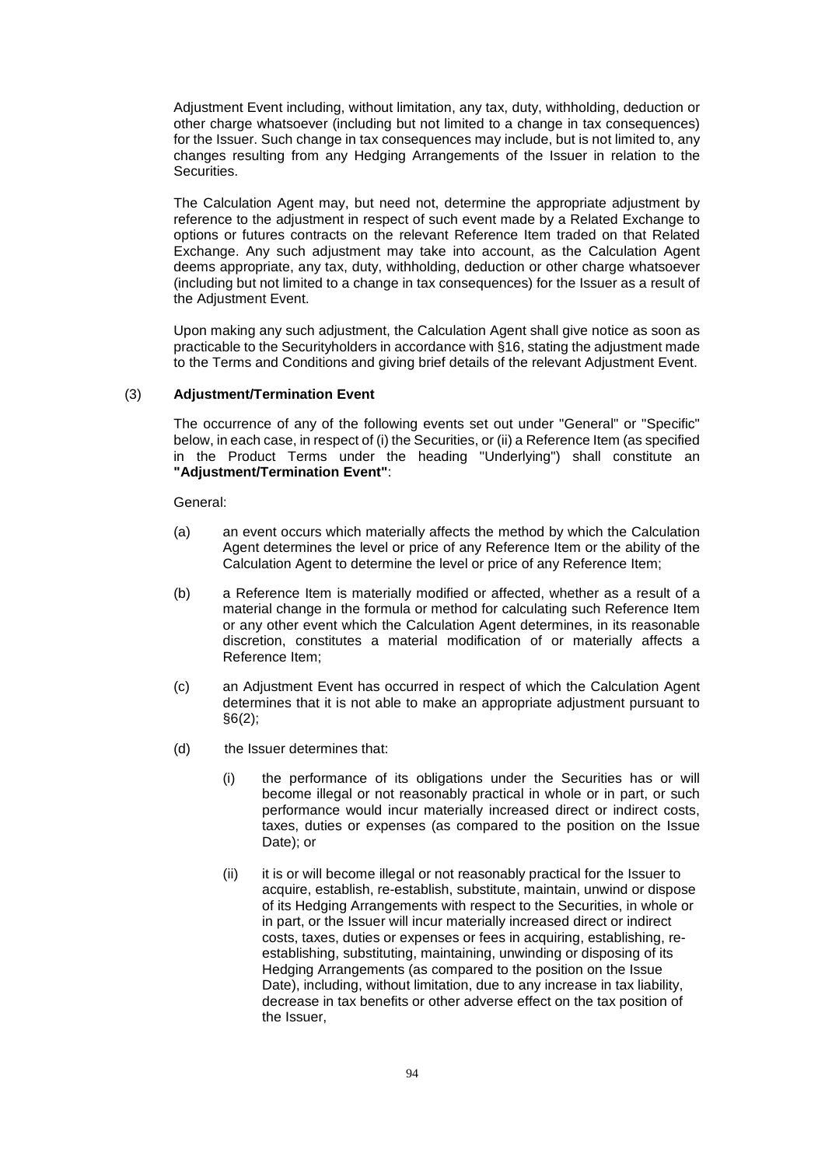Adjustment Event including, without limitation, any tax, duty, withholding, deduction or other charge whatsoever (including but not limited to a change in tax consequences) for the Issuer. Such change in tax consequences may include, but is not limited to, any changes resulting from any Hedging Arrangements of the Issuer in relation to the Securities.

The Calculation Agent may, but need not, determine the appropriate adjustment by reference to the adjustment in respect of such event made by a Related Exchange to options or futures contracts on the relevant Reference Item traded on that Related Exchange. Any such adjustment may take into account, as the Calculation Agent deems appropriate, any tax, duty, withholding, deduction or other charge whatsoever (including but not limited to a change in tax consequences) for the Issuer as a result of the Adjustment Event.

Upon making any such adjustment, the Calculation Agent shall give notice as soon as practicable to the Securityholders in accordance with §16, stating the adjustment made to the Terms and Conditions and giving brief details of the relevant Adjustment Event.

#### (3) **Adjustment/Termination Event**

The occurrence of any of the following events set out under "General" or "Specific" below, in each case, in respect of (i) the Securities, or (ii) a Reference Item (as specified in the Product Terms under the heading "Underlying") shall constitute an **"Adjustment/Termination Event"**:

General:

- (a) an event occurs which materially affects the method by which the Calculation Agent determines the level or price of any Reference Item or the ability of the Calculation Agent to determine the level or price of any Reference Item;
- (b) a Reference Item is materially modified or affected, whether as a result of a material change in the formula or method for calculating such Reference Item or any other event which the Calculation Agent determines, in its reasonable discretion, constitutes a material modification of or materially affects a Reference Item;
- (c) an Adjustment Event has occurred in respect of which the Calculation Agent determines that it is not able to make an appropriate adjustment pursuant to §6(2);
- (d) the Issuer determines that:
	- (i) the performance of its obligations under the Securities has or will become illegal or not reasonably practical in whole or in part, or such performance would incur materially increased direct or indirect costs, taxes, duties or expenses (as compared to the position on the Issue Date); or
	- (ii) it is or will become illegal or not reasonably practical for the Issuer to acquire, establish, re-establish, substitute, maintain, unwind or dispose of its Hedging Arrangements with respect to the Securities, in whole or in part, or the Issuer will incur materially increased direct or indirect costs, taxes, duties or expenses or fees in acquiring, establishing, reestablishing, substituting, maintaining, unwinding or disposing of its Hedging Arrangements (as compared to the position on the Issue Date), including, without limitation, due to any increase in tax liability, decrease in tax benefits or other adverse effect on the tax position of the Issuer,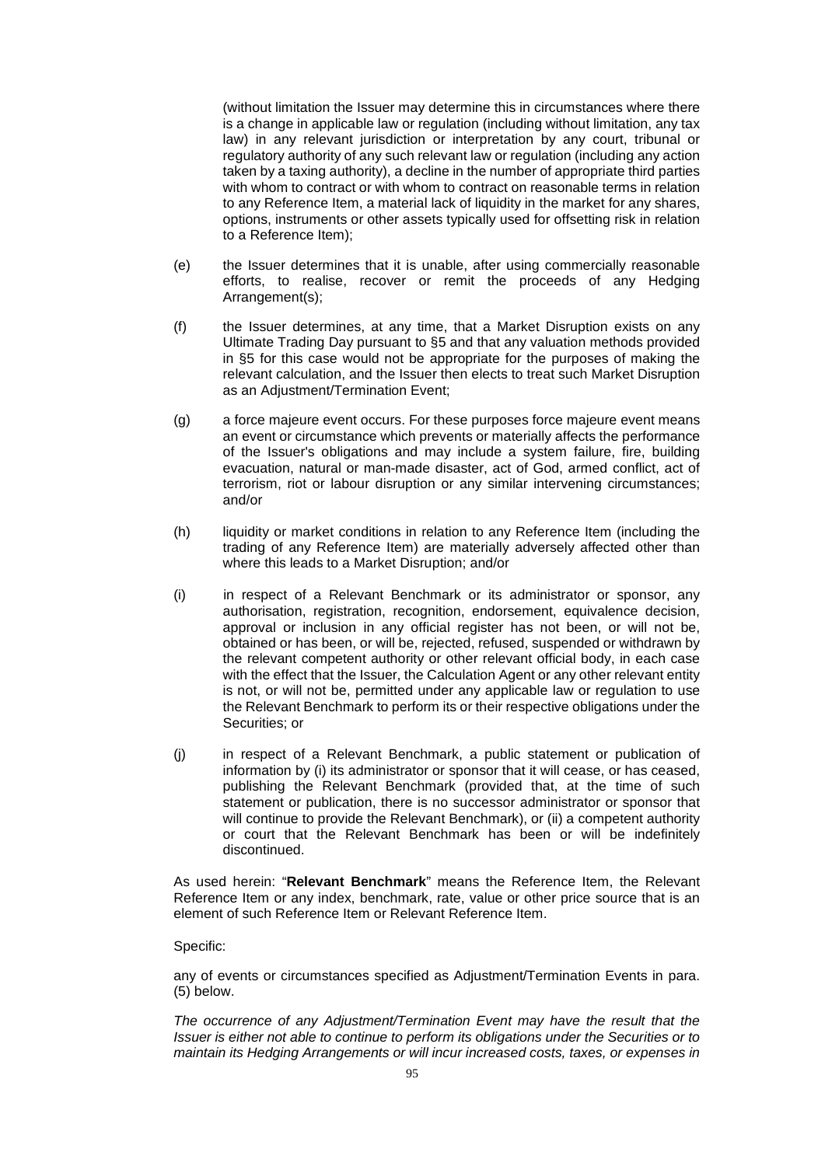(without limitation the Issuer may determine this in circumstances where there is a change in applicable law or regulation (including without limitation, any tax law) in any relevant jurisdiction or interpretation by any court, tribunal or regulatory authority of any such relevant law or regulation (including any action taken by a taxing authority), a decline in the number of appropriate third parties with whom to contract or with whom to contract on reasonable terms in relation to any Reference Item, a material lack of liquidity in the market for any shares, options, instruments or other assets typically used for offsetting risk in relation to a Reference Item);

- (e) the Issuer determines that it is unable, after using commercially reasonable efforts, to realise, recover or remit the proceeds of any Hedging Arrangement(s);
- (f) the Issuer determines, at any time, that a Market Disruption exists on any Ultimate Trading Day pursuant to §5 and that any valuation methods provided in §5 for this case would not be appropriate for the purposes of making the relevant calculation, and the Issuer then elects to treat such Market Disruption as an Adjustment/Termination Event;
- (g) a force majeure event occurs. For these purposes force majeure event means an event or circumstance which prevents or materially affects the performance of the Issuer's obligations and may include a system failure, fire, building evacuation, natural or man-made disaster, act of God, armed conflict, act of terrorism, riot or labour disruption or any similar intervening circumstances; and/or
- (h) liquidity or market conditions in relation to any Reference Item (including the trading of any Reference Item) are materially adversely affected other than where this leads to a Market Disruption; and/or
- (i) in respect of a Relevant Benchmark or its administrator or sponsor, any authorisation, registration, recognition, endorsement, equivalence decision, approval or inclusion in any official register has not been, or will not be, obtained or has been, or will be, rejected, refused, suspended or withdrawn by the relevant competent authority or other relevant official body, in each case with the effect that the Issuer, the Calculation Agent or any other relevant entity is not, or will not be, permitted under any applicable law or regulation to use the Relevant Benchmark to perform its or their respective obligations under the Securities; or
- (j) in respect of a Relevant Benchmark, a public statement or publication of information by (i) its administrator or sponsor that it will cease, or has ceased, publishing the Relevant Benchmark (provided that, at the time of such statement or publication, there is no successor administrator or sponsor that will continue to provide the Relevant Benchmark), or (ii) a competent authority or court that the Relevant Benchmark has been or will be indefinitely discontinued.

As used herein: "**Relevant Benchmark**" means the Reference Item, the Relevant Reference Item or any index, benchmark, rate, value or other price source that is an element of such Reference Item or Relevant Reference Item.

#### Specific:

any of events or circumstances specified as Adjustment/Termination Events in para. (5) below.

*The occurrence of any Adjustment/Termination Event may have the result that the Issuer is either not able to continue to perform its obligations under the Securities or to maintain its Hedging Arrangements or will incur increased costs, taxes, or expenses in*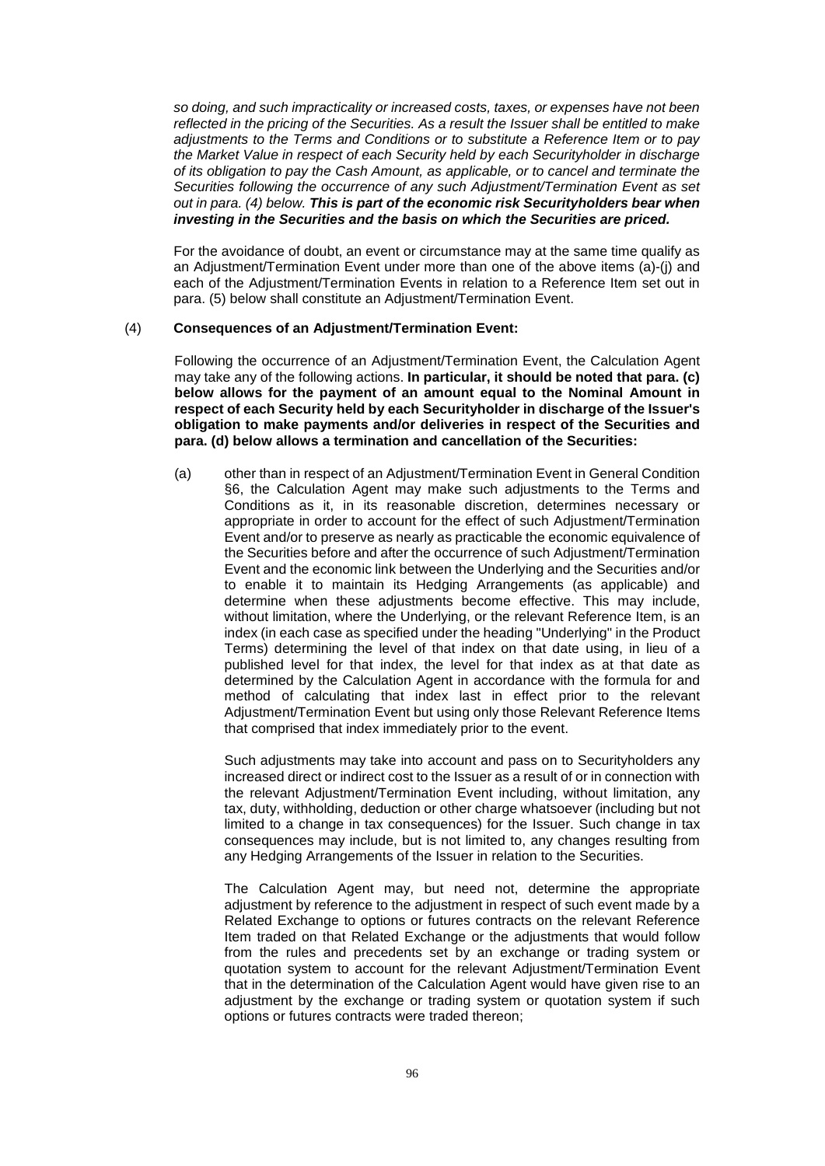*so doing, and such impracticality or increased costs, taxes, or expenses have not been reflected in the pricing of the Securities. As a result the Issuer shall be entitled to make adjustments to the Terms and Conditions or to substitute a Reference Item or to pay the Market Value in respect of each Security held by each Securityholder in discharge of its obligation to pay the Cash Amount, as applicable, or to cancel and terminate the Securities following the occurrence of any such Adjustment/Termination Event as set out in para. (4) below. This is part of the economic risk Securityholders bear when investing in the Securities and the basis on which the Securities are priced.*

For the avoidance of doubt, an event or circumstance may at the same time qualify as an Adjustment/Termination Event under more than one of the above items (a)-(j) and each of the Adjustment/Termination Events in relation to a Reference Item set out in para. (5) below shall constitute an Adjustment/Termination Event.

### (4) **Consequences of an Adjustment/Termination Event:**

Following the occurrence of an Adjustment/Termination Event, the Calculation Agent may take any of the following actions. **In particular, it should be noted that para. (c) below allows for the payment of an amount equal to the Nominal Amount in respect of each Security held by each Securityholder in discharge of the Issuer's obligation to make payments and/or deliveries in respect of the Securities and para. (d) below allows a termination and cancellation of the Securities:**

(a) other than in respect of an Adjustment/Termination Event in General Condition §6, the Calculation Agent may make such adjustments to the Terms and Conditions as it, in its reasonable discretion, determines necessary or appropriate in order to account for the effect of such Adjustment/Termination Event and/or to preserve as nearly as practicable the economic equivalence of the Securities before and after the occurrence of such Adjustment/Termination Event and the economic link between the Underlying and the Securities and/or to enable it to maintain its Hedging Arrangements (as applicable) and determine when these adjustments become effective. This may include, without limitation, where the Underlying, or the relevant Reference Item, is an index (in each case as specified under the heading "Underlying" in the Product Terms) determining the level of that index on that date using, in lieu of a published level for that index, the level for that index as at that date as determined by the Calculation Agent in accordance with the formula for and method of calculating that index last in effect prior to the relevant Adjustment/Termination Event but using only those Relevant Reference Items that comprised that index immediately prior to the event.

Such adjustments may take into account and pass on to Securityholders any increased direct or indirect cost to the Issuer as a result of or in connection with the relevant Adjustment/Termination Event including, without limitation, any tax, duty, withholding, deduction or other charge whatsoever (including but not limited to a change in tax consequences) for the Issuer. Such change in tax consequences may include, but is not limited to, any changes resulting from any Hedging Arrangements of the Issuer in relation to the Securities.

The Calculation Agent may, but need not, determine the appropriate adjustment by reference to the adjustment in respect of such event made by a Related Exchange to options or futures contracts on the relevant Reference Item traded on that Related Exchange or the adjustments that would follow from the rules and precedents set by an exchange or trading system or quotation system to account for the relevant Adjustment/Termination Event that in the determination of the Calculation Agent would have given rise to an adjustment by the exchange or trading system or quotation system if such options or futures contracts were traded thereon;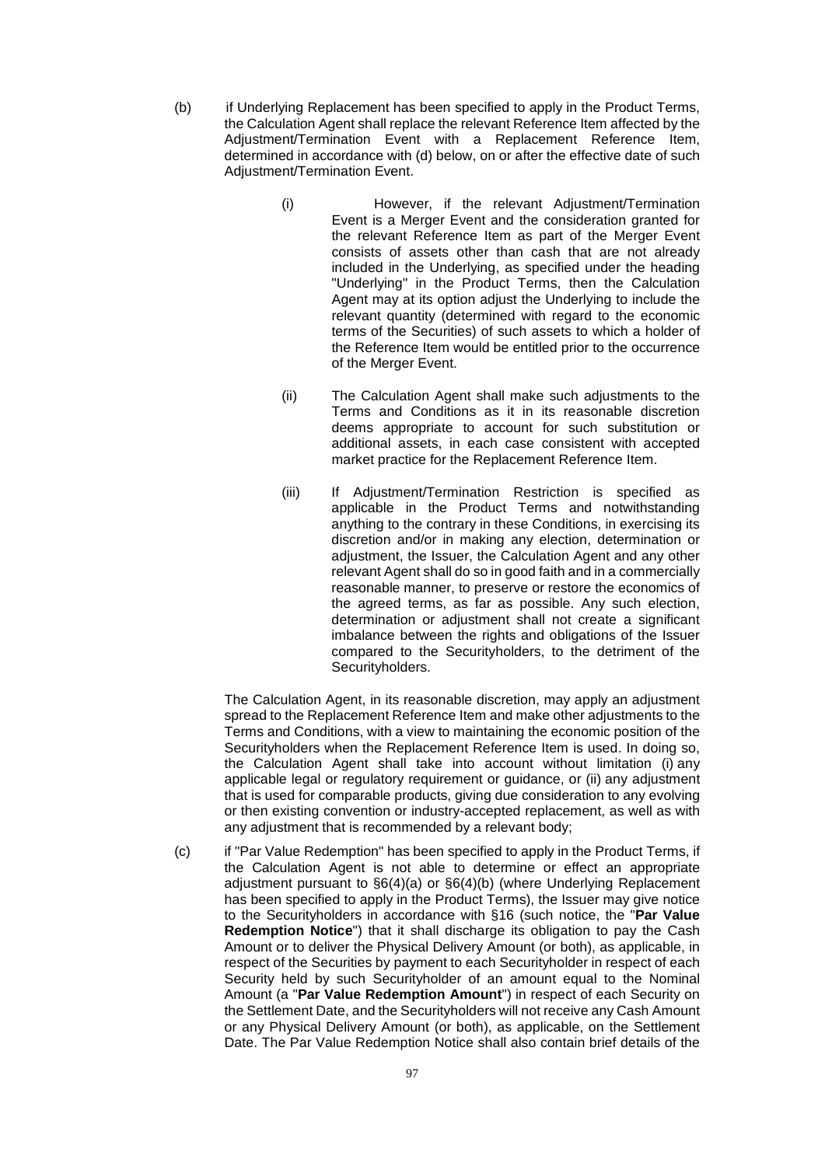- (b) if Underlying Replacement has been specified to apply in the Product Terms, the Calculation Agent shall replace the relevant Reference Item affected by the Adjustment/Termination Event with a Replacement Reference Item, determined in accordance with (d) below, on or after the effective date of such Adjustment/Termination Event.
	- (i) However, if the relevant Adjustment/Termination Event is a Merger Event and the consideration granted for the relevant Reference Item as part of the Merger Event consists of assets other than cash that are not already included in the Underlying, as specified under the heading "Underlying" in the Product Terms, then the Calculation Agent may at its option adjust the Underlying to include the relevant quantity (determined with regard to the economic terms of the Securities) of such assets to which a holder of the Reference Item would be entitled prior to the occurrence of the Merger Event.
	- (ii) The Calculation Agent shall make such adjustments to the Terms and Conditions as it in its reasonable discretion deems appropriate to account for such substitution or additional assets, in each case consistent with accepted market practice for the Replacement Reference Item.
	- (iii) If Adjustment/Termination Restriction is specified as applicable in the Product Terms and notwithstanding anything to the contrary in these Conditions, in exercising its discretion and/or in making any election, determination or adjustment, the Issuer, the Calculation Agent and any other relevant Agent shall do so in good faith and in a commercially reasonable manner, to preserve or restore the economics of the agreed terms, as far as possible. Any such election, determination or adjustment shall not create a significant imbalance between the rights and obligations of the Issuer compared to the Securityholders, to the detriment of the Securityholders.

The Calculation Agent, in its reasonable discretion, may apply an adjustment spread to the Replacement Reference Item and make other adjustments to the Terms and Conditions, with a view to maintaining the economic position of the Securityholders when the Replacement Reference Item is used. In doing so, the Calculation Agent shall take into account without limitation (i) any applicable legal or regulatory requirement or guidance, or (ii) any adjustment that is used for comparable products, giving due consideration to any evolving or then existing convention or industry-accepted replacement, as well as with any adjustment that is recommended by a relevant body;

(c) if "Par Value Redemption" has been specified to apply in the Product Terms, if the Calculation Agent is not able to determine or effect an appropriate adjustment pursuant to §6(4)(a) or §6(4)(b) (where Underlying Replacement has been specified to apply in the Product Terms), the Issuer may give notice to the Securityholders in accordance with §16 (such notice, the "**Par Value Redemption Notice**") that it shall discharge its obligation to pay the Cash Amount or to deliver the Physical Delivery Amount (or both), as applicable, in respect of the Securities by payment to each Securityholder in respect of each Security held by such Securityholder of an amount equal to the Nominal Amount (a "**Par Value Redemption Amount**") in respect of each Security on the Settlement Date, and the Securityholders will not receive any Cash Amount or any Physical Delivery Amount (or both), as applicable, on the Settlement Date. The Par Value Redemption Notice shall also contain brief details of the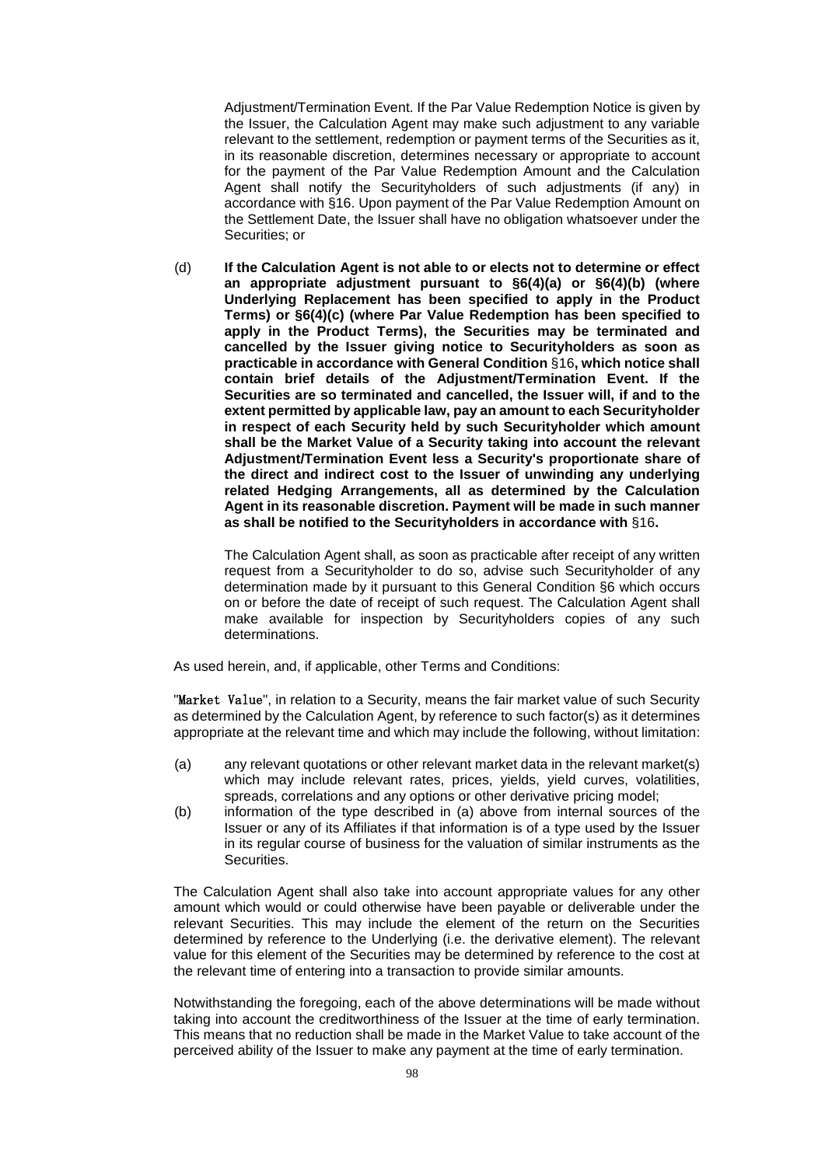Adjustment/Termination Event. If the Par Value Redemption Notice is given by the Issuer, the Calculation Agent may make such adjustment to any variable relevant to the settlement, redemption or payment terms of the Securities as it, in its reasonable discretion, determines necessary or appropriate to account for the payment of the Par Value Redemption Amount and the Calculation Agent shall notify the Securityholders of such adjustments (if any) in accordance with §16. Upon payment of the Par Value Redemption Amount on the Settlement Date, the Issuer shall have no obligation whatsoever under the Securities; or

(d) **If the Calculation Agent is not able to or elects not to determine or effect an appropriate adjustment pursuant to §6(4)(a) or §6(4)(b) (where Underlying Replacement has been specified to apply in the Product Terms) or §6(4)(c) (where Par Value Redemption has been specified to apply in the Product Terms), the Securities may be terminated and cancelled by the Issuer giving notice to Securityholders as soon as practicable in accordance with General Condition** §16**, which notice shall contain brief details of the Adjustment/Termination Event. If the Securities are so terminated and cancelled, the Issuer will, if and to the extent permitted by applicable law, pay an amount to each Securityholder in respect of each Security held by such Securityholder which amount shall be the Market Value of a Security taking into account the relevant Adjustment/Termination Event less a Security's proportionate share of the direct and indirect cost to the Issuer of unwinding any underlying related Hedging Arrangements, all as determined by the Calculation Agent in its reasonable discretion. Payment will be made in such manner as shall be notified to the Securityholders in accordance with** §16**.** 

The Calculation Agent shall, as soon as practicable after receipt of any written request from a Securityholder to do so, advise such Securityholder of any determination made by it pursuant to this General Condition §6 which occurs on or before the date of receipt of such request. The Calculation Agent shall make available for inspection by Securityholders copies of any such determinations.

As used herein, and, if applicable, other Terms and Conditions:

"Market Value", in relation to a Security, means the fair market value of such Security as determined by the Calculation Agent, by reference to such factor(s) as it determines appropriate at the relevant time and which may include the following, without limitation:

- (a) any relevant quotations or other relevant market data in the relevant market(s) which may include relevant rates, prices, yields, yield curves, volatilities, spreads, correlations and any options or other derivative pricing model;
- (b) information of the type described in (a) above from internal sources of the Issuer or any of its Affiliates if that information is of a type used by the Issuer in its regular course of business for the valuation of similar instruments as the Securities.

The Calculation Agent shall also take into account appropriate values for any other amount which would or could otherwise have been payable or deliverable under the relevant Securities. This may include the element of the return on the Securities determined by reference to the Underlying (i.e. the derivative element). The relevant value for this element of the Securities may be determined by reference to the cost at the relevant time of entering into a transaction to provide similar amounts.

Notwithstanding the foregoing, each of the above determinations will be made without taking into account the creditworthiness of the Issuer at the time of early termination. This means that no reduction shall be made in the Market Value to take account of the perceived ability of the Issuer to make any payment at the time of early termination.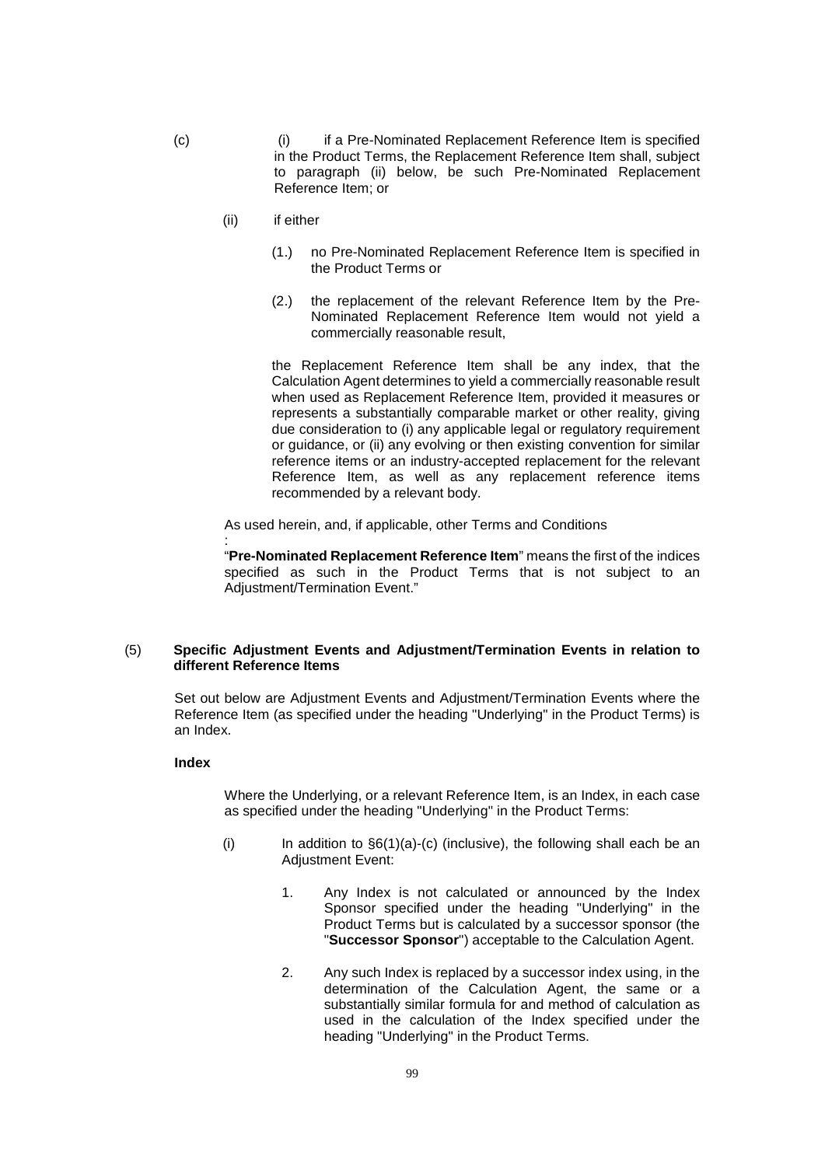(c) (i) if a Pre-Nominated Replacement Reference Item is specified in the Product Terms, the Replacement Reference Item shall, subject to paragraph (ii) below, be such Pre-Nominated Replacement Reference Item; or

- (ii) if either
	- (1.) no Pre-Nominated Replacement Reference Item is specified in the Product Terms or
	- (2.) the replacement of the relevant Reference Item by the Pre-Nominated Replacement Reference Item would not yield a commercially reasonable result,

the Replacement Reference Item shall be any index, that the Calculation Agent determines to yield a commercially reasonable result when used as Replacement Reference Item, provided it measures or represents a substantially comparable market or other reality, giving due consideration to (i) any applicable legal or regulatory requirement or guidance, or (ii) any evolving or then existing convention for similar reference items or an industry-accepted replacement for the relevant Reference Item, as well as any replacement reference items recommended by a relevant body.

As used herein, and, if applicable, other Terms and Conditions

: "**Pre-Nominated Replacement Reference Item**" means the first of the indices specified as such in the Product Terms that is not subject to an Adjustment/Termination Event."

### (5) **Specific Adjustment Events and Adjustment/Termination Events in relation to different Reference Items**

Set out below are Adjustment Events and Adjustment/Termination Events where the Reference Item (as specified under the heading "Underlying" in the Product Terms) is an Index.

#### **Index**

Where the Underlying, or a relevant Reference Item, is an Index, in each case as specified under the heading "Underlying" in the Product Terms:

- (i) In addition to  $\S6(1)(a)-(c)$  (inclusive), the following shall each be an Adjustment Event:
	- 1. Any Index is not calculated or announced by the Index Sponsor specified under the heading "Underlying" in the Product Terms but is calculated by a successor sponsor (the "**Successor Sponsor**") acceptable to the Calculation Agent.
	- 2. Any such Index is replaced by a successor index using, in the determination of the Calculation Agent, the same or a substantially similar formula for and method of calculation as used in the calculation of the Index specified under the heading "Underlying" in the Product Terms.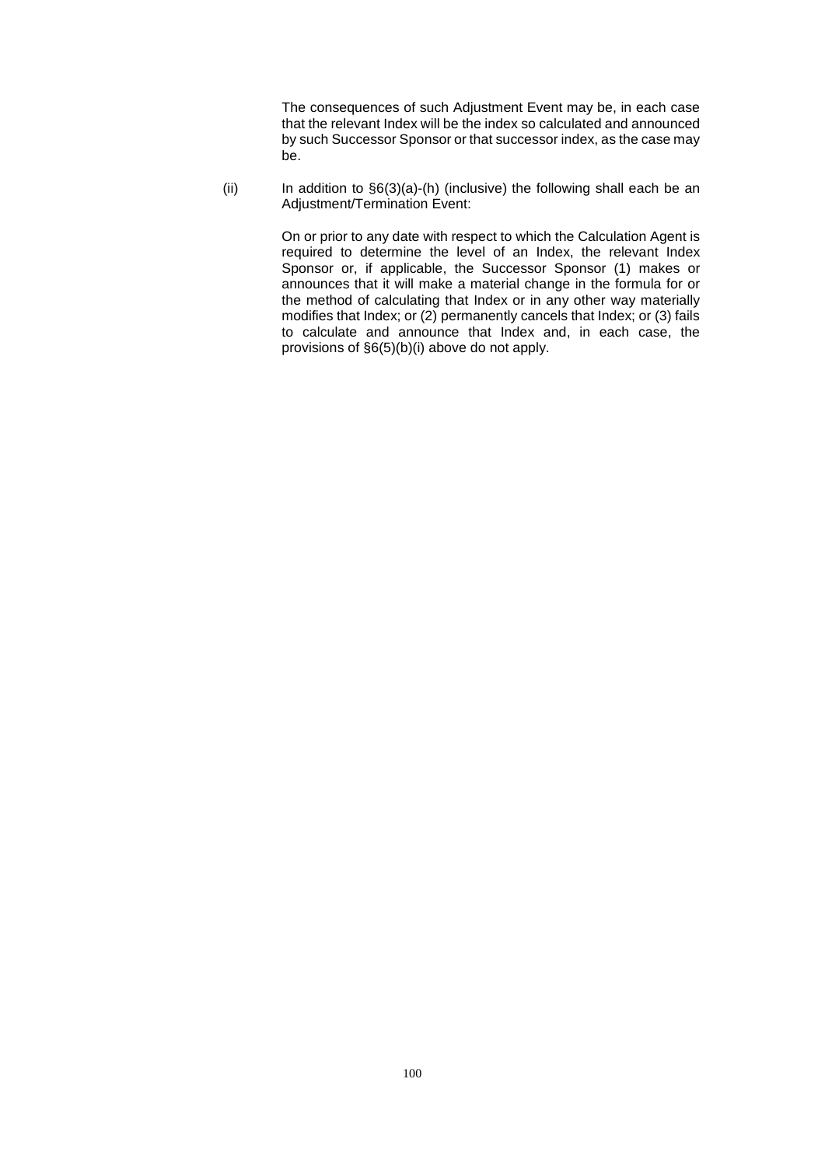The consequences of such Adjustment Event may be, in each case that the relevant Index will be the index so calculated and announced by such Successor Sponsor or that successor index, as the case may be.

(ii) In addition to  $\S6(3)(a)$ -(h) (inclusive) the following shall each be an Adjustment/Termination Event:

> On or prior to any date with respect to which the Calculation Agent is required to determine the level of an Index, the relevant Index Sponsor or, if applicable, the Successor Sponsor (1) makes or announces that it will make a material change in the formula for or the method of calculating that Index or in any other way materially modifies that Index; or (2) permanently cancels that Index; or (3) fails to calculate and announce that Index and, in each case, the provisions of §6(5)(b)(i) above do not apply.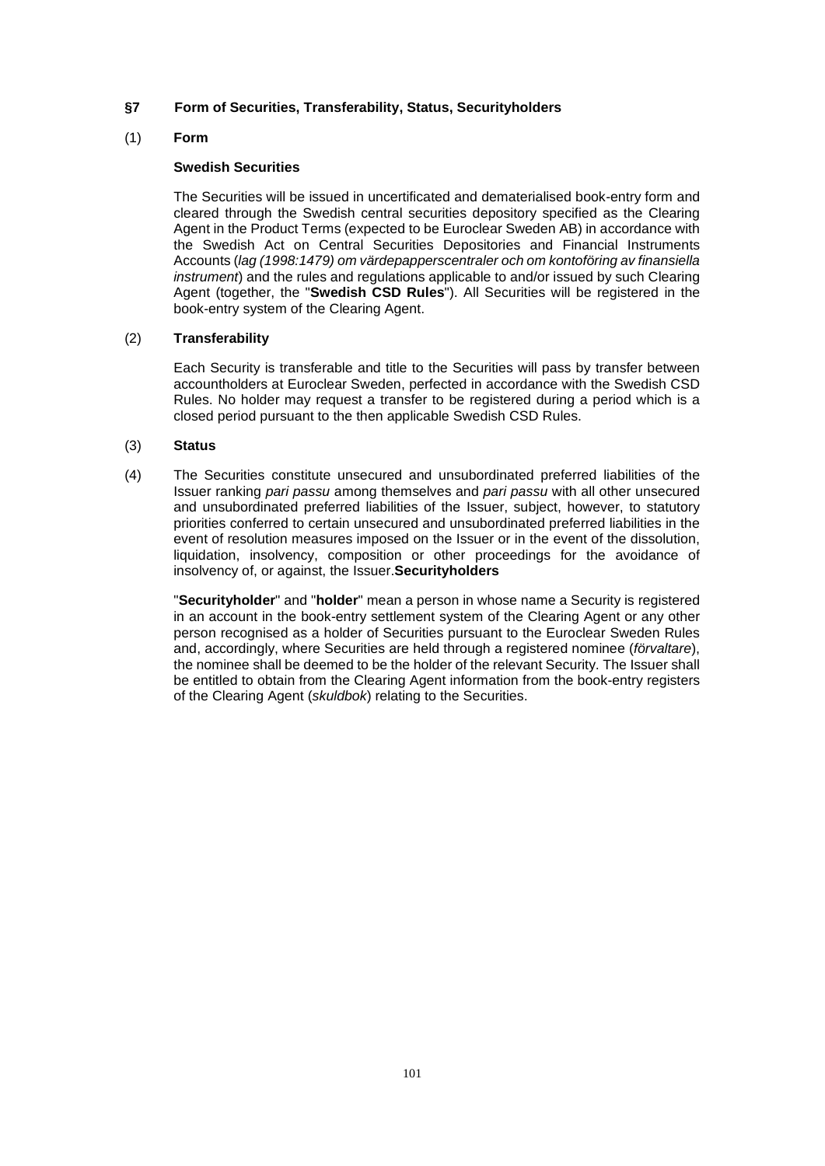## **§7 Form of Securities, Transferability, Status, Securityholders**

## (1) **Form**

### **Swedish Securities**

The Securities will be issued in uncertificated and dematerialised book-entry form and cleared through the Swedish central securities depository specified as the Clearing Agent in the Product Terms (expected to be Euroclear Sweden AB) in accordance with the Swedish Act on Central Securities Depositories and Financial Instruments Accounts (*lag (1998:1479) om värdepapperscentraler och om kontoföring av finansiella instrument*) and the rules and regulations applicable to and/or issued by such Clearing Agent (together, the "**Swedish CSD Rules**"). All Securities will be registered in the book-entry system of the Clearing Agent.

## (2) **Transferability**

Each Security is transferable and title to the Securities will pass by transfer between accountholders at Euroclear Sweden, perfected in accordance with the Swedish CSD Rules. No holder may request a transfer to be registered during a period which is a closed period pursuant to the then applicable Swedish CSD Rules.

#### (3) **Status**

(4) The Securities constitute unsecured and unsubordinated preferred liabilities of the Issuer ranking *pari passu* among themselves and *pari passu* with all other unsecured and unsubordinated preferred liabilities of the Issuer, subject, however, to statutory priorities conferred to certain unsecured and unsubordinated preferred liabilities in the event of resolution measures imposed on the Issuer or in the event of the dissolution, liquidation, insolvency, composition or other proceedings for the avoidance of insolvency of, or against, the Issuer.**Securityholders**

"**Securityholder**" and "**holder**" mean a person in whose name a Security is registered in an account in the book-entry settlement system of the Clearing Agent or any other person recognised as a holder of Securities pursuant to the Euroclear Sweden Rules and, accordingly, where Securities are held through a registered nominee (*förvaltare*), the nominee shall be deemed to be the holder of the relevant Security. The Issuer shall be entitled to obtain from the Clearing Agent information from the book-entry registers of the Clearing Agent (*skuldbok*) relating to the Securities.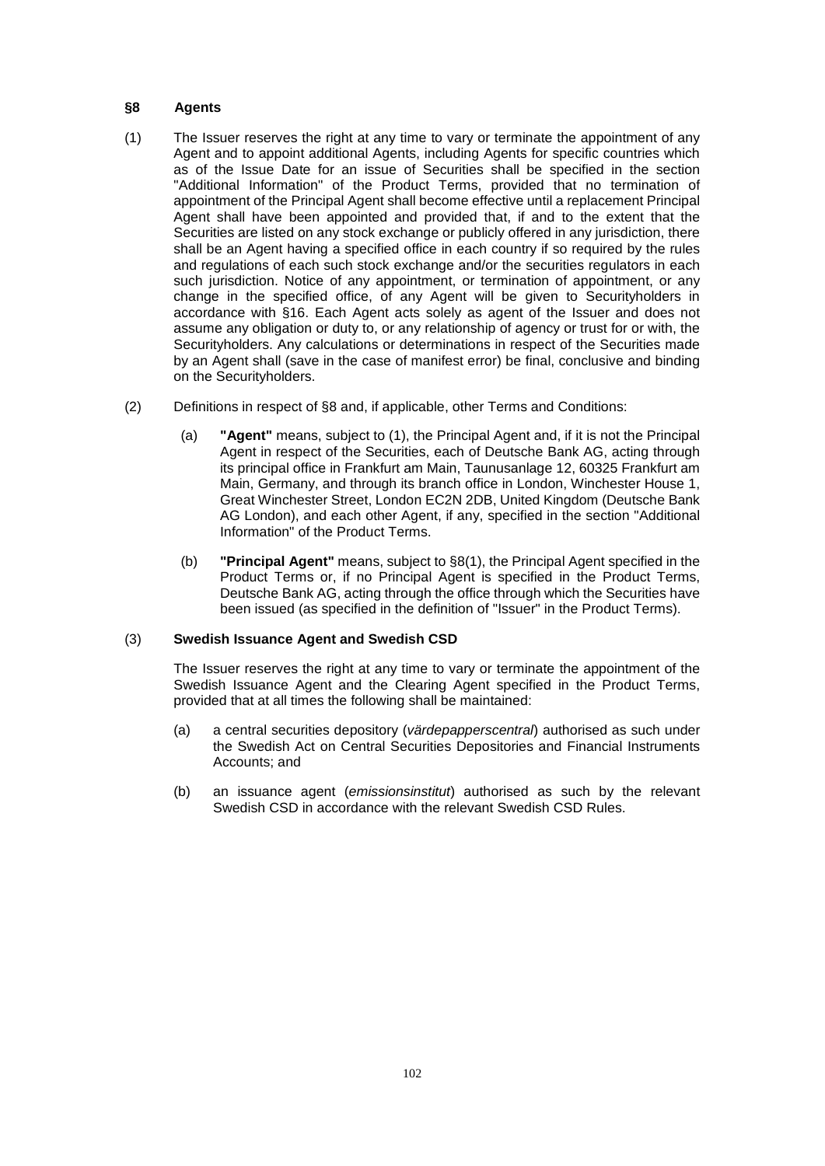## **§8 Agents**

- (1) The Issuer reserves the right at any time to vary or terminate the appointment of any Agent and to appoint additional Agents, including Agents for specific countries which as of the Issue Date for an issue of Securities shall be specified in the section "Additional Information" of the Product Terms, provided that no termination of appointment of the Principal Agent shall become effective until a replacement Principal Agent shall have been appointed and provided that, if and to the extent that the Securities are listed on any stock exchange or publicly offered in any jurisdiction, there shall be an Agent having a specified office in each country if so required by the rules and regulations of each such stock exchange and/or the securities regulators in each such jurisdiction. Notice of any appointment, or termination of appointment, or any change in the specified office, of any Agent will be given to Securityholders in accordance with §16. Each Agent acts solely as agent of the Issuer and does not assume any obligation or duty to, or any relationship of agency or trust for or with, the Securityholders. Any calculations or determinations in respect of the Securities made by an Agent shall (save in the case of manifest error) be final, conclusive and binding on the Securityholders.
- (2) Definitions in respect of §8 and, if applicable, other Terms and Conditions:
	- (a) **"Agent"** means, subject to (1), the Principal Agent and, if it is not the Principal Agent in respect of the Securities, each of Deutsche Bank AG, acting through its principal office in Frankfurt am Main, Taunusanlage 12, 60325 Frankfurt am Main, Germany, and through its branch office in London, Winchester House 1, Great Winchester Street, London EC2N 2DB, United Kingdom (Deutsche Bank AG London), and each other Agent, if any, specified in the section "Additional Information" of the Product Terms.
	- (b) **"Principal Agent"** means, subject to §8(1), the Principal Agent specified in the Product Terms or, if no Principal Agent is specified in the Product Terms, Deutsche Bank AG, acting through the office through which the Securities have been issued (as specified in the definition of "Issuer" in the Product Terms).

#### (3) **Swedish Issuance Agent and Swedish CSD**

The Issuer reserves the right at any time to vary or terminate the appointment of the Swedish Issuance Agent and the Clearing Agent specified in the Product Terms, provided that at all times the following shall be maintained:

- (a) a central securities depository (*värdepapperscentral*) authorised as such under the Swedish Act on Central Securities Depositories and Financial Instruments Accounts; and
- (b) an issuance agent (*emissionsinstitut*) authorised as such by the relevant Swedish CSD in accordance with the relevant Swedish CSD Rules.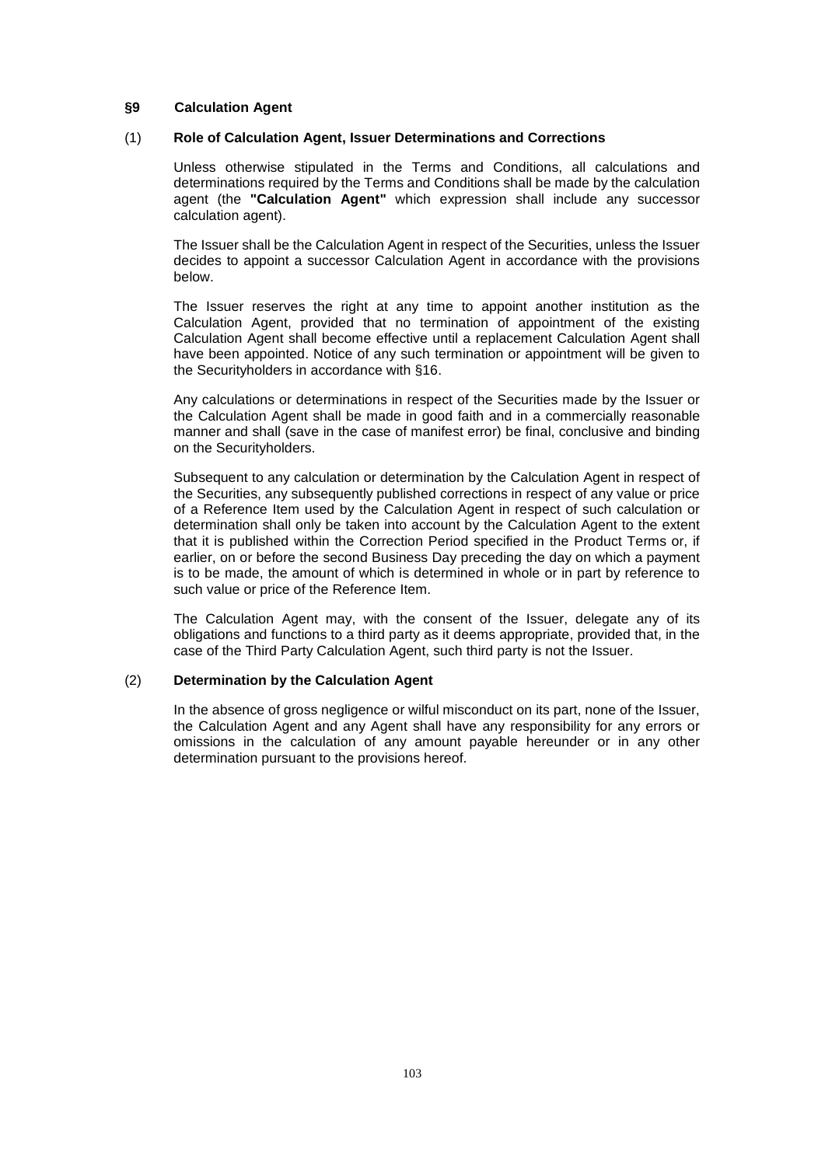### **§9 Calculation Agent**

#### (1) **Role of Calculation Agent, Issuer Determinations and Corrections**

Unless otherwise stipulated in the Terms and Conditions, all calculations and determinations required by the Terms and Conditions shall be made by the calculation agent (the **"Calculation Agent"** which expression shall include any successor calculation agent).

The Issuer shall be the Calculation Agent in respect of the Securities, unless the Issuer decides to appoint a successor Calculation Agent in accordance with the provisions below.

The Issuer reserves the right at any time to appoint another institution as the Calculation Agent, provided that no termination of appointment of the existing Calculation Agent shall become effective until a replacement Calculation Agent shall have been appointed. Notice of any such termination or appointment will be given to the Securityholders in accordance with §16.

Any calculations or determinations in respect of the Securities made by the Issuer or the Calculation Agent shall be made in good faith and in a commercially reasonable manner and shall (save in the case of manifest error) be final, conclusive and binding on the Securityholders.

Subsequent to any calculation or determination by the Calculation Agent in respect of the Securities, any subsequently published corrections in respect of any value or price of a Reference Item used by the Calculation Agent in respect of such calculation or determination shall only be taken into account by the Calculation Agent to the extent that it is published within the Correction Period specified in the Product Terms or, if earlier, on or before the second Business Day preceding the day on which a payment is to be made, the amount of which is determined in whole or in part by reference to such value or price of the Reference Item.

The Calculation Agent may, with the consent of the Issuer, delegate any of its obligations and functions to a third party as it deems appropriate, provided that, in the case of the Third Party Calculation Agent, such third party is not the Issuer.

#### (2) **Determination by the Calculation Agent**

In the absence of gross negligence or wilful misconduct on its part, none of the Issuer, the Calculation Agent and any Agent shall have any responsibility for any errors or omissions in the calculation of any amount payable hereunder or in any other determination pursuant to the provisions hereof.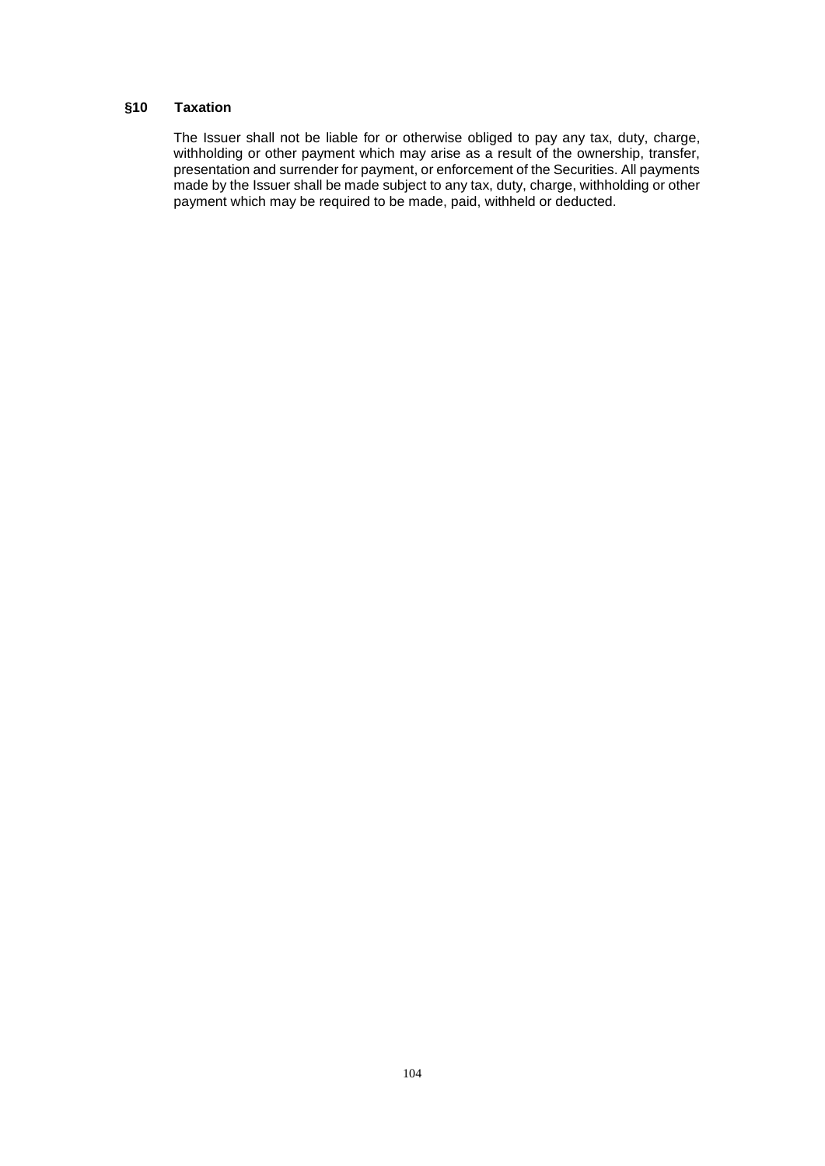# **§10 Taxation**

The Issuer shall not be liable for or otherwise obliged to pay any tax, duty, charge, withholding or other payment which may arise as a result of the ownership, transfer, presentation and surrender for payment, or enforcement of the Securities. All payments made by the Issuer shall be made subject to any tax, duty, charge, withholding or other payment which may be required to be made, paid, withheld or deducted.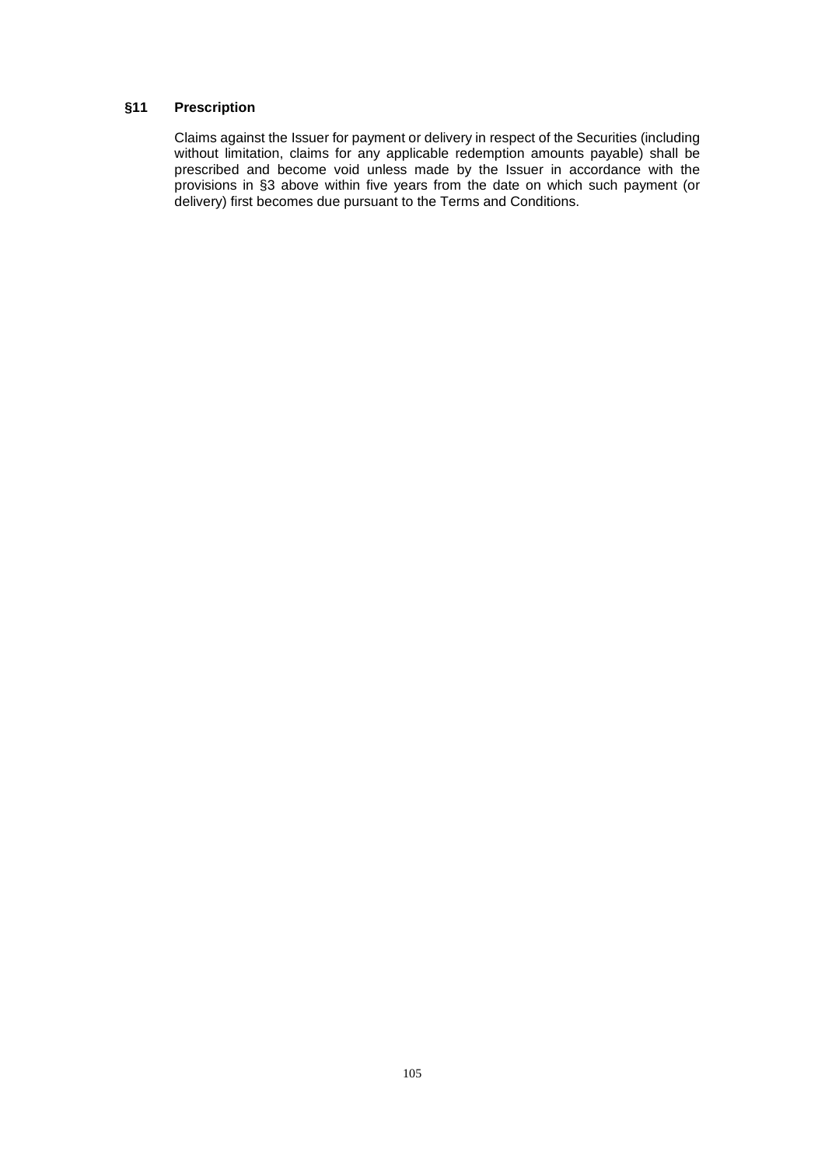# **§11 Prescription**

Claims against the Issuer for payment or delivery in respect of the Securities (including without limitation, claims for any applicable redemption amounts payable) shall be prescribed and become void unless made by the Issuer in accordance with the provisions in §3 above within five years from the date on which such payment (or delivery) first becomes due pursuant to the Terms and Conditions.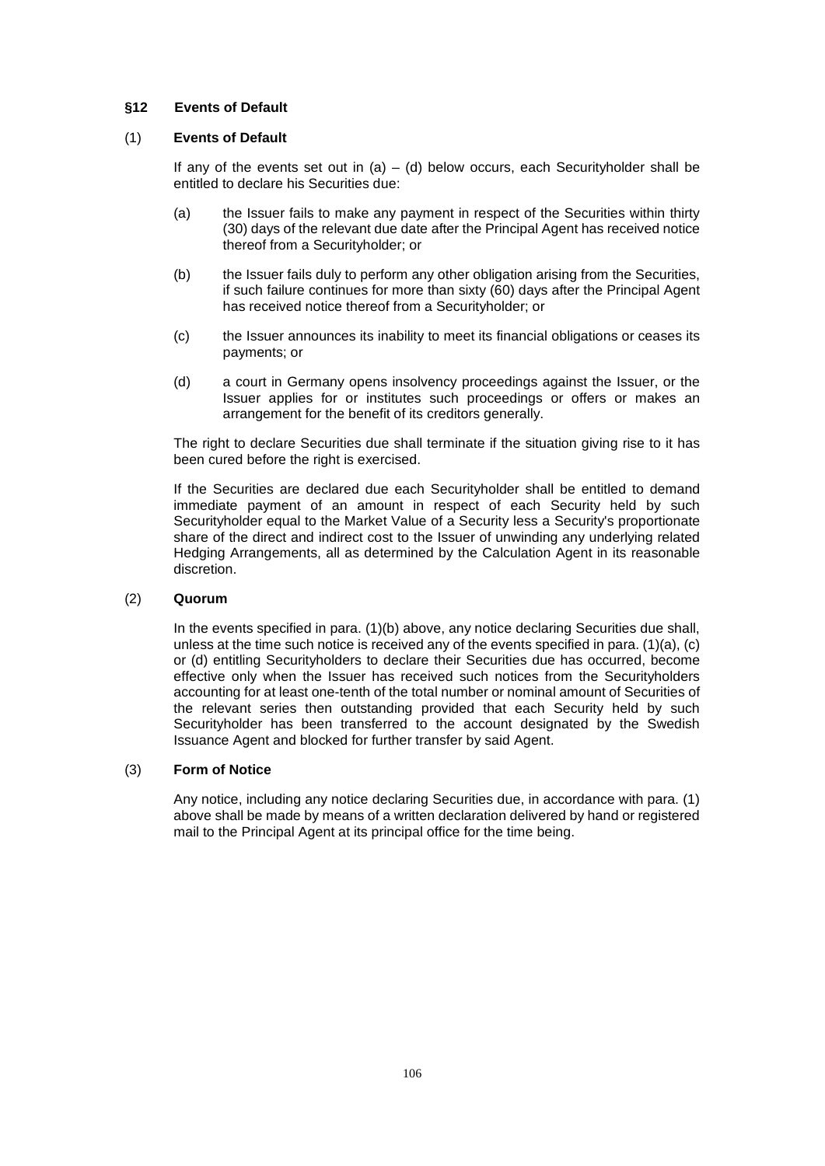## **§12 Events of Default**

## (1) **Events of Default**

If any of the events set out in  $(a) - (d)$  below occurs, each Securityholder shall be entitled to declare his Securities due:

- (a) the Issuer fails to make any payment in respect of the Securities within thirty (30) days of the relevant due date after the Principal Agent has received notice thereof from a Securityholder; or
- (b) the Issuer fails duly to perform any other obligation arising from the Securities, if such failure continues for more than sixty (60) days after the Principal Agent has received notice thereof from a Securityholder; or
- (c) the Issuer announces its inability to meet its financial obligations or ceases its payments; or
- (d) a court in Germany opens insolvency proceedings against the Issuer, or the Issuer applies for or institutes such proceedings or offers or makes an arrangement for the benefit of its creditors generally.

The right to declare Securities due shall terminate if the situation giving rise to it has been cured before the right is exercised.

If the Securities are declared due each Securityholder shall be entitled to demand immediate payment of an amount in respect of each Security held by such Securityholder equal to the Market Value of a Security less a Security's proportionate share of the direct and indirect cost to the Issuer of unwinding any underlying related Hedging Arrangements, all as determined by the Calculation Agent in its reasonable discretion.

#### (2) **Quorum**

In the events specified in para. (1)(b) above, any notice declaring Securities due shall, unless at the time such notice is received any of the events specified in para.  $(1)(a)$ ,  $(c)$ or (d) entitling Securityholders to declare their Securities due has occurred, become effective only when the Issuer has received such notices from the Securityholders accounting for at least one-tenth of the total number or nominal amount of Securities of the relevant series then outstanding provided that each Security held by such Securityholder has been transferred to the account designated by the Swedish Issuance Agent and blocked for further transfer by said Agent.

#### (3) **Form of Notice**

Any notice, including any notice declaring Securities due, in accordance with para. (1) above shall be made by means of a written declaration delivered by hand or registered mail to the Principal Agent at its principal office for the time being.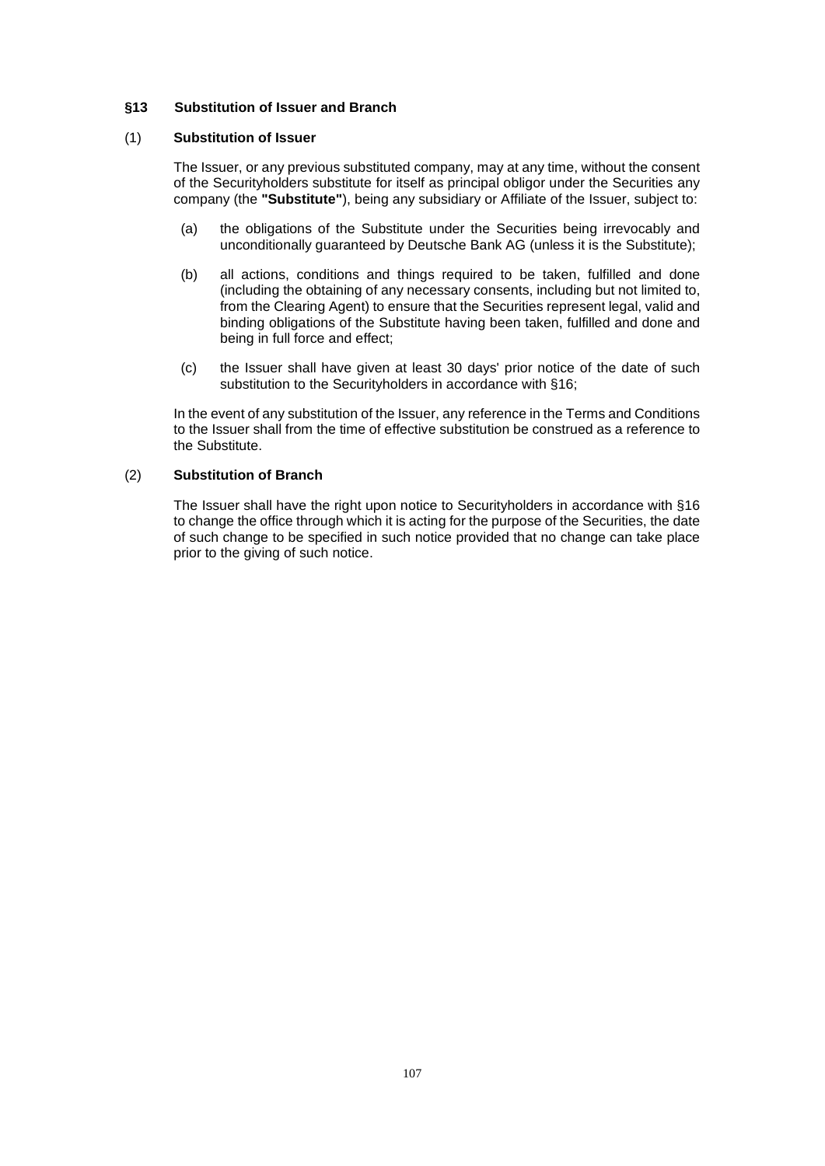## **§13 Substitution of Issuer and Branch**

## (1) **Substitution of Issuer**

The Issuer, or any previous substituted company, may at any time, without the consent of the Securityholders substitute for itself as principal obligor under the Securities any company (the **"Substitute"**), being any subsidiary or Affiliate of the Issuer, subject to:

- (a) the obligations of the Substitute under the Securities being irrevocably and unconditionally guaranteed by Deutsche Bank AG (unless it is the Substitute);
- (b) all actions, conditions and things required to be taken, fulfilled and done (including the obtaining of any necessary consents, including but not limited to, from the Clearing Agent) to ensure that the Securities represent legal, valid and binding obligations of the Substitute having been taken, fulfilled and done and being in full force and effect;
- (c) the Issuer shall have given at least 30 days' prior notice of the date of such substitution to the Securityholders in accordance with §16;

In the event of any substitution of the Issuer, any reference in the Terms and Conditions to the Issuer shall from the time of effective substitution be construed as a reference to the Substitute.

## (2) **Substitution of Branch**

The Issuer shall have the right upon notice to Securityholders in accordance with §16 to change the office through which it is acting for the purpose of the Securities, the date of such change to be specified in such notice provided that no change can take place prior to the giving of such notice.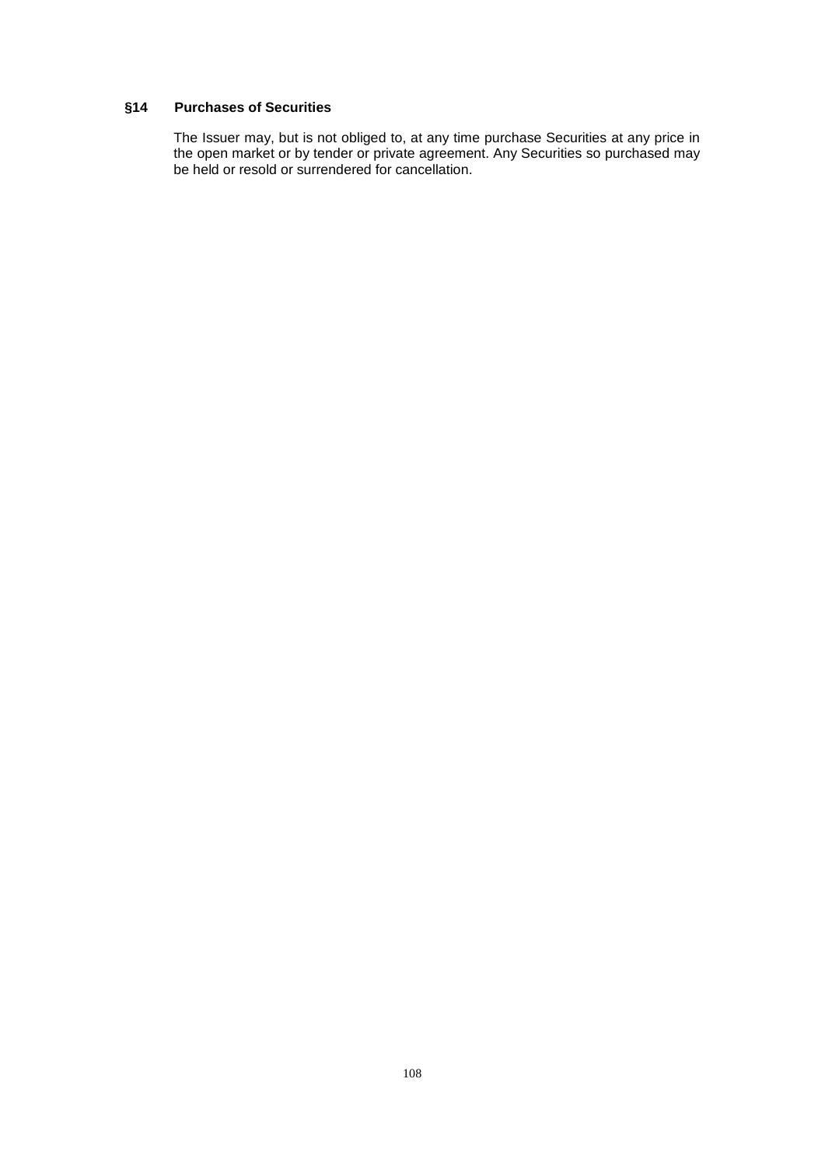# **§14 Purchases of Securities**

The Issuer may, but is not obliged to, at any time purchase Securities at any price in the open market or by tender or private agreement. Any Securities so purchased may be held or resold or surrendered for cancellation.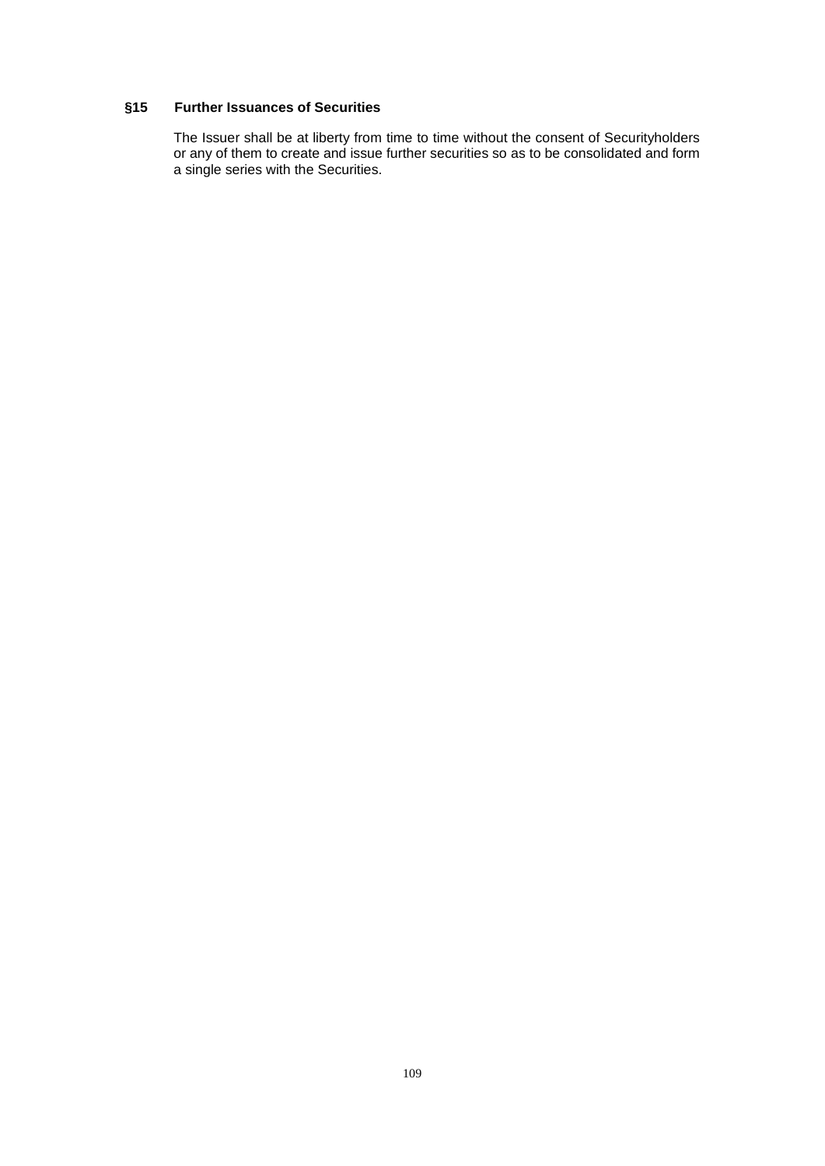## **§15 Further Issuances of Securities**

The Issuer shall be at liberty from time to time without the consent of Securityholders or any of them to create and issue further securities so as to be consolidated and form a single series with the Securities.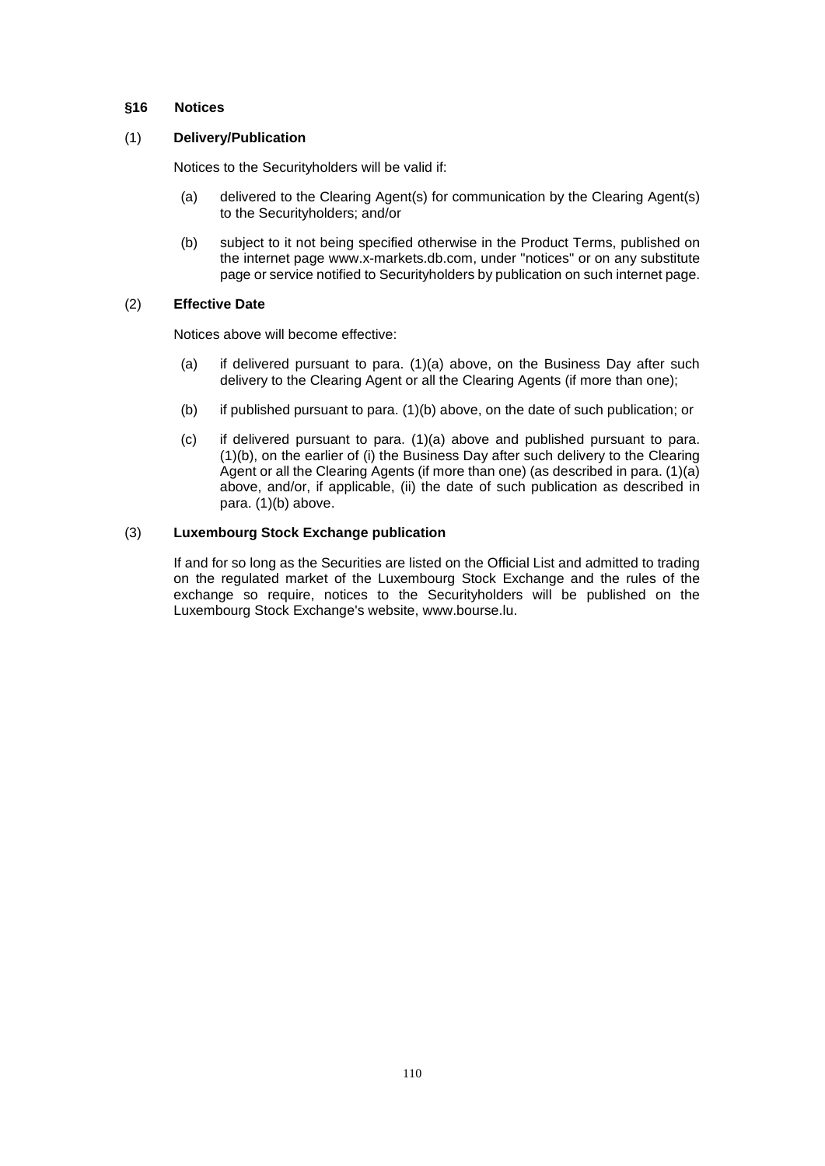## **§16 Notices**

## (1) **Delivery/Publication**

Notices to the Securityholders will be valid if:

- (a) delivered to the Clearing Agent(s) for communication by the Clearing Agent(s) to the Securityholders; and/or
- (b) subject to it not being specified otherwise in the Product Terms, published on the internet page www.x-markets.db.com, under "notices" or on any substitute page or service notified to Securityholders by publication on such internet page.

## (2) **Effective Date**

Notices above will become effective:

- (a) if delivered pursuant to para. (1)(a) above, on the Business Day after such delivery to the Clearing Agent or all the Clearing Agents (if more than one);
- (b) if published pursuant to para. (1)(b) above, on the date of such publication; or
- (c) if delivered pursuant to para. (1)(a) above and published pursuant to para. (1)(b), on the earlier of (i) the Business Day after such delivery to the Clearing Agent or all the Clearing Agents (if more than one) (as described in para. (1)(a) above, and/or, if applicable, (ii) the date of such publication as described in para. (1)(b) above.

### (3) **Luxembourg Stock Exchange publication**

If and for so long as the Securities are listed on the Official List and admitted to trading on the regulated market of the Luxembourg Stock Exchange and the rules of the exchange so require, notices to the Securityholders will be published on the Luxembourg Stock Exchange's website, www.bourse.lu.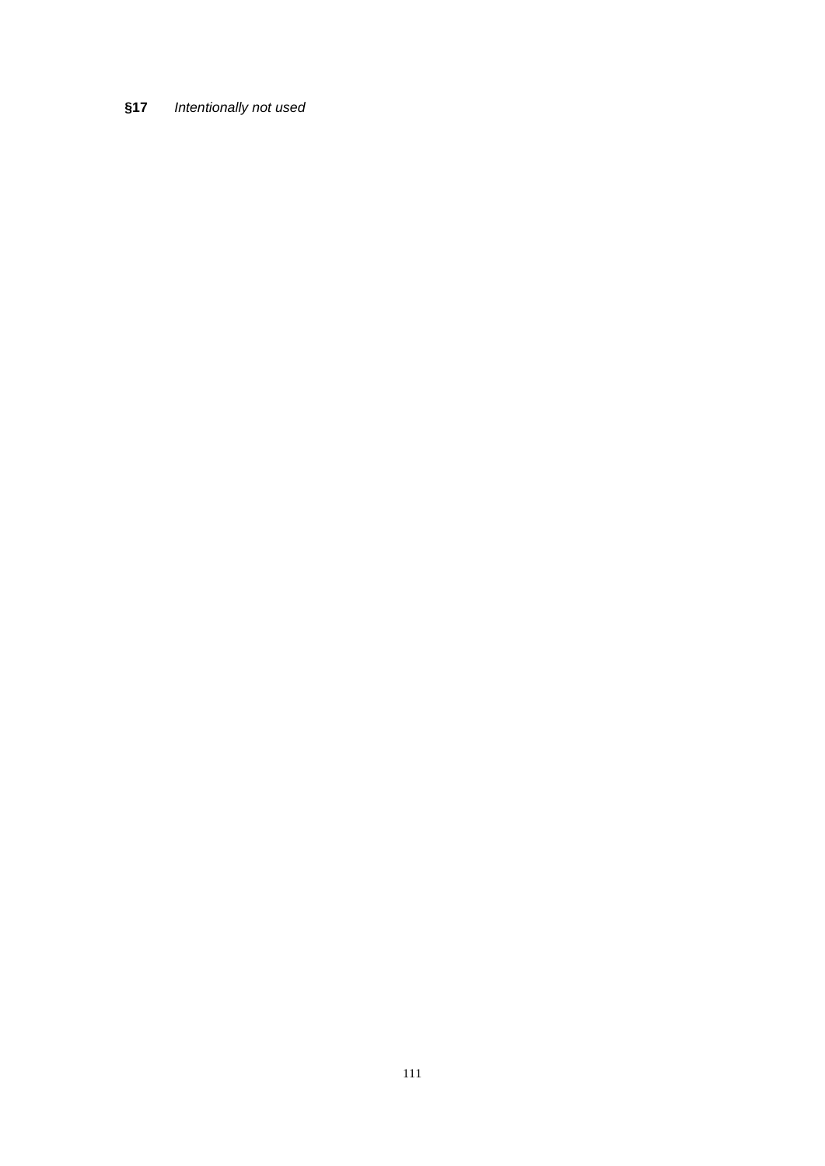# **§17** *Intentionally not used*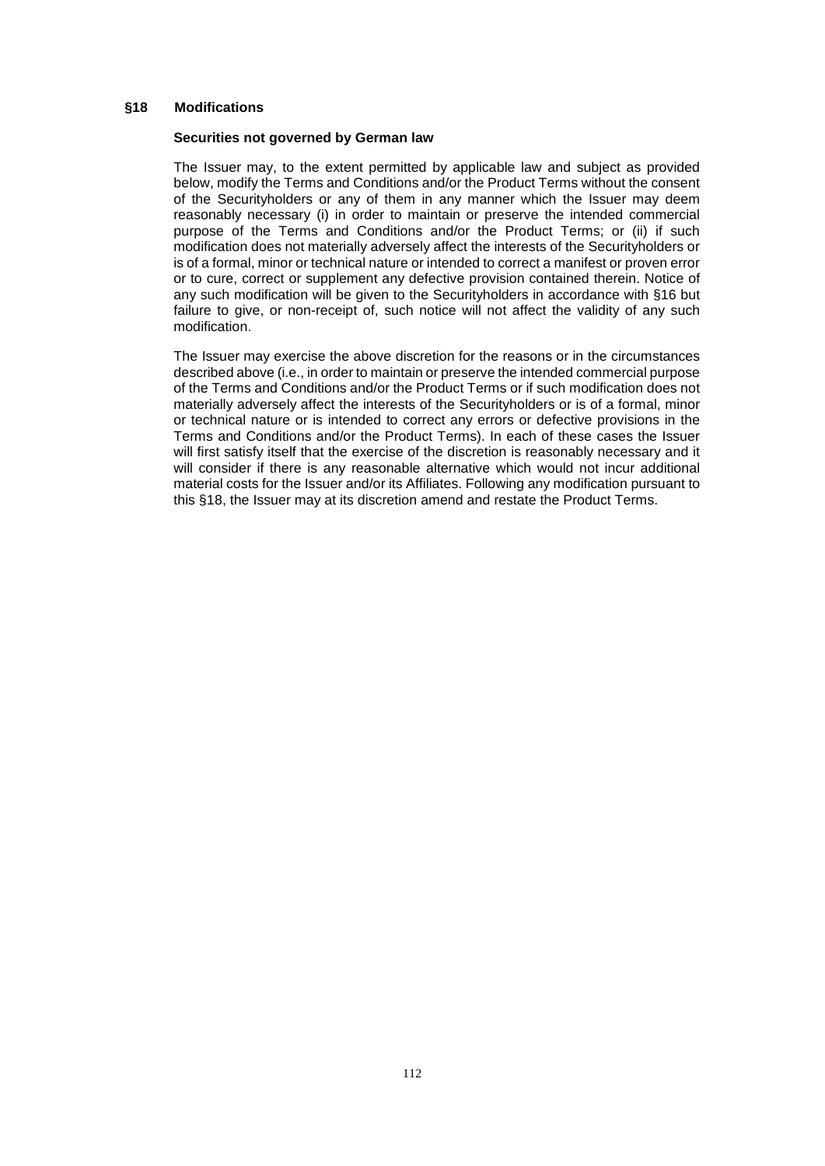## **§18 Modifications**

### **Securities not governed by German law**

The Issuer may, to the extent permitted by applicable law and subject as provided below, modify the Terms and Conditions and/or the Product Terms without the consent of the Securityholders or any of them in any manner which the Issuer may deem reasonably necessary (i) in order to maintain or preserve the intended commercial purpose of the Terms and Conditions and/or the Product Terms; or (ii) if such modification does not materially adversely affect the interests of the Securityholders or is of a formal, minor or technical nature or intended to correct a manifest or proven error or to cure, correct or supplement any defective provision contained therein. Notice of any such modification will be given to the Securityholders in accordance with §16 but failure to give, or non-receipt of, such notice will not affect the validity of any such modification.

The Issuer may exercise the above discretion for the reasons or in the circumstances described above (i.e., in order to maintain or preserve the intended commercial purpose of the Terms and Conditions and/or the Product Terms or if such modification does not materially adversely affect the interests of the Securityholders or is of a formal, minor or technical nature or is intended to correct any errors or defective provisions in the Terms and Conditions and/or the Product Terms). In each of these cases the Issuer will first satisfy itself that the exercise of the discretion is reasonably necessary and it will consider if there is any reasonable alternative which would not incur additional material costs for the Issuer and/or its Affiliates. Following any modification pursuant to this §18, the Issuer may at its discretion amend and restate the Product Terms.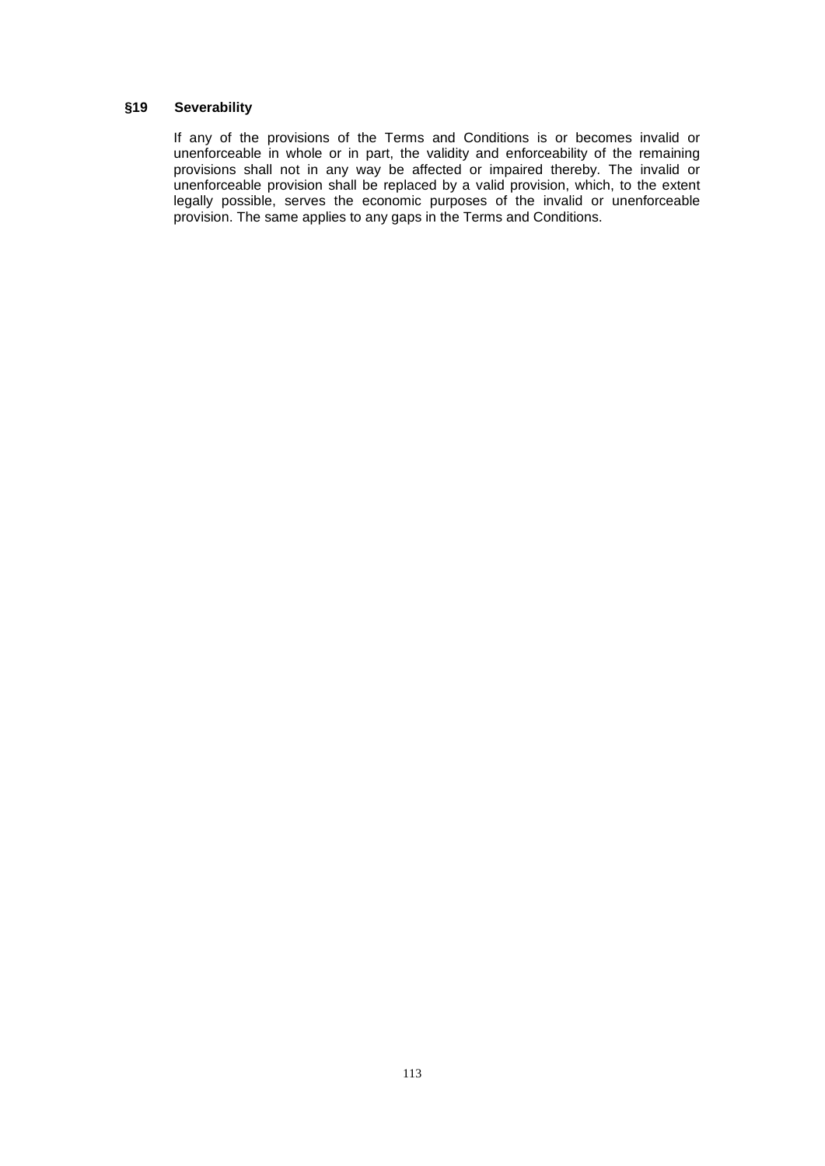## **§19 Severability**

If any of the provisions of the Terms and Conditions is or becomes invalid or unenforceable in whole or in part, the validity and enforceability of the remaining provisions shall not in any way be affected or impaired thereby. The invalid or unenforceable provision shall be replaced by a valid provision, which, to the extent legally possible, serves the economic purposes of the invalid or unenforceable provision. The same applies to any gaps in the Terms and Conditions.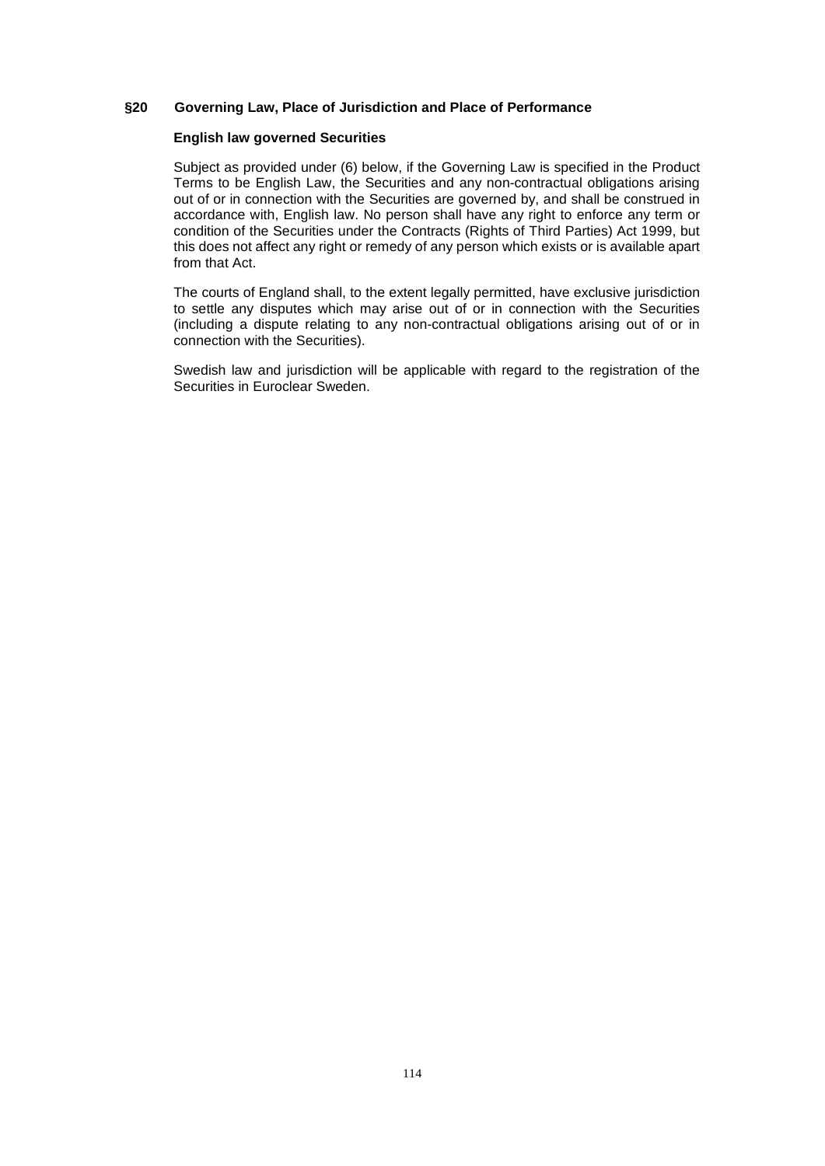## **§20 Governing Law, Place of Jurisdiction and Place of Performance**

## **English law governed Securities**

Subject as provided under (6) below, if the Governing Law is specified in the Product Terms to be English Law, the Securities and any non-contractual obligations arising out of or in connection with the Securities are governed by, and shall be construed in accordance with, English law. No person shall have any right to enforce any term or condition of the Securities under the Contracts (Rights of Third Parties) Act 1999, but this does not affect any right or remedy of any person which exists or is available apart from that Act.

The courts of England shall, to the extent legally permitted, have exclusive jurisdiction to settle any disputes which may arise out of or in connection with the Securities (including a dispute relating to any non-contractual obligations arising out of or in connection with the Securities).

Swedish law and jurisdiction will be applicable with regard to the registration of the Securities in Euroclear Sweden.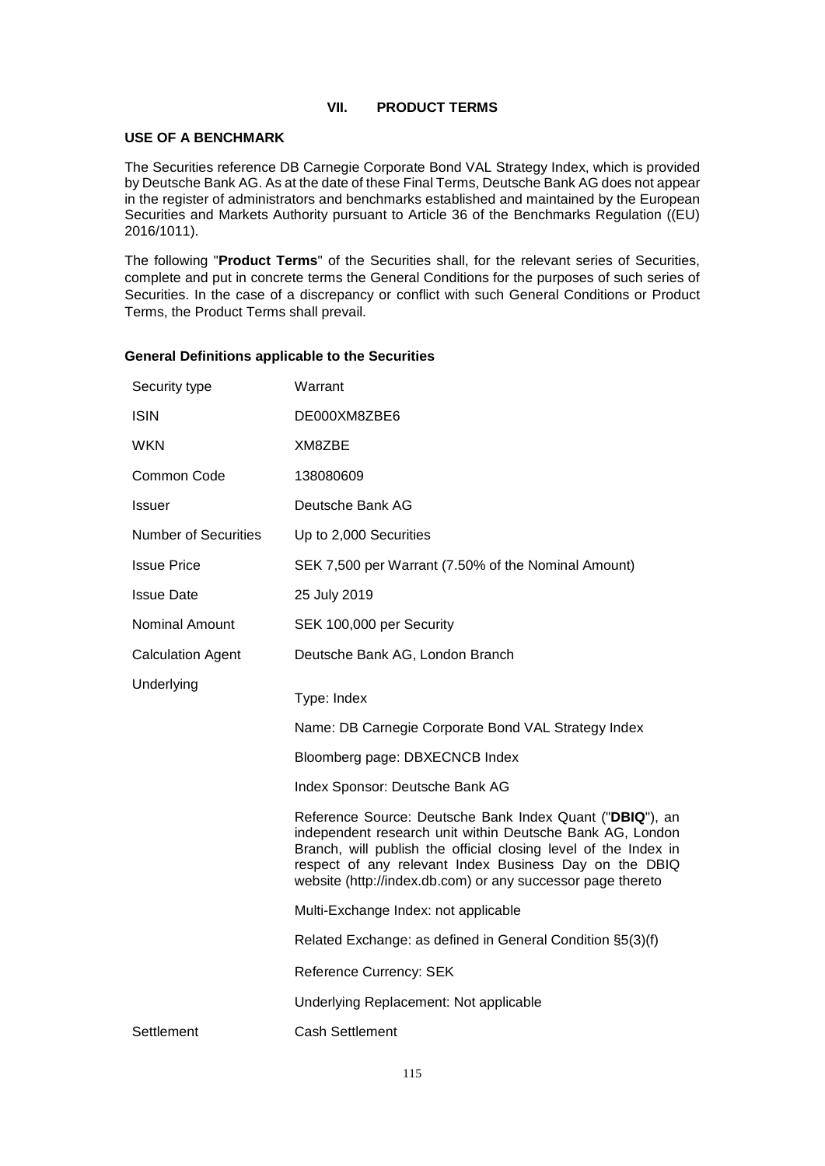## **VII. PRODUCT TERMS**

## **USE OF A BENCHMARK**

The Securities reference DB Carnegie Corporate Bond VAL Strategy Index, which is provided by Deutsche Bank AG. As at the date of these Final Terms, Deutsche Bank AG does not appear in the register of administrators and benchmarks established and maintained by the European Securities and Markets Authority pursuant to Article 36 of the Benchmarks Regulation ((EU) 2016/1011).

The following "**Product Terms**" of the Securities shall, for the relevant series of Securities, complete and put in concrete terms the General Conditions for the purposes of such series of Securities. In the case of a discrepancy or conflict with such General Conditions or Product Terms, the Product Terms shall prevail.

| Security type               | Warrant                                                                                                                                                                                                                                                                                                           |
|-----------------------------|-------------------------------------------------------------------------------------------------------------------------------------------------------------------------------------------------------------------------------------------------------------------------------------------------------------------|
| <b>ISIN</b>                 | DE000XM8ZBE6                                                                                                                                                                                                                                                                                                      |
| <b>WKN</b>                  | XM8ZBE                                                                                                                                                                                                                                                                                                            |
| Common Code                 | 138080609                                                                                                                                                                                                                                                                                                         |
| Issuer                      | Deutsche Bank AG                                                                                                                                                                                                                                                                                                  |
| <b>Number of Securities</b> | Up to 2,000 Securities                                                                                                                                                                                                                                                                                            |
| <b>Issue Price</b>          | SEK 7,500 per Warrant (7.50% of the Nominal Amount)                                                                                                                                                                                                                                                               |
| <b>Issue Date</b>           | 25 July 2019                                                                                                                                                                                                                                                                                                      |
| Nominal Amount              | SEK 100,000 per Security                                                                                                                                                                                                                                                                                          |
| <b>Calculation Agent</b>    | Deutsche Bank AG, London Branch                                                                                                                                                                                                                                                                                   |
| Underlying                  | Type: Index                                                                                                                                                                                                                                                                                                       |
|                             | Name: DB Carnegie Corporate Bond VAL Strategy Index                                                                                                                                                                                                                                                               |
|                             | Bloomberg page: DBXECNCB Index                                                                                                                                                                                                                                                                                    |
|                             | Index Sponsor: Deutsche Bank AG                                                                                                                                                                                                                                                                                   |
|                             | Reference Source: Deutsche Bank Index Quant ("DBIQ"), an<br>independent research unit within Deutsche Bank AG, London<br>Branch, will publish the official closing level of the Index in<br>respect of any relevant Index Business Day on the DBIQ<br>website (http://index.db.com) or any successor page thereto |
|                             | Multi-Exchange Index: not applicable                                                                                                                                                                                                                                                                              |
|                             | Related Exchange: as defined in General Condition §5(3)(f)                                                                                                                                                                                                                                                        |
|                             | Reference Currency: SEK                                                                                                                                                                                                                                                                                           |
|                             | Underlying Replacement: Not applicable                                                                                                                                                                                                                                                                            |
| Settlement                  | <b>Cash Settlement</b>                                                                                                                                                                                                                                                                                            |
|                             |                                                                                                                                                                                                                                                                                                                   |

### **General Definitions applicable to the Securities**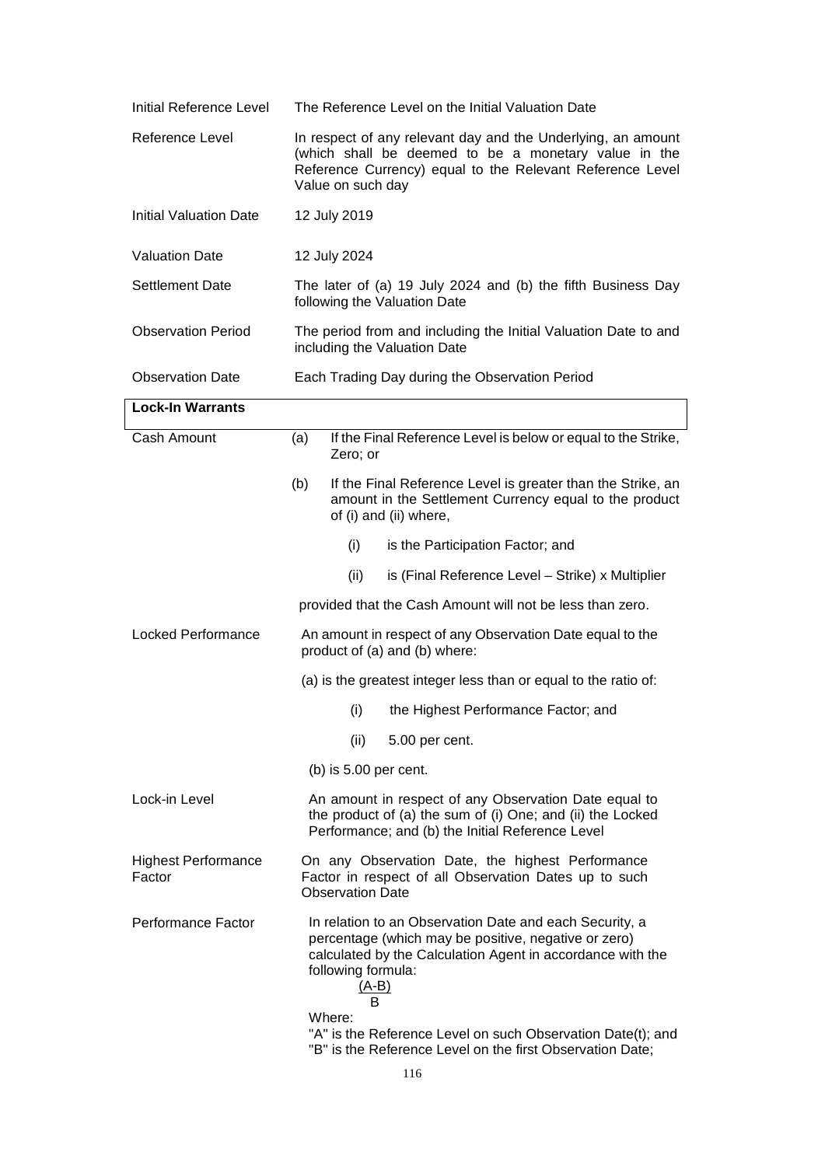| <b>Initial Reference Level</b>       | The Reference Level on the Initial Valuation Date                                                                                                                                                                                  |  |  |
|--------------------------------------|------------------------------------------------------------------------------------------------------------------------------------------------------------------------------------------------------------------------------------|--|--|
| Reference Level                      | In respect of any relevant day and the Underlying, an amount<br>(which shall be deemed to be a monetary value in the<br>Reference Currency) equal to the Relevant Reference Level<br>Value on such day                             |  |  |
| <b>Initial Valuation Date</b>        | 12 July 2019                                                                                                                                                                                                                       |  |  |
| <b>Valuation Date</b>                | 12 July 2024                                                                                                                                                                                                                       |  |  |
| <b>Settlement Date</b>               | The later of (a) 19 July 2024 and (b) the fifth Business Day<br>following the Valuation Date                                                                                                                                       |  |  |
| <b>Observation Period</b>            | The period from and including the Initial Valuation Date to and<br>including the Valuation Date                                                                                                                                    |  |  |
| <b>Observation Date</b>              | Each Trading Day during the Observation Period                                                                                                                                                                                     |  |  |
| <b>Lock-In Warrants</b>              |                                                                                                                                                                                                                                    |  |  |
| Cash Amount                          | If the Final Reference Level is below or equal to the Strike,<br>(a)<br>Zero; or                                                                                                                                                   |  |  |
|                                      | If the Final Reference Level is greater than the Strike, an<br>(b)<br>amount in the Settlement Currency equal to the product<br>of (i) and (ii) where,                                                                             |  |  |
|                                      | (i)<br>is the Participation Factor; and                                                                                                                                                                                            |  |  |
|                                      | (ii)<br>is (Final Reference Level - Strike) x Multiplier                                                                                                                                                                           |  |  |
|                                      | provided that the Cash Amount will not be less than zero.                                                                                                                                                                          |  |  |
| <b>Locked Performance</b>            | An amount in respect of any Observation Date equal to the<br>product of (a) and (b) where:                                                                                                                                         |  |  |
|                                      | (a) is the greatest integer less than or equal to the ratio of:                                                                                                                                                                    |  |  |
|                                      | (i)<br>the Highest Performance Factor; and                                                                                                                                                                                         |  |  |
|                                      | (ii)<br>5.00 per cent.                                                                                                                                                                                                             |  |  |
|                                      | (b) is $5.00$ per cent.                                                                                                                                                                                                            |  |  |
| Lock-in Level                        | An amount in respect of any Observation Date equal to<br>the product of (a) the sum of (i) One; and (ii) the Locked<br>Performance; and (b) the Initial Reference Level                                                            |  |  |
| <b>Highest Performance</b><br>Factor | On any Observation Date, the highest Performance<br>Factor in respect of all Observation Dates up to such<br><b>Observation Date</b>                                                                                               |  |  |
| Performance Factor                   | In relation to an Observation Date and each Security, a<br>percentage (which may be positive, negative or zero)<br>calculated by the Calculation Agent in accordance with the<br>following formula:<br><u>(A-B)</u><br>в<br>Where: |  |  |
|                                      | "A" is the Reference Level on such Observation Date(t); and<br>"B" is the Reference Level on the first Observation Date;                                                                                                           |  |  |

 $\overline{1}$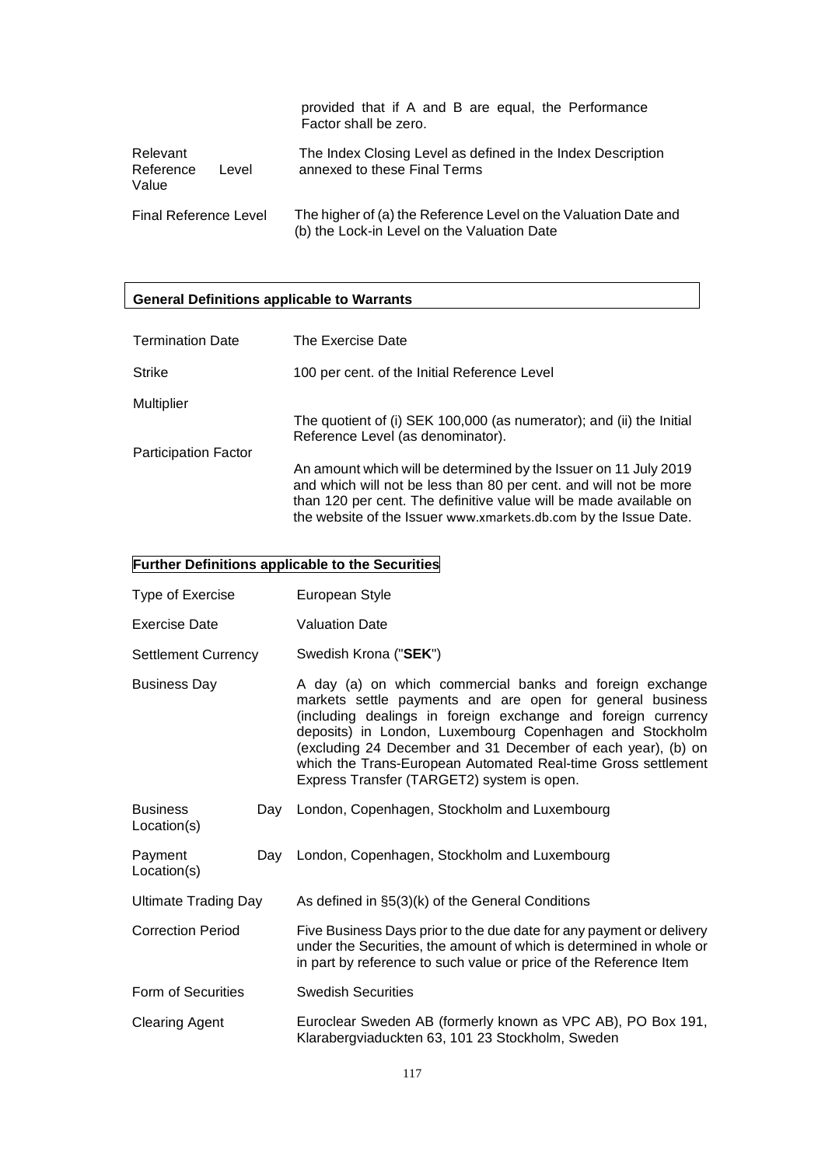|                                         | provided that if A and B are equal, the Performance<br>Factor shall be zero.                                   |
|-----------------------------------------|----------------------------------------------------------------------------------------------------------------|
| Relevant<br>Reference<br>Level<br>Value | The Index Closing Level as defined in the Index Description<br>annexed to these Final Terms                    |
| Final Reference Level                   | The higher of (a) the Reference Level on the Valuation Date and<br>(b) the Lock-in Level on the Valuation Date |

#### **General Definitions applicable to Warrants**

| <b>Termination Date</b>                          | The Exercise Date                                                                                                                                                                                                                                                              |
|--------------------------------------------------|--------------------------------------------------------------------------------------------------------------------------------------------------------------------------------------------------------------------------------------------------------------------------------|
| Strike                                           | 100 per cent. of the Initial Reference Level                                                                                                                                                                                                                                   |
| <b>Multiplier</b><br><b>Participation Factor</b> | The quotient of (i) SEK 100,000 (as numerator); and (ii) the Initial<br>Reference Level (as denominator).                                                                                                                                                                      |
|                                                  | An amount which will be determined by the Issuer on 11 July 2019<br>and which will not be less than 80 per cent. and will not be more<br>than 120 per cent. The definitive value will be made available on<br>the website of the Issuer www.xmarkets.db.com by the Issue Date. |

### **Further Definitions applicable to the Securities**

- Type of Exercise **European Style**
- Exercise Date Valuation Date
- Settlement Currency Swedish Krona ("**SEK**")
- Business Day **A** day (a) on which commercial banks and foreign exchange markets settle payments and are open for general business (including dealings in foreign exchange and foreign currency deposits) in London, Luxembourg Copenhagen and Stockholm (excluding 24 December and 31 December of each year), (b) on which the Trans-European Automated Real-time Gross settlement Express Transfer (TARGET2) system is open.
- **Business** Location(s) London, Copenhagen, Stockholm and Luxembourg
- Payment Location(s) London, Copenhagen, Stockholm and Luxembourg
- Ultimate Trading Day As defined in §5(3)(k) of the General Conditions
- Correction Period Five Business Days prior to the due date for any payment or delivery under the Securities, the amount of which is determined in whole or in part by reference to such value or price of the Reference Item
- Form of Securities Swedish Securities
- Clearing Agent Euroclear Sweden AB (formerly known as VPC AB), PO Box 191, Klarabergviaduckten 63, 101 23 Stockholm, Sweden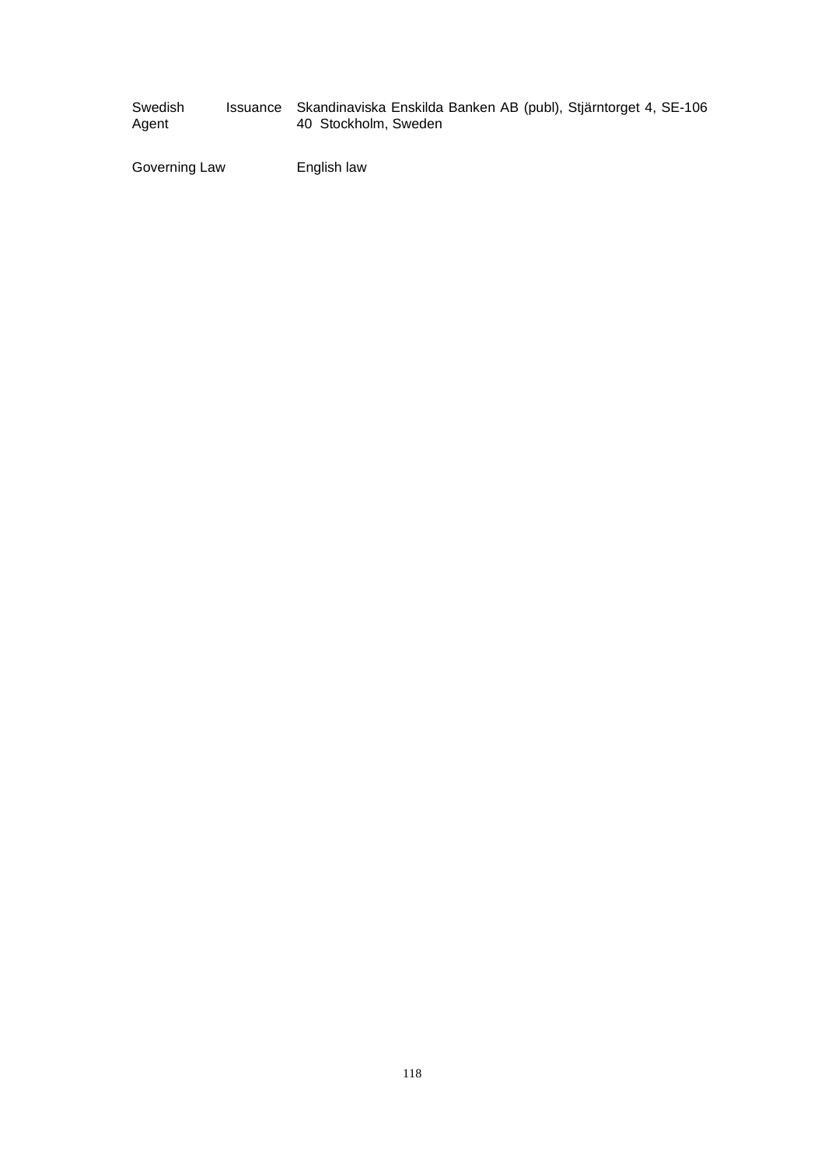| Swedish | Issuance Skandinaviska Enskilda Banken AB (publ), Stjärntorget 4, SE-106 |  |  |  |
|---------|--------------------------------------------------------------------------|--|--|--|
| Agent   | 40 Stockholm, Sweden                                                     |  |  |  |

Governing Law **English law**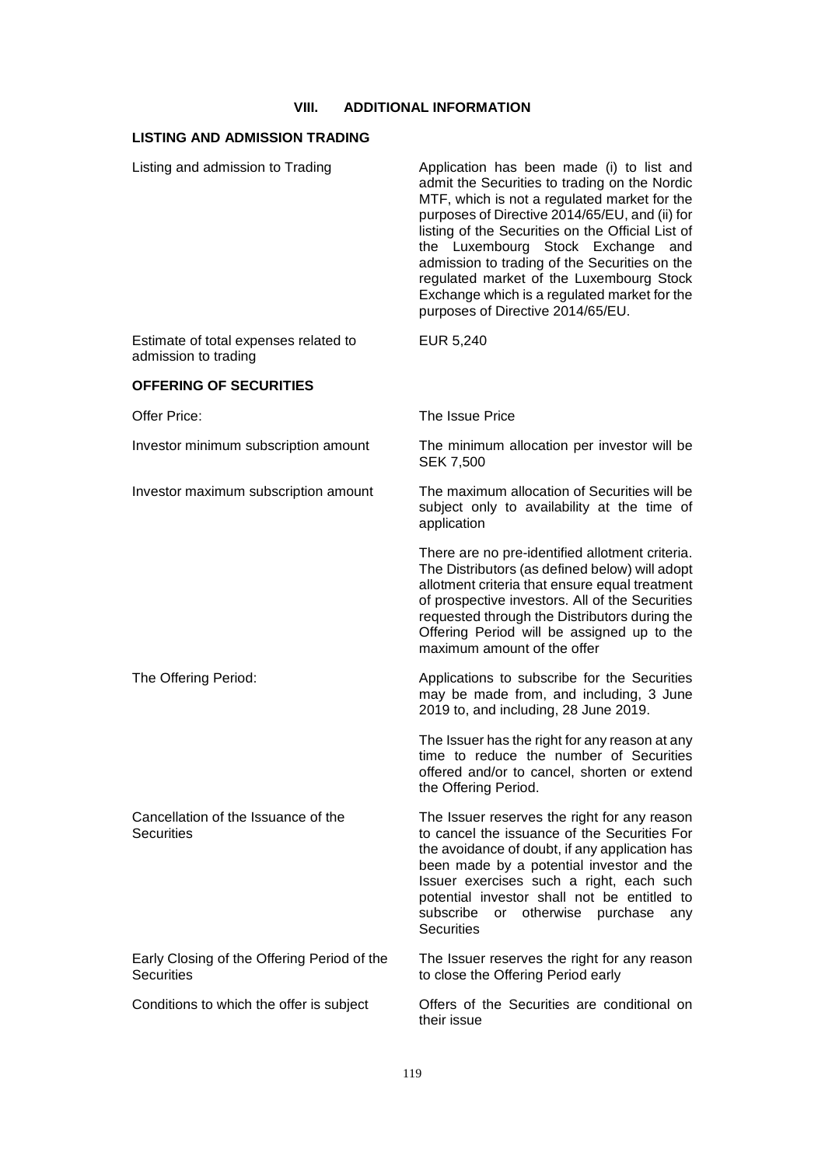# **VIII. ADDITIONAL INFORMATION**

## **LISTING AND ADMISSION TRADING**

| Listing and admission to Trading                                 | Application has been made (i) to list and<br>admit the Securities to trading on the Nordic<br>MTF, which is not a regulated market for the<br>purposes of Directive 2014/65/EU, and (ii) for<br>listing of the Securities on the Official List of<br>the Luxembourg Stock Exchange and<br>admission to trading of the Securities on the<br>regulated market of the Luxembourg Stock<br>Exchange which is a regulated market for the<br>purposes of Directive 2014/65/EU. |
|------------------------------------------------------------------|--------------------------------------------------------------------------------------------------------------------------------------------------------------------------------------------------------------------------------------------------------------------------------------------------------------------------------------------------------------------------------------------------------------------------------------------------------------------------|
| Estimate of total expenses related to<br>admission to trading    | EUR 5,240                                                                                                                                                                                                                                                                                                                                                                                                                                                                |
| <b>OFFERING OF SECURITIES</b>                                    |                                                                                                                                                                                                                                                                                                                                                                                                                                                                          |
| Offer Price:                                                     | The Issue Price                                                                                                                                                                                                                                                                                                                                                                                                                                                          |
| Investor minimum subscription amount                             | The minimum allocation per investor will be<br><b>SEK 7,500</b>                                                                                                                                                                                                                                                                                                                                                                                                          |
| Investor maximum subscription amount                             | The maximum allocation of Securities will be<br>subject only to availability at the time of<br>application                                                                                                                                                                                                                                                                                                                                                               |
|                                                                  | There are no pre-identified allotment criteria.<br>The Distributors (as defined below) will adopt<br>allotment criteria that ensure equal treatment<br>of prospective investors. All of the Securities<br>requested through the Distributors during the<br>Offering Period will be assigned up to the<br>maximum amount of the offer                                                                                                                                     |
| The Offering Period:                                             | Applications to subscribe for the Securities<br>may be made from, and including, 3 June<br>2019 to, and including, 28 June 2019.                                                                                                                                                                                                                                                                                                                                         |
|                                                                  | The Issuer has the right for any reason at any<br>time to reduce the number of Securities<br>offered and/or to cancel, shorten or extend<br>the Offering Period.                                                                                                                                                                                                                                                                                                         |
| Cancellation of the Issuance of the<br><b>Securities</b>         | The Issuer reserves the right for any reason<br>to cancel the issuance of the Securities For<br>the avoidance of doubt, if any application has<br>been made by a potential investor and the<br>Issuer exercises such a right, each such<br>potential investor shall not be entitled to<br>subscribe<br>otherwise<br>purchase<br>or<br>any<br><b>Securities</b>                                                                                                           |
| Early Closing of the Offering Period of the<br><b>Securities</b> | The Issuer reserves the right for any reason<br>to close the Offering Period early                                                                                                                                                                                                                                                                                                                                                                                       |
| Conditions to which the offer is subject                         | Offers of the Securities are conditional on<br>their issue                                                                                                                                                                                                                                                                                                                                                                                                               |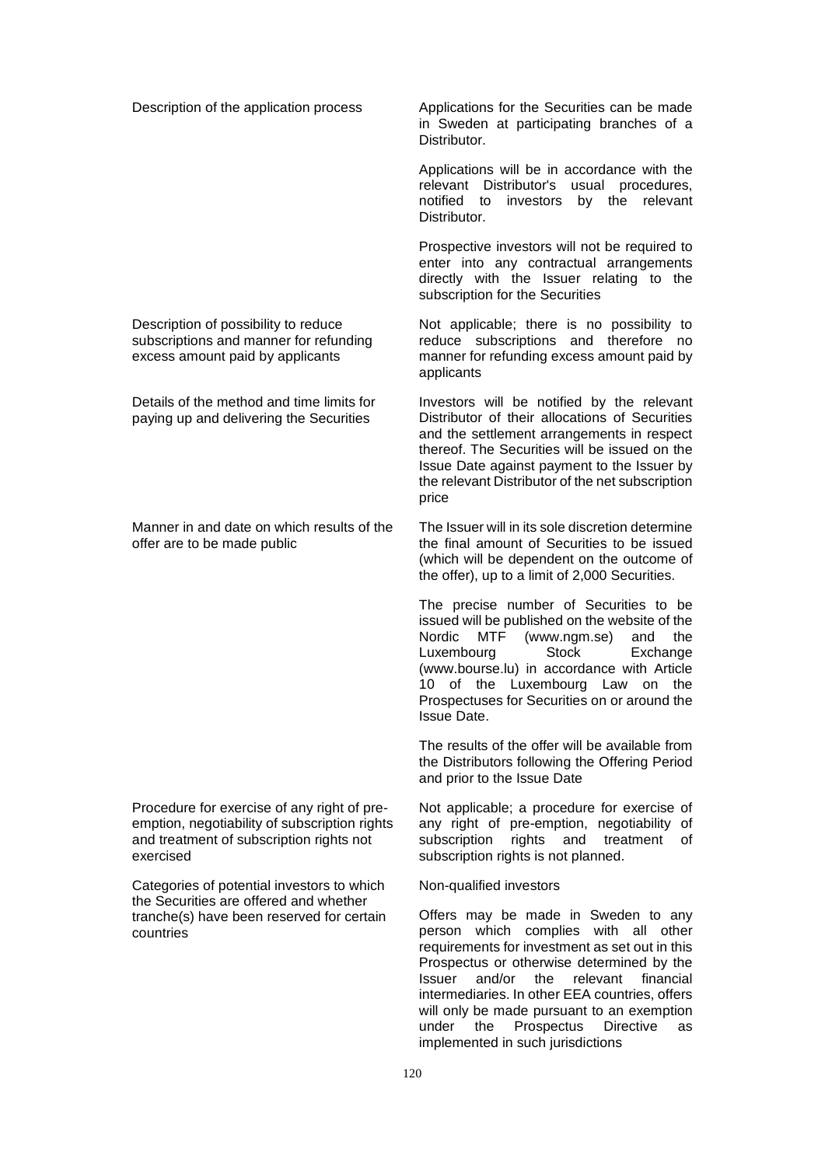Description of possibility to reduce subscriptions and manner for refunding excess amount paid by applicants

Details of the method and time limits for paying up and delivering the Securities

Manner in and date on which results of the offer are to be made public

Procedure for exercise of any right of preemption, negotiability of subscription rights and treatment of subscription rights not exercised

Categories of potential investors to which the Securities are offered and whether tranche(s) have been reserved for certain countries

Description of the application process Applications for the Securities can be made in Sweden at participating branches of a Distributor.

> Applications will be in accordance with the relevant Distributor's usual procedures, notified to investors by the relevant Distributor.

> Prospective investors will not be required to enter into any contractual arrangements directly with the Issuer relating to the subscription for the Securities

> Not applicable; there is no possibility to reduce subscriptions and therefore no manner for refunding excess amount paid by applicants

> Investors will be notified by the relevant Distributor of their allocations of Securities and the settlement arrangements in respect thereof. The Securities will be issued on the Issue Date against payment to the Issuer by the relevant Distributor of the net subscription price

> The Issuer will in its sole discretion determine the final amount of Securities to be issued (which will be dependent on the outcome of the offer), up to a limit of 2,000 Securities.

> The precise number of Securities to be issued will be published on the website of the Nordic MTF (www.ngm.se) and the Luxembourg Stock Exchange (www.bourse.lu) in accordance with Article 10 of the Luxembourg Law on the Prospectuses for Securities on or around the Issue Date.

> The results of the offer will be available from the Distributors following the Offering Period and prior to the Issue Date

> Not applicable; a procedure for exercise of any right of pre-emption, negotiability of subscription rights and treatment of subscription rights is not planned.

Non-qualified investors

Offers may be made in Sweden to any person which complies with all other requirements for investment as set out in this Prospectus or otherwise determined by the Issuer and/or the relevant financial intermediaries. In other EEA countries, offers will only be made pursuant to an exemption<br>under the Prospectus Directive as Prospectus Directive as implemented in such jurisdictions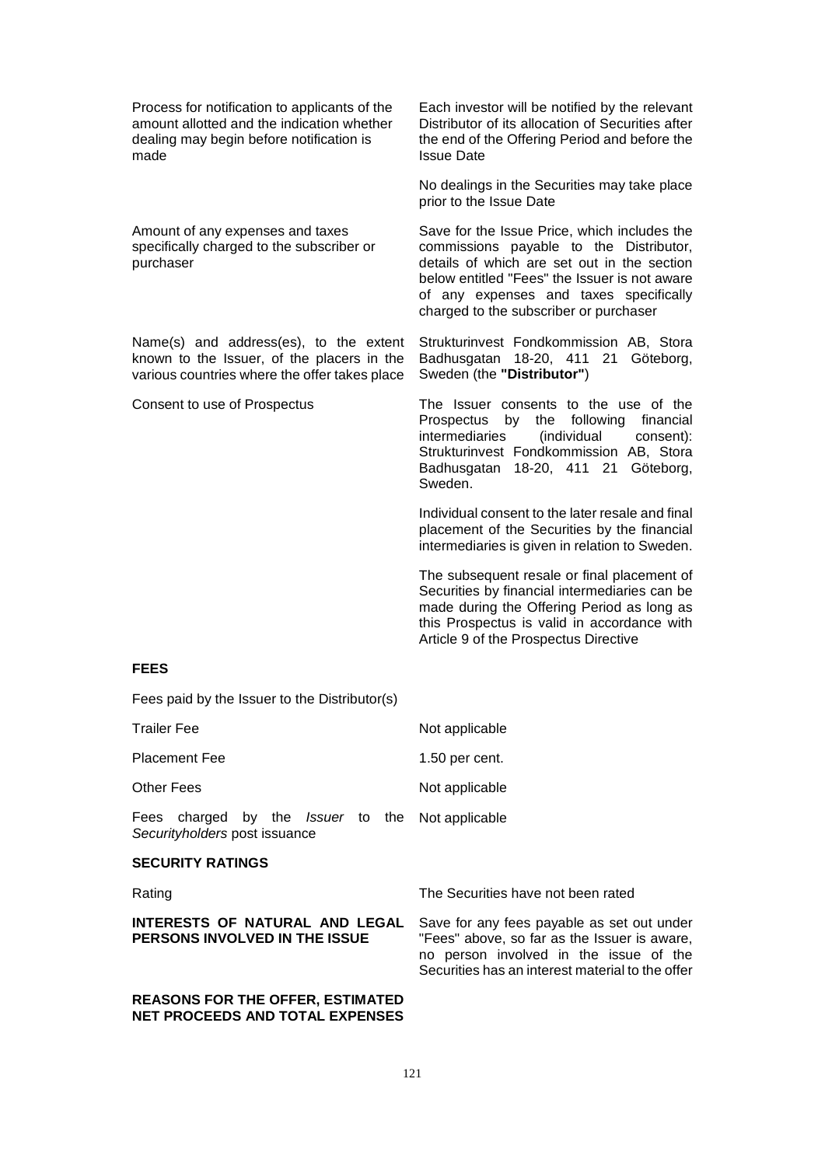| Process for notification to applicants of the<br>amount allotted and the indication whether<br>dealing may begin before notification is<br>made | Each investor will be notified by the relevant<br>Distributor of its allocation of Securities after<br>the end of the Offering Period and before the<br><b>Issue Date</b>                                                                                                   |
|-------------------------------------------------------------------------------------------------------------------------------------------------|-----------------------------------------------------------------------------------------------------------------------------------------------------------------------------------------------------------------------------------------------------------------------------|
|                                                                                                                                                 | No dealings in the Securities may take place<br>prior to the Issue Date                                                                                                                                                                                                     |
| Amount of any expenses and taxes<br>specifically charged to the subscriber or<br>purchaser                                                      | Save for the Issue Price, which includes the<br>commissions payable to the Distributor,<br>details of which are set out in the section<br>below entitled "Fees" the Issuer is not aware<br>of any expenses and taxes specifically<br>charged to the subscriber or purchaser |
| Name(s) and address(es), to the extent<br>known to the Issuer, of the placers in the<br>various countries where the offer takes place           | Strukturinvest Fondkommission AB, Stora<br>Badhusgatan 18-20, 411<br>21<br>Göteborg,<br>Sweden (the "Distributor")                                                                                                                                                          |
| Consent to use of Prospectus                                                                                                                    | The Issuer consents to the use of the<br>by<br>the following<br>Prospectus<br>financial<br>intermediaries<br>(individual<br>consent):<br>Strukturinvest Fondkommission AB, Stora<br>Badhusgatan 18-20, 411 21 Göteborg,<br>Sweden.                                          |
|                                                                                                                                                 | Individual consent to the later resale and final<br>placement of the Securities by the financial<br>intermediaries is given in relation to Sweden.                                                                                                                          |
|                                                                                                                                                 | The subsequent resale or final placement of<br>Securities by financial intermediaries can be<br>made during the Offering Period as long as<br>this Prospectus is valid in accordance with<br>Article 9 of the Prospectus Directive                                          |
| <b>FEES</b>                                                                                                                                     |                                                                                                                                                                                                                                                                             |
| Fees paid by the Issuer to the Distributor(s)                                                                                                   |                                                                                                                                                                                                                                                                             |
| <b>Trailer Fee</b>                                                                                                                              | Not applicable                                                                                                                                                                                                                                                              |
| <b>Placement Fee</b>                                                                                                                            | 1.50 per cent.                                                                                                                                                                                                                                                              |
| <b>Other Fees</b>                                                                                                                               | Not applicable                                                                                                                                                                                                                                                              |
| Fees<br>charged<br>by the <i>Issuer</i> to the<br>Securityholders post issuance                                                                 | Not applicable                                                                                                                                                                                                                                                              |
| <b>SECURITY RATINGS</b>                                                                                                                         |                                                                                                                                                                                                                                                                             |
| Rating                                                                                                                                          | The Securities have not been rated                                                                                                                                                                                                                                          |
| <b>INTERESTS OF NATURAL AND LEGAL</b> Save for any fees payable as set out under                                                                |                                                                                                                                                                                                                                                                             |

**PERSONS INVOLVED IN THE ISSUE**

## **REASONS FOR THE OFFER, ESTIMATED NET PROCEEDS AND TOTAL EXPENSES**

"Fees" above, so far as the Issuer is aware, no person involved in the issue of the Securities has an interest material to the offer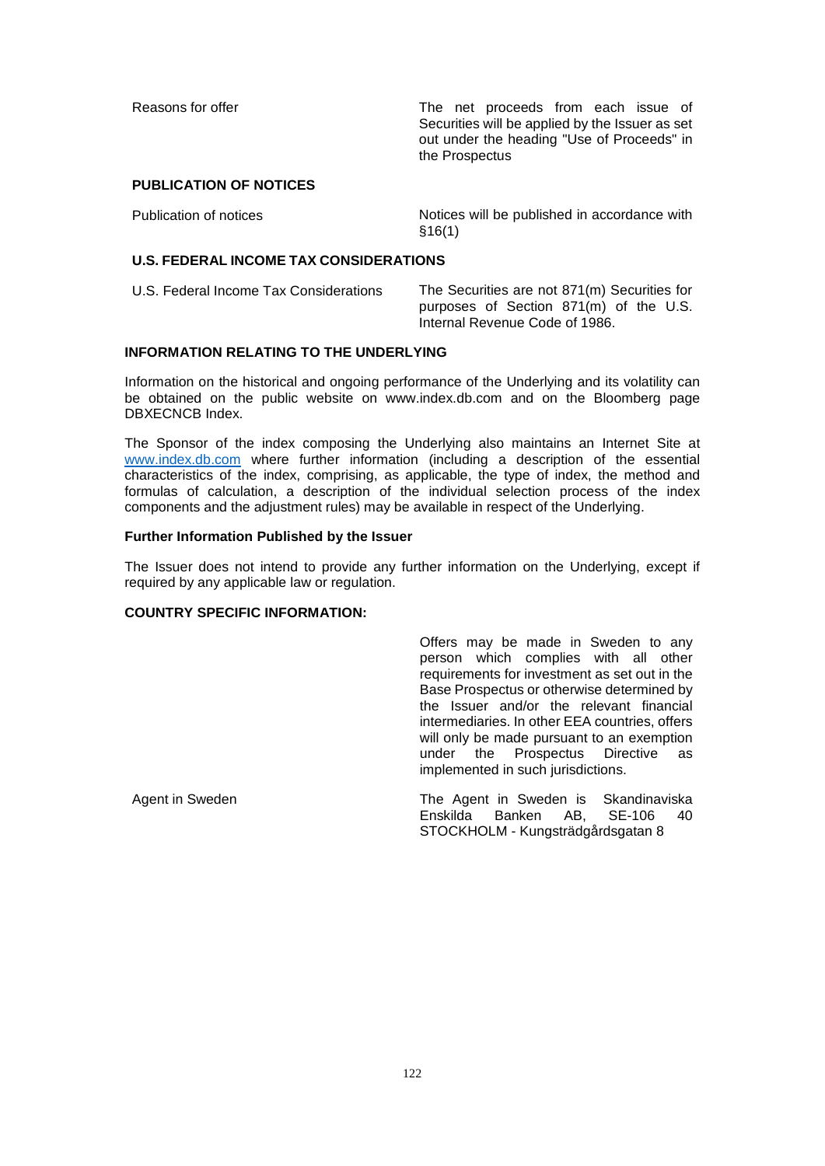Reasons for offer The net proceeds from each issue of Securities will be applied by the Issuer as set out under the heading "Use of Proceeds" in the Prospectus

## **PUBLICATION OF NOTICES**

| Publication of notices | Notices will be published in accordance with |
|------------------------|----------------------------------------------|
|                        | \$16(1)                                      |

#### **U.S. FEDERAL INCOME TAX CONSIDERATIONS**

| U.S. Federal Income Tax Considerations | The Securities are not 871(m) Securities for |
|----------------------------------------|----------------------------------------------|
|                                        | purposes of Section 871(m) of the U.S.       |
|                                        | Internal Revenue Code of 1986.               |

## **INFORMATION RELATING TO THE UNDERLYING**

Information on the historical and ongoing performance of the Underlying and its volatility can be obtained on the public website on www.index.db.com and on the Bloomberg page DBXECNCB Index.

The Sponsor of the index composing the Underlying also maintains an Internet Site at [www.index.db.com](http://www.index.db.com/) where further information (including a description of the essential characteristics of the index, comprising, as applicable, the type of index, the method and formulas of calculation, a description of the individual selection process of the index components and the adjustment rules) may be available in respect of the Underlying.

## **Further Information Published by the Issuer**

The Issuer does not intend to provide any further information on the Underlying, except if required by any applicable law or regulation.

## **COUNTRY SPECIFIC INFORMATION:**

Offers may be made in Sweden to any person which complies with all other requirements for investment as set out in the Base Prospectus or otherwise determined by the Issuer and/or the relevant financial intermediaries. In other EEA countries, offers will only be made pursuant to an exemption under the Prospectus Directive as implemented in such jurisdictions.

Agent in Sweden The Agent in Sweden is Skandinaviska Enskilda Banken AB, SE-106 40 STOCKHOLM - Kungsträdgårdsgatan 8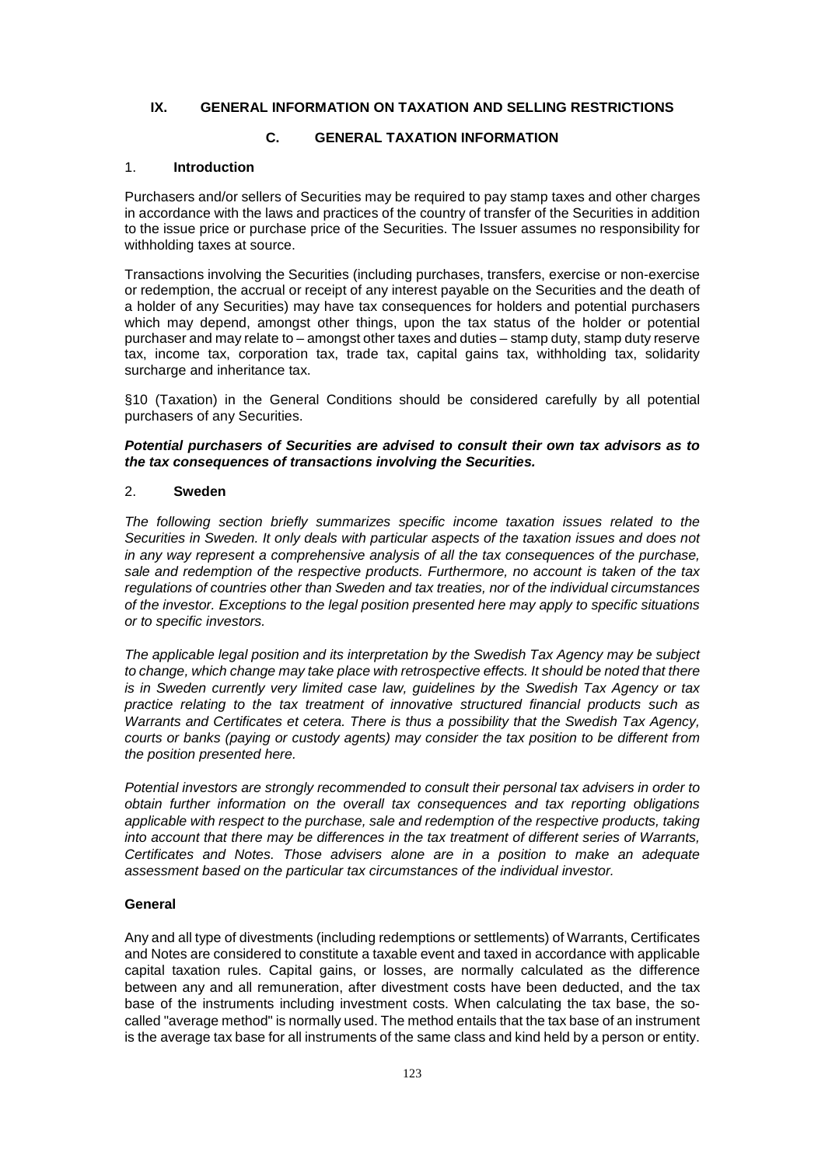## **IX. GENERAL INFORMATION ON TAXATION AND SELLING RESTRICTIONS**

## **C. GENERAL TAXATION INFORMATION**

#### 1. **Introduction**

Purchasers and/or sellers of Securities may be required to pay stamp taxes and other charges in accordance with the laws and practices of the country of transfer of the Securities in addition to the issue price or purchase price of the Securities. The Issuer assumes no responsibility for withholding taxes at source.

Transactions involving the Securities (including purchases, transfers, exercise or non-exercise or redemption, the accrual or receipt of any interest payable on the Securities and the death of a holder of any Securities) may have tax consequences for holders and potential purchasers which may depend, amongst other things, upon the tax status of the holder or potential purchaser and may relate to – amongst other taxes and duties – stamp duty, stamp duty reserve tax, income tax, corporation tax, trade tax, capital gains tax, withholding tax, solidarity surcharge and inheritance tax.

§10 (Taxation) in the General Conditions should be considered carefully by all potential purchasers of any Securities.

### *Potential purchasers of Securities are advised to consult their own tax advisors as to the tax consequences of transactions involving the Securities.*

## 2. **Sweden**

*The following section briefly summarizes specific income taxation issues related to the Securities in Sweden. It only deals with particular aspects of the taxation issues and does not in any way represent a comprehensive analysis of all the tax consequences of the purchase, sale and redemption of the respective products. Furthermore, no account is taken of the tax regulations of countries other than Sweden and tax treaties, nor of the individual circumstances of the investor. Exceptions to the legal position presented here may apply to specific situations or to specific investors.*

*The applicable legal position and its interpretation by the Swedish Tax Agency may be subject to change, which change may take place with retrospective effects. It should be noted that there is in Sweden currently very limited case law, guidelines by the Swedish Tax Agency or tax practice relating to the tax treatment of innovative structured financial products such as Warrants and Certificates et cetera. There is thus a possibility that the Swedish Tax Agency, courts or banks (paying or custody agents) may consider the tax position to be different from the position presented here.*

*Potential investors are strongly recommended to consult their personal tax advisers in order to obtain further information on the overall tax consequences and tax reporting obligations applicable with respect to the purchase, sale and redemption of the respective products, taking into account that there may be differences in the tax treatment of different series of Warrants, Certificates and Notes. Those advisers alone are in a position to make an adequate assessment based on the particular tax circumstances of the individual investor.*

### **General**

Any and all type of divestments (including redemptions or settlements) of Warrants, Certificates and Notes are considered to constitute a taxable event and taxed in accordance with applicable capital taxation rules. Capital gains, or losses, are normally calculated as the difference between any and all remuneration, after divestment costs have been deducted, and the tax base of the instruments including investment costs. When calculating the tax base, the socalled "average method" is normally used. The method entails that the tax base of an instrument is the average tax base for all instruments of the same class and kind held by a person or entity.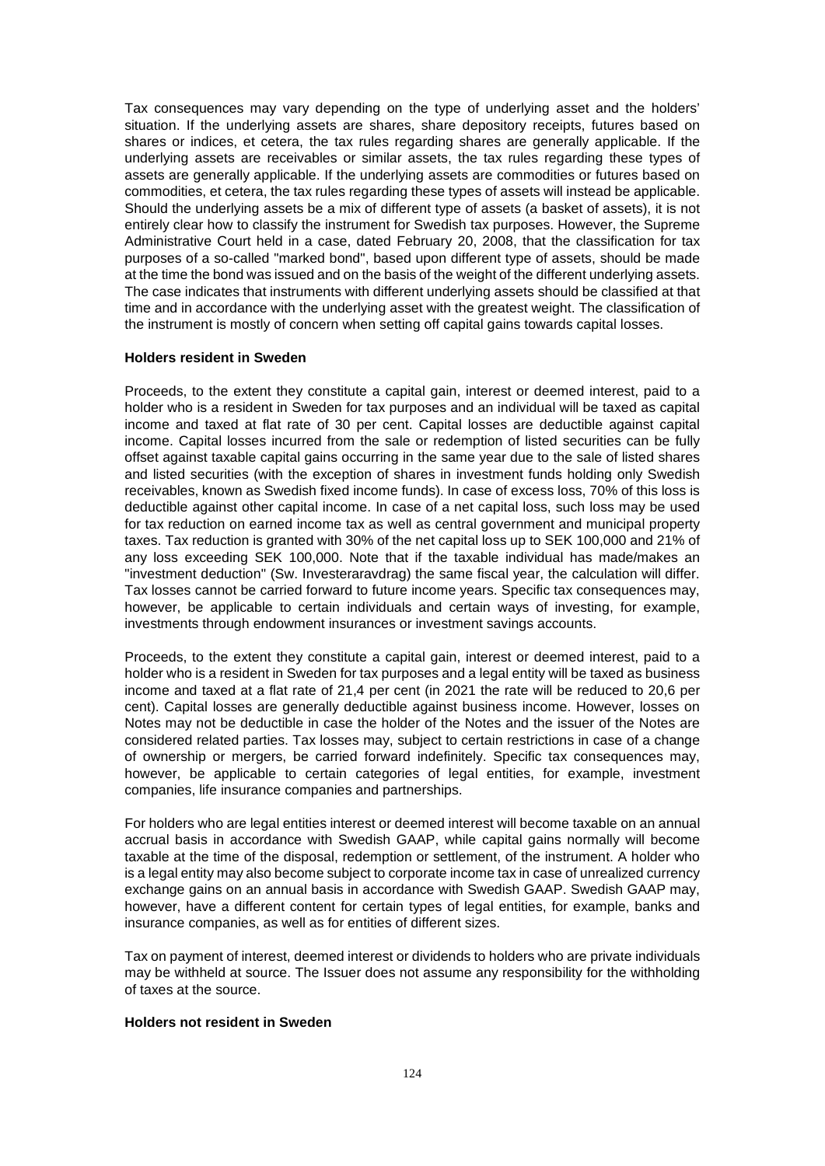Tax consequences may vary depending on the type of underlying asset and the holders' situation. If the underlying assets are shares, share depository receipts, futures based on shares or indices, et cetera, the tax rules regarding shares are generally applicable. If the underlying assets are receivables or similar assets, the tax rules regarding these types of assets are generally applicable. If the underlying assets are commodities or futures based on commodities, et cetera, the tax rules regarding these types of assets will instead be applicable. Should the underlying assets be a mix of different type of assets (a basket of assets), it is not entirely clear how to classify the instrument for Swedish tax purposes. However, the Supreme Administrative Court held in a case, dated February 20, 2008, that the classification for tax purposes of a so-called "marked bond", based upon different type of assets, should be made at the time the bond was issued and on the basis of the weight of the different underlying assets. The case indicates that instruments with different underlying assets should be classified at that time and in accordance with the underlying asset with the greatest weight. The classification of the instrument is mostly of concern when setting off capital gains towards capital losses.

#### **Holders resident in Sweden**

Proceeds, to the extent they constitute a capital gain, interest or deemed interest, paid to a holder who is a resident in Sweden for tax purposes and an individual will be taxed as capital income and taxed at flat rate of 30 per cent. Capital losses are deductible against capital income. Capital losses incurred from the sale or redemption of listed securities can be fully offset against taxable capital gains occurring in the same year due to the sale of listed shares and listed securities (with the exception of shares in investment funds holding only Swedish receivables, known as Swedish fixed income funds). In case of excess loss, 70% of this loss is deductible against other capital income. In case of a net capital loss, such loss may be used for tax reduction on earned income tax as well as central government and municipal property taxes. Tax reduction is granted with 30% of the net capital loss up to SEK 100,000 and 21% of any loss exceeding SEK 100,000. Note that if the taxable individual has made/makes an "investment deduction" (Sw. Investeraravdrag) the same fiscal year, the calculation will differ. Tax losses cannot be carried forward to future income years. Specific tax consequences may, however, be applicable to certain individuals and certain ways of investing, for example, investments through endowment insurances or investment savings accounts.

Proceeds, to the extent they constitute a capital gain, interest or deemed interest, paid to a holder who is a resident in Sweden for tax purposes and a legal entity will be taxed as business income and taxed at a flat rate of 21,4 per cent (in 2021 the rate will be reduced to 20,6 per cent). Capital losses are generally deductible against business income. However, losses on Notes may not be deductible in case the holder of the Notes and the issuer of the Notes are considered related parties. Tax losses may, subject to certain restrictions in case of a change of ownership or mergers, be carried forward indefinitely. Specific tax consequences may, however, be applicable to certain categories of legal entities, for example, investment companies, life insurance companies and partnerships.

For holders who are legal entities interest or deemed interest will become taxable on an annual accrual basis in accordance with Swedish GAAP, while capital gains normally will become taxable at the time of the disposal, redemption or settlement, of the instrument. A holder who is a legal entity may also become subject to corporate income tax in case of unrealized currency exchange gains on an annual basis in accordance with Swedish GAAP. Swedish GAAP may, however, have a different content for certain types of legal entities, for example, banks and insurance companies, as well as for entities of different sizes.

Tax on payment of interest, deemed interest or dividends to holders who are private individuals may be withheld at source. The Issuer does not assume any responsibility for the withholding of taxes at the source.

#### **Holders not resident in Sweden**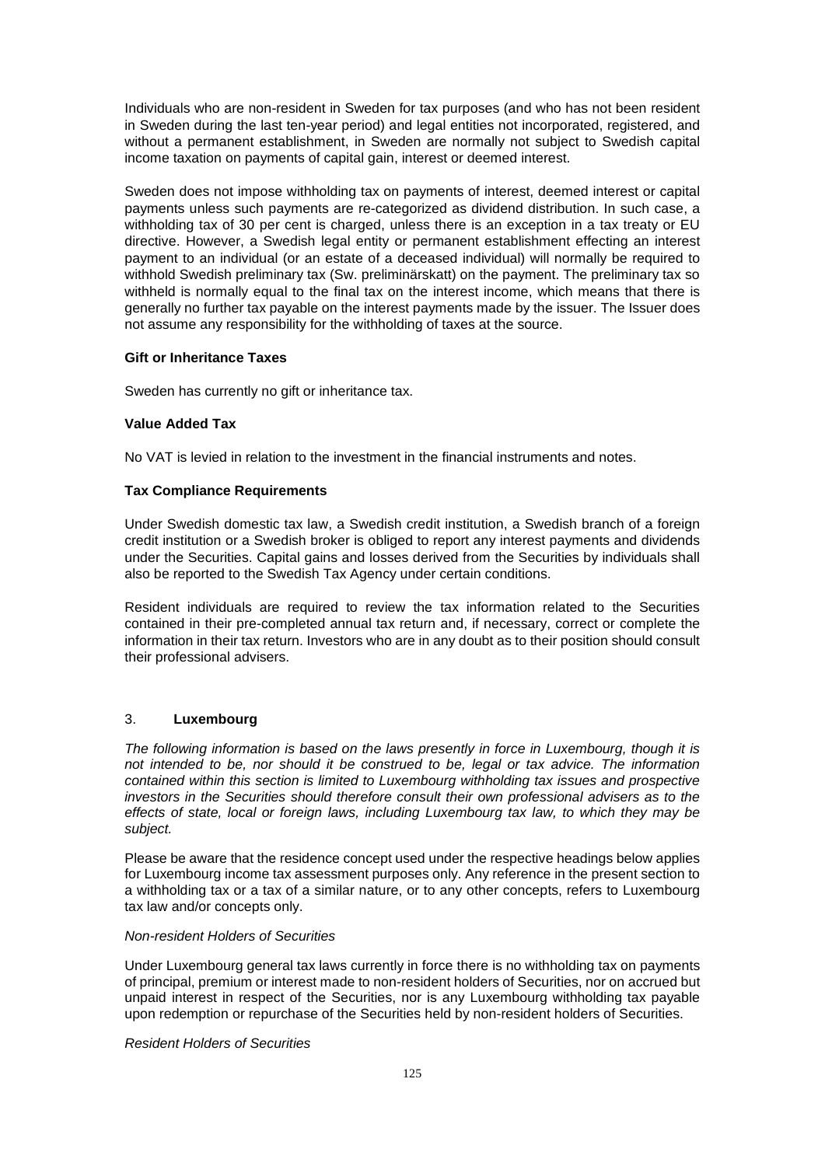Individuals who are non-resident in Sweden for tax purposes (and who has not been resident in Sweden during the last ten-year period) and legal entities not incorporated, registered, and without a permanent establishment, in Sweden are normally not subject to Swedish capital income taxation on payments of capital gain, interest or deemed interest.

Sweden does not impose withholding tax on payments of interest, deemed interest or capital payments unless such payments are re-categorized as dividend distribution. In such case, a withholding tax of 30 per cent is charged, unless there is an exception in a tax treaty or EU directive. However, a Swedish legal entity or permanent establishment effecting an interest payment to an individual (or an estate of a deceased individual) will normally be required to withhold Swedish preliminary tax (Sw. preliminärskatt) on the payment. The preliminary tax so withheld is normally equal to the final tax on the interest income, which means that there is generally no further tax payable on the interest payments made by the issuer. The Issuer does not assume any responsibility for the withholding of taxes at the source.

### **Gift or Inheritance Taxes**

Sweden has currently no gift or inheritance tax.

### **Value Added Tax**

No VAT is levied in relation to the investment in the financial instruments and notes.

#### **Tax Compliance Requirements**

Under Swedish domestic tax law, a Swedish credit institution, a Swedish branch of a foreign credit institution or a Swedish broker is obliged to report any interest payments and dividends under the Securities. Capital gains and losses derived from the Securities by individuals shall also be reported to the Swedish Tax Agency under certain conditions.

Resident individuals are required to review the tax information related to the Securities contained in their pre-completed annual tax return and, if necessary, correct or complete the information in their tax return. Investors who are in any doubt as to their position should consult their professional advisers.

### 3. **Luxembourg**

*The following information is based on the laws presently in force in Luxembourg, though it is not intended to be, nor should it be construed to be, legal or tax advice. The information contained within this section is limited to Luxembourg withholding tax issues and prospective investors in the Securities should therefore consult their own professional advisers as to the effects of state, local or foreign laws, including Luxembourg tax law, to which they may be subject.*

Please be aware that the residence concept used under the respective headings below applies for Luxembourg income tax assessment purposes only. Any reference in the present section to a withholding tax or a tax of a similar nature, or to any other concepts, refers to Luxembourg tax law and/or concepts only.

#### *Non-resident Holders of Securities*

Under Luxembourg general tax laws currently in force there is no withholding tax on payments of principal, premium or interest made to non-resident holders of Securities, nor on accrued but unpaid interest in respect of the Securities, nor is any Luxembourg withholding tax payable upon redemption or repurchase of the Securities held by non-resident holders of Securities.

*Resident Holders of Securities*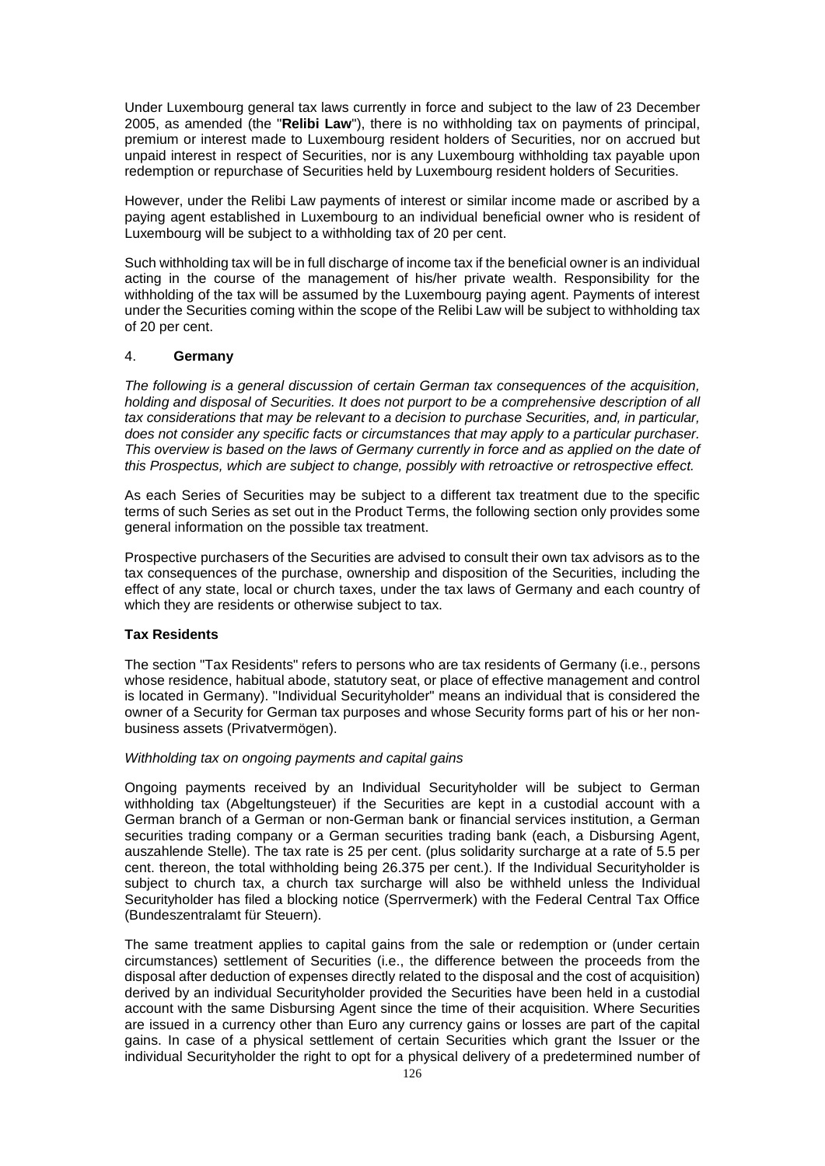Under Luxembourg general tax laws currently in force and subject to the law of 23 December 2005, as amended (the "**Relibi Law**"), there is no withholding tax on payments of principal, premium or interest made to Luxembourg resident holders of Securities, nor on accrued but unpaid interest in respect of Securities, nor is any Luxembourg withholding tax payable upon redemption or repurchase of Securities held by Luxembourg resident holders of Securities.

However, under the Relibi Law payments of interest or similar income made or ascribed by a paying agent established in Luxembourg to an individual beneficial owner who is resident of Luxembourg will be subject to a withholding tax of 20 per cent.

Such withholding tax will be in full discharge of income tax if the beneficial owner is an individual acting in the course of the management of his/her private wealth. Responsibility for the withholding of the tax will be assumed by the Luxembourg paying agent. Payments of interest under the Securities coming within the scope of the Relibi Law will be subject to withholding tax of 20 per cent.

### 4. **Germany**

*The following is a general discussion of certain German tax consequences of the acquisition,*  holding and disposal of Securities. It does not purport to be a comprehensive description of all *tax considerations that may be relevant to a decision to purchase Securities, and, in particular, does not consider any specific facts or circumstances that may apply to a particular purchaser.*  This overview is based on the laws of Germany currently in force and as applied on the date of *this Prospectus, which are subject to change, possibly with retroactive or retrospective effect.*

As each Series of Securities may be subject to a different tax treatment due to the specific terms of such Series as set out in the Product Terms, the following section only provides some general information on the possible tax treatment.

Prospective purchasers of the Securities are advised to consult their own tax advisors as to the tax consequences of the purchase, ownership and disposition of the Securities, including the effect of any state, local or church taxes, under the tax laws of Germany and each country of which they are residents or otherwise subject to tax.

### **Tax Residents**

The section "Tax Residents" refers to persons who are tax residents of Germany (i.e., persons whose residence, habitual abode, statutory seat, or place of effective management and control is located in Germany). "Individual Securityholder" means an individual that is considered the owner of a Security for German tax purposes and whose Security forms part of his or her nonbusiness assets (Privatvermögen).

## *Withholding tax on ongoing payments and capital gains*

Ongoing payments received by an Individual Securityholder will be subject to German withholding tax (Abgeltungsteuer) if the Securities are kept in a custodial account with a German branch of a German or non-German bank or financial services institution, a German securities trading company or a German securities trading bank (each, a Disbursing Agent, auszahlende Stelle). The tax rate is 25 per cent. (plus solidarity surcharge at a rate of 5.5 per cent. thereon, the total withholding being 26.375 per cent.). If the Individual Securityholder is subject to church tax, a church tax surcharge will also be withheld unless the Individual Securityholder has filed a blocking notice (Sperrvermerk) with the Federal Central Tax Office (Bundeszentralamt für Steuern).

The same treatment applies to capital gains from the sale or redemption or (under certain circumstances) settlement of Securities (i.e., the difference between the proceeds from the disposal after deduction of expenses directly related to the disposal and the cost of acquisition) derived by an individual Securityholder provided the Securities have been held in a custodial account with the same Disbursing Agent since the time of their acquisition. Where Securities are issued in a currency other than Euro any currency gains or losses are part of the capital gains. In case of a physical settlement of certain Securities which grant the Issuer or the individual Securityholder the right to opt for a physical delivery of a predetermined number of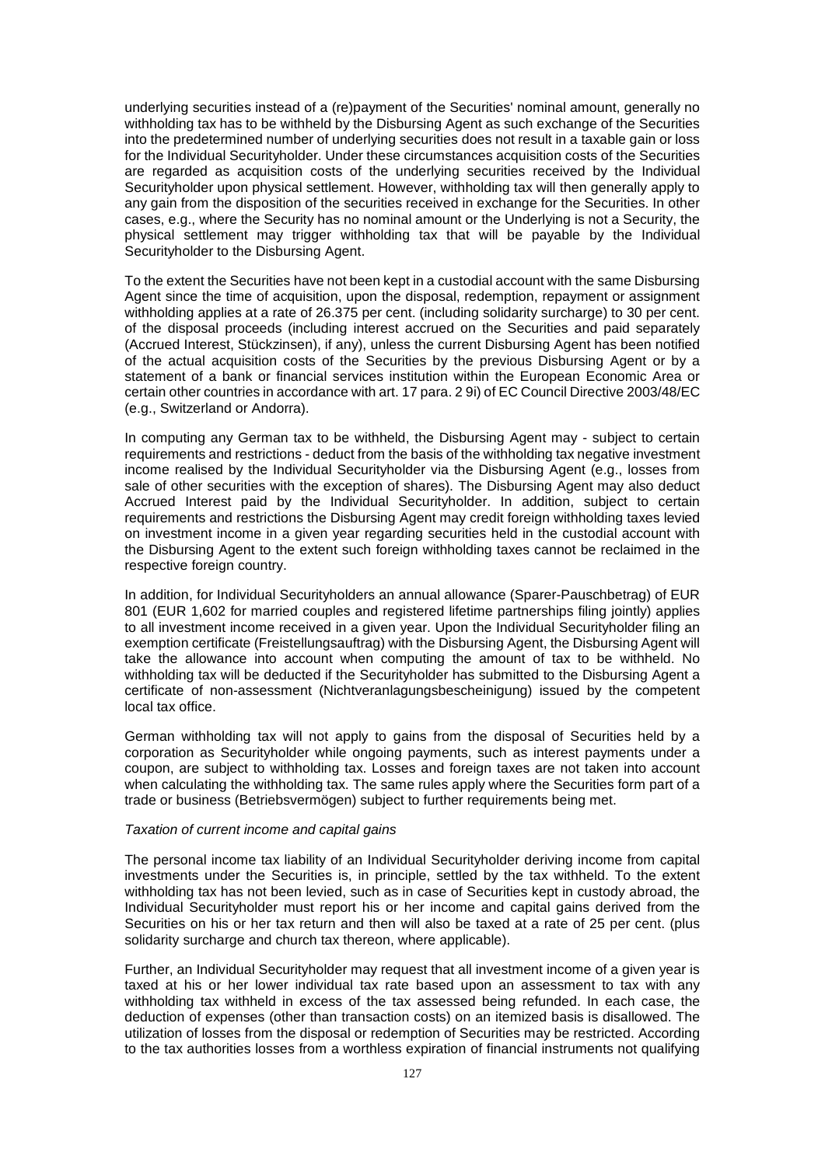underlying securities instead of a (re)payment of the Securities' nominal amount, generally no withholding tax has to be withheld by the Disbursing Agent as such exchange of the Securities into the predetermined number of underlying securities does not result in a taxable gain or loss for the Individual Securityholder. Under these circumstances acquisition costs of the Securities are regarded as acquisition costs of the underlying securities received by the Individual Securityholder upon physical settlement. However, withholding tax will then generally apply to any gain from the disposition of the securities received in exchange for the Securities. In other cases, e.g., where the Security has no nominal amount or the Underlying is not a Security, the physical settlement may trigger withholding tax that will be payable by the Individual Securityholder to the Disbursing Agent.

To the extent the Securities have not been kept in a custodial account with the same Disbursing Agent since the time of acquisition, upon the disposal, redemption, repayment or assignment withholding applies at a rate of 26.375 per cent. (including solidarity surcharge) to 30 per cent. of the disposal proceeds (including interest accrued on the Securities and paid separately (Accrued Interest, Stückzinsen), if any), unless the current Disbursing Agent has been notified of the actual acquisition costs of the Securities by the previous Disbursing Agent or by a statement of a bank or financial services institution within the European Economic Area or certain other countries in accordance with art. 17 para. 2 9i) of EC Council Directive 2003/48/EC (e.g., Switzerland or Andorra).

In computing any German tax to be withheld, the Disbursing Agent may - subject to certain requirements and restrictions - deduct from the basis of the withholding tax negative investment income realised by the Individual Securityholder via the Disbursing Agent (e.g., losses from sale of other securities with the exception of shares). The Disbursing Agent may also deduct Accrued Interest paid by the Individual Securityholder. In addition, subject to certain requirements and restrictions the Disbursing Agent may credit foreign withholding taxes levied on investment income in a given year regarding securities held in the custodial account with the Disbursing Agent to the extent such foreign withholding taxes cannot be reclaimed in the respective foreign country.

In addition, for Individual Securityholders an annual allowance (Sparer-Pauschbetrag) of EUR 801 (EUR 1,602 for married couples and registered lifetime partnerships filing jointly) applies to all investment income received in a given year. Upon the Individual Securityholder filing an exemption certificate (Freistellungsauftrag) with the Disbursing Agent, the Disbursing Agent will take the allowance into account when computing the amount of tax to be withheld. No withholding tax will be deducted if the Securityholder has submitted to the Disbursing Agent a certificate of non-assessment (Nichtveranlagungsbescheinigung) issued by the competent local tax office.

German withholding tax will not apply to gains from the disposal of Securities held by a corporation as Securityholder while ongoing payments, such as interest payments under a coupon, are subject to withholding tax. Losses and foreign taxes are not taken into account when calculating the withholding tax. The same rules apply where the Securities form part of a trade or business (Betriebsvermögen) subject to further requirements being met.

#### *Taxation of current income and capital gains*

The personal income tax liability of an Individual Securityholder deriving income from capital investments under the Securities is, in principle, settled by the tax withheld. To the extent withholding tax has not been levied, such as in case of Securities kept in custody abroad, the Individual Securityholder must report his or her income and capital gains derived from the Securities on his or her tax return and then will also be taxed at a rate of 25 per cent. (plus solidarity surcharge and church tax thereon, where applicable).

Further, an Individual Securityholder may request that all investment income of a given year is taxed at his or her lower individual tax rate based upon an assessment to tax with any withholding tax withheld in excess of the tax assessed being refunded. In each case, the deduction of expenses (other than transaction costs) on an itemized basis is disallowed. The utilization of losses from the disposal or redemption of Securities may be restricted. According to the tax authorities losses from a worthless expiration of financial instruments not qualifying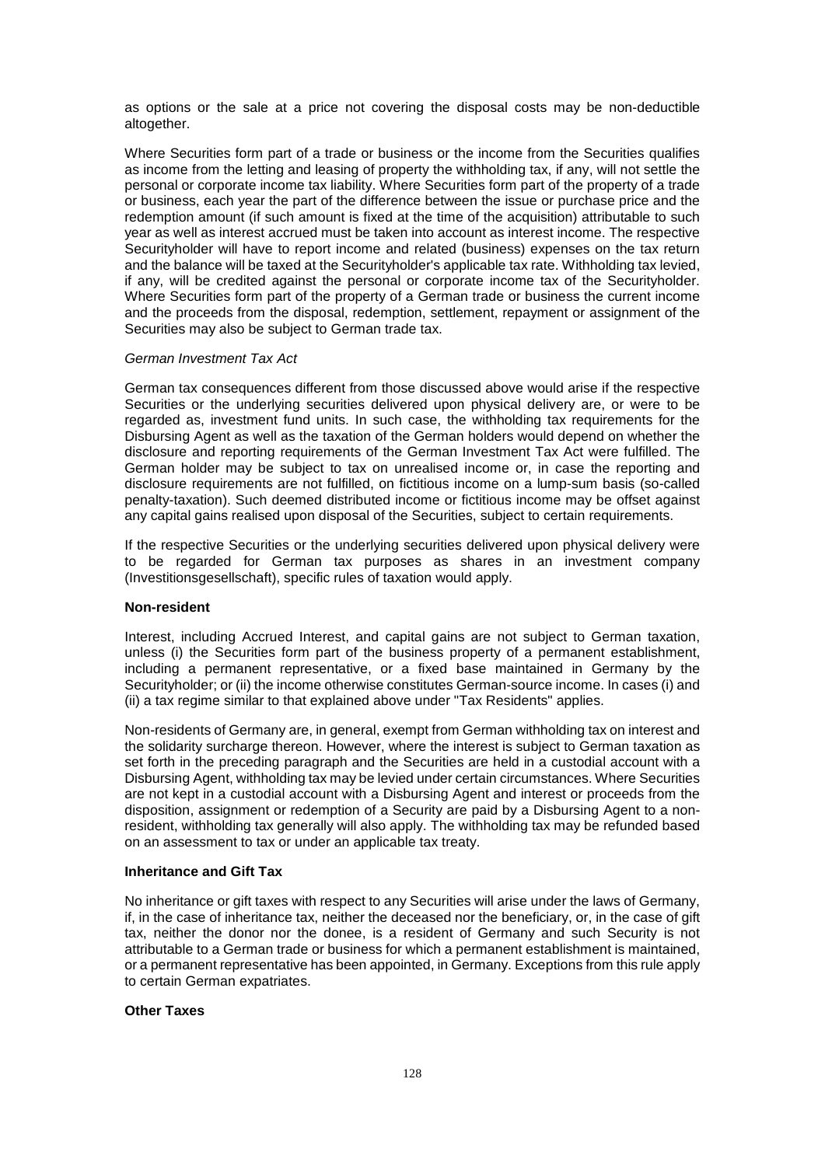as options or the sale at a price not covering the disposal costs may be non-deductible altogether.

Where Securities form part of a trade or business or the income from the Securities qualifies as income from the letting and leasing of property the withholding tax, if any, will not settle the personal or corporate income tax liability. Where Securities form part of the property of a trade or business, each year the part of the difference between the issue or purchase price and the redemption amount (if such amount is fixed at the time of the acquisition) attributable to such year as well as interest accrued must be taken into account as interest income. The respective Securityholder will have to report income and related (business) expenses on the tax return and the balance will be taxed at the Securityholder's applicable tax rate. Withholding tax levied, if any, will be credited against the personal or corporate income tax of the Securityholder. Where Securities form part of the property of a German trade or business the current income and the proceeds from the disposal, redemption, settlement, repayment or assignment of the Securities may also be subject to German trade tax.

#### *German Investment Tax Act*

German tax consequences different from those discussed above would arise if the respective Securities or the underlying securities delivered upon physical delivery are, or were to be regarded as, investment fund units. In such case, the withholding tax requirements for the Disbursing Agent as well as the taxation of the German holders would depend on whether the disclosure and reporting requirements of the German Investment Tax Act were fulfilled. The German holder may be subject to tax on unrealised income or, in case the reporting and disclosure requirements are not fulfilled, on fictitious income on a lump-sum basis (so-called penalty-taxation). Such deemed distributed income or fictitious income may be offset against any capital gains realised upon disposal of the Securities, subject to certain requirements.

If the respective Securities or the underlying securities delivered upon physical delivery were to be regarded for German tax purposes as shares in an investment company (Investitionsgesellschaft), specific rules of taxation would apply.

#### **Non-resident**

Interest, including Accrued Interest, and capital gains are not subject to German taxation, unless (i) the Securities form part of the business property of a permanent establishment, including a permanent representative, or a fixed base maintained in Germany by the Securityholder; or (ii) the income otherwise constitutes German-source income. In cases (i) and (ii) a tax regime similar to that explained above under "Tax Residents" applies.

Non-residents of Germany are, in general, exempt from German withholding tax on interest and the solidarity surcharge thereon. However, where the interest is subject to German taxation as set forth in the preceding paragraph and the Securities are held in a custodial account with a Disbursing Agent, withholding tax may be levied under certain circumstances. Where Securities are not kept in a custodial account with a Disbursing Agent and interest or proceeds from the disposition, assignment or redemption of a Security are paid by a Disbursing Agent to a nonresident, withholding tax generally will also apply. The withholding tax may be refunded based on an assessment to tax or under an applicable tax treaty.

### **Inheritance and Gift Tax**

No inheritance or gift taxes with respect to any Securities will arise under the laws of Germany, if, in the case of inheritance tax, neither the deceased nor the beneficiary, or, in the case of gift tax, neither the donor nor the donee, is a resident of Germany and such Security is not attributable to a German trade or business for which a permanent establishment is maintained, or a permanent representative has been appointed, in Germany. Exceptions from this rule apply to certain German expatriates.

## **Other Taxes**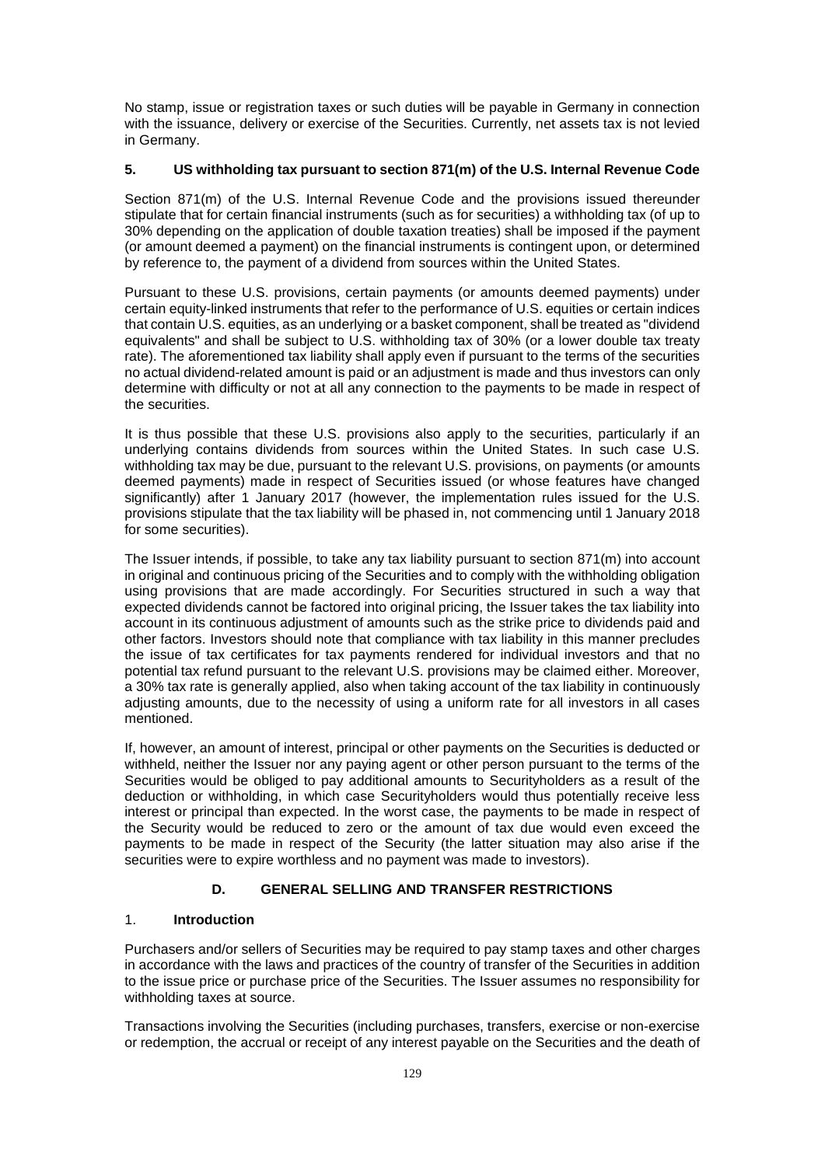No stamp, issue or registration taxes or such duties will be payable in Germany in connection with the issuance, delivery or exercise of the Securities. Currently, net assets tax is not levied in Germany.

## **5. US withholding tax pursuant to section 871(m) of the U.S. Internal Revenue Code**

Section 871(m) of the U.S. Internal Revenue Code and the provisions issued thereunder stipulate that for certain financial instruments (such as for securities) a withholding tax (of up to 30% depending on the application of double taxation treaties) shall be imposed if the payment (or amount deemed a payment) on the financial instruments is contingent upon, or determined by reference to, the payment of a dividend from sources within the United States.

Pursuant to these U.S. provisions, certain payments (or amounts deemed payments) under certain equity-linked instruments that refer to the performance of U.S. equities or certain indices that contain U.S. equities, as an underlying or a basket component, shall be treated as "dividend equivalents" and shall be subject to U.S. withholding tax of 30% (or a lower double tax treaty rate). The aforementioned tax liability shall apply even if pursuant to the terms of the securities no actual dividend-related amount is paid or an adjustment is made and thus investors can only determine with difficulty or not at all any connection to the payments to be made in respect of the securities.

It is thus possible that these U.S. provisions also apply to the securities, particularly if an underlying contains dividends from sources within the United States. In such case U.S. withholding tax may be due, pursuant to the relevant U.S. provisions, on payments (or amounts deemed payments) made in respect of Securities issued (or whose features have changed significantly) after 1 January 2017 (however, the implementation rules issued for the U.S. provisions stipulate that the tax liability will be phased in, not commencing until 1 January 2018 for some securities).

The Issuer intends, if possible, to take any tax liability pursuant to section 871(m) into account in original and continuous pricing of the Securities and to comply with the withholding obligation using provisions that are made accordingly. For Securities structured in such a way that expected dividends cannot be factored into original pricing, the Issuer takes the tax liability into account in its continuous adjustment of amounts such as the strike price to dividends paid and other factors. Investors should note that compliance with tax liability in this manner precludes the issue of tax certificates for tax payments rendered for individual investors and that no potential tax refund pursuant to the relevant U.S. provisions may be claimed either. Moreover, a 30% tax rate is generally applied, also when taking account of the tax liability in continuously adjusting amounts, due to the necessity of using a uniform rate for all investors in all cases mentioned.

If, however, an amount of interest, principal or other payments on the Securities is deducted or withheld, neither the Issuer nor any paying agent or other person pursuant to the terms of the Securities would be obliged to pay additional amounts to Securityholders as a result of the deduction or withholding, in which case Securityholders would thus potentially receive less interest or principal than expected. In the worst case, the payments to be made in respect of the Security would be reduced to zero or the amount of tax due would even exceed the payments to be made in respect of the Security (the latter situation may also arise if the securities were to expire worthless and no payment was made to investors).

# **D. GENERAL SELLING AND TRANSFER RESTRICTIONS**

## 1. **Introduction**

Purchasers and/or sellers of Securities may be required to pay stamp taxes and other charges in accordance with the laws and practices of the country of transfer of the Securities in addition to the issue price or purchase price of the Securities. The Issuer assumes no responsibility for withholding taxes at source.

Transactions involving the Securities (including purchases, transfers, exercise or non-exercise or redemption, the accrual or receipt of any interest payable on the Securities and the death of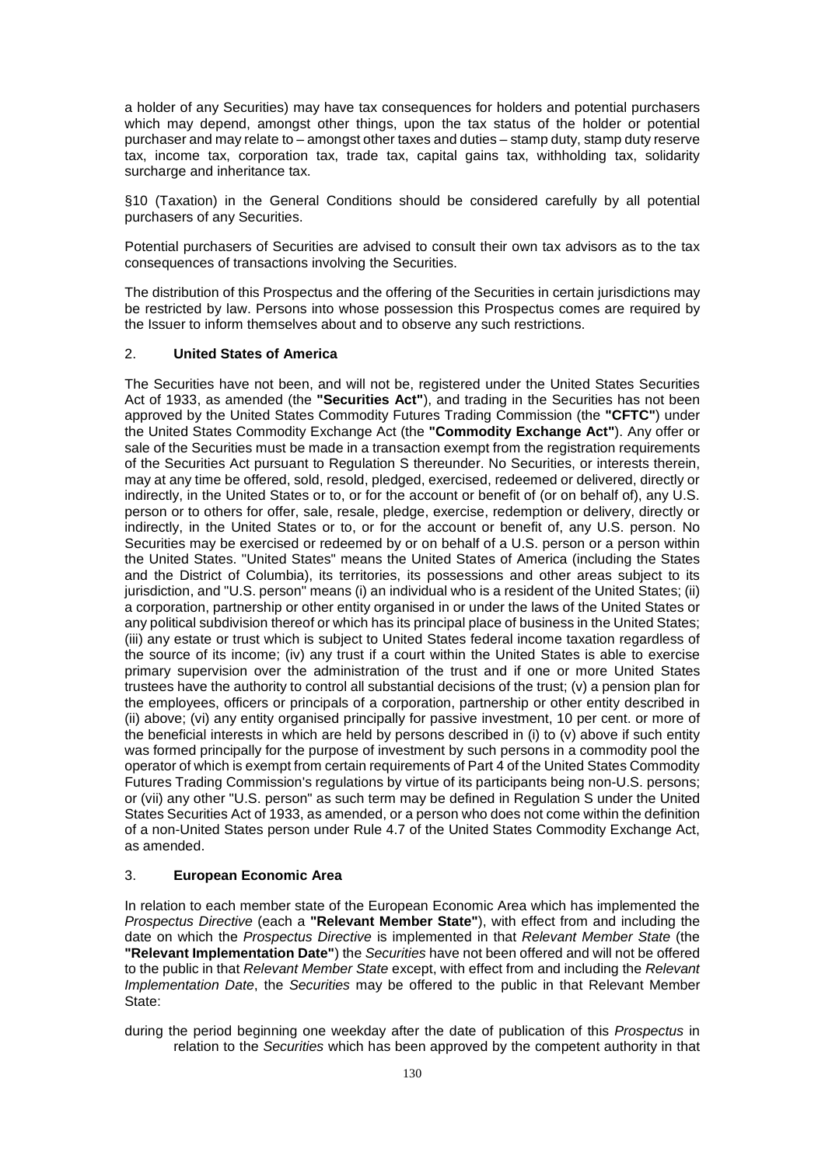a holder of any Securities) may have tax consequences for holders and potential purchasers which may depend, amongst other things, upon the tax status of the holder or potential purchaser and may relate to – amongst other taxes and duties – stamp duty, stamp duty reserve tax, income tax, corporation tax, trade tax, capital gains tax, withholding tax, solidarity surcharge and inheritance tax.

§10 (Taxation) in the General Conditions should be considered carefully by all potential purchasers of any Securities.

Potential purchasers of Securities are advised to consult their own tax advisors as to the tax consequences of transactions involving the Securities.

The distribution of this Prospectus and the offering of the Securities in certain jurisdictions may be restricted by law. Persons into whose possession this Prospectus comes are required by the Issuer to inform themselves about and to observe any such restrictions.

### 2. **United States of America**

The Securities have not been, and will not be, registered under the United States Securities Act of 1933, as amended (the **"Securities Act"**), and trading in the Securities has not been approved by the United States Commodity Futures Trading Commission (the **"CFTC"**) under the United States Commodity Exchange Act (the **"Commodity Exchange Act"**). Any offer or sale of the Securities must be made in a transaction exempt from the registration requirements of the Securities Act pursuant to Regulation S thereunder. No Securities, or interests therein, may at any time be offered, sold, resold, pledged, exercised, redeemed or delivered, directly or indirectly, in the United States or to, or for the account or benefit of (or on behalf of), any U.S. person or to others for offer, sale, resale, pledge, exercise, redemption or delivery, directly or indirectly, in the United States or to, or for the account or benefit of, any U.S. person. No Securities may be exercised or redeemed by or on behalf of a U.S. person or a person within the United States. "United States" means the United States of America (including the States and the District of Columbia), its territories, its possessions and other areas subject to its jurisdiction, and "U.S. person" means (i) an individual who is a resident of the United States; (ii) a corporation, partnership or other entity organised in or under the laws of the United States or any political subdivision thereof or which has its principal place of business in the United States; (iii) any estate or trust which is subject to United States federal income taxation regardless of the source of its income; (iv) any trust if a court within the United States is able to exercise primary supervision over the administration of the trust and if one or more United States trustees have the authority to control all substantial decisions of the trust; (v) a pension plan for the employees, officers or principals of a corporation, partnership or other entity described in (ii) above; (vi) any entity organised principally for passive investment, 10 per cent. or more of the beneficial interests in which are held by persons described in (i) to (v) above if such entity was formed principally for the purpose of investment by such persons in a commodity pool the operator of which is exempt from certain requirements of Part 4 of the United States Commodity Futures Trading Commission's regulations by virtue of its participants being non-U.S. persons; or (vii) any other "U.S. person" as such term may be defined in Regulation S under the United States Securities Act of 1933, as amended, or a person who does not come within the definition of a non-United States person under Rule 4.7 of the United States Commodity Exchange Act, as amended.

### 3. **European Economic Area**

In relation to each member state of the European Economic Area which has implemented the *Prospectus Directive* (each a **"Relevant Member State"**), with effect from and including the date on which the *Prospectus Directive* is implemented in that *Relevant Member State* (the **"Relevant Implementation Date"**) the *Securities* have not been offered and will not be offered to the public in that *Relevant Member State* except, with effect from and including the *Relevant Implementation Date*, the *Securities* may be offered to the public in that Relevant Member State:

during the period beginning one weekday after the date of publication of this *Prospectus* in relation to the *Securities* which has been approved by the competent authority in that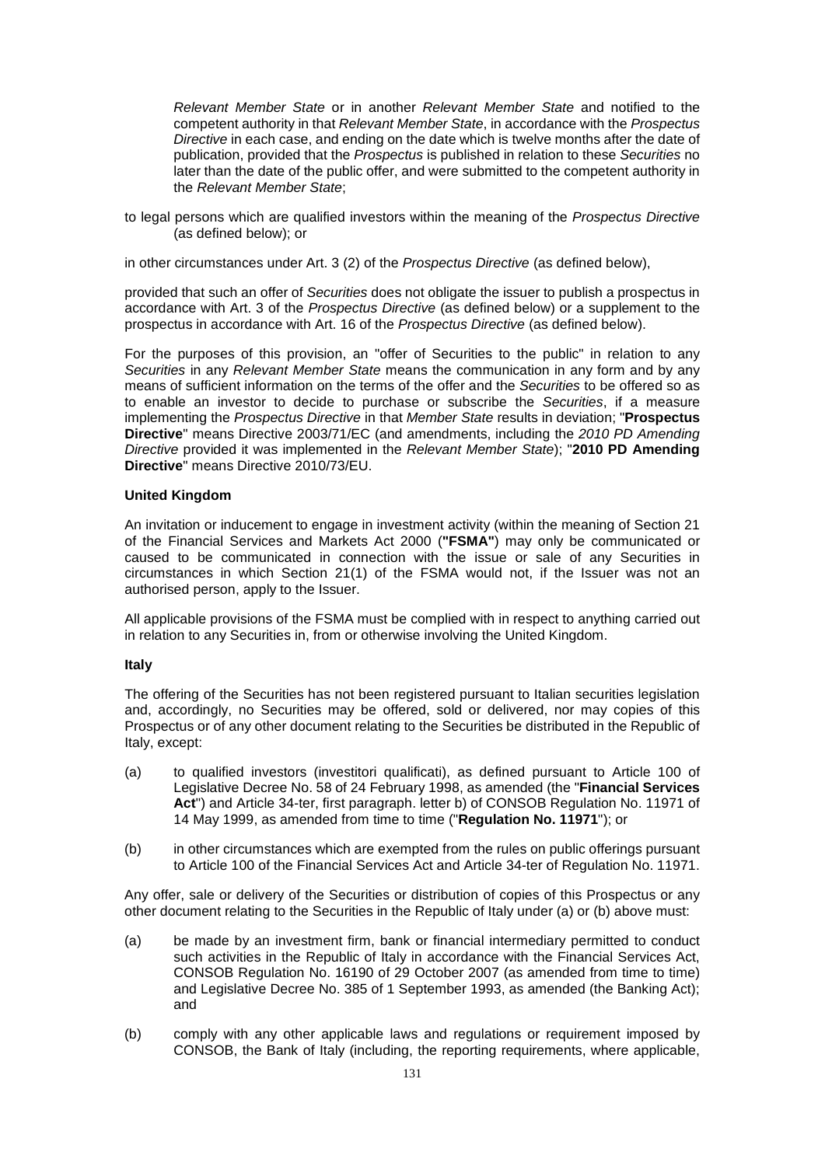*Relevant Member State* or in another *Relevant Member State* and notified to the competent authority in that *Relevant Member State*, in accordance with the *Prospectus Directive* in each case, and ending on the date which is twelve months after the date of publication, provided that the *Prospectus* is published in relation to these *Securities* no later than the date of the public offer, and were submitted to the competent authority in the *Relevant Member State*;

to legal persons which are qualified investors within the meaning of the *Prospectus Directive* (as defined below); or

in other circumstances under Art. 3 (2) of the *Prospectus Directive* (as defined below),

provided that such an offer of *Securities* does not obligate the issuer to publish a prospectus in accordance with Art. 3 of the *Prospectus Directive* (as defined below) or a supplement to the prospectus in accordance with Art. 16 of the *Prospectus Directive* (as defined below).

For the purposes of this provision, an "offer of Securities to the public" in relation to any *Securities* in any *Relevant Member State* means the communication in any form and by any means of sufficient information on the terms of the offer and the *Securities* to be offered so as to enable an investor to decide to purchase or subscribe the *Securities*, if a measure implementing the *Prospectus Directive* in that *Member State* results in deviation; "**Prospectus Directive**" means Directive 2003/71/EC (and amendments, including the *2010 PD Amending Directive* provided it was implemented in the *Relevant Member State*); "**2010 PD Amending Directive**" means Directive 2010/73/EU.

### **United Kingdom**

An invitation or inducement to engage in investment activity (within the meaning of Section 21 of the Financial Services and Markets Act 2000 (**"FSMA"**) may only be communicated or caused to be communicated in connection with the issue or sale of any Securities in circumstances in which Section 21(1) of the FSMA would not, if the Issuer was not an authorised person, apply to the Issuer.

All applicable provisions of the FSMA must be complied with in respect to anything carried out in relation to any Securities in, from or otherwise involving the United Kingdom.

### **Italy**

The offering of the Securities has not been registered pursuant to Italian securities legislation and, accordingly, no Securities may be offered, sold or delivered, nor may copies of this Prospectus or of any other document relating to the Securities be distributed in the Republic of Italy, except:

- (a) to qualified investors (investitori qualificati), as defined pursuant to Article 100 of Legislative Decree No. 58 of 24 February 1998, as amended (the "**Financial Services Act**") and Article 34-ter, first paragraph. letter b) of CONSOB Regulation No. 11971 of 14 May 1999, as amended from time to time ("**Regulation No. 11971**"); or
- (b) in other circumstances which are exempted from the rules on public offerings pursuant to Article 100 of the Financial Services Act and Article 34-ter of Regulation No. 11971.

Any offer, sale or delivery of the Securities or distribution of copies of this Prospectus or any other document relating to the Securities in the Republic of Italy under (a) or (b) above must:

- (a) be made by an investment firm, bank or financial intermediary permitted to conduct such activities in the Republic of Italy in accordance with the Financial Services Act, CONSOB Regulation No. 16190 of 29 October 2007 (as amended from time to time) and Legislative Decree No. 385 of 1 September 1993, as amended (the Banking Act); and
- (b) comply with any other applicable laws and regulations or requirement imposed by CONSOB, the Bank of Italy (including, the reporting requirements, where applicable,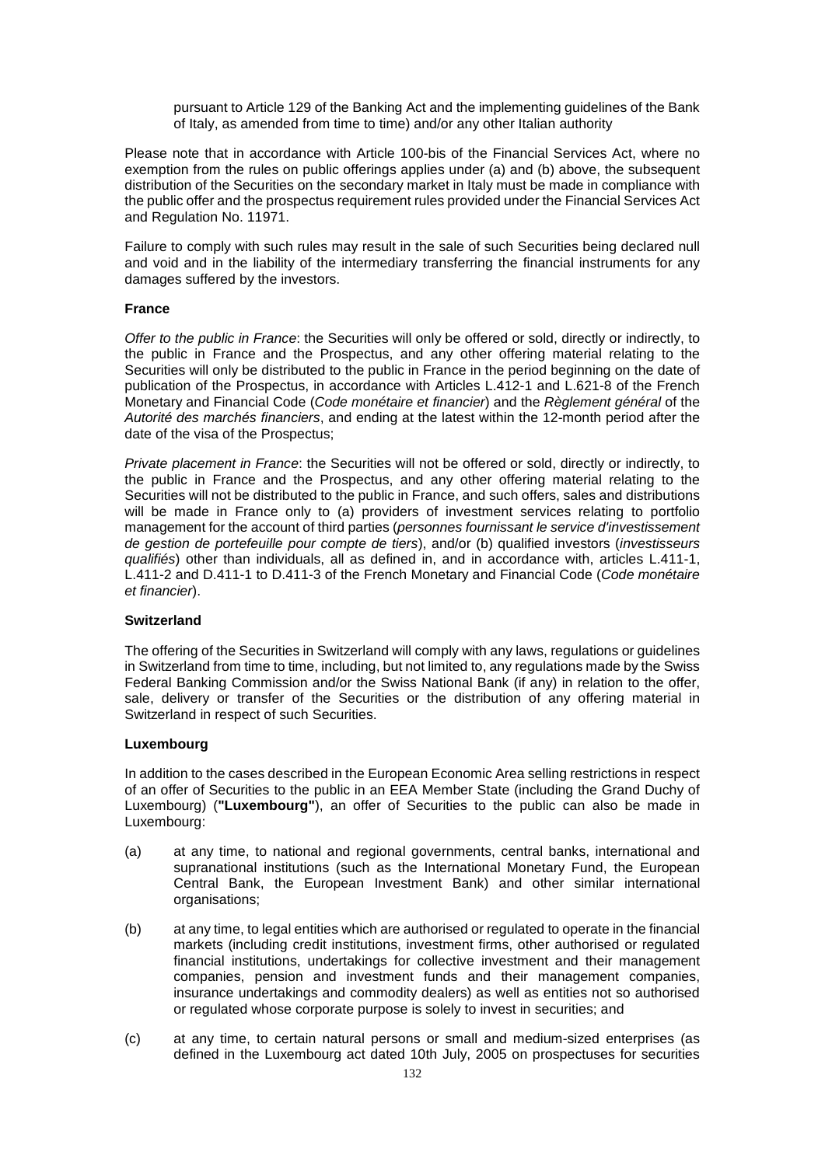pursuant to Article 129 of the Banking Act and the implementing guidelines of the Bank of Italy, as amended from time to time) and/or any other Italian authority

Please note that in accordance with Article 100-bis of the Financial Services Act, where no exemption from the rules on public offerings applies under (a) and (b) above, the subsequent distribution of the Securities on the secondary market in Italy must be made in compliance with the public offer and the prospectus requirement rules provided under the Financial Services Act and Regulation No. 11971.

Failure to comply with such rules may result in the sale of such Securities being declared null and void and in the liability of the intermediary transferring the financial instruments for any damages suffered by the investors.

### **France**

*Offer to the public in France*: the Securities will only be offered or sold, directly or indirectly, to the public in France and the Prospectus, and any other offering material relating to the Securities will only be distributed to the public in France in the period beginning on the date of publication of the Prospectus, in accordance with Articles L.412-1 and L.621-8 of the French Monetary and Financial Code (*Code monétaire et financier*) and the *Règlement général* of the *Autorité des marchés financiers*, and ending at the latest within the 12-month period after the date of the visa of the Prospectus;

*Private placement in France*: the Securities will not be offered or sold, directly or indirectly, to the public in France and the Prospectus, and any other offering material relating to the Securities will not be distributed to the public in France, and such offers, sales and distributions will be made in France only to (a) providers of investment services relating to portfolio management for the account of third parties (*personnes fournissant le service d'investissement de gestion de portefeuille pour compte de tiers*), and/or (b) qualified investors (*investisseurs qualifiés*) other than individuals, all as defined in, and in accordance with, articles L.411-1, L.411-2 and D.411-1 to D.411-3 of the French Monetary and Financial Code (*Code monétaire et financier*).

#### **Switzerland**

The offering of the Securities in Switzerland will comply with any laws, regulations or guidelines in Switzerland from time to time, including, but not limited to, any regulations made by the Swiss Federal Banking Commission and/or the Swiss National Bank (if any) in relation to the offer, sale, delivery or transfer of the Securities or the distribution of any offering material in Switzerland in respect of such Securities.

#### **Luxembourg**

In addition to the cases described in the European Economic Area selling restrictions in respect of an offer of Securities to the public in an EEA Member State (including the Grand Duchy of Luxembourg) (**"Luxembourg"**), an offer of Securities to the public can also be made in Luxembourg:

- (a) at any time, to national and regional governments, central banks, international and supranational institutions (such as the International Monetary Fund, the European Central Bank, the European Investment Bank) and other similar international organisations;
- (b) at any time, to legal entities which are authorised or regulated to operate in the financial markets (including credit institutions, investment firms, other authorised or regulated financial institutions, undertakings for collective investment and their management companies, pension and investment funds and their management companies, insurance undertakings and commodity dealers) as well as entities not so authorised or regulated whose corporate purpose is solely to invest in securities; and
- (c) at any time, to certain natural persons or small and medium-sized enterprises (as defined in the Luxembourg act dated 10th July, 2005 on prospectuses for securities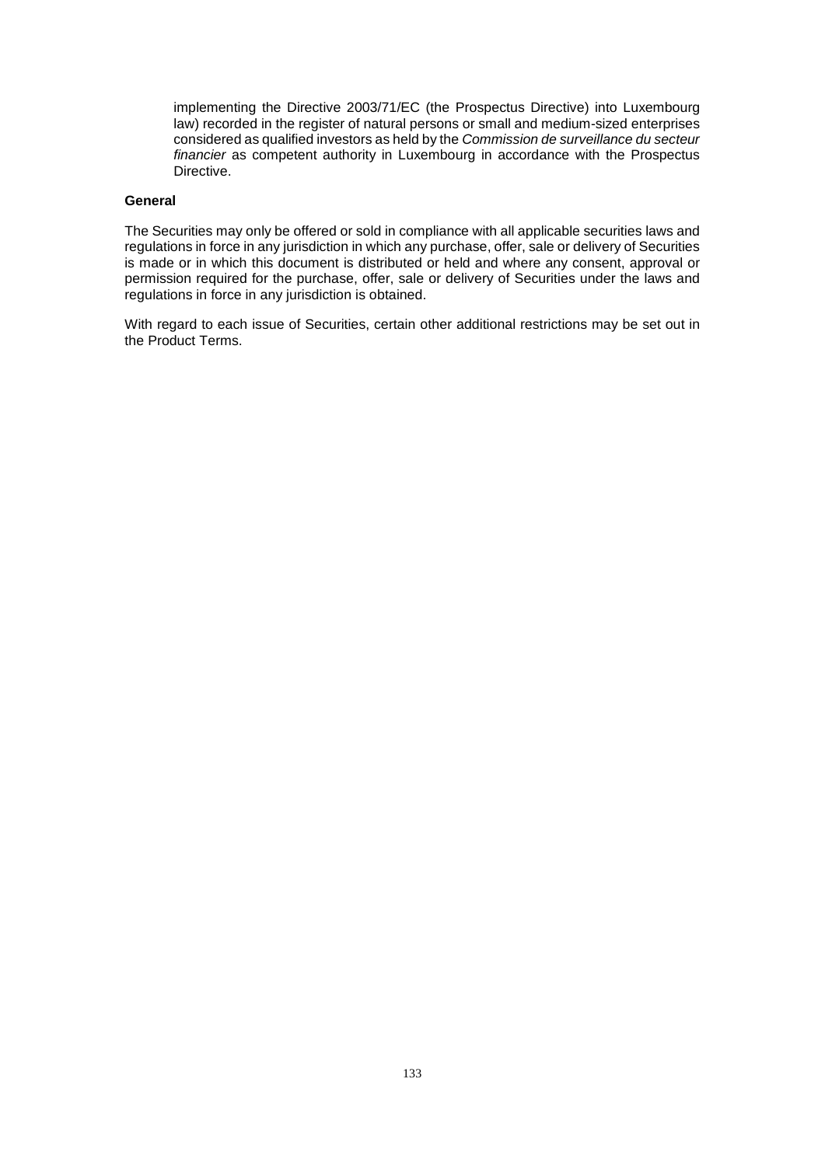implementing the Directive 2003/71/EC (the Prospectus Directive) into Luxembourg law) recorded in the register of natural persons or small and medium-sized enterprises considered as qualified investors as held by the *Commission de surveillance du secteur financier* as competent authority in Luxembourg in accordance with the Prospectus Directive.

### **General**

The Securities may only be offered or sold in compliance with all applicable securities laws and regulations in force in any jurisdiction in which any purchase, offer, sale or delivery of Securities is made or in which this document is distributed or held and where any consent, approval or permission required for the purchase, offer, sale or delivery of Securities under the laws and regulations in force in any jurisdiction is obtained.

With regard to each issue of Securities, certain other additional restrictions may be set out in the Product Terms.